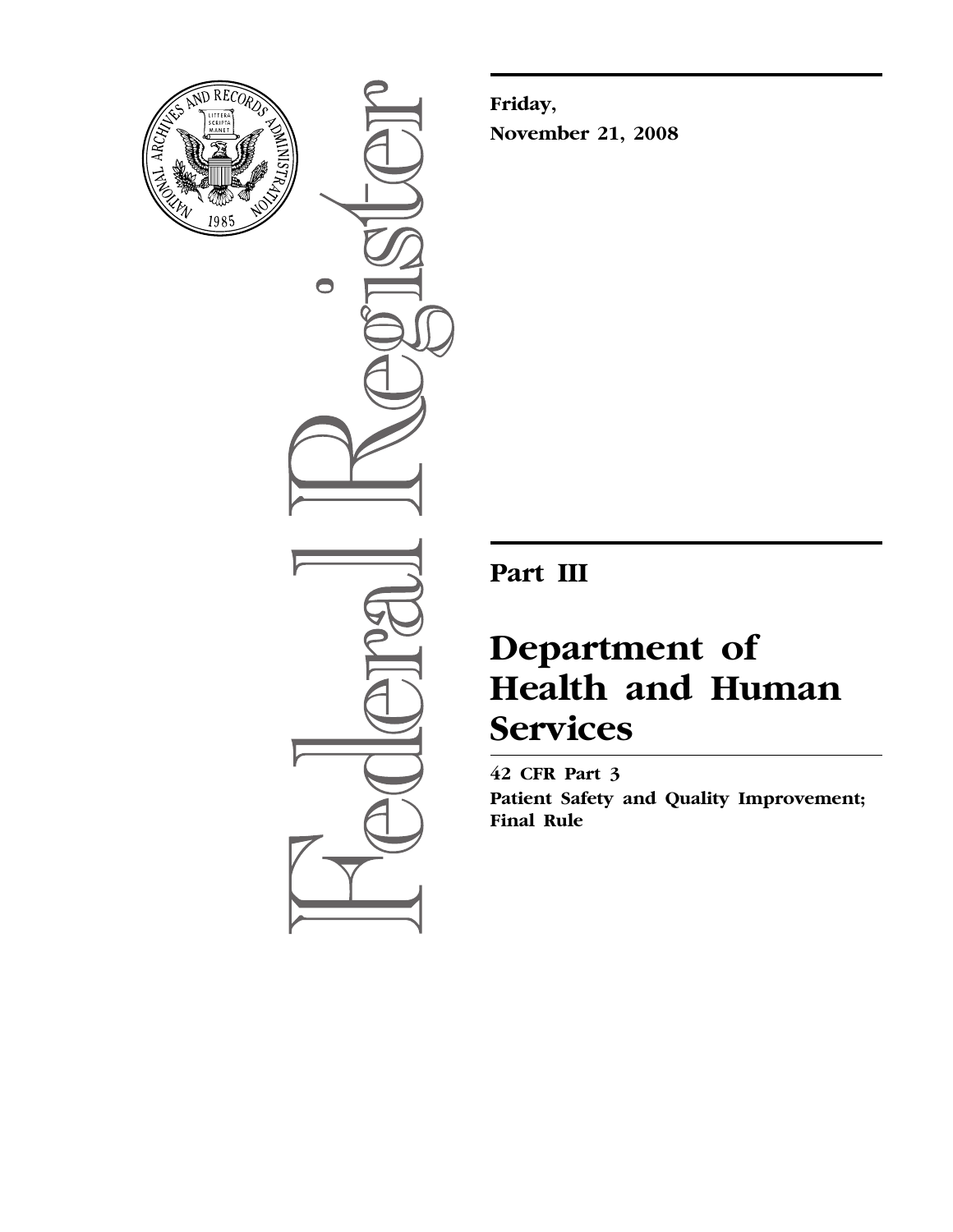

 $\bullet$ 

**Friday, November 21, 2008** 

**Part III** 

# **Department of Health and Human Services**

**42 CFR Part 3 Patient Safety and Quality Improvement; Final Rule**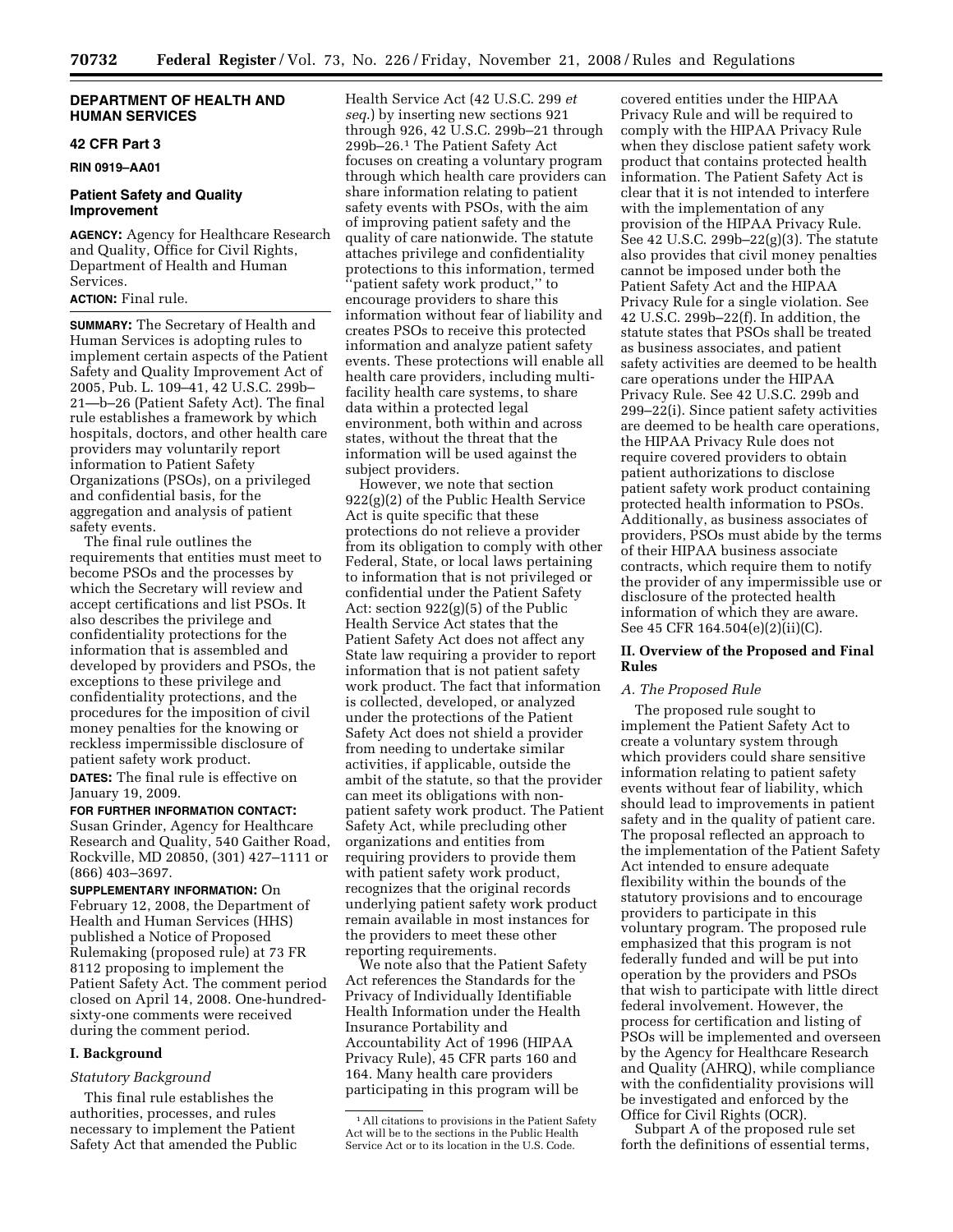# **DEPARTMENT OF HEALTH AND HUMAN SERVICES**

# **42 CFR Part 3**

**RIN 0919–AA01** 

# **Patient Safety and Quality Improvement**

**AGENCY:** Agency for Healthcare Research and Quality, Office for Civil Rights, Department of Health and Human Services.

# **ACTION:** Final rule.

**SUMMARY:** The Secretary of Health and Human Services is adopting rules to implement certain aspects of the Patient Safety and Quality Improvement Act of 2005, Pub. L. 109–41, 42 U.S.C. 299b– 21—b–26 (Patient Safety Act). The final rule establishes a framework by which hospitals, doctors, and other health care providers may voluntarily report information to Patient Safety Organizations (PSOs), on a privileged and confidential basis, for the aggregation and analysis of patient safety events.

The final rule outlines the requirements that entities must meet to become PSOs and the processes by which the Secretary will review and accept certifications and list PSOs. It also describes the privilege and confidentiality protections for the information that is assembled and developed by providers and PSOs, the exceptions to these privilege and confidentiality protections, and the procedures for the imposition of civil money penalties for the knowing or reckless impermissible disclosure of patient safety work product.

**DATES:** The final rule is effective on January 19, 2009.

**FOR FURTHER INFORMATION CONTACT:**  Susan Grinder, Agency for Healthcare Research and Quality, 540 Gaither Road, Rockville, MD 20850, (301) 427–1111 or (866) 403–3697.

**SUPPLEMENTARY INFORMATION:** On February 12, 2008, the Department of Health and Human Services (HHS) published a Notice of Proposed Rulemaking (proposed rule) at 73 FR 8112 proposing to implement the Patient Safety Act. The comment period closed on April 14, 2008. One-hundredsixty-one comments were received during the comment period.

## **I. Background**

# *Statutory Background*

This final rule establishes the authorities, processes, and rules necessary to implement the Patient Safety Act that amended the Public

Health Service Act (42 U.S.C. 299 *et seq*.) by inserting new sections 921 through 926, 42 U.S.C. 299b–21 through 299b–26.1 The Patient Safety Act focuses on creating a voluntary program through which health care providers can share information relating to patient safety events with PSOs, with the aim of improving patient safety and the quality of care nationwide. The statute attaches privilege and confidentiality protections to this information, termed ''patient safety work product,'' to encourage providers to share this information without fear of liability and creates PSOs to receive this protected information and analyze patient safety events. These protections will enable all health care providers, including multifacility health care systems, to share data within a protected legal environment, both within and across states, without the threat that the information will be used against the subject providers.

However, we note that section 922(g)(2) of the Public Health Service Act is quite specific that these protections do not relieve a provider from its obligation to comply with other Federal, State, or local laws pertaining to information that is not privileged or confidential under the Patient Safety Act: section 922(g)(5) of the Public Health Service Act states that the Patient Safety Act does not affect any State law requiring a provider to report information that is not patient safety work product. The fact that information is collected, developed, or analyzed under the protections of the Patient Safety Act does not shield a provider from needing to undertake similar activities, if applicable, outside the ambit of the statute, so that the provider can meet its obligations with nonpatient safety work product. The Patient Safety Act, while precluding other organizations and entities from requiring providers to provide them with patient safety work product, recognizes that the original records underlying patient safety work product remain available in most instances for the providers to meet these other reporting requirements.

We note also that the Patient Safety Act references the Standards for the Privacy of Individually Identifiable Health Information under the Health Insurance Portability and Accountability Act of 1996 (HIPAA Privacy Rule), 45 CFR parts 160 and 164. Many health care providers participating in this program will be

covered entities under the HIPAA Privacy Rule and will be required to comply with the HIPAA Privacy Rule when they disclose patient safety work product that contains protected health information. The Patient Safety Act is clear that it is not intended to interfere with the implementation of any provision of the HIPAA Privacy Rule. See 42 U.S.C. 299b–22(g)(3). The statute also provides that civil money penalties cannot be imposed under both the Patient Safety Act and the HIPAA Privacy Rule for a single violation. See 42 U.S.C. 299b–22(f). In addition, the statute states that PSOs shall be treated as business associates, and patient safety activities are deemed to be health care operations under the HIPAA Privacy Rule. See 42 U.S.C. 299b and 299–22(i). Since patient safety activities are deemed to be health care operations, the HIPAA Privacy Rule does not require covered providers to obtain patient authorizations to disclose patient safety work product containing protected health information to PSOs. Additionally, as business associates of providers, PSOs must abide by the terms of their HIPAA business associate contracts, which require them to notify the provider of any impermissible use or disclosure of the protected health information of which they are aware. See 45 CFR 164.504(e)(2)(ii)(C).

# **II. Overview of the Proposed and Final Rules**

# *A. The Proposed Rule*

The proposed rule sought to implement the Patient Safety Act to create a voluntary system through which providers could share sensitive information relating to patient safety events without fear of liability, which should lead to improvements in patient safety and in the quality of patient care. The proposal reflected an approach to the implementation of the Patient Safety Act intended to ensure adequate flexibility within the bounds of the statutory provisions and to encourage providers to participate in this voluntary program. The proposed rule emphasized that this program is not federally funded and will be put into operation by the providers and PSOs that wish to participate with little direct federal involvement. However, the process for certification and listing of PSOs will be implemented and overseen by the Agency for Healthcare Research and Quality (AHRQ), while compliance with the confidentiality provisions will be investigated and enforced by the Office for Civil Rights (OCR).

Subpart A of the proposed rule set forth the definitions of essential terms,

<sup>&</sup>lt;sup>1</sup> All citations to provisions in the Patient Safety Act will be to the sections in the Public Health Service Act or to its location in the U.S. Code.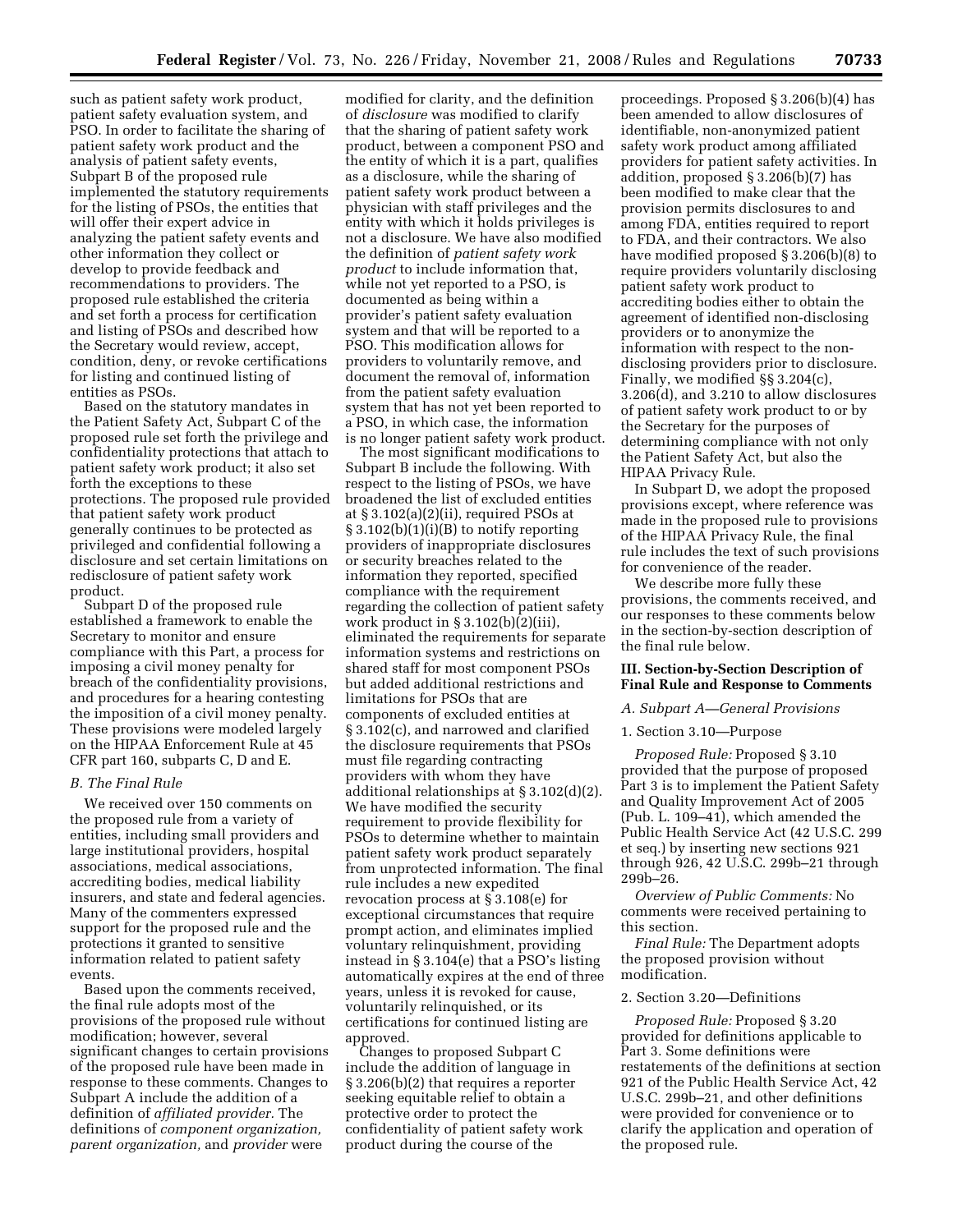such as patient safety work product, patient safety evaluation system, and PSO. In order to facilitate the sharing of patient safety work product and the analysis of patient safety events, Subpart B of the proposed rule implemented the statutory requirements for the listing of PSOs, the entities that will offer their expert advice in analyzing the patient safety events and other information they collect or develop to provide feedback and recommendations to providers. The proposed rule established the criteria and set forth a process for certification and listing of PSOs and described how the Secretary would review, accept, condition, deny, or revoke certifications for listing and continued listing of entities as PSOs.

Based on the statutory mandates in the Patient Safety Act, Subpart C of the proposed rule set forth the privilege and confidentiality protections that attach to patient safety work product; it also set forth the exceptions to these protections. The proposed rule provided that patient safety work product generally continues to be protected as privileged and confidential following a disclosure and set certain limitations on redisclosure of patient safety work product.

Subpart D of the proposed rule established a framework to enable the Secretary to monitor and ensure compliance with this Part, a process for imposing a civil money penalty for breach of the confidentiality provisions, and procedures for a hearing contesting the imposition of a civil money penalty. These provisions were modeled largely on the HIPAA Enforcement Rule at 45 CFR part 160, subparts C, D and E.

#### *B. The Final Rule*

We received over 150 comments on the proposed rule from a variety of entities, including small providers and large institutional providers, hospital associations, medical associations, accrediting bodies, medical liability insurers, and state and federal agencies. Many of the commenters expressed support for the proposed rule and the protections it granted to sensitive information related to patient safety events.

Based upon the comments received, the final rule adopts most of the provisions of the proposed rule without modification; however, several significant changes to certain provisions of the proposed rule have been made in response to these comments. Changes to Subpart A include the addition of a definition of *affiliated provider.* The definitions of *component organization, parent organization,* and *provider* were

modified for clarity, and the definition of *disclosure* was modified to clarify that the sharing of patient safety work product, between a component PSO and the entity of which it is a part, qualifies as a disclosure, while the sharing of patient safety work product between a physician with staff privileges and the entity with which it holds privileges is not a disclosure. We have also modified the definition of *patient safety work product* to include information that, while not yet reported to a PSO, is documented as being within a provider's patient safety evaluation system and that will be reported to a PSO. This modification allows for providers to voluntarily remove, and document the removal of, information from the patient safety evaluation system that has not yet been reported to a PSO, in which case, the information is no longer patient safety work product.

The most significant modifications to Subpart B include the following. With respect to the listing of PSOs, we have broadened the list of excluded entities at § 3.102(a)(2)(ii), required PSOs at § 3.102(b)(1)(i)(B) to notify reporting providers of inappropriate disclosures or security breaches related to the information they reported, specified compliance with the requirement regarding the collection of patient safety work product in  $\S 3.102(b)(2)(iii)$ , eliminated the requirements for separate information systems and restrictions on shared staff for most component PSOs but added additional restrictions and limitations for PSOs that are components of excluded entities at § 3.102(c), and narrowed and clarified the disclosure requirements that PSOs must file regarding contracting providers with whom they have additional relationships at § 3.102(d)(2). We have modified the security requirement to provide flexibility for PSOs to determine whether to maintain patient safety work product separately from unprotected information. The final rule includes a new expedited revocation process at § 3.108(e) for exceptional circumstances that require prompt action, and eliminates implied voluntary relinquishment, providing instead in § 3.104(e) that a PSO's listing automatically expires at the end of three years, unless it is revoked for cause, voluntarily relinquished, or its certifications for continued listing are approved.

Changes to proposed Subpart C include the addition of language in § 3.206(b)(2) that requires a reporter seeking equitable relief to obtain a protective order to protect the confidentiality of patient safety work product during the course of the

proceedings. Proposed § 3.206(b)(4) has been amended to allow disclosures of identifiable, non-anonymized patient safety work product among affiliated providers for patient safety activities. In addition, proposed § 3.206(b)(7) has been modified to make clear that the provision permits disclosures to and among FDA, entities required to report to FDA, and their contractors. We also have modified proposed § 3.206(b)(8) to require providers voluntarily disclosing patient safety work product to accrediting bodies either to obtain the agreement of identified non-disclosing providers or to anonymize the information with respect to the nondisclosing providers prior to disclosure. Finally, we modified §§ 3.204(c), 3.206(d), and 3.210 to allow disclosures of patient safety work product to or by the Secretary for the purposes of determining compliance with not only the Patient Safety Act, but also the HIPAA Privacy Rule.

In Subpart D, we adopt the proposed provisions except, where reference was made in the proposed rule to provisions of the HIPAA Privacy Rule, the final rule includes the text of such provisions for convenience of the reader.

We describe more fully these provisions, the comments received, and our responses to these comments below in the section-by-section description of the final rule below.

# **III. Section-by-Section Description of Final Rule and Response to Comments**

#### *A. Subpart A—General Provisions*

### 1. Section 3.10—Purpose

*Proposed Rule:* Proposed § 3.10 provided that the purpose of proposed Part 3 is to implement the Patient Safety and Quality Improvement Act of 2005 (Pub. L. 109–41), which amended the Public Health Service Act (42 U.S.C. 299 et seq.) by inserting new sections 921 through 926, 42 U.S.C. 299b–21 through 299b–26.

*Overview of Public Comments:* No comments were received pertaining to this section.

*Final Rule:* The Department adopts the proposed provision without modification.

#### 2. Section 3.20—Definitions

*Proposed Rule:* Proposed § 3.20 provided for definitions applicable to Part 3. Some definitions were restatements of the definitions at section 921 of the Public Health Service Act, 42 U.S.C. 299b–21, and other definitions were provided for convenience or to clarify the application and operation of the proposed rule.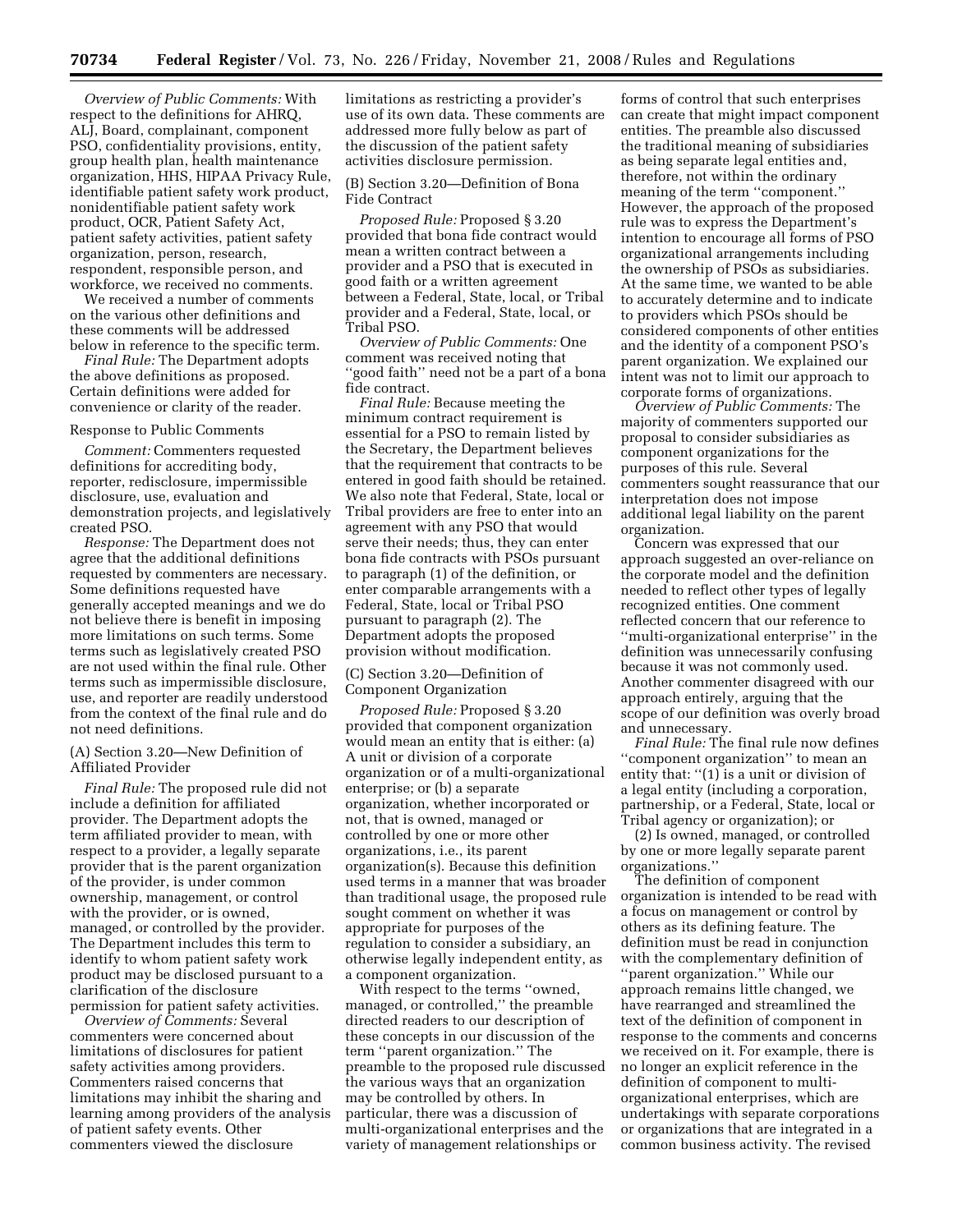*Overview of Public Comments:* With respect to the definitions for AHRQ, ALJ, Board, complainant, component PSO, confidentiality provisions, entity, group health plan, health maintenance organization, HHS, HIPAA Privacy Rule, identifiable patient safety work product, nonidentifiable patient safety work product, OCR, Patient Safety Act, patient safety activities, patient safety organization, person, research, respondent, responsible person, and workforce, we received no comments.

We received a number of comments on the various other definitions and these comments will be addressed below in reference to the specific term.

*Final Rule:* The Department adopts the above definitions as proposed. Certain definitions were added for convenience or clarity of the reader.

#### Response to Public Comments

*Comment:* Commenters requested definitions for accrediting body, reporter, redisclosure, impermissible disclosure, use, evaluation and demonstration projects, and legislatively created PSO.

*Response:* The Department does not agree that the additional definitions requested by commenters are necessary. Some definitions requested have generally accepted meanings and we do not believe there is benefit in imposing more limitations on such terms. Some terms such as legislatively created PSO are not used within the final rule. Other terms such as impermissible disclosure, use, and reporter are readily understood from the context of the final rule and do not need definitions.

(A) Section 3.20—New Definition of Affiliated Provider

*Final Rule:* The proposed rule did not include a definition for affiliated provider. The Department adopts the term affiliated provider to mean, with respect to a provider, a legally separate provider that is the parent organization of the provider, is under common ownership, management, or control with the provider, or is owned, managed, or controlled by the provider. The Department includes this term to identify to whom patient safety work product may be disclosed pursuant to a clarification of the disclosure permission for patient safety activities.

*Overview of Comments:* Several commenters were concerned about limitations of disclosures for patient safety activities among providers. Commenters raised concerns that limitations may inhibit the sharing and learning among providers of the analysis of patient safety events. Other commenters viewed the disclosure

limitations as restricting a provider's use of its own data. These comments are addressed more fully below as part of the discussion of the patient safety activities disclosure permission.

# (B) Section 3.20—Definition of Bona Fide Contract

*Proposed Rule:* Proposed § 3.20 provided that bona fide contract would mean a written contract between a provider and a PSO that is executed in good faith or a written agreement between a Federal, State, local, or Tribal provider and a Federal, State, local, or Tribal PSO.

*Overview of Public Comments:* One comment was received noting that ''good faith'' need not be a part of a bona fide contract.

*Final Rule:* Because meeting the minimum contract requirement is essential for a PSO to remain listed by the Secretary, the Department believes that the requirement that contracts to be entered in good faith should be retained. We also note that Federal, State, local or Tribal providers are free to enter into an agreement with any PSO that would serve their needs; thus, they can enter bona fide contracts with PSOs pursuant to paragraph (1) of the definition, or enter comparable arrangements with a Federal, State, local or Tribal PSO pursuant to paragraph (2). The Department adopts the proposed provision without modification.

# (C) Section 3.20—Definition of Component Organization

*Proposed Rule:* Proposed § 3.20 provided that component organization would mean an entity that is either: (a) A unit or division of a corporate organization or of a multi-organizational enterprise; or (b) a separate organization, whether incorporated or not, that is owned, managed or controlled by one or more other organizations, i.e., its parent organization(s). Because this definition used terms in a manner that was broader than traditional usage, the proposed rule sought comment on whether it was appropriate for purposes of the regulation to consider a subsidiary, an otherwise legally independent entity, as a component organization.

With respect to the terms ''owned, managed, or controlled,'' the preamble directed readers to our description of these concepts in our discussion of the term ''parent organization.'' The preamble to the proposed rule discussed the various ways that an organization may be controlled by others. In particular, there was a discussion of multi-organizational enterprises and the variety of management relationships or

forms of control that such enterprises can create that might impact component entities. The preamble also discussed the traditional meaning of subsidiaries as being separate legal entities and, therefore, not within the ordinary meaning of the term ''component.'' However, the approach of the proposed rule was to express the Department's intention to encourage all forms of PSO organizational arrangements including the ownership of PSOs as subsidiaries. At the same time, we wanted to be able to accurately determine and to indicate to providers which PSOs should be considered components of other entities and the identity of a component PSO's parent organization. We explained our intent was not to limit our approach to corporate forms of organizations.

*Overview of Public Comments:* The majority of commenters supported our proposal to consider subsidiaries as component organizations for the purposes of this rule. Several commenters sought reassurance that our interpretation does not impose additional legal liability on the parent organization.

Concern was expressed that our approach suggested an over-reliance on the corporate model and the definition needed to reflect other types of legally recognized entities. One comment reflected concern that our reference to ''multi-organizational enterprise'' in the definition was unnecessarily confusing because it was not commonly used. Another commenter disagreed with our approach entirely, arguing that the scope of our definition was overly broad and unnecessary.

*Final Rule:* The final rule now defines ''component organization'' to mean an entity that: ''(1) is a unit or division of a legal entity (including a corporation, partnership, or a Federal, State, local or Tribal agency or organization); or

(2) Is owned, managed, or controlled by one or more legally separate parent organizations.''

The definition of component organization is intended to be read with a focus on management or control by others as its defining feature. The definition must be read in conjunction with the complementary definition of ''parent organization.'' While our approach remains little changed, we have rearranged and streamlined the text of the definition of component in response to the comments and concerns we received on it. For example, there is no longer an explicit reference in the definition of component to multiorganizational enterprises, which are undertakings with separate corporations or organizations that are integrated in a common business activity. The revised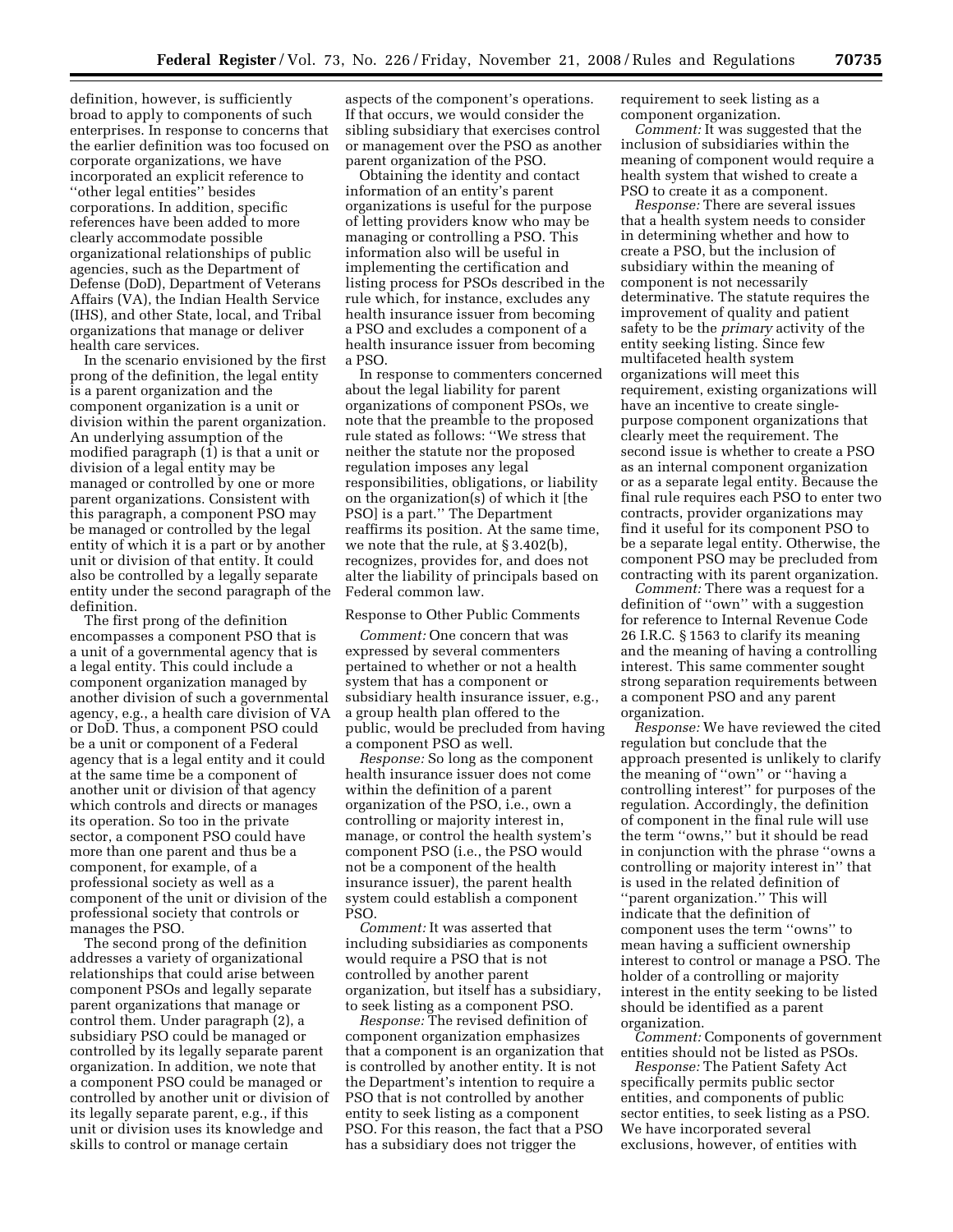definition, however, is sufficiently broad to apply to components of such enterprises. In response to concerns that the earlier definition was too focused on corporate organizations, we have incorporated an explicit reference to ''other legal entities'' besides corporations. In addition, specific references have been added to more clearly accommodate possible organizational relationships of public agencies, such as the Department of Defense (DoD), Department of Veterans Affairs (VA), the Indian Health Service (IHS), and other State, local, and Tribal organizations that manage or deliver health care services.

In the scenario envisioned by the first prong of the definition, the legal entity is a parent organization and the component organization is a unit or division within the parent organization. An underlying assumption of the modified paragraph (1) is that a unit or division of a legal entity may be managed or controlled by one or more parent organizations. Consistent with this paragraph, a component PSO may be managed or controlled by the legal entity of which it is a part or by another unit or division of that entity. It could also be controlled by a legally separate entity under the second paragraph of the definition.

The first prong of the definition encompasses a component PSO that is a unit of a governmental agency that is a legal entity. This could include a component organization managed by another division of such a governmental agency, e.g., a health care division of VA or DoD. Thus, a component PSO could be a unit or component of a Federal agency that is a legal entity and it could at the same time be a component of another unit or division of that agency which controls and directs or manages its operation. So too in the private sector, a component PSO could have more than one parent and thus be a component, for example, of a professional society as well as a component of the unit or division of the professional society that controls or manages the PSO.

The second prong of the definition addresses a variety of organizational relationships that could arise between component PSOs and legally separate parent organizations that manage or control them. Under paragraph (2), a subsidiary PSO could be managed or controlled by its legally separate parent organization. In addition, we note that a component PSO could be managed or controlled by another unit or division of its legally separate parent, e.g., if this unit or division uses its knowledge and skills to control or manage certain

aspects of the component's operations. If that occurs, we would consider the sibling subsidiary that exercises control or management over the PSO as another parent organization of the PSO.

Obtaining the identity and contact information of an entity's parent organizations is useful for the purpose of letting providers know who may be managing or controlling a PSO. This information also will be useful in implementing the certification and listing process for PSOs described in the rule which, for instance, excludes any health insurance issuer from becoming a PSO and excludes a component of a health insurance issuer from becoming a PSO.

In response to commenters concerned about the legal liability for parent organizations of component PSOs, we note that the preamble to the proposed rule stated as follows: ''We stress that neither the statute nor the proposed regulation imposes any legal responsibilities, obligations, or liability on the organization(s) of which it [the PSO] is a part.'' The Department reaffirms its position. At the same time, we note that the rule, at § 3.402(b), recognizes, provides for, and does not alter the liability of principals based on Federal common law.

### Response to Other Public Comments

*Comment:* One concern that was expressed by several commenters pertained to whether or not a health system that has a component or subsidiary health insurance issuer, e.g., a group health plan offered to the public, would be precluded from having a component PSO as well.

*Response:* So long as the component health insurance issuer does not come within the definition of a parent organization of the PSO, i.e., own a controlling or majority interest in, manage, or control the health system's component PSO (i.e., the PSO would not be a component of the health insurance issuer), the parent health system could establish a component PSO.

*Comment:* It was asserted that including subsidiaries as components would require a PSO that is not controlled by another parent organization, but itself has a subsidiary, to seek listing as a component PSO.

*Response:* The revised definition of component organization emphasizes that a component is an organization that is controlled by another entity. It is not the Department's intention to require a PSO that is not controlled by another entity to seek listing as a component PSO. For this reason, the fact that a PSO has a subsidiary does not trigger the

requirement to seek listing as a component organization.

*Comment:* It was suggested that the inclusion of subsidiaries within the meaning of component would require a health system that wished to create a PSO to create it as a component.

*Response:* There are several issues that a health system needs to consider in determining whether and how to create a PSO, but the inclusion of subsidiary within the meaning of component is not necessarily determinative. The statute requires the improvement of quality and patient safety to be the *primary* activity of the entity seeking listing. Since few multifaceted health system organizations will meet this requirement, existing organizations will have an incentive to create singlepurpose component organizations that clearly meet the requirement. The second issue is whether to create a PSO as an internal component organization or as a separate legal entity. Because the final rule requires each PSO to enter two contracts, provider organizations may find it useful for its component PSO to be a separate legal entity. Otherwise, the component PSO may be precluded from contracting with its parent organization.

*Comment:* There was a request for a definition of ''own'' with a suggestion for reference to Internal Revenue Code 26 I.R.C. § 1563 to clarify its meaning and the meaning of having a controlling interest. This same commenter sought strong separation requirements between a component PSO and any parent organization.

*Response:* We have reviewed the cited regulation but conclude that the approach presented is unlikely to clarify the meaning of ''own'' or ''having a controlling interest'' for purposes of the regulation. Accordingly, the definition of component in the final rule will use the term ''owns,'' but it should be read in conjunction with the phrase ''owns a controlling or majority interest in'' that is used in the related definition of ''parent organization.'' This will indicate that the definition of component uses the term ''owns'' to mean having a sufficient ownership interest to control or manage a PSO. The holder of a controlling or majority interest in the entity seeking to be listed should be identified as a parent organization.

*Comment:* Components of government entities should not be listed as PSOs.

*Response:* The Patient Safety Act specifically permits public sector entities, and components of public sector entities, to seek listing as a PSO. We have incorporated several exclusions, however, of entities with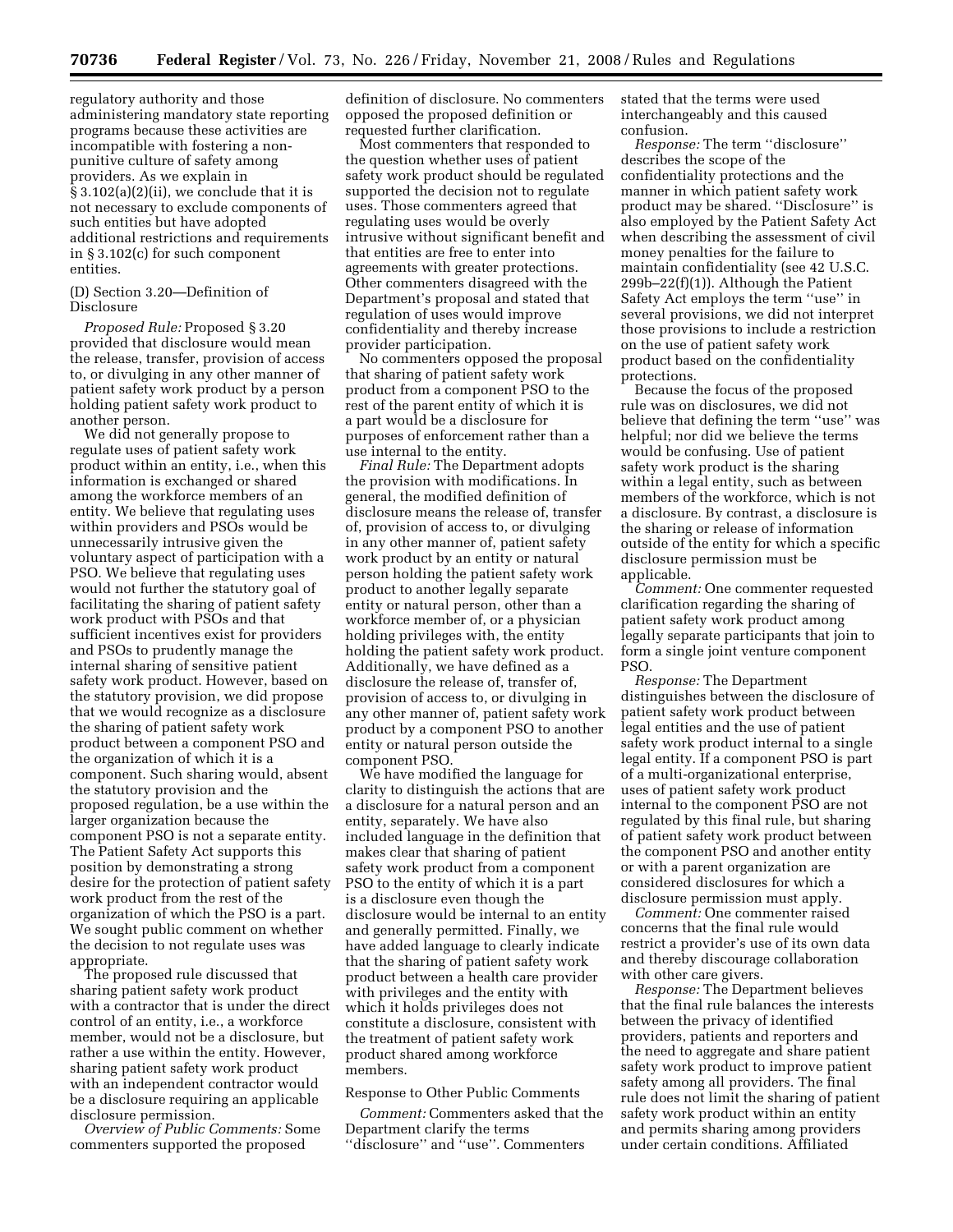regulatory authority and those administering mandatory state reporting programs because these activities are incompatible with fostering a nonpunitive culture of safety among providers. As we explain in § 3.102(a)(2)(ii), we conclude that it is not necessary to exclude components of such entities but have adopted additional restrictions and requirements in § 3.102(c) for such component entities.

### (D) Section 3.20—Definition of Disclosure

*Proposed Rule:* Proposed § 3.20 provided that disclosure would mean the release, transfer, provision of access to, or divulging in any other manner of patient safety work product by a person holding patient safety work product to another person.

We did not generally propose to regulate uses of patient safety work product within an entity, i.e., when this information is exchanged or shared among the workforce members of an entity. We believe that regulating uses within providers and PSOs would be unnecessarily intrusive given the voluntary aspect of participation with a PSO. We believe that regulating uses would not further the statutory goal of facilitating the sharing of patient safety work product with PSOs and that sufficient incentives exist for providers and PSOs to prudently manage the internal sharing of sensitive patient safety work product. However, based on the statutory provision, we did propose that we would recognize as a disclosure the sharing of patient safety work product between a component PSO and the organization of which it is a component. Such sharing would, absent the statutory provision and the proposed regulation, be a use within the larger organization because the component PSO is not a separate entity. The Patient Safety Act supports this position by demonstrating a strong desire for the protection of patient safety work product from the rest of the organization of which the PSO is a part. We sought public comment on whether the decision to not regulate uses was appropriate.

The proposed rule discussed that sharing patient safety work product with a contractor that is under the direct control of an entity, i.e., a workforce member, would not be a disclosure, but rather a use within the entity. However, sharing patient safety work product with an independent contractor would be a disclosure requiring an applicable disclosure permission.

*Overview of Public Comments:* Some commenters supported the proposed

definition of disclosure. No commenters opposed the proposed definition or requested further clarification.

Most commenters that responded to the question whether uses of patient safety work product should be regulated supported the decision not to regulate uses. Those commenters agreed that regulating uses would be overly intrusive without significant benefit and that entities are free to enter into agreements with greater protections. Other commenters disagreed with the Department's proposal and stated that regulation of uses would improve confidentiality and thereby increase provider participation.

No commenters opposed the proposal that sharing of patient safety work product from a component PSO to the rest of the parent entity of which it is a part would be a disclosure for purposes of enforcement rather than a use internal to the entity.

*Final Rule:* The Department adopts the provision with modifications. In general, the modified definition of disclosure means the release of, transfer of, provision of access to, or divulging in any other manner of, patient safety work product by an entity or natural person holding the patient safety work product to another legally separate entity or natural person, other than a workforce member of, or a physician holding privileges with, the entity holding the patient safety work product. Additionally, we have defined as a disclosure the release of, transfer of, provision of access to, or divulging in any other manner of, patient safety work product by a component PSO to another entity or natural person outside the component PSO.

We have modified the language for clarity to distinguish the actions that are a disclosure for a natural person and an entity, separately. We have also included language in the definition that makes clear that sharing of patient safety work product from a component PSO to the entity of which it is a part is a disclosure even though the disclosure would be internal to an entity and generally permitted. Finally, we have added language to clearly indicate that the sharing of patient safety work product between a health care provider with privileges and the entity with which it holds privileges does not constitute a disclosure, consistent with the treatment of patient safety work product shared among workforce members.

# Response to Other Public Comments

*Comment:* Commenters asked that the Department clarify the terms ''disclosure'' and ''use''. Commenters

stated that the terms were used interchangeably and this caused confusion.

*Response:* The term ''disclosure'' describes the scope of the confidentiality protections and the manner in which patient safety work product may be shared. ''Disclosure'' is also employed by the Patient Safety Act when describing the assessment of civil money penalties for the failure to maintain confidentiality (see 42 U.S.C. 299b–22(f)(1)). Although the Patient Safety Act employs the term ''use'' in several provisions, we did not interpret those provisions to include a restriction on the use of patient safety work product based on the confidentiality protections.

Because the focus of the proposed rule was on disclosures, we did not believe that defining the term ''use'' was helpful; nor did we believe the terms would be confusing. Use of patient safety work product is the sharing within a legal entity, such as between members of the workforce, which is not a disclosure. By contrast, a disclosure is the sharing or release of information outside of the entity for which a specific disclosure permission must be applicable.

*Comment:* One commenter requested clarification regarding the sharing of patient safety work product among legally separate participants that join to form a single joint venture component PSO.

*Response:* The Department distinguishes between the disclosure of patient safety work product between legal entities and the use of patient safety work product internal to a single legal entity. If a component PSO is part of a multi-organizational enterprise, uses of patient safety work product internal to the component PSO are not regulated by this final rule, but sharing of patient safety work product between the component PSO and another entity or with a parent organization are considered disclosures for which a disclosure permission must apply.

*Comment:* One commenter raised concerns that the final rule would restrict a provider's use of its own data and thereby discourage collaboration with other care givers.

*Response:* The Department believes that the final rule balances the interests between the privacy of identified providers, patients and reporters and the need to aggregate and share patient safety work product to improve patient safety among all providers. The final rule does not limit the sharing of patient safety work product within an entity and permits sharing among providers under certain conditions. Affiliated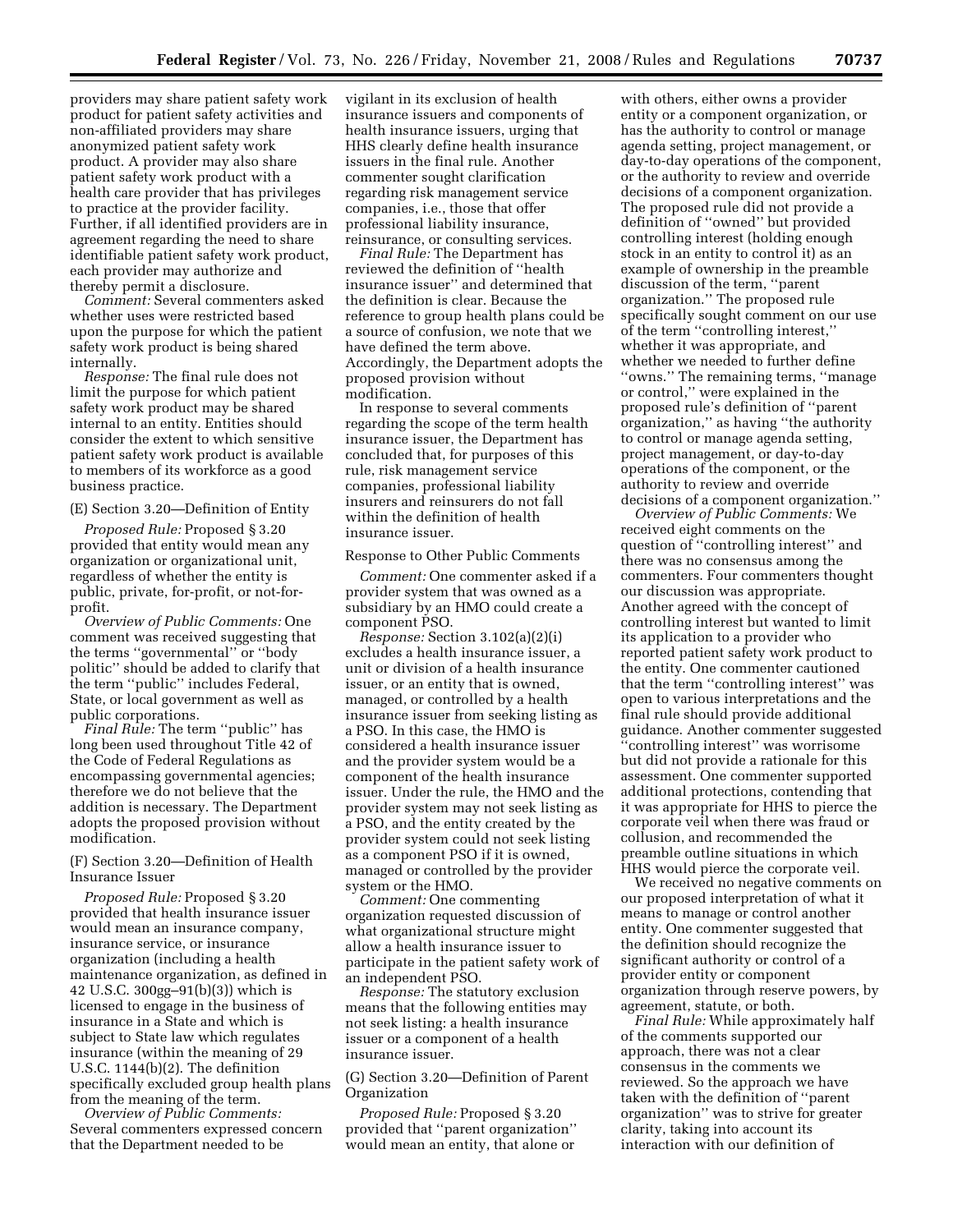providers may share patient safety work product for patient safety activities and non-affiliated providers may share anonymized patient safety work product. A provider may also share patient safety work product with a health care provider that has privileges to practice at the provider facility. Further, if all identified providers are in agreement regarding the need to share identifiable patient safety work product, each provider may authorize and thereby permit a disclosure.

*Comment:* Several commenters asked whether uses were restricted based upon the purpose for which the patient safety work product is being shared internally.

*Response:* The final rule does not limit the purpose for which patient safety work product may be shared internal to an entity. Entities should consider the extent to which sensitive patient safety work product is available to members of its workforce as a good business practice.

(E) Section 3.20—Definition of Entity

*Proposed Rule:* Proposed § 3.20 provided that entity would mean any organization or organizational unit, regardless of whether the entity is public, private, for-profit, or not-forprofit.

*Overview of Public Comments:* One comment was received suggesting that the terms ''governmental'' or ''body politic'' should be added to clarify that the term ''public'' includes Federal, State, or local government as well as public corporations.

*Final Rule:* The term "public" has long been used throughout Title 42 of the Code of Federal Regulations as encompassing governmental agencies; therefore we do not believe that the addition is necessary. The Department adopts the proposed provision without modification.

# (F) Section 3.20—Definition of Health Insurance Issuer

*Proposed Rule:* Proposed § 3.20 provided that health insurance issuer would mean an insurance company, insurance service, or insurance organization (including a health maintenance organization, as defined in 42 U.S.C. 300gg–91(b)(3)) which is licensed to engage in the business of insurance in a State and which is subject to State law which regulates insurance (within the meaning of 29 U.S.C. 1144(b)(2). The definition specifically excluded group health plans from the meaning of the term.

*Overview of Public Comments:*  Several commenters expressed concern that the Department needed to be

vigilant in its exclusion of health insurance issuers and components of health insurance issuers, urging that HHS clearly define health insurance issuers in the final rule. Another commenter sought clarification regarding risk management service companies, i.e., those that offer professional liability insurance, reinsurance, or consulting services.

*Final Rule:* The Department has reviewed the definition of ''health insurance issuer'' and determined that the definition is clear. Because the reference to group health plans could be a source of confusion, we note that we have defined the term above. Accordingly, the Department adopts the proposed provision without modification.

In response to several comments regarding the scope of the term health insurance issuer, the Department has concluded that, for purposes of this rule, risk management service companies, professional liability insurers and reinsurers do not fall within the definition of health insurance issuer.

# Response to Other Public Comments

*Comment:* One commenter asked if a provider system that was owned as a subsidiary by an HMO could create a component PSO.

*Response:* Section 3.102(a)(2)(i) excludes a health insurance issuer, a unit or division of a health insurance issuer, or an entity that is owned, managed, or controlled by a health insurance issuer from seeking listing as a PSO. In this case, the HMO is considered a health insurance issuer and the provider system would be a component of the health insurance issuer. Under the rule, the HMO and the provider system may not seek listing as a PSO, and the entity created by the provider system could not seek listing as a component PSO if it is owned, managed or controlled by the provider system or the HMO.

*Comment:* One commenting organization requested discussion of what organizational structure might allow a health insurance issuer to participate in the patient safety work of an independent PSO.

*Response:* The statutory exclusion means that the following entities may not seek listing: a health insurance issuer or a component of a health insurance issuer.

(G) Section 3.20—Definition of Parent **Organization** 

*Proposed Rule:* Proposed § 3.20 provided that ''parent organization'' would mean an entity, that alone or

with others, either owns a provider entity or a component organization, or has the authority to control or manage agenda setting, project management, or day-to-day operations of the component, or the authority to review and override decisions of a component organization. The proposed rule did not provide a definition of ''owned'' but provided controlling interest (holding enough stock in an entity to control it) as an example of ownership in the preamble discussion of the term, ''parent organization.'' The proposed rule specifically sought comment on our use of the term ''controlling interest,'' whether it was appropriate, and whether we needed to further define ''owns.'' The remaining terms, ''manage or control,'' were explained in the proposed rule's definition of ''parent organization,'' as having ''the authority to control or manage agenda setting, project management, or day-to-day operations of the component, or the authority to review and override decisions of a component organization.''

*Overview of Public Comments:* We received eight comments on the question of ''controlling interest'' and there was no consensus among the commenters. Four commenters thought our discussion was appropriate. Another agreed with the concept of controlling interest but wanted to limit its application to a provider who reported patient safety work product to the entity. One commenter cautioned that the term ''controlling interest'' was open to various interpretations and the final rule should provide additional guidance. Another commenter suggested ''controlling interest'' was worrisome but did not provide a rationale for this assessment. One commenter supported additional protections, contending that it was appropriate for HHS to pierce the corporate veil when there was fraud or collusion, and recommended the preamble outline situations in which HHS would pierce the corporate veil.

We received no negative comments on our proposed interpretation of what it means to manage or control another entity. One commenter suggested that the definition should recognize the significant authority or control of a provider entity or component organization through reserve powers, by agreement, statute, or both.

*Final Rule:* While approximately half of the comments supported our approach, there was not a clear consensus in the comments we reviewed. So the approach we have taken with the definition of ''parent organization'' was to strive for greater clarity, taking into account its interaction with our definition of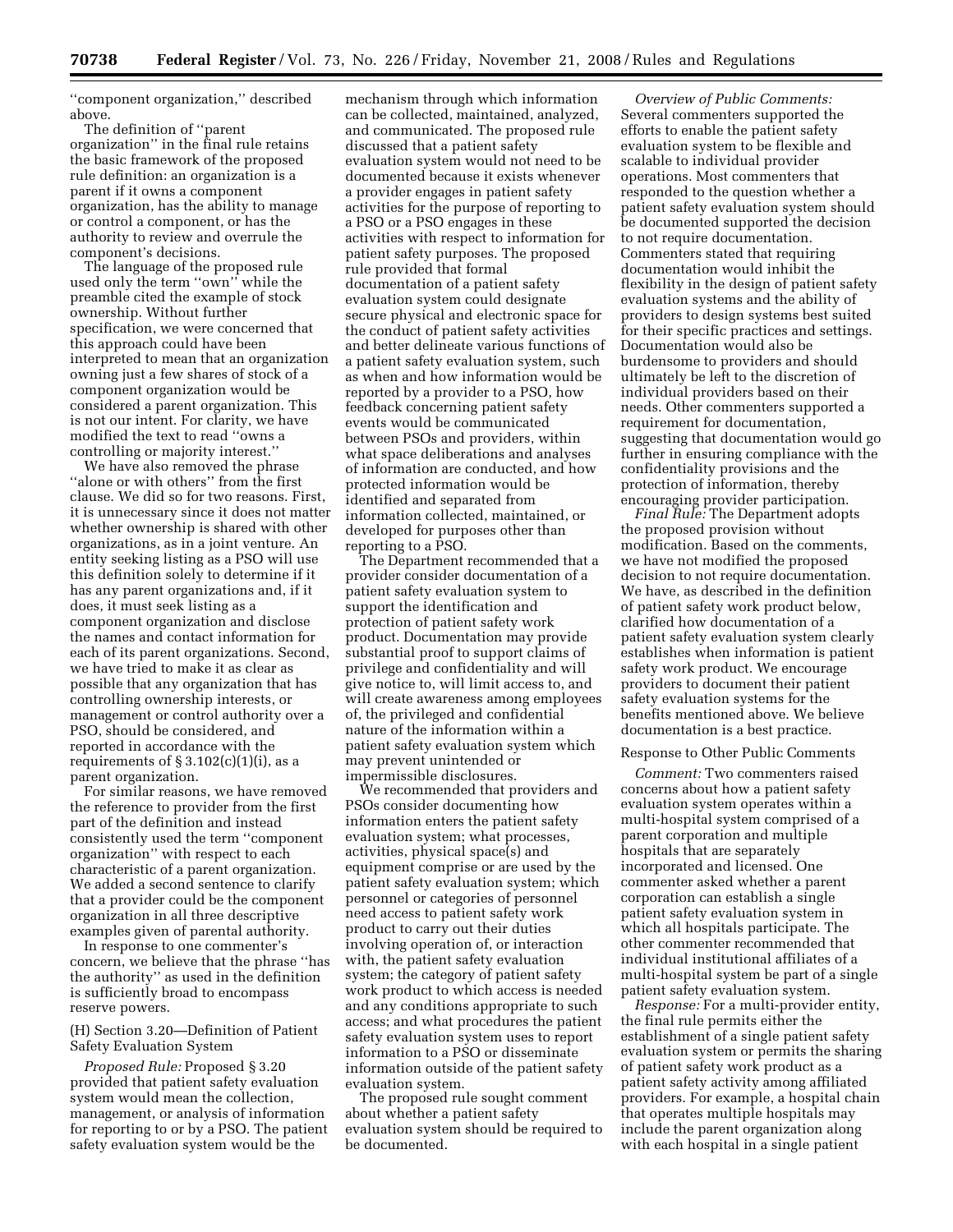''component organization,'' described above.

The definition of ''parent organization'' in the final rule retains the basic framework of the proposed rule definition: an organization is a parent if it owns a component organization, has the ability to manage or control a component, or has the authority to review and overrule the component's decisions.

The language of the proposed rule used only the term ''own'' while the preamble cited the example of stock ownership. Without further specification, we were concerned that this approach could have been interpreted to mean that an organization owning just a few shares of stock of a component organization would be considered a parent organization. This is not our intent. For clarity, we have modified the text to read ''owns a controlling or majority interest.''

We have also removed the phrase ''alone or with others'' from the first clause. We did so for two reasons. First, it is unnecessary since it does not matter whether ownership is shared with other organizations, as in a joint venture. An entity seeking listing as a PSO will use this definition solely to determine if it has any parent organizations and, if it does, it must seek listing as a component organization and disclose the names and contact information for each of its parent organizations. Second, we have tried to make it as clear as possible that any organization that has controlling ownership interests, or management or control authority over a PSO, should be considered, and reported in accordance with the requirements of  $\S 3.102(c)(1)(i)$ , as a parent organization.

For similar reasons, we have removed the reference to provider from the first part of the definition and instead consistently used the term ''component organization'' with respect to each characteristic of a parent organization. We added a second sentence to clarify that a provider could be the component organization in all three descriptive examples given of parental authority.

In response to one commenter's concern, we believe that the phrase ''has the authority'' as used in the definition is sufficiently broad to encompass reserve powers.

# (H) Section 3.20—Definition of Patient Safety Evaluation System

*Proposed Rule:* Proposed § 3.20 provided that patient safety evaluation system would mean the collection, management, or analysis of information for reporting to or by a PSO. The patient safety evaluation system would be the

mechanism through which information can be collected, maintained, analyzed, and communicated. The proposed rule discussed that a patient safety evaluation system would not need to be documented because it exists whenever a provider engages in patient safety activities for the purpose of reporting to a PSO or a PSO engages in these activities with respect to information for patient safety purposes. The proposed rule provided that formal documentation of a patient safety evaluation system could designate secure physical and electronic space for the conduct of patient safety activities and better delineate various functions of a patient safety evaluation system, such as when and how information would be reported by a provider to a PSO, how feedback concerning patient safety events would be communicated between PSOs and providers, within what space deliberations and analyses of information are conducted, and how protected information would be identified and separated from information collected, maintained, or developed for purposes other than reporting to a PSO.

The Department recommended that a provider consider documentation of a patient safety evaluation system to support the identification and protection of patient safety work product. Documentation may provide substantial proof to support claims of privilege and confidentiality and will give notice to, will limit access to, and will create awareness among employees of, the privileged and confidential nature of the information within a patient safety evaluation system which may prevent unintended or impermissible disclosures.

We recommended that providers and PSOs consider documenting how information enters the patient safety evaluation system; what processes, activities, physical space(s) and equipment comprise or are used by the patient safety evaluation system; which personnel or categories of personnel need access to patient safety work product to carry out their duties involving operation of, or interaction with, the patient safety evaluation system; the category of patient safety work product to which access is needed and any conditions appropriate to such access; and what procedures the patient safety evaluation system uses to report information to a PSO or disseminate information outside of the patient safety evaluation system.

The proposed rule sought comment about whether a patient safety evaluation system should be required to be documented.

*Overview of Public Comments:*  Several commenters supported the efforts to enable the patient safety evaluation system to be flexible and scalable to individual provider operations. Most commenters that responded to the question whether a patient safety evaluation system should be documented supported the decision to not require documentation. Commenters stated that requiring documentation would inhibit the flexibility in the design of patient safety evaluation systems and the ability of providers to design systems best suited for their specific practices and settings. Documentation would also be burdensome to providers and should ultimately be left to the discretion of individual providers based on their needs. Other commenters supported a requirement for documentation, suggesting that documentation would go further in ensuring compliance with the confidentiality provisions and the protection of information, thereby encouraging provider participation.

*Final Rule:* The Department adopts the proposed provision without modification. Based on the comments, we have not modified the proposed decision to not require documentation. We have, as described in the definition of patient safety work product below, clarified how documentation of a patient safety evaluation system clearly establishes when information is patient safety work product. We encourage providers to document their patient safety evaluation systems for the benefits mentioned above. We believe documentation is a best practice.

# Response to Other Public Comments

*Comment:* Two commenters raised concerns about how a patient safety evaluation system operates within a multi-hospital system comprised of a parent corporation and multiple hospitals that are separately incorporated and licensed. One commenter asked whether a parent corporation can establish a single patient safety evaluation system in which all hospitals participate. The other commenter recommended that individual institutional affiliates of a multi-hospital system be part of a single patient safety evaluation system.

*Response:* For a multi-provider entity, the final rule permits either the establishment of a single patient safety evaluation system or permits the sharing of patient safety work product as a patient safety activity among affiliated providers. For example, a hospital chain that operates multiple hospitals may include the parent organization along with each hospital in a single patient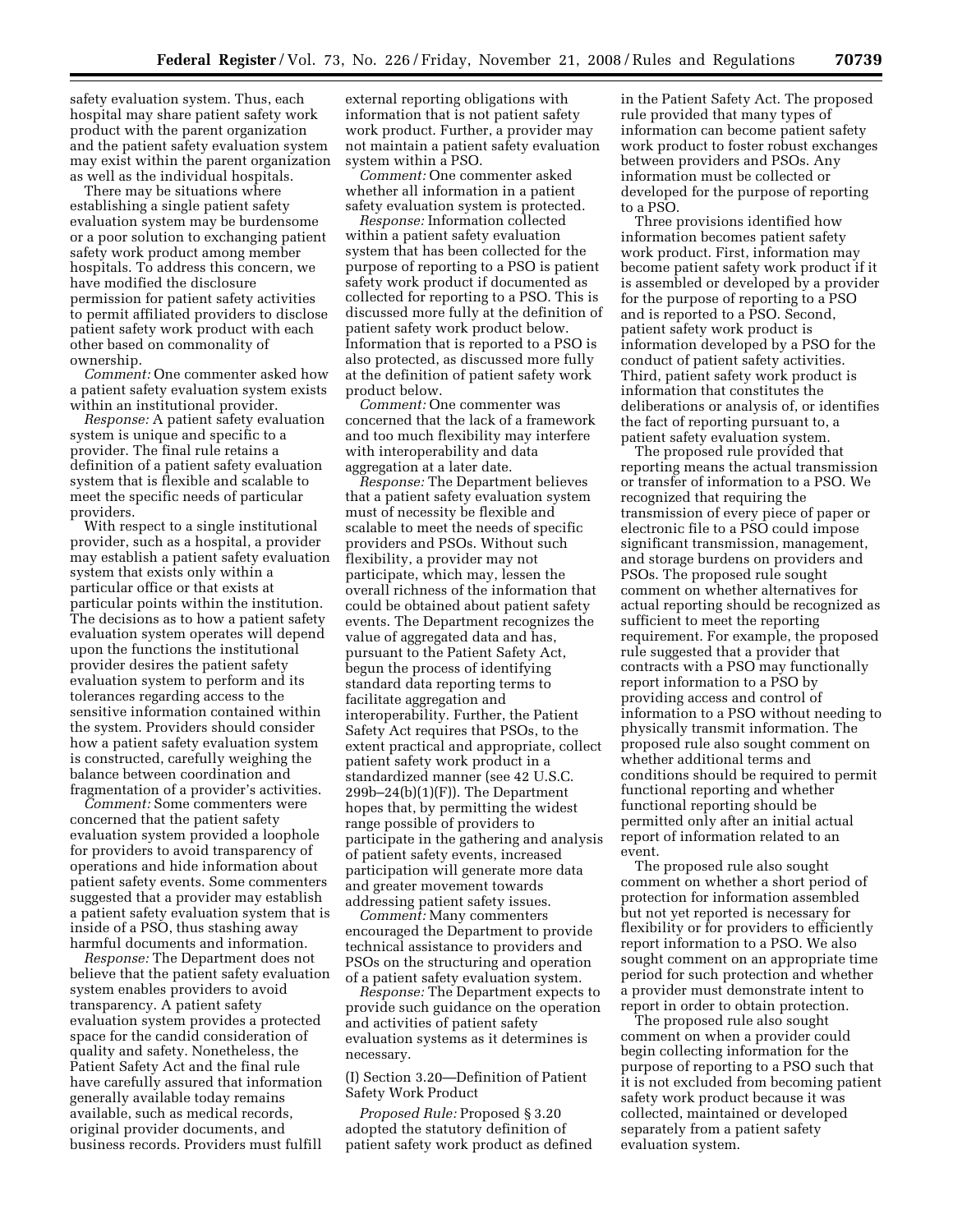safety evaluation system. Thus, each hospital may share patient safety work product with the parent organization and the patient safety evaluation system may exist within the parent organization as well as the individual hospitals.

There may be situations where establishing a single patient safety evaluation system may be burdensome or a poor solution to exchanging patient safety work product among member hospitals. To address this concern, we have modified the disclosure permission for patient safety activities to permit affiliated providers to disclose patient safety work product with each other based on commonality of ownership.

*Comment:* One commenter asked how a patient safety evaluation system exists within an institutional provider.

*Response:* A patient safety evaluation system is unique and specific to a provider. The final rule retains a definition of a patient safety evaluation system that is flexible and scalable to meet the specific needs of particular providers.

With respect to a single institutional provider, such as a hospital, a provider may establish a patient safety evaluation system that exists only within a particular office or that exists at particular points within the institution. The decisions as to how a patient safety evaluation system operates will depend upon the functions the institutional provider desires the patient safety evaluation system to perform and its tolerances regarding access to the sensitive information contained within the system. Providers should consider how a patient safety evaluation system is constructed, carefully weighing the balance between coordination and fragmentation of a provider's activities.

*Comment:* Some commenters were concerned that the patient safety evaluation system provided a loophole for providers to avoid transparency of operations and hide information about patient safety events. Some commenters suggested that a provider may establish a patient safety evaluation system that is inside of a PSO, thus stashing away harmful documents and information.

*Response:* The Department does not believe that the patient safety evaluation system enables providers to avoid transparency. A patient safety evaluation system provides a protected space for the candid consideration of quality and safety. Nonetheless, the Patient Safety Act and the final rule have carefully assured that information generally available today remains available, such as medical records, original provider documents, and business records. Providers must fulfill

external reporting obligations with information that is not patient safety work product. Further, a provider may not maintain a patient safety evaluation system within a PSO.

*Comment:* One commenter asked whether all information in a patient safety evaluation system is protected.

*Response:* Information collected within a patient safety evaluation system that has been collected for the purpose of reporting to a PSO is patient safety work product if documented as collected for reporting to a PSO. This is discussed more fully at the definition of patient safety work product below. Information that is reported to a PSO is also protected, as discussed more fully at the definition of patient safety work product below.

*Comment:* One commenter was concerned that the lack of a framework and too much flexibility may interfere with interoperability and data aggregation at a later date.

*Response:* The Department believes that a patient safety evaluation system must of necessity be flexible and scalable to meet the needs of specific providers and PSOs. Without such flexibility, a provider may not participate, which may, lessen the overall richness of the information that could be obtained about patient safety events. The Department recognizes the value of aggregated data and has, pursuant to the Patient Safety Act, begun the process of identifying standard data reporting terms to facilitate aggregation and interoperability. Further, the Patient Safety Act requires that PSOs, to the extent practical and appropriate, collect patient safety work product in a standardized manner (see 42 U.S.C.  $299b-24(b)(1)(F)$ . The Department hopes that, by permitting the widest range possible of providers to participate in the gathering and analysis of patient safety events, increased participation will generate more data and greater movement towards addressing patient safety issues.

*Comment:* Many commenters encouraged the Department to provide technical assistance to providers and PSOs on the structuring and operation of a patient safety evaluation system.

*Response:* The Department expects to provide such guidance on the operation and activities of patient safety evaluation systems as it determines is necessary.

(I) Section 3.20—Definition of Patient Safety Work Product

*Proposed Rule:* Proposed § 3.20 adopted the statutory definition of patient safety work product as defined in the Patient Safety Act. The proposed rule provided that many types of information can become patient safety work product to foster robust exchanges between providers and PSOs. Any information must be collected or developed for the purpose of reporting to a PSO.

Three provisions identified how information becomes patient safety work product. First, information may become patient safety work product if it is assembled or developed by a provider for the purpose of reporting to a PSO and is reported to a PSO. Second, patient safety work product is information developed by a PSO for the conduct of patient safety activities. Third, patient safety work product is information that constitutes the deliberations or analysis of, or identifies the fact of reporting pursuant to, a patient safety evaluation system.

The proposed rule provided that reporting means the actual transmission or transfer of information to a PSO. We recognized that requiring the transmission of every piece of paper or electronic file to a PSO could impose significant transmission, management, and storage burdens on providers and PSOs. The proposed rule sought comment on whether alternatives for actual reporting should be recognized as sufficient to meet the reporting requirement. For example, the proposed rule suggested that a provider that contracts with a PSO may functionally report information to a PSO by providing access and control of information to a PSO without needing to physically transmit information. The proposed rule also sought comment on whether additional terms and conditions should be required to permit functional reporting and whether functional reporting should be permitted only after an initial actual report of information related to an event.

The proposed rule also sought comment on whether a short period of protection for information assembled but not yet reported is necessary for flexibility or for providers to efficiently report information to a PSO. We also sought comment on an appropriate time period for such protection and whether a provider must demonstrate intent to report in order to obtain protection.

The proposed rule also sought comment on when a provider could begin collecting information for the purpose of reporting to a PSO such that it is not excluded from becoming patient safety work product because it was collected, maintained or developed separately from a patient safety evaluation system.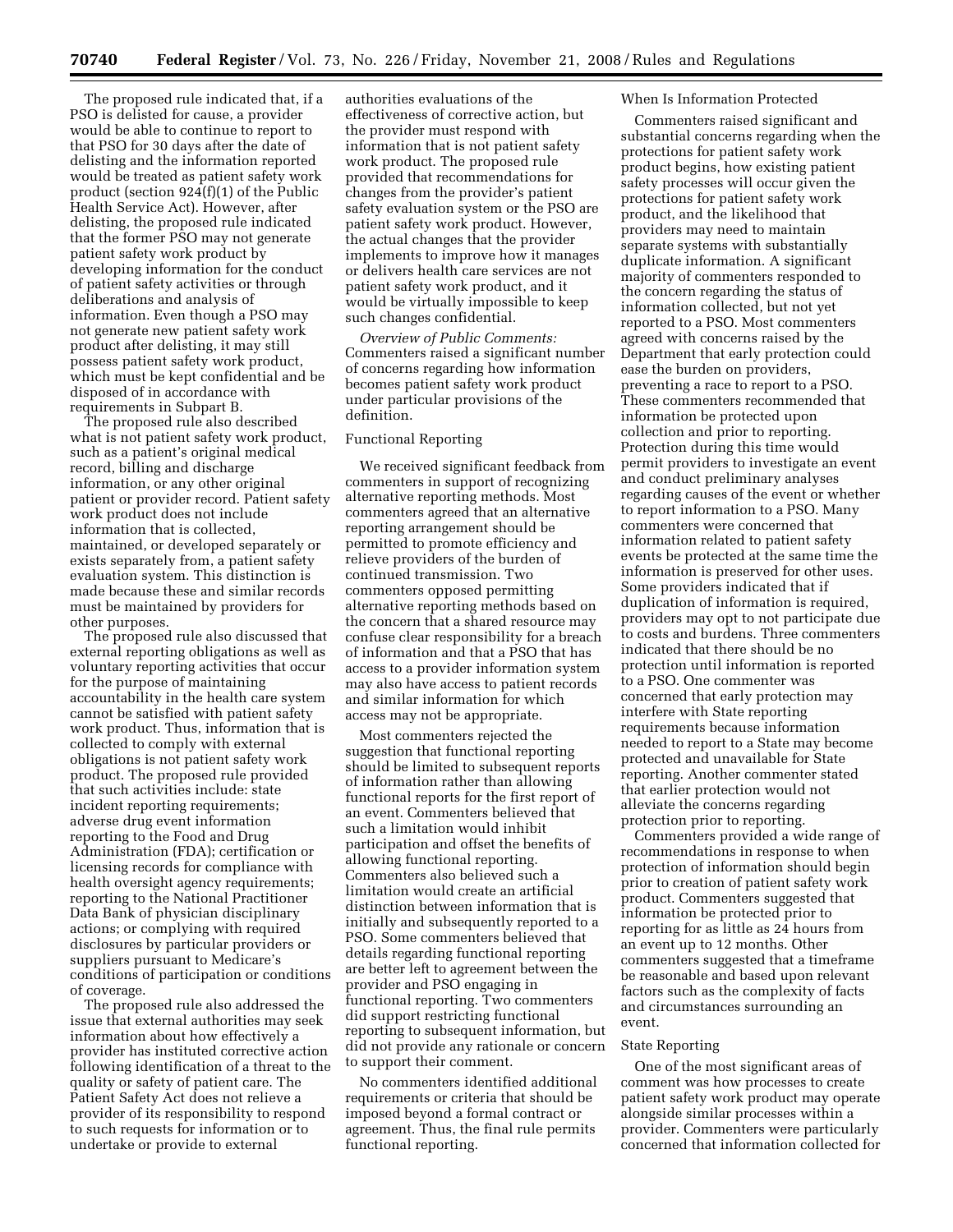The proposed rule indicated that, if a PSO is delisted for cause, a provider would be able to continue to report to that PSO for 30 days after the date of delisting and the information reported would be treated as patient safety work product (section 924(f)(1) of the Public Health Service Act). However, after delisting, the proposed rule indicated that the former PSO may not generate patient safety work product by developing information for the conduct of patient safety activities or through deliberations and analysis of information. Even though a PSO may not generate new patient safety work product after delisting, it may still possess patient safety work product, which must be kept confidential and be disposed of in accordance with requirements in Subpart B.

The proposed rule also described what is not patient safety work product, such as a patient's original medical record, billing and discharge information, or any other original patient or provider record. Patient safety work product does not include information that is collected, maintained, or developed separately or exists separately from, a patient safety evaluation system. This distinction is made because these and similar records must be maintained by providers for other purposes.

The proposed rule also discussed that external reporting obligations as well as voluntary reporting activities that occur for the purpose of maintaining accountability in the health care system cannot be satisfied with patient safety work product. Thus, information that is collected to comply with external obligations is not patient safety work product. The proposed rule provided that such activities include: state incident reporting requirements; adverse drug event information reporting to the Food and Drug Administration (FDA); certification or licensing records for compliance with health oversight agency requirements; reporting to the National Practitioner Data Bank of physician disciplinary actions; or complying with required disclosures by particular providers or suppliers pursuant to Medicare's conditions of participation or conditions of coverage.

The proposed rule also addressed the issue that external authorities may seek information about how effectively a provider has instituted corrective action following identification of a threat to the quality or safety of patient care. The Patient Safety Act does not relieve a provider of its responsibility to respond to such requests for information or to undertake or provide to external

authorities evaluations of the effectiveness of corrective action, but the provider must respond with information that is not patient safety work product. The proposed rule provided that recommendations for changes from the provider's patient safety evaluation system or the PSO are patient safety work product. However, the actual changes that the provider implements to improve how it manages or delivers health care services are not patient safety work product, and it would be virtually impossible to keep such changes confidential.

*Overview of Public Comments:*  Commenters raised a significant number of concerns regarding how information becomes patient safety work product under particular provisions of the definition.

# Functional Reporting

We received significant feedback from commenters in support of recognizing alternative reporting methods. Most commenters agreed that an alternative reporting arrangement should be permitted to promote efficiency and relieve providers of the burden of continued transmission. Two commenters opposed permitting alternative reporting methods based on the concern that a shared resource may confuse clear responsibility for a breach of information and that a PSO that has access to a provider information system may also have access to patient records and similar information for which access may not be appropriate.

Most commenters rejected the suggestion that functional reporting should be limited to subsequent reports of information rather than allowing functional reports for the first report of an event. Commenters believed that such a limitation would inhibit participation and offset the benefits of allowing functional reporting. Commenters also believed such a limitation would create an artificial distinction between information that is initially and subsequently reported to a PSO. Some commenters believed that details regarding functional reporting are better left to agreement between the provider and PSO engaging in functional reporting. Two commenters did support restricting functional reporting to subsequent information, but did not provide any rationale or concern to support their comment.

No commenters identified additional requirements or criteria that should be imposed beyond a formal contract or agreement. Thus, the final rule permits functional reporting.

#### When Is Information Protected

Commenters raised significant and substantial concerns regarding when the protections for patient safety work product begins, how existing patient safety processes will occur given the protections for patient safety work product, and the likelihood that providers may need to maintain separate systems with substantially duplicate information. A significant majority of commenters responded to the concern regarding the status of information collected, but not yet reported to a PSO. Most commenters agreed with concerns raised by the Department that early protection could ease the burden on providers, preventing a race to report to a PSO. These commenters recommended that information be protected upon collection and prior to reporting. Protection during this time would permit providers to investigate an event and conduct preliminary analyses regarding causes of the event or whether to report information to a PSO. Many commenters were concerned that information related to patient safety events be protected at the same time the information is preserved for other uses. Some providers indicated that if duplication of information is required, providers may opt to not participate due to costs and burdens. Three commenters indicated that there should be no protection until information is reported to a PSO. One commenter was concerned that early protection may interfere with State reporting requirements because information needed to report to a State may become protected and unavailable for State reporting. Another commenter stated that earlier protection would not alleviate the concerns regarding protection prior to reporting.

Commenters provided a wide range of recommendations in response to when protection of information should begin prior to creation of patient safety work product. Commenters suggested that information be protected prior to reporting for as little as 24 hours from an event up to 12 months. Other commenters suggested that a timeframe be reasonable and based upon relevant factors such as the complexity of facts and circumstances surrounding an event.

## State Reporting

One of the most significant areas of comment was how processes to create patient safety work product may operate alongside similar processes within a provider. Commenters were particularly concerned that information collected for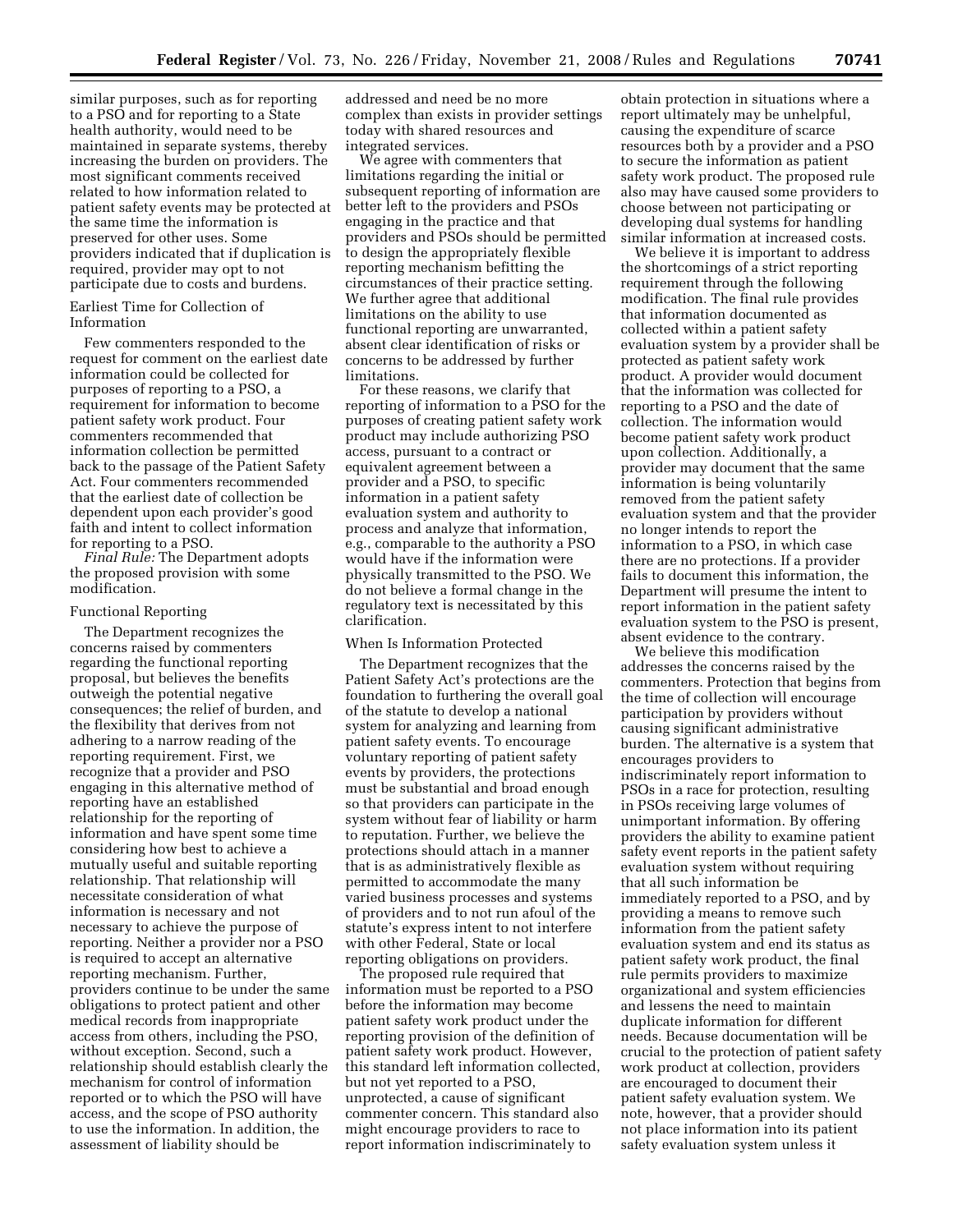similar purposes, such as for reporting to a PSO and for reporting to a State health authority, would need to be maintained in separate systems, thereby increasing the burden on providers. The most significant comments received related to how information related to patient safety events may be protected at the same time the information is preserved for other uses. Some providers indicated that if duplication is required, provider may opt to not participate due to costs and burdens.

# Earliest Time for Collection of Information

Few commenters responded to the request for comment on the earliest date information could be collected for purposes of reporting to a PSO, a requirement for information to become patient safety work product. Four commenters recommended that information collection be permitted back to the passage of the Patient Safety Act. Four commenters recommended that the earliest date of collection be dependent upon each provider's good faith and intent to collect information for reporting to a PSO.

*Final Rule:* The Department adopts the proposed provision with some modification.

#### Functional Reporting

The Department recognizes the concerns raised by commenters regarding the functional reporting proposal, but believes the benefits outweigh the potential negative consequences; the relief of burden, and the flexibility that derives from not adhering to a narrow reading of the reporting requirement. First, we recognize that a provider and PSO engaging in this alternative method of reporting have an established relationship for the reporting of information and have spent some time considering how best to achieve a mutually useful and suitable reporting relationship. That relationship will necessitate consideration of what information is necessary and not necessary to achieve the purpose of reporting. Neither a provider nor a PSO is required to accept an alternative reporting mechanism. Further, providers continue to be under the same obligations to protect patient and other medical records from inappropriate access from others, including the PSO, without exception. Second, such a relationship should establish clearly the mechanism for control of information reported or to which the PSO will have access, and the scope of PSO authority to use the information. In addition, the assessment of liability should be

addressed and need be no more complex than exists in provider settings today with shared resources and integrated services.

We agree with commenters that limitations regarding the initial or subsequent reporting of information are better left to the providers and PSOs engaging in the practice and that providers and PSOs should be permitted to design the appropriately flexible reporting mechanism befitting the circumstances of their practice setting. We further agree that additional limitations on the ability to use functional reporting are unwarranted, absent clear identification of risks or concerns to be addressed by further limitations.

For these reasons, we clarify that reporting of information to a PSO for the purposes of creating patient safety work product may include authorizing PSO access, pursuant to a contract or equivalent agreement between a provider and a PSO, to specific information in a patient safety evaluation system and authority to process and analyze that information, e.g., comparable to the authority a PSO would have if the information were physically transmitted to the PSO. We do not believe a formal change in the regulatory text is necessitated by this clarification.

#### When Is Information Protected

The Department recognizes that the Patient Safety Act's protections are the foundation to furthering the overall goal of the statute to develop a national system for analyzing and learning from patient safety events. To encourage voluntary reporting of patient safety events by providers, the protections must be substantial and broad enough so that providers can participate in the system without fear of liability or harm to reputation. Further, we believe the protections should attach in a manner that is as administratively flexible as permitted to accommodate the many varied business processes and systems of providers and to not run afoul of the statute's express intent to not interfere with other Federal, State or local reporting obligations on providers.

The proposed rule required that information must be reported to a PSO before the information may become patient safety work product under the reporting provision of the definition of patient safety work product. However, this standard left information collected, but not yet reported to a PSO, unprotected, a cause of significant commenter concern. This standard also might encourage providers to race to report information indiscriminately to

obtain protection in situations where a report ultimately may be unhelpful, causing the expenditure of scarce resources both by a provider and a PSO to secure the information as patient safety work product. The proposed rule also may have caused some providers to choose between not participating or developing dual systems for handling similar information at increased costs.

We believe it is important to address the shortcomings of a strict reporting requirement through the following modification. The final rule provides that information documented as collected within a patient safety evaluation system by a provider shall be protected as patient safety work product. A provider would document that the information was collected for reporting to a PSO and the date of collection. The information would become patient safety work product upon collection. Additionally, a provider may document that the same information is being voluntarily removed from the patient safety evaluation system and that the provider no longer intends to report the information to a PSO, in which case there are no protections. If a provider fails to document this information, the Department will presume the intent to report information in the patient safety evaluation system to the PSO is present, absent evidence to the contrary.

We believe this modification addresses the concerns raised by the commenters. Protection that begins from the time of collection will encourage participation by providers without causing significant administrative burden. The alternative is a system that encourages providers to indiscriminately report information to PSOs in a race for protection, resulting in PSOs receiving large volumes of unimportant information. By offering providers the ability to examine patient safety event reports in the patient safety evaluation system without requiring that all such information be immediately reported to a PSO, and by providing a means to remove such information from the patient safety evaluation system and end its status as patient safety work product, the final rule permits providers to maximize organizational and system efficiencies and lessens the need to maintain duplicate information for different needs. Because documentation will be crucial to the protection of patient safety work product at collection, providers are encouraged to document their patient safety evaluation system. We note, however, that a provider should not place information into its patient safety evaluation system unless it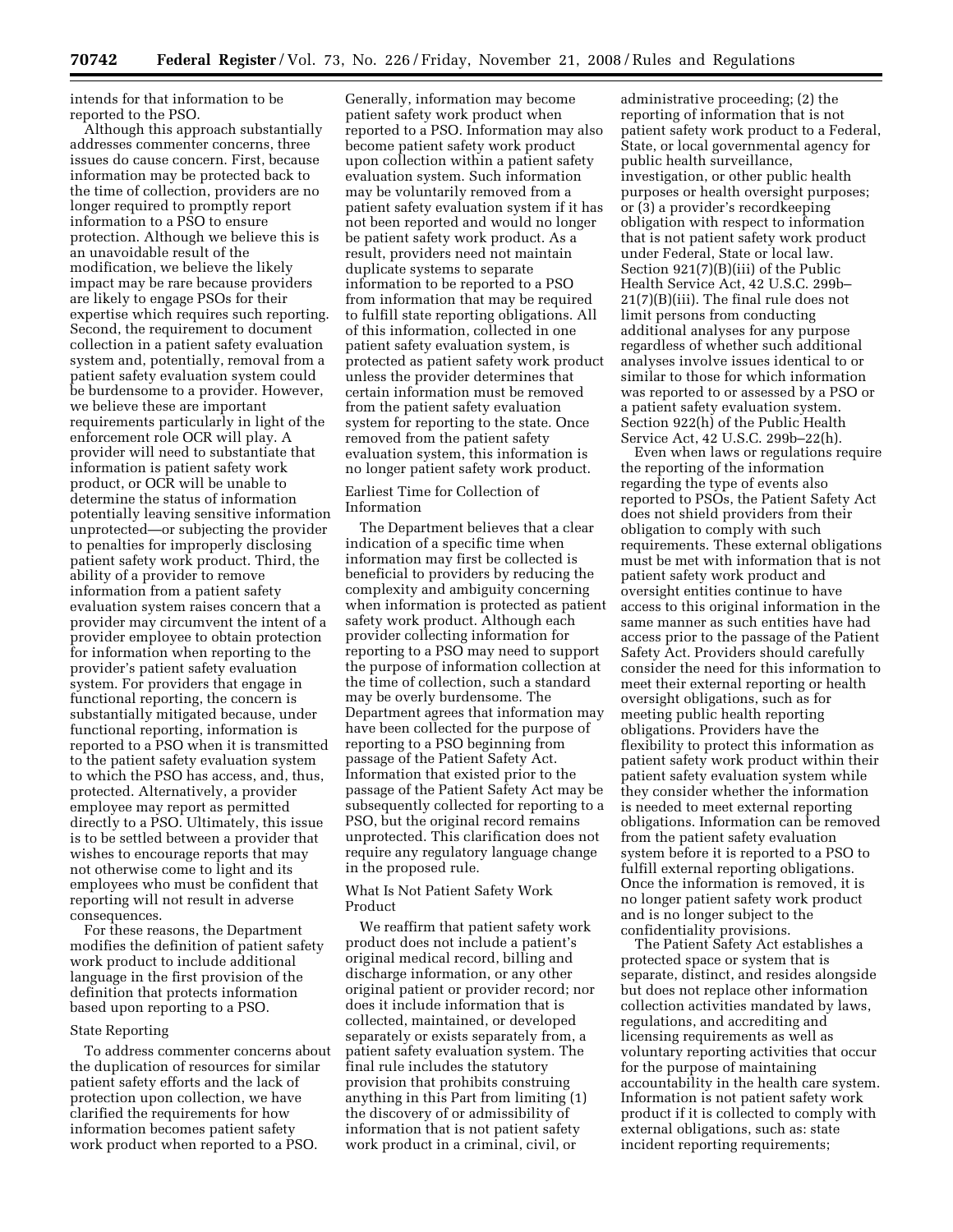intends for that information to be reported to the PSO.

Although this approach substantially addresses commenter concerns, three issues do cause concern. First, because information may be protected back to the time of collection, providers are no longer required to promptly report information to a PSO to ensure protection. Although we believe this is an unavoidable result of the modification, we believe the likely impact may be rare because providers are likely to engage PSOs for their expertise which requires such reporting. Second, the requirement to document collection in a patient safety evaluation system and, potentially, removal from a patient safety evaluation system could be burdensome to a provider. However, we believe these are important requirements particularly in light of the enforcement role OCR will play. A provider will need to substantiate that information is patient safety work product, or OCR will be unable to determine the status of information potentially leaving sensitive information unprotected—or subjecting the provider to penalties for improperly disclosing patient safety work product. Third, the ability of a provider to remove information from a patient safety evaluation system raises concern that a provider may circumvent the intent of a provider employee to obtain protection for information when reporting to the provider's patient safety evaluation system. For providers that engage in functional reporting, the concern is substantially mitigated because, under functional reporting, information is reported to a PSO when it is transmitted to the patient safety evaluation system to which the PSO has access, and, thus, protected. Alternatively, a provider employee may report as permitted directly to a PSO. Ultimately, this issue is to be settled between a provider that wishes to encourage reports that may not otherwise come to light and its employees who must be confident that reporting will not result in adverse consequences.

For these reasons, the Department modifies the definition of patient safety work product to include additional language in the first provision of the definition that protects information based upon reporting to a PSO.

#### State Reporting

To address commenter concerns about the duplication of resources for similar patient safety efforts and the lack of protection upon collection, we have clarified the requirements for how information becomes patient safety work product when reported to a PSO.

Generally, information may become patient safety work product when reported to a PSO. Information may also become patient safety work product upon collection within a patient safety evaluation system. Such information may be voluntarily removed from a patient safety evaluation system if it has not been reported and would no longer be patient safety work product. As a result, providers need not maintain duplicate systems to separate information to be reported to a PSO from information that may be required to fulfill state reporting obligations. All of this information, collected in one patient safety evaluation system, is protected as patient safety work product unless the provider determines that certain information must be removed from the patient safety evaluation system for reporting to the state. Once removed from the patient safety evaluation system, this information is no longer patient safety work product.

# Earliest Time for Collection of Information

The Department believes that a clear indication of a specific time when information may first be collected is beneficial to providers by reducing the complexity and ambiguity concerning when information is protected as patient safety work product. Although each provider collecting information for reporting to a PSO may need to support the purpose of information collection at the time of collection, such a standard may be overly burdensome. The Department agrees that information may have been collected for the purpose of reporting to a PSO beginning from passage of the Patient Safety Act. Information that existed prior to the passage of the Patient Safety Act may be subsequently collected for reporting to a PSO, but the original record remains unprotected. This clarification does not require any regulatory language change in the proposed rule.

## What Is Not Patient Safety Work Product

We reaffirm that patient safety work product does not include a patient's original medical record, billing and discharge information, or any other original patient or provider record; nor does it include information that is collected, maintained, or developed separately or exists separately from, a patient safety evaluation system. The final rule includes the statutory provision that prohibits construing anything in this Part from limiting (1) the discovery of or admissibility of information that is not patient safety work product in a criminal, civil, or

administrative proceeding; (2) the reporting of information that is not patient safety work product to a Federal, State, or local governmental agency for public health surveillance, investigation, or other public health purposes or health oversight purposes; or (3) a provider's recordkeeping obligation with respect to information that is not patient safety work product under Federal, State or local law. Section 921(7)(B)(iii) of the Public Health Service Act, 42 U.S.C. 299b– 21(7)(B)(iii). The final rule does not limit persons from conducting additional analyses for any purpose regardless of whether such additional analyses involve issues identical to or similar to those for which information was reported to or assessed by a PSO or a patient safety evaluation system. Section 922(h) of the Public Health Service Act, 42 U.S.C. 299b–22(h).

Even when laws or regulations require the reporting of the information regarding the type of events also reported to PSOs, the Patient Safety Act does not shield providers from their obligation to comply with such requirements. These external obligations must be met with information that is not patient safety work product and oversight entities continue to have access to this original information in the same manner as such entities have had access prior to the passage of the Patient Safety Act. Providers should carefully consider the need for this information to meet their external reporting or health oversight obligations, such as for meeting public health reporting obligations. Providers have the flexibility to protect this information as patient safety work product within their patient safety evaluation system while they consider whether the information is needed to meet external reporting obligations. Information can be removed from the patient safety evaluation system before it is reported to a PSO to fulfill external reporting obligations. Once the information is removed, it is no longer patient safety work product and is no longer subject to the confidentiality provisions.

The Patient Safety Act establishes a protected space or system that is separate, distinct, and resides alongside but does not replace other information collection activities mandated by laws, regulations, and accrediting and licensing requirements as well as voluntary reporting activities that occur for the purpose of maintaining accountability in the health care system. Information is not patient safety work product if it is collected to comply with external obligations, such as: state incident reporting requirements;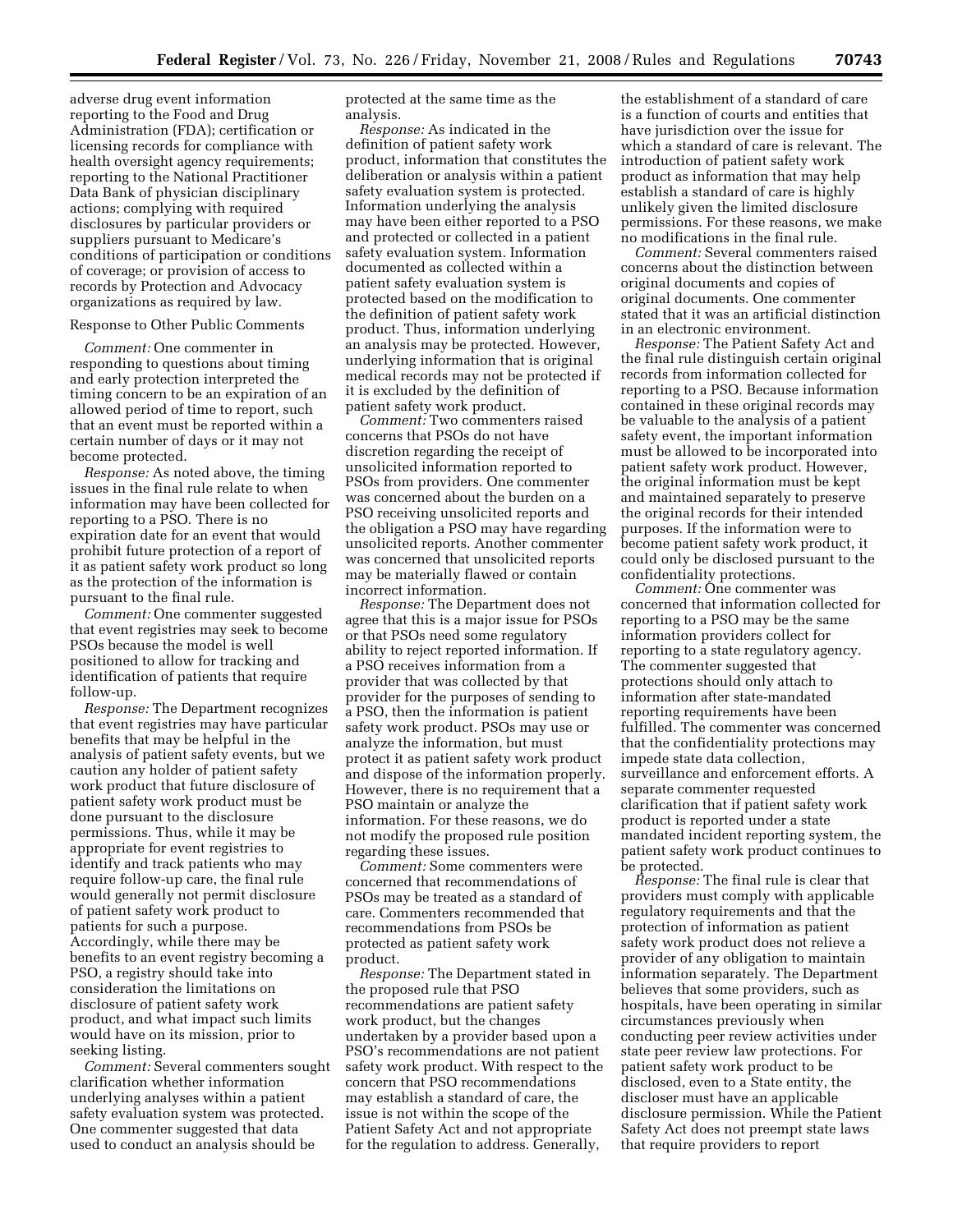adverse drug event information reporting to the Food and Drug Administration (FDA); certification or licensing records for compliance with health oversight agency requirements; reporting to the National Practitioner Data Bank of physician disciplinary actions; complying with required disclosures by particular providers or suppliers pursuant to Medicare's conditions of participation or conditions of coverage; or provision of access to records by Protection and Advocacy organizations as required by law.

### Response to Other Public Comments

*Comment:* One commenter in responding to questions about timing and early protection interpreted the timing concern to be an expiration of an allowed period of time to report, such that an event must be reported within a certain number of days or it may not become protected.

*Response:* As noted above, the timing issues in the final rule relate to when information may have been collected for reporting to a PSO. There is no expiration date for an event that would prohibit future protection of a report of it as patient safety work product so long as the protection of the information is pursuant to the final rule.

*Comment:* One commenter suggested that event registries may seek to become PSOs because the model is well positioned to allow for tracking and identification of patients that require follow-up.

*Response:* The Department recognizes that event registries may have particular benefits that may be helpful in the analysis of patient safety events, but we caution any holder of patient safety work product that future disclosure of patient safety work product must be done pursuant to the disclosure permissions. Thus, while it may be appropriate for event registries to identify and track patients who may require follow-up care, the final rule would generally not permit disclosure of patient safety work product to patients for such a purpose. Accordingly, while there may be benefits to an event registry becoming a PSO, a registry should take into consideration the limitations on disclosure of patient safety work product, and what impact such limits would have on its mission, prior to seeking listing.

*Comment:* Several commenters sought clarification whether information underlying analyses within a patient safety evaluation system was protected. One commenter suggested that data used to conduct an analysis should be

protected at the same time as the analysis.

*Response:* As indicated in the definition of patient safety work product, information that constitutes the deliberation or analysis within a patient safety evaluation system is protected. Information underlying the analysis may have been either reported to a PSO and protected or collected in a patient safety evaluation system. Information documented as collected within a patient safety evaluation system is protected based on the modification to the definition of patient safety work product. Thus, information underlying an analysis may be protected. However, underlying information that is original medical records may not be protected if it is excluded by the definition of patient safety work product.

*Comment:* Two commenters raised concerns that PSOs do not have discretion regarding the receipt of unsolicited information reported to PSOs from providers. One commenter was concerned about the burden on a PSO receiving unsolicited reports and the obligation a PSO may have regarding unsolicited reports. Another commenter was concerned that unsolicited reports may be materially flawed or contain incorrect information.

*Response:* The Department does not agree that this is a major issue for PSOs or that PSOs need some regulatory ability to reject reported information. If a PSO receives information from a provider that was collected by that provider for the purposes of sending to a PSO, then the information is patient safety work product. PSOs may use or analyze the information, but must protect it as patient safety work product and dispose of the information properly. However, there is no requirement that a PSO maintain or analyze the information. For these reasons, we do not modify the proposed rule position regarding these issues.

*Comment:* Some commenters were concerned that recommendations of PSOs may be treated as a standard of care. Commenters recommended that recommendations from PSOs be protected as patient safety work product.

*Response:* The Department stated in the proposed rule that PSO recommendations are patient safety work product, but the changes undertaken by a provider based upon a PSO's recommendations are not patient safety work product. With respect to the concern that PSO recommendations may establish a standard of care, the issue is not within the scope of the Patient Safety Act and not appropriate for the regulation to address. Generally,

the establishment of a standard of care is a function of courts and entities that have jurisdiction over the issue for which a standard of care is relevant. The introduction of patient safety work product as information that may help establish a standard of care is highly unlikely given the limited disclosure permissions. For these reasons, we make no modifications in the final rule.

*Comment:* Several commenters raised concerns about the distinction between original documents and copies of original documents. One commenter stated that it was an artificial distinction in an electronic environment.

*Response:* The Patient Safety Act and the final rule distinguish certain original records from information collected for reporting to a PSO. Because information contained in these original records may be valuable to the analysis of a patient safety event, the important information must be allowed to be incorporated into patient safety work product. However, the original information must be kept and maintained separately to preserve the original records for their intended purposes. If the information were to become patient safety work product, it could only be disclosed pursuant to the confidentiality protections.

*Comment:* One commenter was concerned that information collected for reporting to a PSO may be the same information providers collect for reporting to a state regulatory agency. The commenter suggested that protections should only attach to information after state-mandated reporting requirements have been fulfilled. The commenter was concerned that the confidentiality protections may impede state data collection, surveillance and enforcement efforts. A separate commenter requested clarification that if patient safety work product is reported under a state mandated incident reporting system, the patient safety work product continues to be protected.

*Response:* The final rule is clear that providers must comply with applicable regulatory requirements and that the protection of information as patient safety work product does not relieve a provider of any obligation to maintain information separately. The Department believes that some providers, such as hospitals, have been operating in similar circumstances previously when conducting peer review activities under state peer review law protections. For patient safety work product to be disclosed, even to a State entity, the discloser must have an applicable disclosure permission. While the Patient Safety Act does not preempt state laws that require providers to report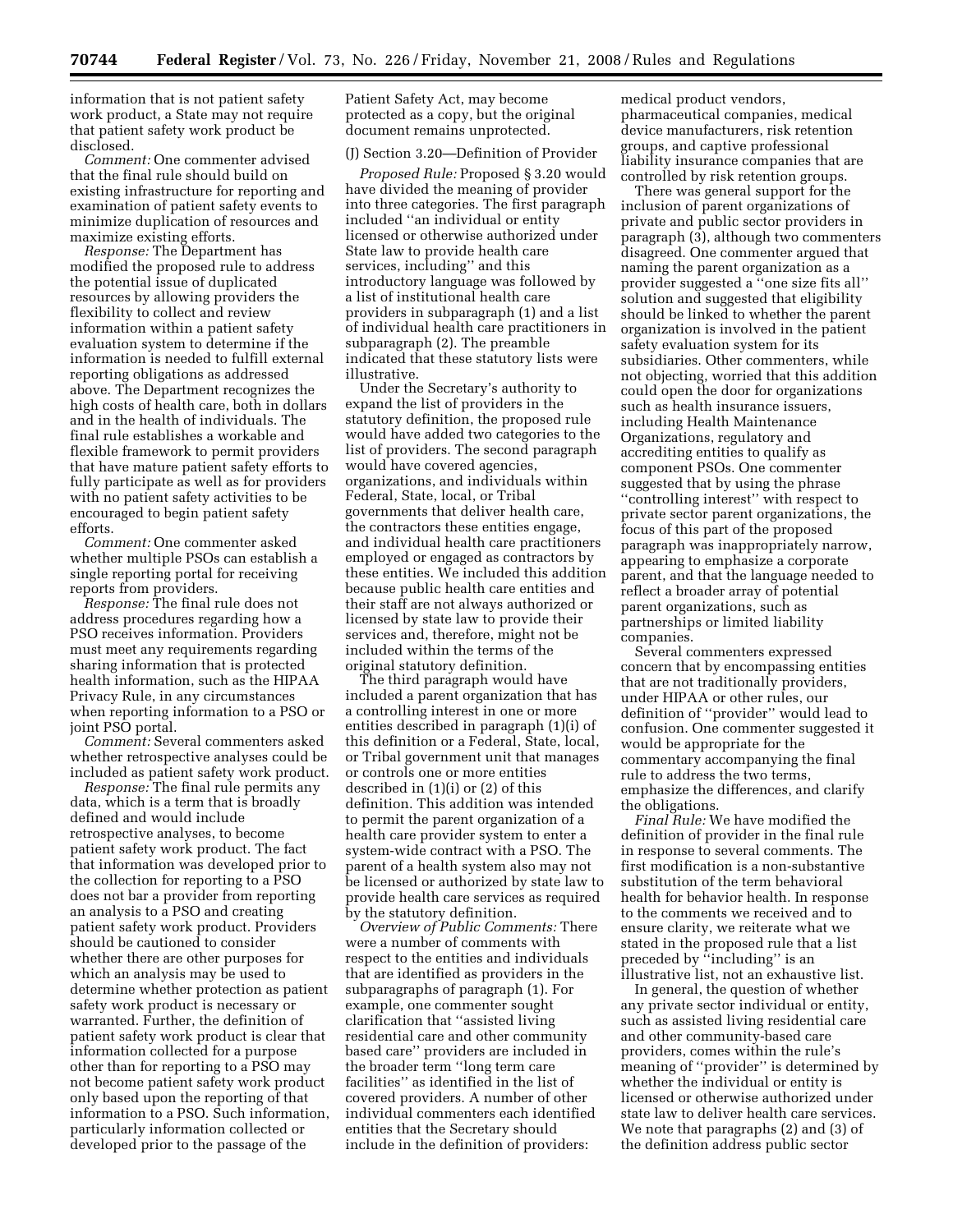information that is not patient safety work product, a State may not require that patient safety work product be disclosed.

*Comment:* One commenter advised that the final rule should build on existing infrastructure for reporting and examination of patient safety events to minimize duplication of resources and maximize existing efforts.

*Response:* The Department has modified the proposed rule to address the potential issue of duplicated resources by allowing providers the flexibility to collect and review information within a patient safety evaluation system to determine if the information is needed to fulfill external reporting obligations as addressed above. The Department recognizes the high costs of health care, both in dollars and in the health of individuals. The final rule establishes a workable and flexible framework to permit providers that have mature patient safety efforts to fully participate as well as for providers with no patient safety activities to be encouraged to begin patient safety efforts.

*Comment:* One commenter asked whether multiple PSOs can establish a single reporting portal for receiving reports from providers.

*Response:* The final rule does not address procedures regarding how a PSO receives information. Providers must meet any requirements regarding sharing information that is protected health information, such as the HIPAA Privacy Rule, in any circumstances when reporting information to a PSO or joint PSO portal.

*Comment:* Several commenters asked whether retrospective analyses could be included as patient safety work product.

*Response:* The final rule permits any data, which is a term that is broadly defined and would include retrospective analyses, to become patient safety work product. The fact that information was developed prior to the collection for reporting to a PSO does not bar a provider from reporting an analysis to a PSO and creating patient safety work product. Providers should be cautioned to consider whether there are other purposes for which an analysis may be used to determine whether protection as patient safety work product is necessary or warranted. Further, the definition of patient safety work product is clear that information collected for a purpose other than for reporting to a PSO may not become patient safety work product only based upon the reporting of that information to a PSO. Such information, particularly information collected or developed prior to the passage of the

Patient Safety Act, may become protected as a copy, but the original document remains unprotected.

# (J) Section 3.20—Definition of Provider

*Proposed Rule:* Proposed § 3.20 would have divided the meaning of provider into three categories. The first paragraph included ''an individual or entity licensed or otherwise authorized under State law to provide health care services, including'' and this introductory language was followed by a list of institutional health care providers in subparagraph (1) and a list of individual health care practitioners in subparagraph (2). The preamble indicated that these statutory lists were illustrative.

Under the Secretary's authority to expand the list of providers in the statutory definition, the proposed rule would have added two categories to the list of providers. The second paragraph would have covered agencies, organizations, and individuals within Federal, State, local, or Tribal governments that deliver health care, the contractors these entities engage, and individual health care practitioners employed or engaged as contractors by these entities. We included this addition because public health care entities and their staff are not always authorized or licensed by state law to provide their services and, therefore, might not be included within the terms of the original statutory definition.

The third paragraph would have included a parent organization that has a controlling interest in one or more entities described in paragraph (1)(i) of this definition or a Federal, State, local, or Tribal government unit that manages or controls one or more entities described in (1)(i) or (2) of this definition. This addition was intended to permit the parent organization of a health care provider system to enter a system-wide contract with a PSO. The parent of a health system also may not be licensed or authorized by state law to provide health care services as required by the statutory definition.

*Overview of Public Comments:* There were a number of comments with respect to the entities and individuals that are identified as providers in the subparagraphs of paragraph (1). For example, one commenter sought clarification that ''assisted living residential care and other community based care'' providers are included in the broader term ''long term care facilities'' as identified in the list of covered providers. A number of other individual commenters each identified entities that the Secretary should include in the definition of providers:

medical product vendors, pharmaceutical companies, medical device manufacturers, risk retention groups, and captive professional liability insurance companies that are controlled by risk retention groups.

There was general support for the inclusion of parent organizations of private and public sector providers in paragraph (3), although two commenters disagreed. One commenter argued that naming the parent organization as a provider suggested a ''one size fits all'' solution and suggested that eligibility should be linked to whether the parent organization is involved in the patient safety evaluation system for its subsidiaries. Other commenters, while not objecting, worried that this addition could open the door for organizations such as health insurance issuers, including Health Maintenance Organizations, regulatory and accrediting entities to qualify as component PSOs. One commenter suggested that by using the phrase ''controlling interest'' with respect to private sector parent organizations, the focus of this part of the proposed paragraph was inappropriately narrow, appearing to emphasize a corporate parent, and that the language needed to reflect a broader array of potential parent organizations, such as partnerships or limited liability companies.

Several commenters expressed concern that by encompassing entities that are not traditionally providers, under HIPAA or other rules, our definition of ''provider'' would lead to confusion. One commenter suggested it would be appropriate for the commentary accompanying the final rule to address the two terms, emphasize the differences, and clarify the obligations.

*Final Rule:* We have modified the definition of provider in the final rule in response to several comments. The first modification is a non-substantive substitution of the term behavioral health for behavior health. In response to the comments we received and to ensure clarity, we reiterate what we stated in the proposed rule that a list preceded by ''including'' is an illustrative list, not an exhaustive list.

In general, the question of whether any private sector individual or entity, such as assisted living residential care and other community-based care providers, comes within the rule's meaning of ''provider'' is determined by whether the individual or entity is licensed or otherwise authorized under state law to deliver health care services. We note that paragraphs (2) and (3) of the definition address public sector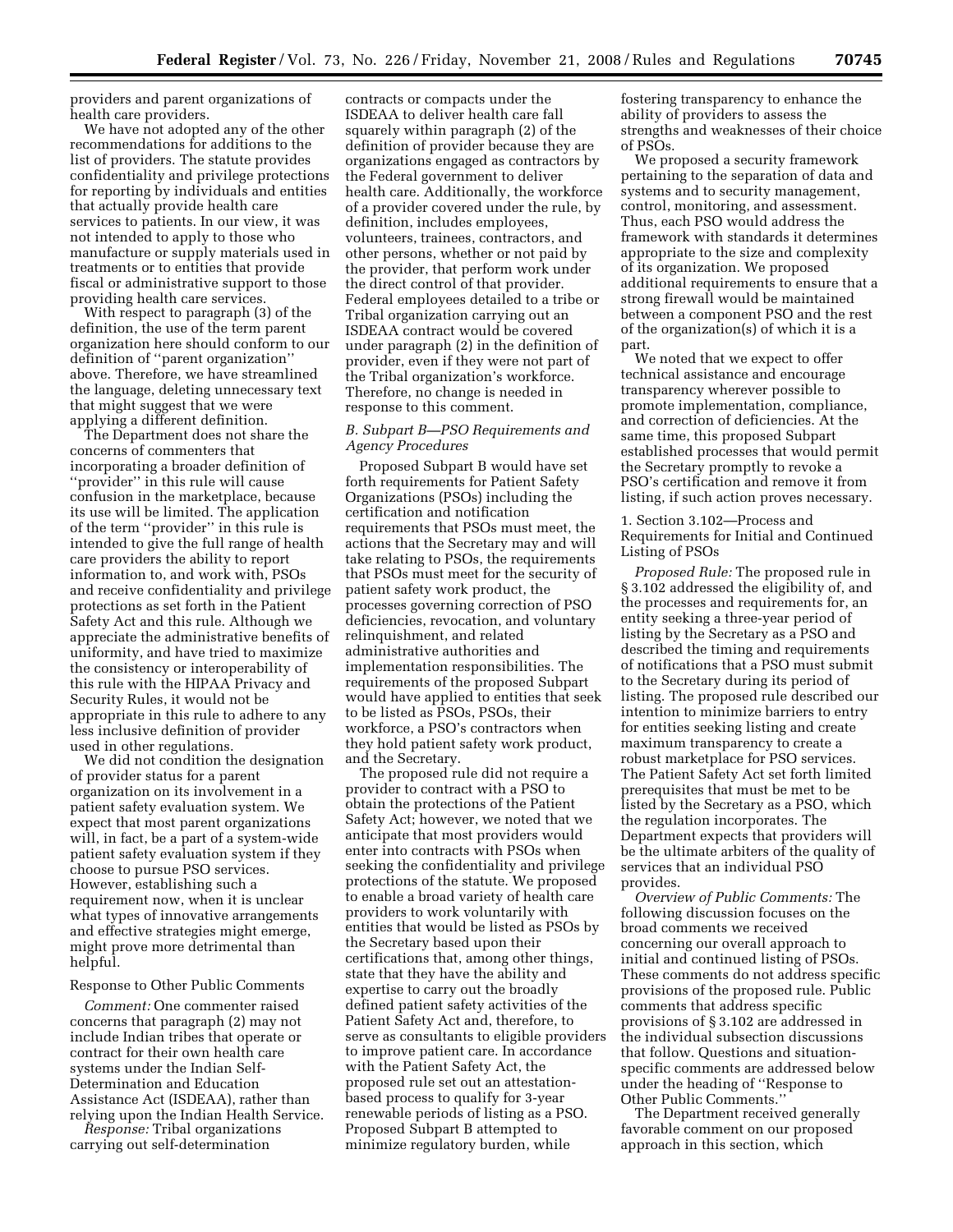providers and parent organizations of health care providers.

We have not adopted any of the other recommendations for additions to the list of providers. The statute provides confidentiality and privilege protections for reporting by individuals and entities that actually provide health care services to patients. In our view, it was not intended to apply to those who manufacture or supply materials used in treatments or to entities that provide fiscal or administrative support to those providing health care services.

With respect to paragraph (3) of the definition, the use of the term parent organization here should conform to our definition of ''parent organization'' above. Therefore, we have streamlined the language, deleting unnecessary text that might suggest that we were applying a different definition.

The Department does not share the concerns of commenters that incorporating a broader definition of ''provider'' in this rule will cause confusion in the marketplace, because its use will be limited. The application of the term ''provider'' in this rule is intended to give the full range of health care providers the ability to report information to, and work with, PSOs and receive confidentiality and privilege protections as set forth in the Patient Safety Act and this rule. Although we appreciate the administrative benefits of uniformity, and have tried to maximize the consistency or interoperability of this rule with the HIPAA Privacy and Security Rules, it would not be appropriate in this rule to adhere to any less inclusive definition of provider used in other regulations.

We did not condition the designation of provider status for a parent organization on its involvement in a patient safety evaluation system. We expect that most parent organizations will, in fact, be a part of a system-wide patient safety evaluation system if they choose to pursue PSO services. However, establishing such a requirement now, when it is unclear what types of innovative arrangements and effective strategies might emerge, might prove more detrimental than helpful.

#### Response to Other Public Comments

*Comment:* One commenter raised concerns that paragraph (2) may not include Indian tribes that operate or contract for their own health care systems under the Indian Self-Determination and Education Assistance Act (ISDEAA), rather than relying upon the Indian Health Service.

*Response:* Tribal organizations carrying out self-determination

contracts or compacts under the ISDEAA to deliver health care fall squarely within paragraph (2) of the definition of provider because they are organizations engaged as contractors by the Federal government to deliver health care. Additionally, the workforce of a provider covered under the rule, by definition, includes employees, volunteers, trainees, contractors, and other persons, whether or not paid by the provider, that perform work under the direct control of that provider. Federal employees detailed to a tribe or Tribal organization carrying out an ISDEAA contract would be covered under paragraph (2) in the definition of provider, even if they were not part of the Tribal organization's workforce. Therefore, no change is needed in response to this comment.

# *B. Subpart B—PSO Requirements and Agency Procedures*

Proposed Subpart B would have set forth requirements for Patient Safety Organizations (PSOs) including the certification and notification requirements that PSOs must meet, the actions that the Secretary may and will take relating to PSOs, the requirements that PSOs must meet for the security of patient safety work product, the processes governing correction of PSO deficiencies, revocation, and voluntary relinquishment, and related administrative authorities and implementation responsibilities. The requirements of the proposed Subpart would have applied to entities that seek to be listed as PSOs, PSOs, their workforce, a PSO's contractors when they hold patient safety work product, and the Secretary.

The proposed rule did not require a provider to contract with a PSO to obtain the protections of the Patient Safety Act; however, we noted that we anticipate that most providers would enter into contracts with PSOs when seeking the confidentiality and privilege protections of the statute. We proposed to enable a broad variety of health care providers to work voluntarily with entities that would be listed as PSOs by the Secretary based upon their certifications that, among other things, state that they have the ability and expertise to carry out the broadly defined patient safety activities of the Patient Safety Act and, therefore, to serve as consultants to eligible providers to improve patient care. In accordance with the Patient Safety Act, the proposed rule set out an attestationbased process to qualify for 3-year renewable periods of listing as a PSO. Proposed Subpart B attempted to minimize regulatory burden, while

fostering transparency to enhance the ability of providers to assess the strengths and weaknesses of their choice of PSOs.

We proposed a security framework pertaining to the separation of data and systems and to security management, control, monitoring, and assessment. Thus, each PSO would address the framework with standards it determines appropriate to the size and complexity of its organization. We proposed additional requirements to ensure that a strong firewall would be maintained between a component PSO and the rest of the organization(s) of which it is a part.

We noted that we expect to offer technical assistance and encourage transparency wherever possible to promote implementation, compliance, and correction of deficiencies. At the same time, this proposed Subpart established processes that would permit the Secretary promptly to revoke a PSO's certification and remove it from listing, if such action proves necessary.

1. Section 3.102—Process and Requirements for Initial and Continued Listing of PSOs

*Proposed Rule:* The proposed rule in § 3.102 addressed the eligibility of, and the processes and requirements for, an entity seeking a three-year period of listing by the Secretary as a PSO and described the timing and requirements of notifications that a PSO must submit to the Secretary during its period of listing. The proposed rule described our intention to minimize barriers to entry for entities seeking listing and create maximum transparency to create a robust marketplace for PSO services. The Patient Safety Act set forth limited prerequisites that must be met to be listed by the Secretary as a PSO, which the regulation incorporates. The Department expects that providers will be the ultimate arbiters of the quality of services that an individual PSO provides.

*Overview of Public Comments:* The following discussion focuses on the broad comments we received concerning our overall approach to initial and continued listing of PSOs. These comments do not address specific provisions of the proposed rule. Public comments that address specific provisions of § 3.102 are addressed in the individual subsection discussions that follow. Questions and situationspecific comments are addressed below under the heading of ''Response to Other Public Comments.''

The Department received generally favorable comment on our proposed approach in this section, which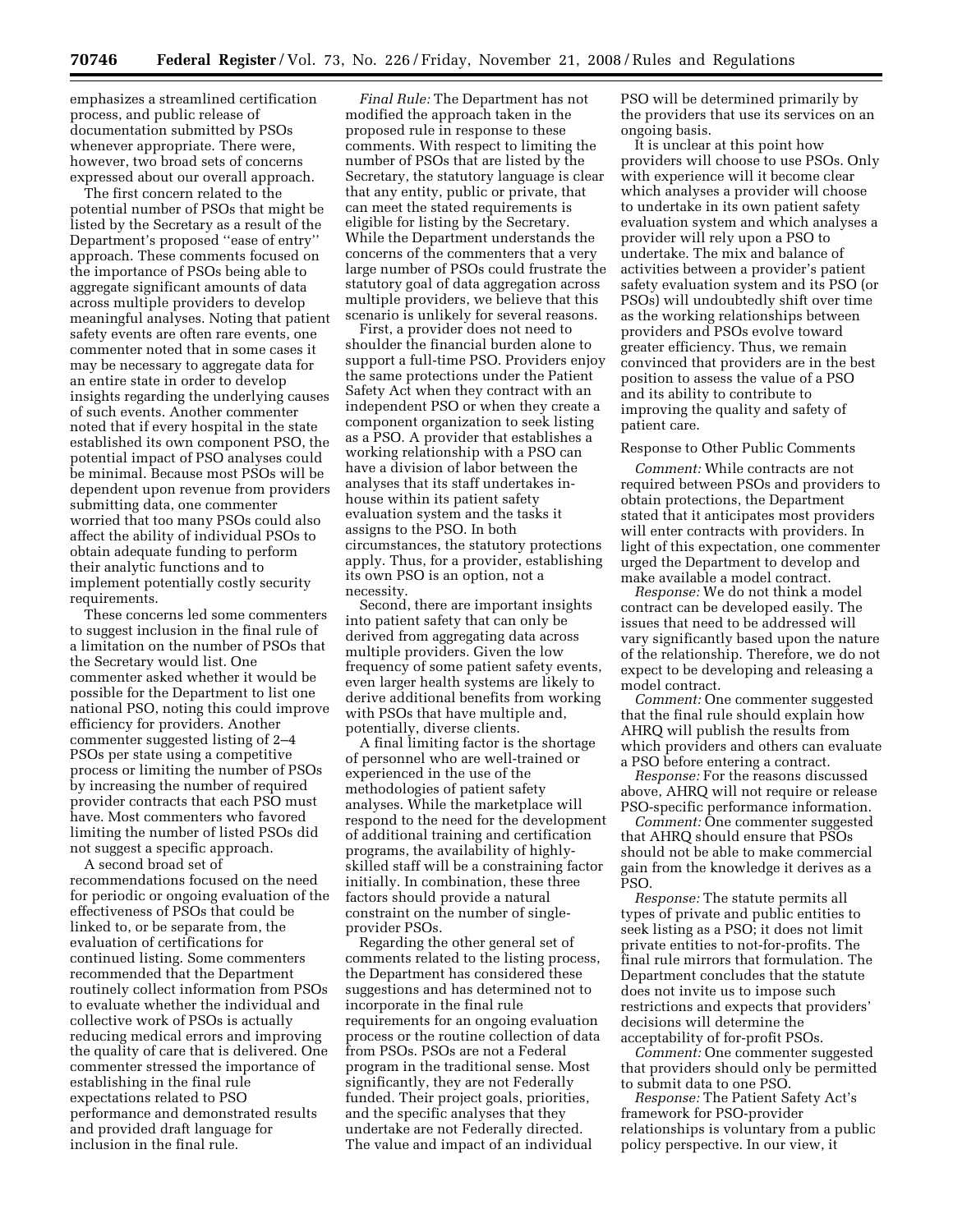emphasizes a streamlined certification process, and public release of documentation submitted by PSOs whenever appropriate. There were, however, two broad sets of concerns expressed about our overall approach.

The first concern related to the potential number of PSOs that might be listed by the Secretary as a result of the Department's proposed ''ease of entry'' approach. These comments focused on the importance of PSOs being able to aggregate significant amounts of data across multiple providers to develop meaningful analyses. Noting that patient safety events are often rare events, one commenter noted that in some cases it may be necessary to aggregate data for an entire state in order to develop insights regarding the underlying causes of such events. Another commenter noted that if every hospital in the state established its own component PSO, the potential impact of PSO analyses could be minimal. Because most PSOs will be dependent upon revenue from providers submitting data, one commenter worried that too many PSOs could also affect the ability of individual PSOs to obtain adequate funding to perform their analytic functions and to implement potentially costly security requirements.

These concerns led some commenters to suggest inclusion in the final rule of a limitation on the number of PSOs that the Secretary would list. One commenter asked whether it would be possible for the Department to list one national PSO, noting this could improve efficiency for providers. Another commenter suggested listing of 2–4 PSOs per state using a competitive process or limiting the number of PSOs by increasing the number of required provider contracts that each PSO must have. Most commenters who favored limiting the number of listed PSOs did not suggest a specific approach.

A second broad set of recommendations focused on the need for periodic or ongoing evaluation of the effectiveness of PSOs that could be linked to, or be separate from, the evaluation of certifications for continued listing. Some commenters recommended that the Department routinely collect information from PSOs to evaluate whether the individual and collective work of PSOs is actually reducing medical errors and improving the quality of care that is delivered. One commenter stressed the importance of establishing in the final rule expectations related to PSO performance and demonstrated results and provided draft language for inclusion in the final rule.

*Final Rule:* The Department has not modified the approach taken in the proposed rule in response to these comments. With respect to limiting the number of PSOs that are listed by the Secretary, the statutory language is clear that any entity, public or private, that can meet the stated requirements is eligible for listing by the Secretary. While the Department understands the concerns of the commenters that a very large number of PSOs could frustrate the statutory goal of data aggregation across multiple providers, we believe that this scenario is unlikely for several reasons.

First, a provider does not need to shoulder the financial burden alone to support a full-time PSO. Providers enjoy the same protections under the Patient Safety Act when they contract with an independent PSO or when they create a component organization to seek listing as a PSO. A provider that establishes a working relationship with a PSO can have a division of labor between the analyses that its staff undertakes inhouse within its patient safety evaluation system and the tasks it assigns to the PSO. In both circumstances, the statutory protections apply. Thus, for a provider, establishing its own PSO is an option, not a necessity.

Second, there are important insights into patient safety that can only be derived from aggregating data across multiple providers. Given the low frequency of some patient safety events, even larger health systems are likely to derive additional benefits from working with PSOs that have multiple and, potentially, diverse clients.

A final limiting factor is the shortage of personnel who are well-trained or experienced in the use of the methodologies of patient safety analyses. While the marketplace will respond to the need for the development of additional training and certification programs, the availability of highlyskilled staff will be a constraining factor initially. In combination, these three factors should provide a natural constraint on the number of singleprovider PSOs.

Regarding the other general set of comments related to the listing process, the Department has considered these suggestions and has determined not to incorporate in the final rule requirements for an ongoing evaluation process or the routine collection of data from PSOs. PSOs are not a Federal program in the traditional sense. Most significantly, they are not Federally funded. Their project goals, priorities, and the specific analyses that they undertake are not Federally directed. The value and impact of an individual

PSO will be determined primarily by the providers that use its services on an ongoing basis.

It is unclear at this point how providers will choose to use PSOs. Only with experience will it become clear which analyses a provider will choose to undertake in its own patient safety evaluation system and which analyses a provider will rely upon a PSO to undertake. The mix and balance of activities between a provider's patient safety evaluation system and its PSO (or PSOs) will undoubtedly shift over time as the working relationships between providers and PSOs evolve toward greater efficiency. Thus, we remain convinced that providers are in the best position to assess the value of a PSO and its ability to contribute to improving the quality and safety of patient care.

Response to Other Public Comments

*Comment:* While contracts are not required between PSOs and providers to obtain protections, the Department stated that it anticipates most providers will enter contracts with providers. In light of this expectation, one commenter urged the Department to develop and make available a model contract.

*Response:* We do not think a model contract can be developed easily. The issues that need to be addressed will vary significantly based upon the nature of the relationship. Therefore, we do not expect to be developing and releasing a model contract.

*Comment:* One commenter suggested that the final rule should explain how AHRQ will publish the results from which providers and others can evaluate a PSO before entering a contract.

*Response:* For the reasons discussed above, AHRQ will not require or release PSO-specific performance information.

*Comment:* One commenter suggested that AHRQ should ensure that PSOs should not be able to make commercial gain from the knowledge it derives as a PSO.

*Response:* The statute permits all types of private and public entities to seek listing as a PSO; it does not limit private entities to not-for-profits. The final rule mirrors that formulation. The Department concludes that the statute does not invite us to impose such restrictions and expects that providers' decisions will determine the acceptability of for-profit PSOs.

*Comment:* One commenter suggested that providers should only be permitted to submit data to one PSO.

*Response:* The Patient Safety Act's framework for PSO-provider relationships is voluntary from a public policy perspective. In our view, it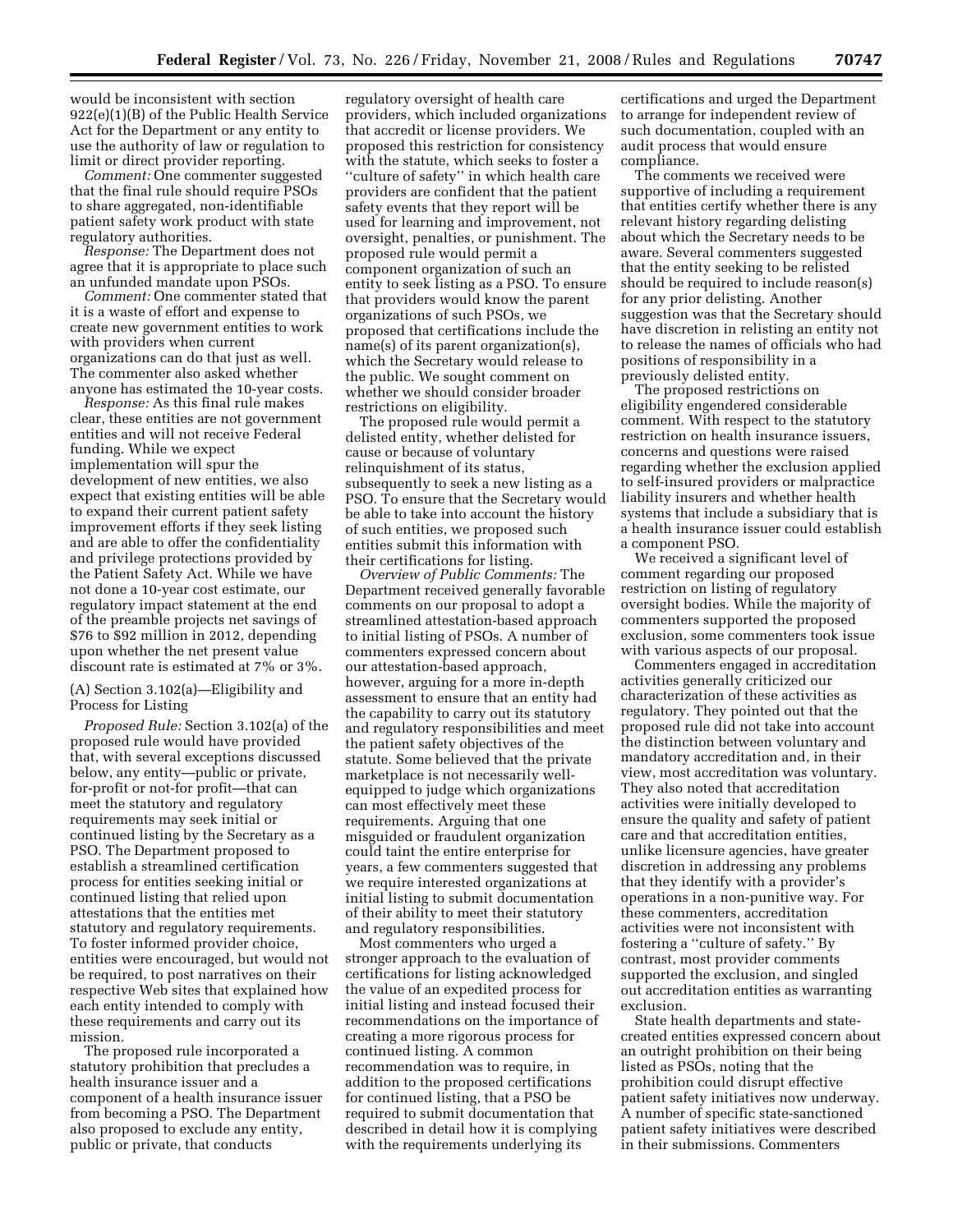would be inconsistent with section 922(e)(1)(B) of the Public Health Service Act for the Department or any entity to use the authority of law or regulation to limit or direct provider reporting.

*Comment:* One commenter suggested that the final rule should require PSOs to share aggregated, non-identifiable patient safety work product with state regulatory authorities.

*Response:* The Department does not agree that it is appropriate to place such an unfunded mandate upon PSOs.

*Comment:* One commenter stated that it is a waste of effort and expense to create new government entities to work with providers when current organizations can do that just as well. The commenter also asked whether anyone has estimated the 10-year costs.

*Response:* As this final rule makes clear, these entities are not government entities and will not receive Federal funding. While we expect implementation will spur the development of new entities, we also expect that existing entities will be able to expand their current patient safety improvement efforts if they seek listing and are able to offer the confidentiality and privilege protections provided by the Patient Safety Act. While we have not done a 10-year cost estimate, our regulatory impact statement at the end of the preamble projects net savings of \$76 to \$92 million in 2012, depending upon whether the net present value discount rate is estimated at 7% or 3%.

# (A) Section 3.102(a)—Eligibility and Process for Listing

*Proposed Rule:* Section 3.102(a) of the proposed rule would have provided that, with several exceptions discussed below, any entity—public or private, for-profit or not-for profit—that can meet the statutory and regulatory requirements may seek initial or continued listing by the Secretary as a PSO. The Department proposed to establish a streamlined certification process for entities seeking initial or continued listing that relied upon attestations that the entities met statutory and regulatory requirements. To foster informed provider choice, entities were encouraged, but would not be required, to post narratives on their respective Web sites that explained how each entity intended to comply with these requirements and carry out its mission.

The proposed rule incorporated a statutory prohibition that precludes a health insurance issuer and a component of a health insurance issuer from becoming a PSO. The Department also proposed to exclude any entity, public or private, that conducts

regulatory oversight of health care providers, which included organizations that accredit or license providers. We proposed this restriction for consistency with the statute, which seeks to foster a ''culture of safety'' in which health care providers are confident that the patient safety events that they report will be used for learning and improvement, not oversight, penalties, or punishment. The proposed rule would permit a component organization of such an entity to seek listing as a PSO. To ensure that providers would know the parent organizations of such PSOs, we proposed that certifications include the name(s) of its parent organization(s), which the Secretary would release to the public. We sought comment on whether we should consider broader restrictions on eligibility.

The proposed rule would permit a delisted entity, whether delisted for cause or because of voluntary relinquishment of its status, subsequently to seek a new listing as a PSO. To ensure that the Secretary would be able to take into account the history of such entities, we proposed such entities submit this information with their certifications for listing.

*Overview of Public Comments:* The Department received generally favorable comments on our proposal to adopt a streamlined attestation-based approach to initial listing of PSOs. A number of commenters expressed concern about our attestation-based approach, however, arguing for a more in-depth assessment to ensure that an entity had the capability to carry out its statutory and regulatory responsibilities and meet the patient safety objectives of the statute. Some believed that the private marketplace is not necessarily wellequipped to judge which organizations can most effectively meet these requirements. Arguing that one misguided or fraudulent organization could taint the entire enterprise for years, a few commenters suggested that we require interested organizations at initial listing to submit documentation of their ability to meet their statutory and regulatory responsibilities.

Most commenters who urged a stronger approach to the evaluation of certifications for listing acknowledged the value of an expedited process for initial listing and instead focused their recommendations on the importance of creating a more rigorous process for continued listing. A common recommendation was to require, in addition to the proposed certifications for continued listing, that a PSO be required to submit documentation that described in detail how it is complying with the requirements underlying its

certifications and urged the Department to arrange for independent review of such documentation, coupled with an audit process that would ensure compliance.

The comments we received were supportive of including a requirement that entities certify whether there is any relevant history regarding delisting about which the Secretary needs to be aware. Several commenters suggested that the entity seeking to be relisted should be required to include reason(s) for any prior delisting. Another suggestion was that the Secretary should have discretion in relisting an entity not to release the names of officials who had positions of responsibility in a previously delisted entity.

The proposed restrictions on eligibility engendered considerable comment. With respect to the statutory restriction on health insurance issuers, concerns and questions were raised regarding whether the exclusion applied to self-insured providers or malpractice liability insurers and whether health systems that include a subsidiary that is a health insurance issuer could establish a component PSO.

We received a significant level of comment regarding our proposed restriction on listing of regulatory oversight bodies. While the majority of commenters supported the proposed exclusion, some commenters took issue with various aspects of our proposal.

Commenters engaged in accreditation activities generally criticized our characterization of these activities as regulatory. They pointed out that the proposed rule did not take into account the distinction between voluntary and mandatory accreditation and, in their view, most accreditation was voluntary. They also noted that accreditation activities were initially developed to ensure the quality and safety of patient care and that accreditation entities, unlike licensure agencies, have greater discretion in addressing any problems that they identify with a provider's operations in a non-punitive way. For these commenters, accreditation activities were not inconsistent with fostering a ''culture of safety.'' By contrast, most provider comments supported the exclusion, and singled out accreditation entities as warranting exclusion.

State health departments and statecreated entities expressed concern about an outright prohibition on their being listed as PSOs, noting that the prohibition could disrupt effective patient safety initiatives now underway. A number of specific state-sanctioned patient safety initiatives were described in their submissions. Commenters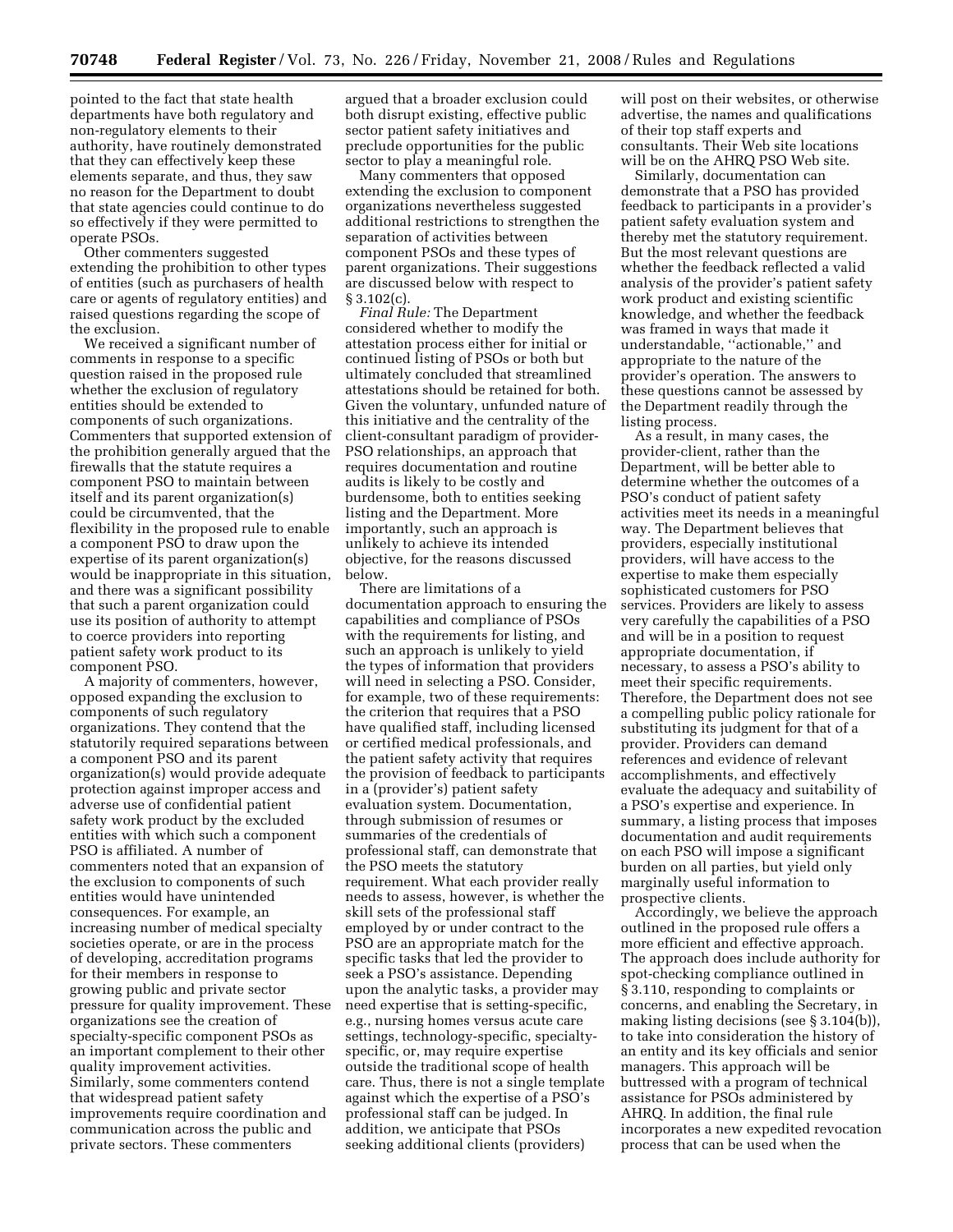pointed to the fact that state health departments have both regulatory and non-regulatory elements to their authority, have routinely demonstrated that they can effectively keep these elements separate, and thus, they saw no reason for the Department to doubt that state agencies could continue to do so effectively if they were permitted to operate PSOs.

Other commenters suggested extending the prohibition to other types of entities (such as purchasers of health care or agents of regulatory entities) and raised questions regarding the scope of the exclusion.

We received a significant number of comments in response to a specific question raised in the proposed rule whether the exclusion of regulatory entities should be extended to components of such organizations. Commenters that supported extension of the prohibition generally argued that the firewalls that the statute requires a component PSO to maintain between itself and its parent organization(s) could be circumvented, that the flexibility in the proposed rule to enable a component PSO to draw upon the expertise of its parent organization(s) would be inappropriate in this situation, and there was a significant possibility that such a parent organization could use its position of authority to attempt to coerce providers into reporting patient safety work product to its component PSO.

A majority of commenters, however, opposed expanding the exclusion to components of such regulatory organizations. They contend that the statutorily required separations between a component PSO and its parent organization(s) would provide adequate protection against improper access and adverse use of confidential patient safety work product by the excluded entities with which such a component PSO is affiliated. A number of commenters noted that an expansion of the exclusion to components of such entities would have unintended consequences. For example, an increasing number of medical specialty societies operate, or are in the process of developing, accreditation programs for their members in response to growing public and private sector pressure for quality improvement. These organizations see the creation of specialty-specific component PSOs as an important complement to their other quality improvement activities. Similarly, some commenters contend that widespread patient safety improvements require coordination and communication across the public and private sectors. These commenters

argued that a broader exclusion could both disrupt existing, effective public sector patient safety initiatives and preclude opportunities for the public sector to play a meaningful role.

Many commenters that opposed extending the exclusion to component organizations nevertheless suggested additional restrictions to strengthen the separation of activities between component PSOs and these types of parent organizations. Their suggestions are discussed below with respect to § 3.102(c).

*Final Rule:* The Department considered whether to modify the attestation process either for initial or continued listing of PSOs or both but ultimately concluded that streamlined attestations should be retained for both. Given the voluntary, unfunded nature of this initiative and the centrality of the client-consultant paradigm of provider-PSO relationships, an approach that requires documentation and routine audits is likely to be costly and burdensome, both to entities seeking listing and the Department. More importantly, such an approach is unlikely to achieve its intended objective, for the reasons discussed below.

There are limitations of a documentation approach to ensuring the capabilities and compliance of PSOs with the requirements for listing, and such an approach is unlikely to yield the types of information that providers will need in selecting a PSO. Consider, for example, two of these requirements: the criterion that requires that a PSO have qualified staff, including licensed or certified medical professionals, and the patient safety activity that requires the provision of feedback to participants in a (provider's) patient safety evaluation system. Documentation, through submission of resumes or summaries of the credentials of professional staff, can demonstrate that the PSO meets the statutory requirement. What each provider really needs to assess, however, is whether the skill sets of the professional staff employed by or under contract to the PSO are an appropriate match for the specific tasks that led the provider to seek a PSO's assistance. Depending upon the analytic tasks, a provider may need expertise that is setting-specific, e.g., nursing homes versus acute care settings, technology-specific, specialtyspecific, or, may require expertise outside the traditional scope of health care. Thus, there is not a single template against which the expertise of a PSO's professional staff can be judged. In addition, we anticipate that PSOs seeking additional clients (providers)

will post on their websites, or otherwise advertise, the names and qualifications of their top staff experts and consultants. Their Web site locations will be on the AHRQ PSO Web site.

Similarly, documentation can demonstrate that a PSO has provided feedback to participants in a provider's patient safety evaluation system and thereby met the statutory requirement. But the most relevant questions are whether the feedback reflected a valid analysis of the provider's patient safety work product and existing scientific knowledge, and whether the feedback was framed in ways that made it understandable, ''actionable,'' and appropriate to the nature of the provider's operation. The answers to these questions cannot be assessed by the Department readily through the listing process.

As a result, in many cases, the provider-client, rather than the Department, will be better able to determine whether the outcomes of a PSO's conduct of patient safety activities meet its needs in a meaningful way. The Department believes that providers, especially institutional providers, will have access to the expertise to make them especially sophisticated customers for PSO services. Providers are likely to assess very carefully the capabilities of a PSO and will be in a position to request appropriate documentation, if necessary, to assess a PSO's ability to meet their specific requirements. Therefore, the Department does not see a compelling public policy rationale for substituting its judgment for that of a provider. Providers can demand references and evidence of relevant accomplishments, and effectively evaluate the adequacy and suitability of a PSO's expertise and experience. In summary, a listing process that imposes documentation and audit requirements on each PSO will impose a significant burden on all parties, but yield only marginally useful information to prospective clients.

Accordingly, we believe the approach outlined in the proposed rule offers a more efficient and effective approach. The approach does include authority for spot-checking compliance outlined in § 3.110, responding to complaints or concerns, and enabling the Secretary, in making listing decisions (see § 3.104(b)), to take into consideration the history of an entity and its key officials and senior managers. This approach will be buttressed with a program of technical assistance for PSOs administered by AHRQ. In addition, the final rule incorporates a new expedited revocation process that can be used when the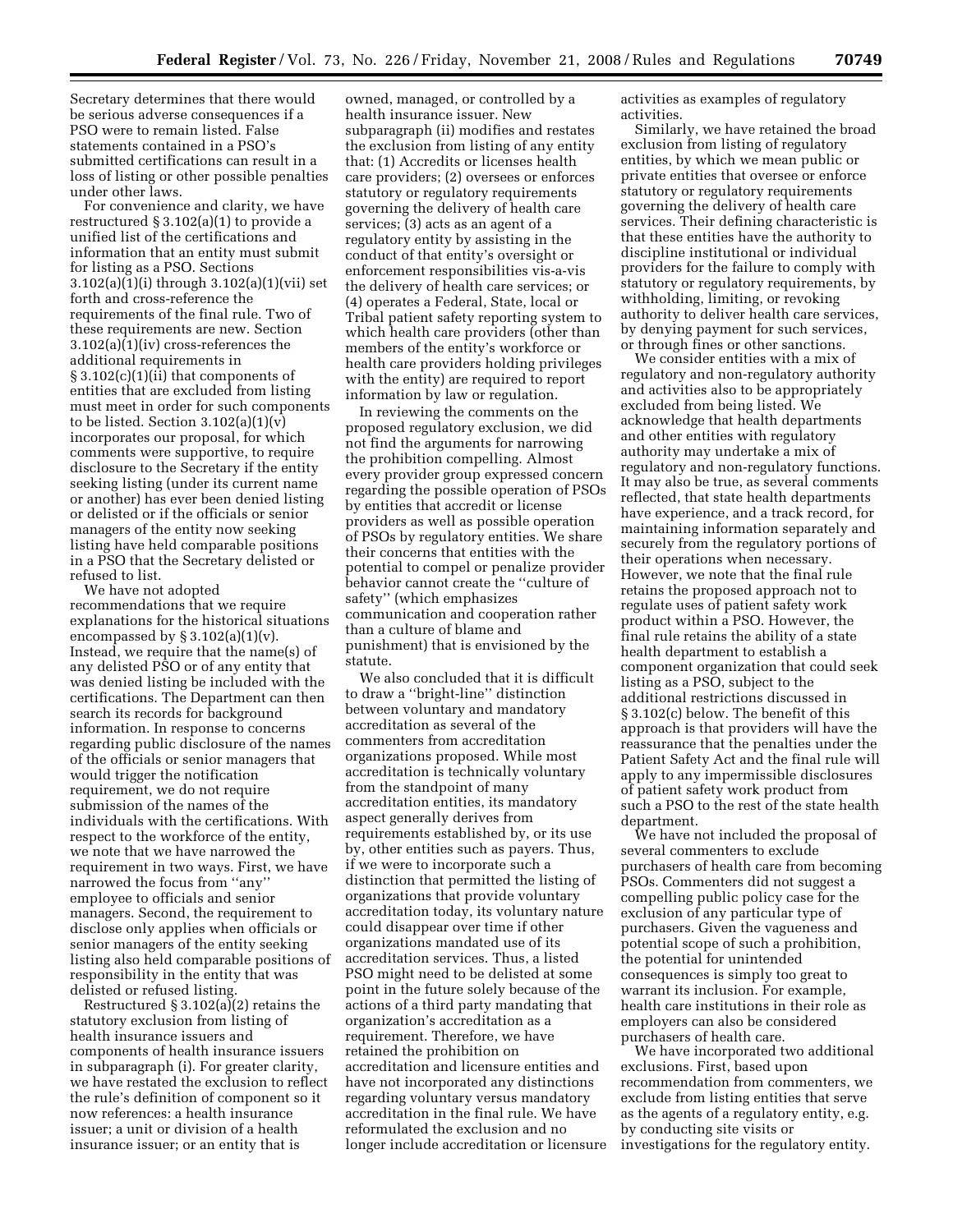Secretary determines that there would be serious adverse consequences if a PSO were to remain listed. False statements contained in a PSO's submitted certifications can result in a loss of listing or other possible penalties under other laws.

For convenience and clarity, we have restructured § 3.102(a)(1) to provide a unified list of the certifications and information that an entity must submit for listing as a PSO. Sections 3.102(a)(1)(i) through 3.102(a)(1)(vii) set forth and cross-reference the requirements of the final rule. Two of these requirements are new. Section 3.102(a)(1)(iv) cross-references the additional requirements in § 3.102(c)(1)(ii) that components of entities that are excluded from listing must meet in order for such components to be listed. Section  $3.102(a)(1)(v)$ incorporates our proposal, for which comments were supportive, to require disclosure to the Secretary if the entity seeking listing (under its current name or another) has ever been denied listing or delisted or if the officials or senior managers of the entity now seeking listing have held comparable positions in a PSO that the Secretary delisted or refused to list.

We have not adopted recommendations that we require explanations for the historical situations encompassed by  $\S 3.102(a)(1)(v)$ . Instead, we require that the name(s) of any delisted PSO or of any entity that was denied listing be included with the certifications. The Department can then search its records for background information. In response to concerns regarding public disclosure of the names of the officials or senior managers that would trigger the notification requirement, we do not require submission of the names of the individuals with the certifications. With respect to the workforce of the entity, we note that we have narrowed the requirement in two ways. First, we have narrowed the focus from ''any'' employee to officials and senior managers. Second, the requirement to disclose only applies when officials or senior managers of the entity seeking listing also held comparable positions of responsibility in the entity that was delisted or refused listing.

Restructured § 3.102(a)(2) retains the statutory exclusion from listing of health insurance issuers and components of health insurance issuers in subparagraph (i). For greater clarity, we have restated the exclusion to reflect the rule's definition of component so it now references: a health insurance issuer; a unit or division of a health insurance issuer; or an entity that is

owned, managed, or controlled by a health insurance issuer. New subparagraph (ii) modifies and restates the exclusion from listing of any entity that: (1) Accredits or licenses health care providers; (2) oversees or enforces statutory or regulatory requirements governing the delivery of health care services; (3) acts as an agent of a regulatory entity by assisting in the conduct of that entity's oversight or enforcement responsibilities vis-a-vis the delivery of health care services; or (4) operates a Federal, State, local or Tribal patient safety reporting system to which health care providers (other than members of the entity's workforce or health care providers holding privileges with the entity) are required to report information by law or regulation.

In reviewing the comments on the proposed regulatory exclusion, we did not find the arguments for narrowing the prohibition compelling. Almost every provider group expressed concern regarding the possible operation of PSOs by entities that accredit or license providers as well as possible operation of PSOs by regulatory entities. We share their concerns that entities with the potential to compel or penalize provider behavior cannot create the ''culture of safety'' (which emphasizes communication and cooperation rather than a culture of blame and punishment) that is envisioned by the statute.

We also concluded that it is difficult to draw a ''bright-line'' distinction between voluntary and mandatory accreditation as several of the commenters from accreditation organizations proposed. While most accreditation is technically voluntary from the standpoint of many accreditation entities, its mandatory aspect generally derives from requirements established by, or its use by, other entities such as payers. Thus, if we were to incorporate such a distinction that permitted the listing of organizations that provide voluntary accreditation today, its voluntary nature could disappear over time if other organizations mandated use of its accreditation services. Thus, a listed PSO might need to be delisted at some point in the future solely because of the actions of a third party mandating that organization's accreditation as a requirement. Therefore, we have retained the prohibition on accreditation and licensure entities and have not incorporated any distinctions regarding voluntary versus mandatory accreditation in the final rule. We have reformulated the exclusion and no longer include accreditation or licensure activities as examples of regulatory activities.

Similarly, we have retained the broad exclusion from listing of regulatory entities, by which we mean public or private entities that oversee or enforce statutory or regulatory requirements governing the delivery of health care services. Their defining characteristic is that these entities have the authority to discipline institutional or individual providers for the failure to comply with statutory or regulatory requirements, by withholding, limiting, or revoking authority to deliver health care services, by denying payment for such services, or through fines or other sanctions.

We consider entities with a mix of regulatory and non-regulatory authority and activities also to be appropriately excluded from being listed. We acknowledge that health departments and other entities with regulatory authority may undertake a mix of regulatory and non-regulatory functions. It may also be true, as several comments reflected, that state health departments have experience, and a track record, for maintaining information separately and securely from the regulatory portions of their operations when necessary. However, we note that the final rule retains the proposed approach not to regulate uses of patient safety work product within a PSO. However, the final rule retains the ability of a state health department to establish a component organization that could seek listing as a PSO, subject to the additional restrictions discussed in § 3.102(c) below. The benefit of this approach is that providers will have the reassurance that the penalties under the Patient Safety Act and the final rule will apply to any impermissible disclosures of patient safety work product from such a PSO to the rest of the state health department.

We have not included the proposal of several commenters to exclude purchasers of health care from becoming PSOs. Commenters did not suggest a compelling public policy case for the exclusion of any particular type of purchasers. Given the vagueness and potential scope of such a prohibition, the potential for unintended consequences is simply too great to warrant its inclusion. For example, health care institutions in their role as employers can also be considered purchasers of health care.

We have incorporated two additional exclusions. First, based upon recommendation from commenters, we exclude from listing entities that serve as the agents of a regulatory entity, e.g. by conducting site visits or investigations for the regulatory entity.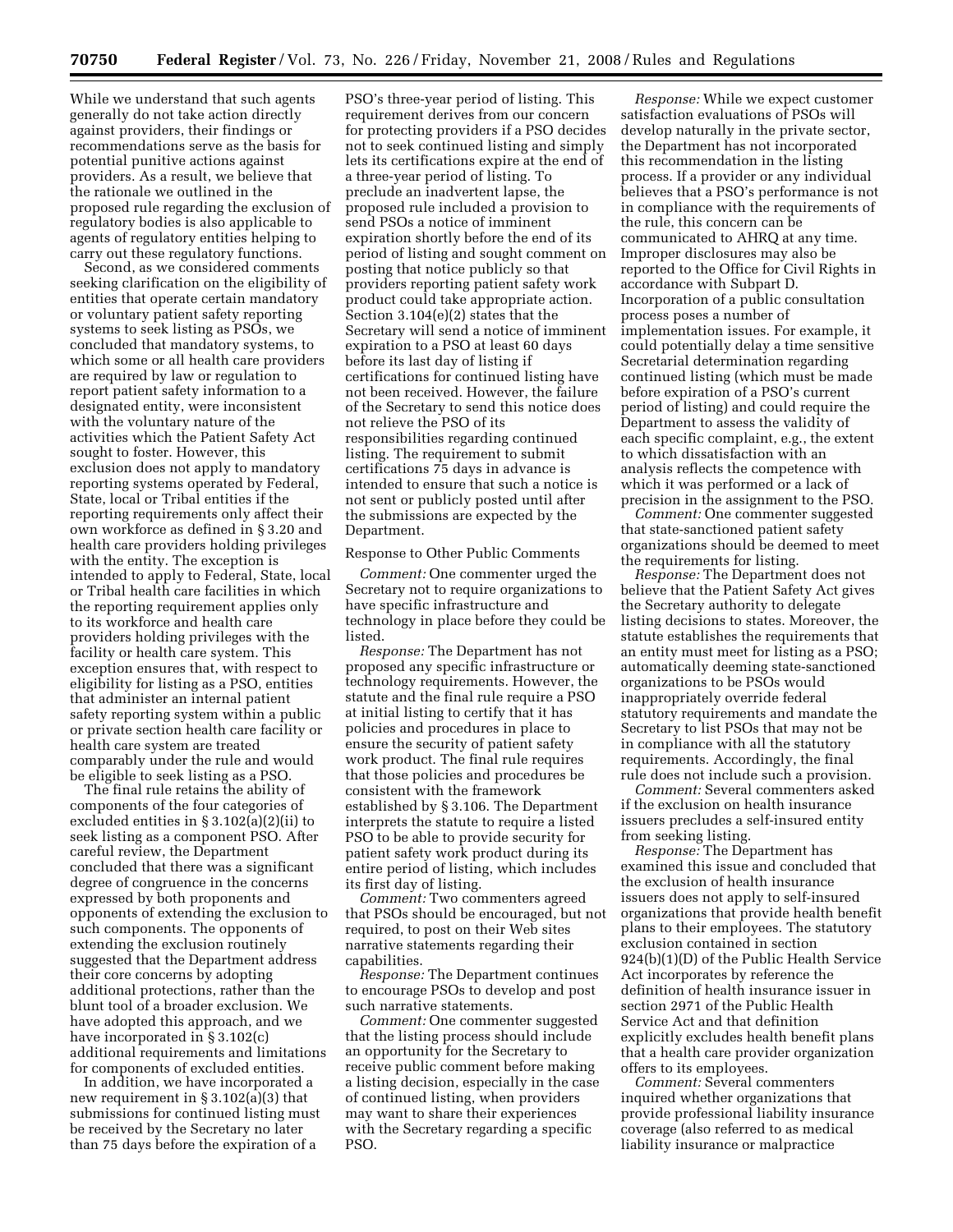While we understand that such agents generally do not take action directly against providers, their findings or recommendations serve as the basis for potential punitive actions against providers. As a result, we believe that the rationale we outlined in the proposed rule regarding the exclusion of regulatory bodies is also applicable to agents of regulatory entities helping to carry out these regulatory functions.

Second, as we considered comments seeking clarification on the eligibility of entities that operate certain mandatory or voluntary patient safety reporting systems to seek listing as PSOs, we concluded that mandatory systems, to which some or all health care providers are required by law or regulation to report patient safety information to a designated entity, were inconsistent with the voluntary nature of the activities which the Patient Safety Act sought to foster. However, this exclusion does not apply to mandatory reporting systems operated by Federal, State, local or Tribal entities if the reporting requirements only affect their own workforce as defined in § 3.20 and health care providers holding privileges with the entity. The exception is intended to apply to Federal, State, local or Tribal health care facilities in which the reporting requirement applies only to its workforce and health care providers holding privileges with the facility or health care system. This exception ensures that, with respect to eligibility for listing as a PSO, entities that administer an internal patient safety reporting system within a public or private section health care facility or health care system are treated comparably under the rule and would be eligible to seek listing as a PSO.

The final rule retains the ability of components of the four categories of excluded entities in § 3.102(a)(2)(ii) to seek listing as a component PSO. After careful review, the Department concluded that there was a significant degree of congruence in the concerns expressed by both proponents and opponents of extending the exclusion to such components. The opponents of extending the exclusion routinely suggested that the Department address their core concerns by adopting additional protections, rather than the blunt tool of a broader exclusion. We have adopted this approach, and we have incorporated in § 3.102(c) additional requirements and limitations for components of excluded entities.

In addition, we have incorporated a new requirement in § 3.102(a)(3) that submissions for continued listing must be received by the Secretary no later than 75 days before the expiration of a

PSO's three-year period of listing. This requirement derives from our concern for protecting providers if a PSO decides not to seek continued listing and simply lets its certifications expire at the end of a three-year period of listing. To preclude an inadvertent lapse, the proposed rule included a provision to send PSOs a notice of imminent expiration shortly before the end of its period of listing and sought comment on posting that notice publicly so that providers reporting patient safety work product could take appropriate action. Section 3.104(e)(2) states that the Secretary will send a notice of imminent expiration to a PSO at least 60 days before its last day of listing if certifications for continued listing have not been received. However, the failure of the Secretary to send this notice does not relieve the PSO of its responsibilities regarding continued listing. The requirement to submit certifications 75 days in advance is intended to ensure that such a notice is not sent or publicly posted until after the submissions are expected by the Department.

#### Response to Other Public Comments

*Comment:* One commenter urged the Secretary not to require organizations to have specific infrastructure and technology in place before they could be listed.

*Response:* The Department has not proposed any specific infrastructure or technology requirements. However, the statute and the final rule require a PSO at initial listing to certify that it has policies and procedures in place to ensure the security of patient safety work product. The final rule requires that those policies and procedures be consistent with the framework established by § 3.106. The Department interprets the statute to require a listed PSO to be able to provide security for patient safety work product during its entire period of listing, which includes its first day of listing.

*Comment:* Two commenters agreed that PSOs should be encouraged, but not required, to post on their Web sites narrative statements regarding their capabilities.

*Response:* The Department continues to encourage PSOs to develop and post such narrative statements.

*Comment:* One commenter suggested that the listing process should include an opportunity for the Secretary to receive public comment before making a listing decision, especially in the case of continued listing, when providers may want to share their experiences with the Secretary regarding a specific PSO.

*Response:* While we expect customer satisfaction evaluations of PSOs will develop naturally in the private sector, the Department has not incorporated this recommendation in the listing process. If a provider or any individual believes that a PSO's performance is not in compliance with the requirements of the rule, this concern can be communicated to AHRQ at any time. Improper disclosures may also be reported to the Office for Civil Rights in accordance with Subpart D. Incorporation of a public consultation process poses a number of implementation issues. For example, it could potentially delay a time sensitive Secretarial determination regarding continued listing (which must be made before expiration of a PSO's current period of listing) and could require the Department to assess the validity of each specific complaint, e.g., the extent to which dissatisfaction with an analysis reflects the competence with which it was performed or a lack of precision in the assignment to the PSO.

*Comment:* One commenter suggested that state-sanctioned patient safety organizations should be deemed to meet the requirements for listing.

*Response:* The Department does not believe that the Patient Safety Act gives the Secretary authority to delegate listing decisions to states. Moreover, the statute establishes the requirements that an entity must meet for listing as a PSO; automatically deeming state-sanctioned organizations to be PSOs would inappropriately override federal statutory requirements and mandate the Secretary to list PSOs that may not be in compliance with all the statutory requirements. Accordingly, the final rule does not include such a provision.

*Comment:* Several commenters asked if the exclusion on health insurance issuers precludes a self-insured entity from seeking listing.

*Response:* The Department has examined this issue and concluded that the exclusion of health insurance issuers does not apply to self-insured organizations that provide health benefit plans to their employees. The statutory exclusion contained in section 924(b)(1)(D) of the Public Health Service Act incorporates by reference the definition of health insurance issuer in section 2971 of the Public Health Service Act and that definition explicitly excludes health benefit plans that a health care provider organization offers to its employees.

*Comment:* Several commenters inquired whether organizations that provide professional liability insurance coverage (also referred to as medical liability insurance or malpractice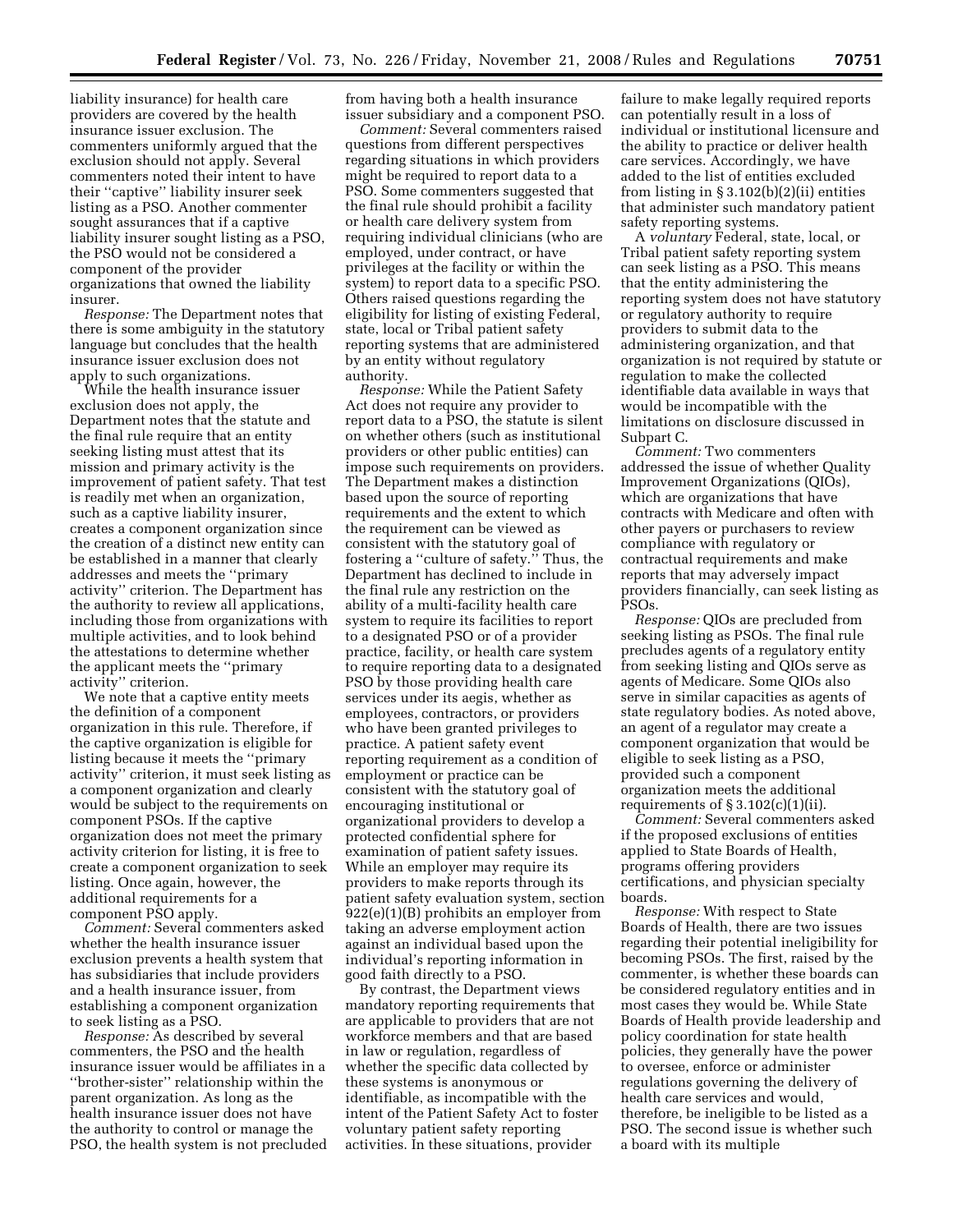liability insurance) for health care providers are covered by the health insurance issuer exclusion. The commenters uniformly argued that the exclusion should not apply. Several commenters noted their intent to have their ''captive'' liability insurer seek listing as a PSO. Another commenter sought assurances that if a captive liability insurer sought listing as a PSO, the PSO would not be considered a component of the provider organizations that owned the liability insurer.

*Response:* The Department notes that there is some ambiguity in the statutory language but concludes that the health insurance issuer exclusion does not apply to such organizations.

While the health insurance issuer exclusion does not apply, the Department notes that the statute and the final rule require that an entity seeking listing must attest that its mission and primary activity is the improvement of patient safety. That test is readily met when an organization, such as a captive liability insurer, creates a component organization since the creation of a distinct new entity can be established in a manner that clearly addresses and meets the ''primary activity'' criterion. The Department has the authority to review all applications, including those from organizations with multiple activities, and to look behind the attestations to determine whether the applicant meets the ''primary activity'' criterion.

We note that a captive entity meets the definition of a component organization in this rule. Therefore, if the captive organization is eligible for listing because it meets the ''primary activity'' criterion, it must seek listing as a component organization and clearly would be subject to the requirements on component PSOs. If the captive organization does not meet the primary activity criterion for listing, it is free to create a component organization to seek listing. Once again, however, the additional requirements for a component PSO apply.

*Comment:* Several commenters asked whether the health insurance issuer exclusion prevents a health system that has subsidiaries that include providers and a health insurance issuer, from establishing a component organization to seek listing as a PSO.

*Response:* As described by several commenters, the PSO and the health insurance issuer would be affiliates in a ''brother-sister'' relationship within the parent organization. As long as the health insurance issuer does not have the authority to control or manage the PSO, the health system is not precluded from having both a health insurance issuer subsidiary and a component PSO.

*Comment:* Several commenters raised questions from different perspectives regarding situations in which providers might be required to report data to a PSO. Some commenters suggested that the final rule should prohibit a facility or health care delivery system from requiring individual clinicians (who are employed, under contract, or have privileges at the facility or within the system) to report data to a specific PSO. Others raised questions regarding the eligibility for listing of existing Federal, state, local or Tribal patient safety reporting systems that are administered by an entity without regulatory authority.

*Response:* While the Patient Safety Act does not require any provider to report data to a PSO, the statute is silent on whether others (such as institutional providers or other public entities) can impose such requirements on providers. The Department makes a distinction based upon the source of reporting requirements and the extent to which the requirement can be viewed as consistent with the statutory goal of fostering a ''culture of safety.'' Thus, the Department has declined to include in the final rule any restriction on the ability of a multi-facility health care system to require its facilities to report to a designated PSO or of a provider practice, facility, or health care system to require reporting data to a designated PSO by those providing health care services under its aegis, whether as employees, contractors, or providers who have been granted privileges to practice. A patient safety event reporting requirement as a condition of employment or practice can be consistent with the statutory goal of encouraging institutional or organizational providers to develop a protected confidential sphere for examination of patient safety issues. While an employer may require its providers to make reports through its patient safety evaluation system, section 922(e)(1)(B) prohibits an employer from taking an adverse employment action against an individual based upon the individual's reporting information in good faith directly to a PSO.

By contrast, the Department views mandatory reporting requirements that are applicable to providers that are not workforce members and that are based in law or regulation, regardless of whether the specific data collected by these systems is anonymous or identifiable, as incompatible with the intent of the Patient Safety Act to foster voluntary patient safety reporting activities. In these situations, provider

failure to make legally required reports can potentially result in a loss of individual or institutional licensure and the ability to practice or deliver health care services. Accordingly, we have added to the list of entities excluded from listing in § 3.102(b)(2)(ii) entities that administer such mandatory patient safety reporting systems.

A *voluntary* Federal, state, local, or Tribal patient safety reporting system can seek listing as a PSO. This means that the entity administering the reporting system does not have statutory or regulatory authority to require providers to submit data to the administering organization, and that organization is not required by statute or regulation to make the collected identifiable data available in ways that would be incompatible with the limitations on disclosure discussed in Subpart C.

*Comment:* Two commenters addressed the issue of whether Quality Improvement Organizations (QIOs), which are organizations that have contracts with Medicare and often with other payers or purchasers to review compliance with regulatory or contractual requirements and make reports that may adversely impact providers financially, can seek listing as PSOs.

*Response:* QIOs are precluded from seeking listing as PSOs. The final rule precludes agents of a regulatory entity from seeking listing and QIOs serve as agents of Medicare. Some QIOs also serve in similar capacities as agents of state regulatory bodies. As noted above, an agent of a regulator may create a component organization that would be eligible to seek listing as a PSO, provided such a component organization meets the additional requirements of  $\S 3.102(c)(1)(ii)$ .

*Comment:* Several commenters asked if the proposed exclusions of entities applied to State Boards of Health, programs offering providers certifications, and physician specialty boards.

*Response:* With respect to State Boards of Health, there are two issues regarding their potential ineligibility for becoming PSOs. The first, raised by the commenter, is whether these boards can be considered regulatory entities and in most cases they would be. While State Boards of Health provide leadership and policy coordination for state health policies, they generally have the power to oversee, enforce or administer regulations governing the delivery of health care services and would, therefore, be ineligible to be listed as a PSO. The second issue is whether such a board with its multiple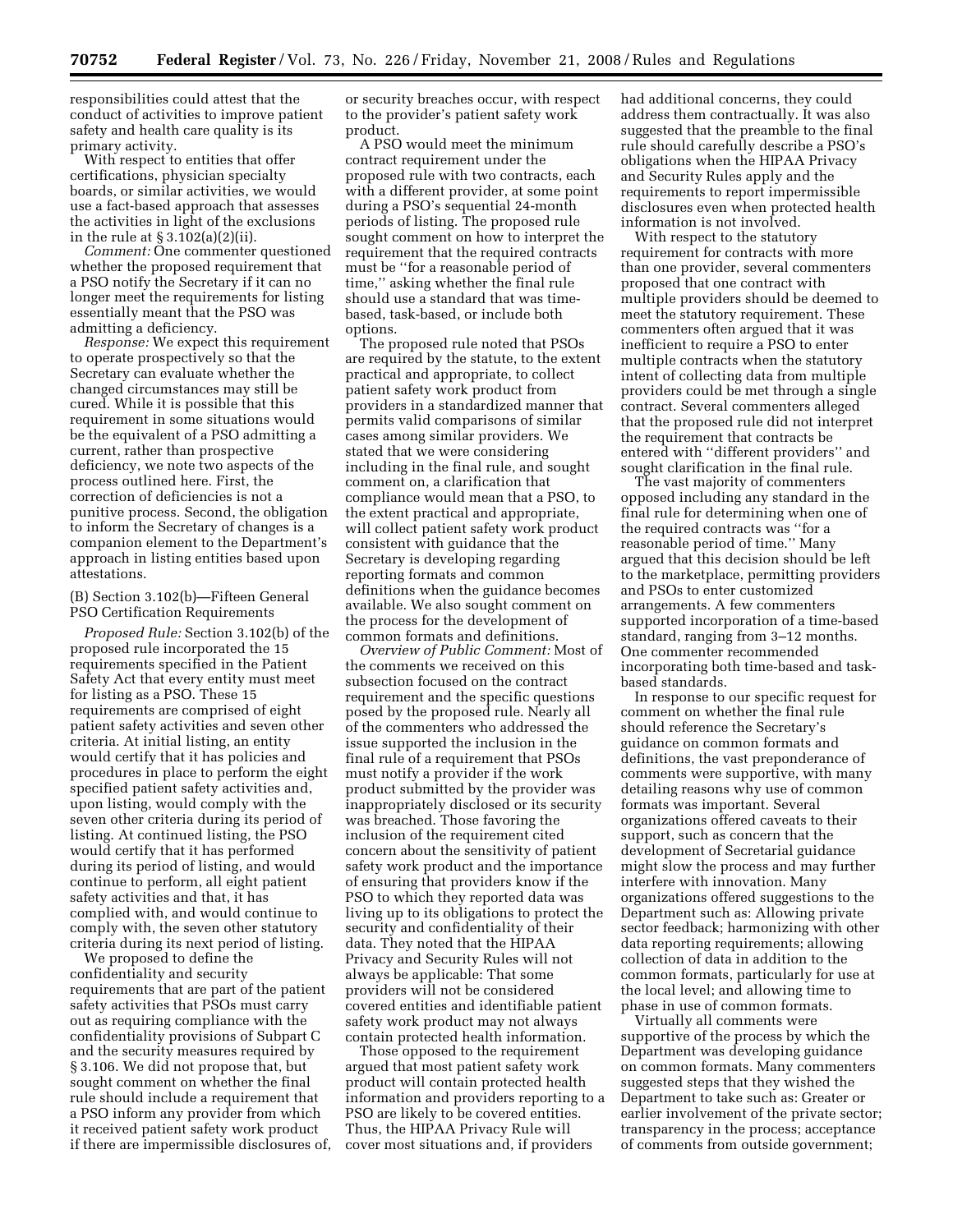responsibilities could attest that the conduct of activities to improve patient safety and health care quality is its primary activity.

With respect to entities that offer certifications, physician specialty boards, or similar activities, we would use a fact-based approach that assesses the activities in light of the exclusions in the rule at § 3.102(a)(2)(ii).

*Comment:* One commenter questioned whether the proposed requirement that a PSO notify the Secretary if it can no longer meet the requirements for listing essentially meant that the PSO was admitting a deficiency.

*Response:* We expect this requirement to operate prospectively so that the Secretary can evaluate whether the changed circumstances may still be cured. While it is possible that this requirement in some situations would be the equivalent of a PSO admitting a current, rather than prospective deficiency, we note two aspects of the process outlined here. First, the correction of deficiencies is not a punitive process. Second, the obligation to inform the Secretary of changes is a companion element to the Department's approach in listing entities based upon attestations.

# (B) Section 3.102(b)—Fifteen General PSO Certification Requirements

*Proposed Rule:* Section 3.102(b) of the proposed rule incorporated the 15 requirements specified in the Patient Safety Act that every entity must meet for listing as a PSO. These 15 requirements are comprised of eight patient safety activities and seven other criteria. At initial listing, an entity would certify that it has policies and procedures in place to perform the eight specified patient safety activities and, upon listing, would comply with the seven other criteria during its period of listing. At continued listing, the PSO would certify that it has performed during its period of listing, and would continue to perform, all eight patient safety activities and that, it has complied with, and would continue to comply with, the seven other statutory criteria during its next period of listing.

We proposed to define the confidentiality and security requirements that are part of the patient safety activities that PSOs must carry out as requiring compliance with the confidentiality provisions of Subpart C and the security measures required by § 3.106. We did not propose that, but sought comment on whether the final rule should include a requirement that a PSO inform any provider from which it received patient safety work product if there are impermissible disclosures of, or security breaches occur, with respect to the provider's patient safety work product.

A PSO would meet the minimum contract requirement under the proposed rule with two contracts, each with a different provider, at some point during a PSO's sequential 24-month periods of listing. The proposed rule sought comment on how to interpret the requirement that the required contracts must be ''for a reasonable period of time,'' asking whether the final rule should use a standard that was timebased, task-based, or include both options.

The proposed rule noted that PSOs are required by the statute, to the extent practical and appropriate, to collect patient safety work product from providers in a standardized manner that permits valid comparisons of similar cases among similar providers. We stated that we were considering including in the final rule, and sought comment on, a clarification that compliance would mean that a PSO, to the extent practical and appropriate, will collect patient safety work product consistent with guidance that the Secretary is developing regarding reporting formats and common definitions when the guidance becomes available. We also sought comment on the process for the development of common formats and definitions.

*Overview of Public Comment:* Most of the comments we received on this subsection focused on the contract requirement and the specific questions posed by the proposed rule. Nearly all of the commenters who addressed the issue supported the inclusion in the final rule of a requirement that PSOs must notify a provider if the work product submitted by the provider was inappropriately disclosed or its security was breached. Those favoring the inclusion of the requirement cited concern about the sensitivity of patient safety work product and the importance of ensuring that providers know if the PSO to which they reported data was living up to its obligations to protect the security and confidentiality of their data. They noted that the HIPAA Privacy and Security Rules will not always be applicable: That some providers will not be considered covered entities and identifiable patient safety work product may not always contain protected health information.

Those opposed to the requirement argued that most patient safety work product will contain protected health information and providers reporting to a PSO are likely to be covered entities. Thus, the HIPAA Privacy Rule will cover most situations and, if providers

had additional concerns, they could address them contractually. It was also suggested that the preamble to the final rule should carefully describe a PSO's obligations when the HIPAA Privacy and Security Rules apply and the requirements to report impermissible disclosures even when protected health information is not involved.

With respect to the statutory requirement for contracts with more than one provider, several commenters proposed that one contract with multiple providers should be deemed to meet the statutory requirement. These commenters often argued that it was inefficient to require a PSO to enter multiple contracts when the statutory intent of collecting data from multiple providers could be met through a single contract. Several commenters alleged that the proposed rule did not interpret the requirement that contracts be entered with ''different providers'' and sought clarification in the final rule.

The vast majority of commenters opposed including any standard in the final rule for determining when one of the required contracts was ''for a reasonable period of time.'' Many argued that this decision should be left to the marketplace, permitting providers and PSOs to enter customized arrangements. A few commenters supported incorporation of a time-based standard, ranging from 3–12 months. One commenter recommended incorporating both time-based and taskbased standards.

In response to our specific request for comment on whether the final rule should reference the Secretary's guidance on common formats and definitions, the vast preponderance of comments were supportive, with many detailing reasons why use of common formats was important. Several organizations offered caveats to their support, such as concern that the development of Secretarial guidance might slow the process and may further interfere with innovation. Many organizations offered suggestions to the Department such as: Allowing private sector feedback; harmonizing with other data reporting requirements; allowing collection of data in addition to the common formats, particularly for use at the local level; and allowing time to phase in use of common formats.

Virtually all comments were supportive of the process by which the Department was developing guidance on common formats. Many commenters suggested steps that they wished the Department to take such as: Greater or earlier involvement of the private sector; transparency in the process; acceptance of comments from outside government;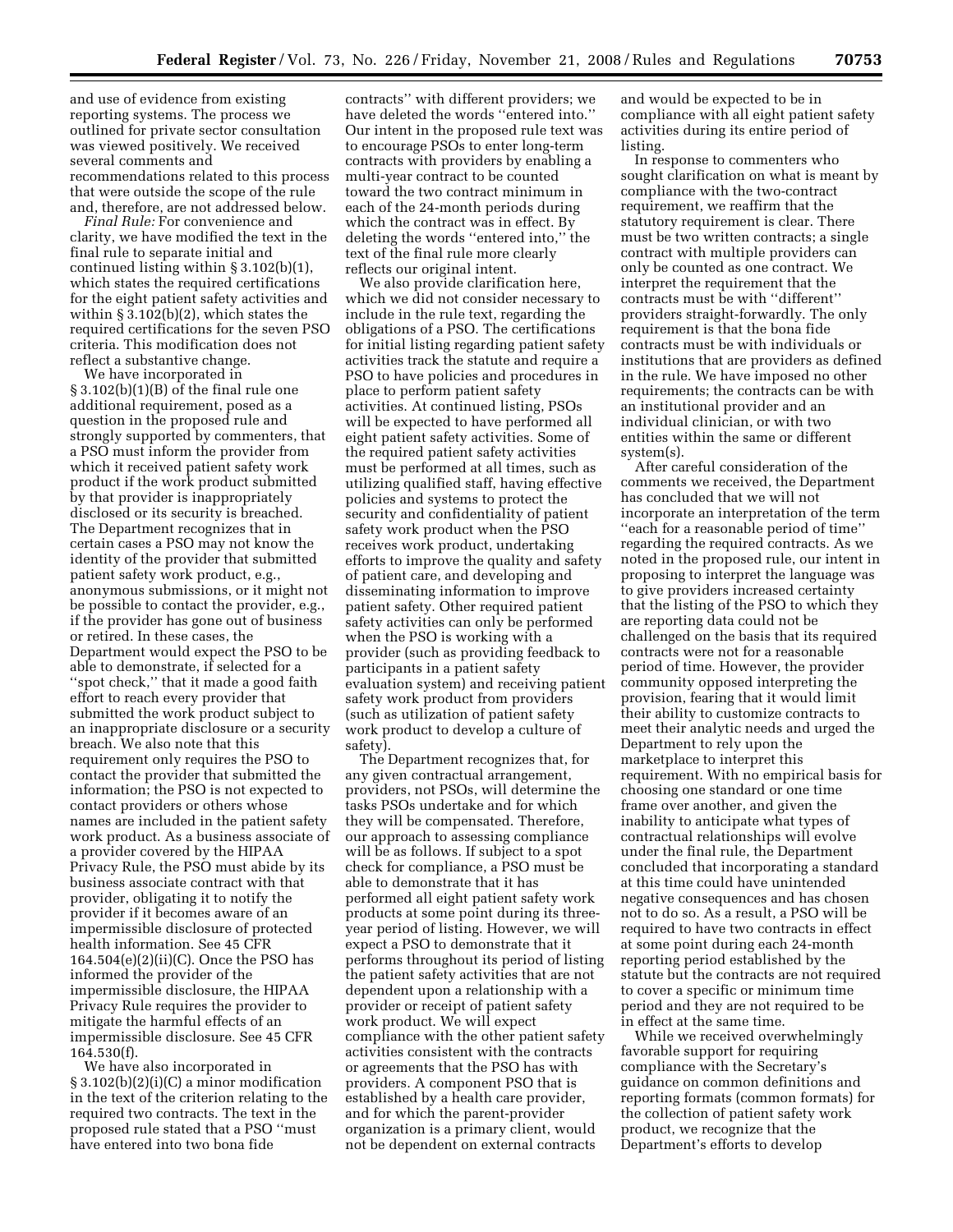and use of evidence from existing reporting systems. The process we outlined for private sector consultation was viewed positively. We received several comments and recommendations related to this process that were outside the scope of the rule and, therefore, are not addressed below.

*Final Rule:* For convenience and clarity, we have modified the text in the final rule to separate initial and continued listing within § 3.102(b)(1), which states the required certifications for the eight patient safety activities and within § 3.102(b)(2), which states the required certifications for the seven PSO criteria. This modification does not reflect a substantive change.

We have incorporated in § 3.102(b)(1)(B) of the final rule one additional requirement, posed as a question in the proposed rule and strongly supported by commenters, that a PSO must inform the provider from which it received patient safety work product if the work product submitted by that provider is inappropriately disclosed or its security is breached. The Department recognizes that in certain cases a PSO may not know the identity of the provider that submitted patient safety work product, e.g., anonymous submissions, or it might not be possible to contact the provider, e.g., if the provider has gone out of business or retired. In these cases, the Department would expect the PSO to be able to demonstrate, if selected for a ''spot check,'' that it made a good faith effort to reach every provider that submitted the work product subject to an inappropriate disclosure or a security breach. We also note that this requirement only requires the PSO to contact the provider that submitted the information; the PSO is not expected to contact providers or others whose names are included in the patient safety work product. As a business associate of a provider covered by the HIPAA Privacy Rule, the PSO must abide by its business associate contract with that provider, obligating it to notify the provider if it becomes aware of an impermissible disclosure of protected health information. See 45 CFR 164.504(e)(2)(ii)(C). Once the PSO has informed the provider of the impermissible disclosure, the HIPAA Privacy Rule requires the provider to mitigate the harmful effects of an impermissible disclosure. See 45 CFR 164.530(f).

We have also incorporated in  $\S 3.102(b)(2)(i)(C)$  a minor modification in the text of the criterion relating to the required two contracts. The text in the proposed rule stated that a PSO ''must have entered into two bona fide

contracts'' with different providers; we have deleted the words ''entered into.'' Our intent in the proposed rule text was to encourage PSOs to enter long-term contracts with providers by enabling a multi-year contract to be counted toward the two contract minimum in each of the 24-month periods during which the contract was in effect. By deleting the words ''entered into,'' the text of the final rule more clearly reflects our original intent.

We also provide clarification here, which we did not consider necessary to include in the rule text, regarding the obligations of a PSO. The certifications for initial listing regarding patient safety activities track the statute and require a PSO to have policies and procedures in place to perform patient safety activities. At continued listing, PSOs will be expected to have performed all eight patient safety activities. Some of the required patient safety activities must be performed at all times, such as utilizing qualified staff, having effective policies and systems to protect the security and confidentiality of patient safety work product when the PSO receives work product, undertaking efforts to improve the quality and safety of patient care, and developing and disseminating information to improve patient safety. Other required patient safety activities can only be performed when the PSO is working with a provider (such as providing feedback to participants in a patient safety evaluation system) and receiving patient safety work product from providers (such as utilization of patient safety work product to develop a culture of safety).

The Department recognizes that, for any given contractual arrangement, providers, not PSOs, will determine the tasks PSOs undertake and for which they will be compensated. Therefore, our approach to assessing compliance will be as follows. If subject to a spot check for compliance, a PSO must be able to demonstrate that it has performed all eight patient safety work products at some point during its threeyear period of listing. However, we will expect a PSO to demonstrate that it performs throughout its period of listing the patient safety activities that are not dependent upon a relationship with a provider or receipt of patient safety work product. We will expect compliance with the other patient safety activities consistent with the contracts or agreements that the PSO has with providers. A component PSO that is established by a health care provider, and for which the parent-provider organization is a primary client, would not be dependent on external contracts

and would be expected to be in compliance with all eight patient safety activities during its entire period of listing.

In response to commenters who sought clarification on what is meant by compliance with the two-contract requirement, we reaffirm that the statutory requirement is clear. There must be two written contracts; a single contract with multiple providers can only be counted as one contract. We interpret the requirement that the contracts must be with ''different'' providers straight-forwardly. The only requirement is that the bona fide contracts must be with individuals or institutions that are providers as defined in the rule. We have imposed no other requirements; the contracts can be with an institutional provider and an individual clinician, or with two entities within the same or different system(s).

After careful consideration of the comments we received, the Department has concluded that we will not incorporate an interpretation of the term ''each for a reasonable period of time'' regarding the required contracts. As we noted in the proposed rule, our intent in proposing to interpret the language was to give providers increased certainty that the listing of the PSO to which they are reporting data could not be challenged on the basis that its required contracts were not for a reasonable period of time. However, the provider community opposed interpreting the provision, fearing that it would limit their ability to customize contracts to meet their analytic needs and urged the Department to rely upon the marketplace to interpret this requirement. With no empirical basis for choosing one standard or one time frame over another, and given the inability to anticipate what types of contractual relationships will evolve under the final rule, the Department concluded that incorporating a standard at this time could have unintended negative consequences and has chosen not to do so. As a result, a PSO will be required to have two contracts in effect at some point during each 24-month reporting period established by the statute but the contracts are not required to cover a specific or minimum time period and they are not required to be in effect at the same time.

While we received overwhelmingly favorable support for requiring compliance with the Secretary's guidance on common definitions and reporting formats (common formats) for the collection of patient safety work product, we recognize that the Department's efforts to develop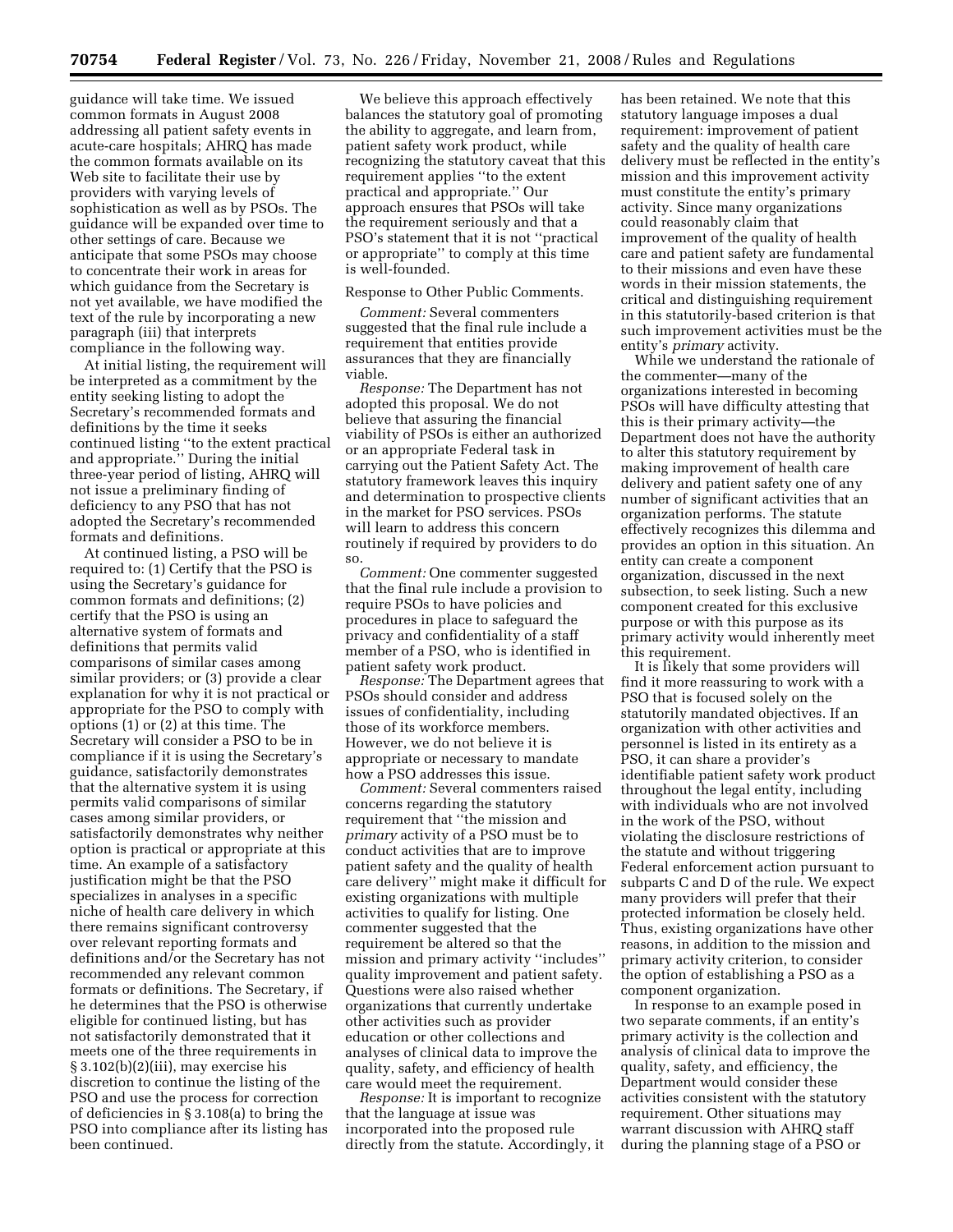guidance will take time. We issued common formats in August 2008 addressing all patient safety events in acute-care hospitals; AHRQ has made the common formats available on its Web site to facilitate their use by providers with varying levels of sophistication as well as by PSOs. The guidance will be expanded over time to other settings of care. Because we anticipate that some PSOs may choose to concentrate their work in areas for which guidance from the Secretary is not yet available, we have modified the text of the rule by incorporating a new paragraph (iii) that interprets compliance in the following way.

At initial listing, the requirement will be interpreted as a commitment by the entity seeking listing to adopt the Secretary's recommended formats and definitions by the time it seeks continued listing ''to the extent practical and appropriate.'' During the initial three-year period of listing, AHRQ will not issue a preliminary finding of deficiency to any PSO that has not adopted the Secretary's recommended formats and definitions.

At continued listing, a PSO will be required to: (1) Certify that the PSO is using the Secretary's guidance for common formats and definitions; (2) certify that the PSO is using an alternative system of formats and definitions that permits valid comparisons of similar cases among similar providers; or (3) provide a clear explanation for why it is not practical or appropriate for the PSO to comply with options (1) or (2) at this time. The Secretary will consider a PSO to be in compliance if it is using the Secretary's guidance, satisfactorily demonstrates that the alternative system it is using permits valid comparisons of similar cases among similar providers, or satisfactorily demonstrates why neither option is practical or appropriate at this time. An example of a satisfactory justification might be that the PSO specializes in analyses in a specific niche of health care delivery in which there remains significant controversy over relevant reporting formats and definitions and/or the Secretary has not recommended any relevant common formats or definitions. The Secretary, if he determines that the PSO is otherwise eligible for continued listing, but has not satisfactorily demonstrated that it meets one of the three requirements in § 3.102(b)(2)(iii), may exercise his discretion to continue the listing of the PSO and use the process for correction of deficiencies in § 3.108(a) to bring the PSO into compliance after its listing has been continued.

We believe this approach effectively balances the statutory goal of promoting the ability to aggregate, and learn from, patient safety work product, while recognizing the statutory caveat that this requirement applies ''to the extent practical and appropriate.'' Our approach ensures that PSOs will take the requirement seriously and that a PSO's statement that it is not ''practical or appropriate'' to comply at this time is well-founded.

# Response to Other Public Comments.

*Comment:* Several commenters suggested that the final rule include a requirement that entities provide assurances that they are financially viable.

*Response:* The Department has not adopted this proposal. We do not believe that assuring the financial viability of PSOs is either an authorized or an appropriate Federal task in carrying out the Patient Safety Act. The statutory framework leaves this inquiry and determination to prospective clients in the market for PSO services. PSOs will learn to address this concern routinely if required by providers to do so.

*Comment:* One commenter suggested that the final rule include a provision to require PSOs to have policies and procedures in place to safeguard the privacy and confidentiality of a staff member of a PSO, who is identified in patient safety work product.

*Response:* The Department agrees that PSOs should consider and address issues of confidentiality, including those of its workforce members. However, we do not believe it is appropriate or necessary to mandate how a PSO addresses this issue.

*Comment:* Several commenters raised concerns regarding the statutory requirement that ''the mission and *primary* activity of a PSO must be to conduct activities that are to improve patient safety and the quality of health care delivery'' might make it difficult for existing organizations with multiple activities to qualify for listing. One commenter suggested that the requirement be altered so that the mission and primary activity ''includes'' quality improvement and patient safety. Questions were also raised whether organizations that currently undertake other activities such as provider education or other collections and analyses of clinical data to improve the quality, safety, and efficiency of health care would meet the requirement.

*Response:* It is important to recognize that the language at issue was incorporated into the proposed rule directly from the statute. Accordingly, it has been retained. We note that this statutory language imposes a dual requirement: improvement of patient safety and the quality of health care delivery must be reflected in the entity's mission and this improvement activity must constitute the entity's primary activity. Since many organizations could reasonably claim that improvement of the quality of health care and patient safety are fundamental to their missions and even have these words in their mission statements, the critical and distinguishing requirement in this statutorily-based criterion is that such improvement activities must be the entity's *primary* activity.

While we understand the rationale of the commenter—many of the organizations interested in becoming PSOs will have difficulty attesting that this is their primary activity—the Department does not have the authority to alter this statutory requirement by making improvement of health care delivery and patient safety one of any number of significant activities that an organization performs. The statute effectively recognizes this dilemma and provides an option in this situation. An entity can create a component organization, discussed in the next subsection, to seek listing. Such a new component created for this exclusive purpose or with this purpose as its primary activity would inherently meet this requirement.

It is likely that some providers will find it more reassuring to work with a PSO that is focused solely on the statutorily mandated objectives. If an organization with other activities and personnel is listed in its entirety as a PSO, it can share a provider's identifiable patient safety work product throughout the legal entity, including with individuals who are not involved in the work of the PSO, without violating the disclosure restrictions of the statute and without triggering Federal enforcement action pursuant to subparts C and D of the rule. We expect many providers will prefer that their protected information be closely held. Thus, existing organizations have other reasons, in addition to the mission and primary activity criterion, to consider the option of establishing a PSO as a component organization.

In response to an example posed in two separate comments, if an entity's primary activity is the collection and analysis of clinical data to improve the quality, safety, and efficiency, the Department would consider these activities consistent with the statutory requirement. Other situations may warrant discussion with AHRQ staff during the planning stage of a PSO or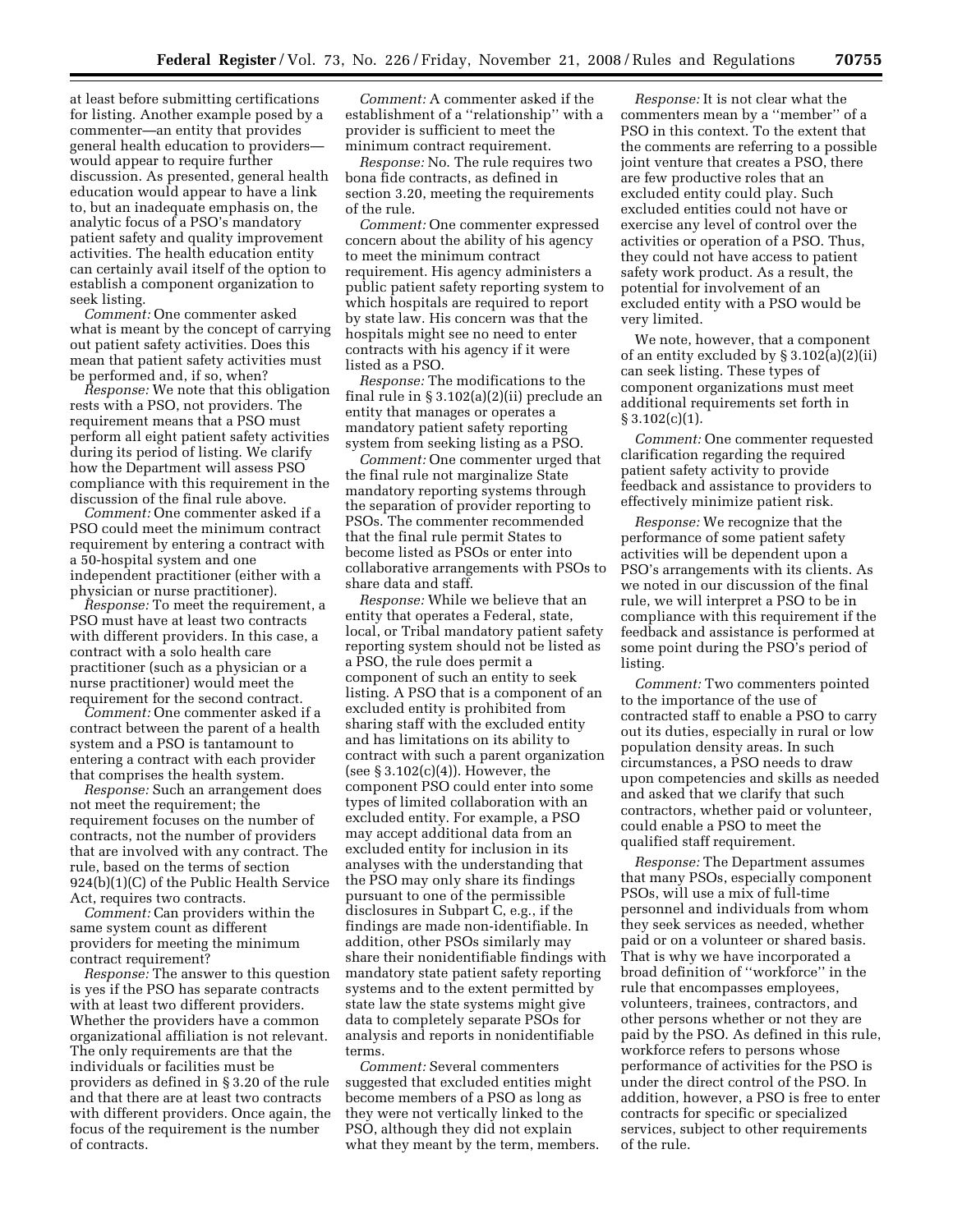at least before submitting certifications for listing. Another example posed by a commenter—an entity that provides general health education to providers would appear to require further discussion. As presented, general health education would appear to have a link to, but an inadequate emphasis on, the analytic focus of a PSO's mandatory patient safety and quality improvement activities. The health education entity can certainly avail itself of the option to establish a component organization to seek listing.

*Comment:* One commenter asked what is meant by the concept of carrying out patient safety activities. Does this mean that patient safety activities must be performed and, if so, when?

*Response:* We note that this obligation rests with a PSO, not providers. The requirement means that a PSO must perform all eight patient safety activities during its period of listing. We clarify how the Department will assess PSO compliance with this requirement in the discussion of the final rule above.

*Comment:* One commenter asked if a PSO could meet the minimum contract requirement by entering a contract with a 50-hospital system and one independent practitioner (either with a physician or nurse practitioner).

*Response:* To meet the requirement, a PSO must have at least two contracts with different providers. In this case, a contract with a solo health care practitioner (such as a physician or a nurse practitioner) would meet the requirement for the second contract.

*Comment:* One commenter asked if a contract between the parent of a health system and a PSO is tantamount to entering a contract with each provider that comprises the health system.

*Response:* Such an arrangement does not meet the requirement; the requirement focuses on the number of contracts, not the number of providers that are involved with any contract. The rule, based on the terms of section 924(b)(1)(C) of the Public Health Service Act, requires two contracts.

*Comment:* Can providers within the same system count as different providers for meeting the minimum contract requirement?

*Response:* The answer to this question is yes if the PSO has separate contracts with at least two different providers. Whether the providers have a common organizational affiliation is not relevant. The only requirements are that the individuals or facilities must be providers as defined in § 3.20 of the rule and that there are at least two contracts with different providers. Once again, the focus of the requirement is the number of contracts.

*Comment:* A commenter asked if the establishment of a ''relationship'' with a provider is sufficient to meet the minimum contract requirement.

*Response:* No. The rule requires two bona fide contracts, as defined in section 3.20, meeting the requirements of the rule.

*Comment:* One commenter expressed concern about the ability of his agency to meet the minimum contract requirement. His agency administers a public patient safety reporting system to which hospitals are required to report by state law. His concern was that the hospitals might see no need to enter contracts with his agency if it were listed as a PSO.

*Response:* The modifications to the final rule in § 3.102(a)(2)(ii) preclude an entity that manages or operates a mandatory patient safety reporting system from seeking listing as a PSO.

*Comment:* One commenter urged that the final rule not marginalize State mandatory reporting systems through the separation of provider reporting to PSOs. The commenter recommended that the final rule permit States to become listed as PSOs or enter into collaborative arrangements with PSOs to share data and staff.

*Response:* While we believe that an entity that operates a Federal, state, local, or Tribal mandatory patient safety reporting system should not be listed as a PSO, the rule does permit a component of such an entity to seek listing. A PSO that is a component of an excluded entity is prohibited from sharing staff with the excluded entity and has limitations on its ability to contract with such a parent organization (see  $\S 3.102(c)(4)$ ). However, the component PSO could enter into some types of limited collaboration with an excluded entity. For example, a PSO may accept additional data from an excluded entity for inclusion in its analyses with the understanding that the PSO may only share its findings pursuant to one of the permissible disclosures in Subpart C, e.g., if the findings are made non-identifiable. In addition, other PSOs similarly may share their nonidentifiable findings with mandatory state patient safety reporting systems and to the extent permitted by state law the state systems might give data to completely separate PSOs for analysis and reports in nonidentifiable terms.

*Comment:* Several commenters suggested that excluded entities might become members of a PSO as long as they were not vertically linked to the PSO, although they did not explain what they meant by the term, members.

*Response:* It is not clear what the commenters mean by a ''member'' of a PSO in this context. To the extent that the comments are referring to a possible joint venture that creates a PSO, there are few productive roles that an excluded entity could play. Such excluded entities could not have or exercise any level of control over the activities or operation of a PSO. Thus, they could not have access to patient safety work product. As a result, the potential for involvement of an excluded entity with a PSO would be very limited.

We note, however, that a component of an entity excluded by § 3.102(a)(2)(ii) can seek listing. These types of component organizations must meet additional requirements set forth in § 3.102(c)(1).

*Comment:* One commenter requested clarification regarding the required patient safety activity to provide feedback and assistance to providers to effectively minimize patient risk.

*Response:* We recognize that the performance of some patient safety activities will be dependent upon a PSO's arrangements with its clients. As we noted in our discussion of the final rule, we will interpret a PSO to be in compliance with this requirement if the feedback and assistance is performed at some point during the PSO's period of listing.

*Comment:* Two commenters pointed to the importance of the use of contracted staff to enable a PSO to carry out its duties, especially in rural or low population density areas. In such circumstances, a PSO needs to draw upon competencies and skills as needed and asked that we clarify that such contractors, whether paid or volunteer, could enable a PSO to meet the qualified staff requirement.

*Response:* The Department assumes that many PSOs, especially component PSOs, will use a mix of full-time personnel and individuals from whom they seek services as needed, whether paid or on a volunteer or shared basis. That is why we have incorporated a broad definition of ''workforce'' in the rule that encompasses employees, volunteers, trainees, contractors, and other persons whether or not they are paid by the PSO. As defined in this rule, workforce refers to persons whose performance of activities for the PSO is under the direct control of the PSO. In addition, however, a PSO is free to enter contracts for specific or specialized services, subject to other requirements of the rule.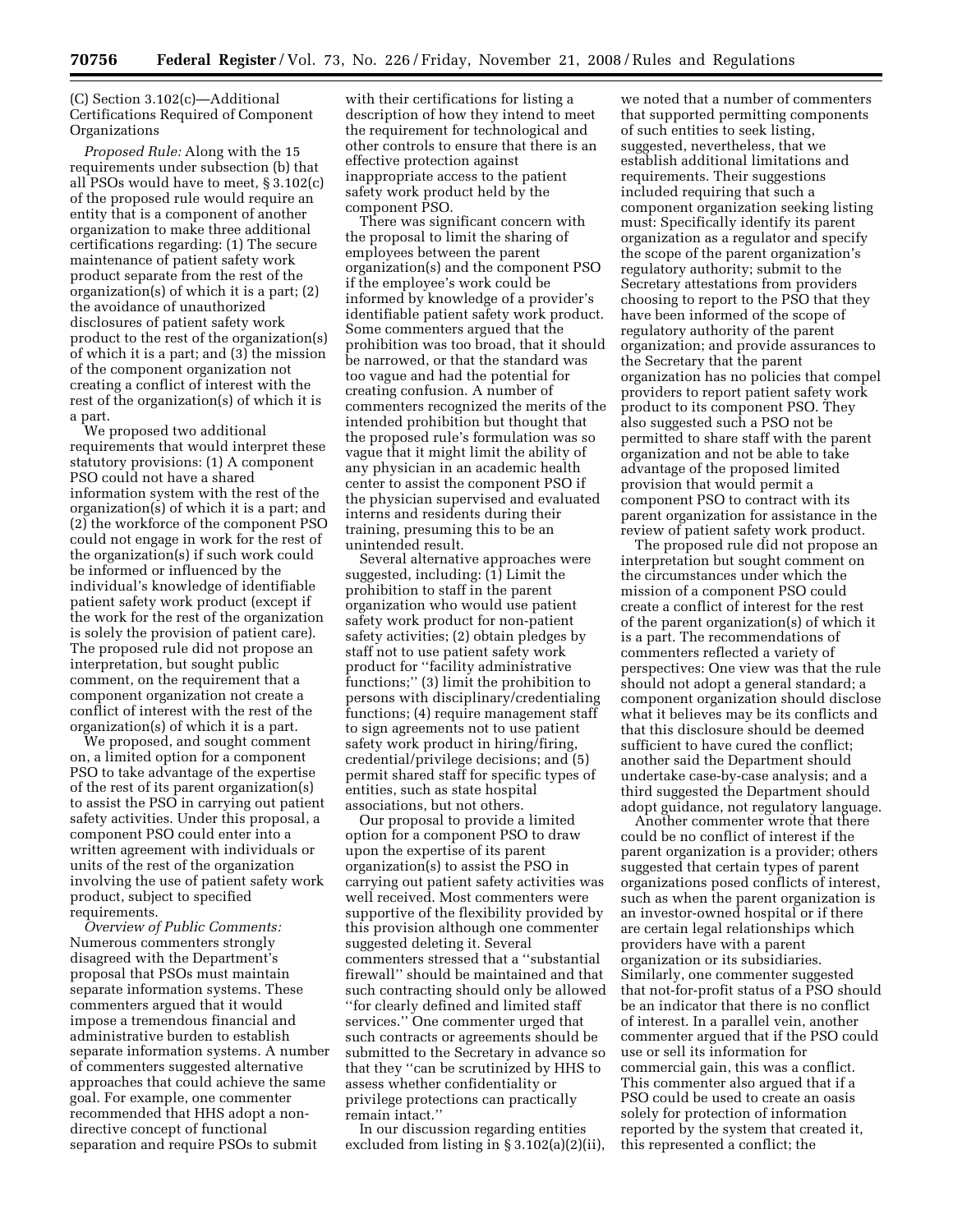# (C) Section 3.102(c)—Additional Certifications Required of Component Organizations

*Proposed Rule:* Along with the 15 requirements under subsection (b) that all PSOs would have to meet, § 3.102(c) of the proposed rule would require an entity that is a component of another organization to make three additional certifications regarding: (1) The secure maintenance of patient safety work product separate from the rest of the organization(s) of which it is a part; (2) the avoidance of unauthorized disclosures of patient safety work product to the rest of the organization(s) of which it is a part; and (3) the mission of the component organization not creating a conflict of interest with the rest of the organization(s) of which it is a part.

We proposed two additional requirements that would interpret these statutory provisions: (1) A component PSO could not have a shared information system with the rest of the organization(s) of which it is a part; and (2) the workforce of the component PSO could not engage in work for the rest of the organization(s) if such work could be informed or influenced by the individual's knowledge of identifiable patient safety work product (except if the work for the rest of the organization is solely the provision of patient care). The proposed rule did not propose an interpretation, but sought public comment, on the requirement that a component organization not create a conflict of interest with the rest of the organization(s) of which it is a part.

We proposed, and sought comment on, a limited option for a component PSO to take advantage of the expertise of the rest of its parent organization(s) to assist the PSO in carrying out patient safety activities. Under this proposal, a component PSO could enter into a written agreement with individuals or units of the rest of the organization involving the use of patient safety work product, subject to specified requirements.

*Overview of Public Comments:*  Numerous commenters strongly disagreed with the Department's proposal that PSOs must maintain separate information systems. These commenters argued that it would impose a tremendous financial and administrative burden to establish separate information systems. A number of commenters suggested alternative approaches that could achieve the same goal. For example, one commenter recommended that HHS adopt a nondirective concept of functional separation and require PSOs to submit

with their certifications for listing a description of how they intend to meet the requirement for technological and other controls to ensure that there is an effective protection against inappropriate access to the patient safety work product held by the component PSO.

There was significant concern with the proposal to limit the sharing of employees between the parent organization(s) and the component PSO if the employee's work could be informed by knowledge of a provider's identifiable patient safety work product. Some commenters argued that the prohibition was too broad, that it should be narrowed, or that the standard was too vague and had the potential for creating confusion. A number of commenters recognized the merits of the intended prohibition but thought that the proposed rule's formulation was so vague that it might limit the ability of any physician in an academic health center to assist the component PSO if the physician supervised and evaluated interns and residents during their training, presuming this to be an unintended result.

Several alternative approaches were suggested, including: (1) Limit the prohibition to staff in the parent organization who would use patient safety work product for non-patient safety activities; (2) obtain pledges by staff not to use patient safety work product for ''facility administrative functions;'' (3) limit the prohibition to persons with disciplinary/credentialing functions; (4) require management staff to sign agreements not to use patient safety work product in hiring/firing, credential/privilege decisions; and (5) permit shared staff for specific types of entities, such as state hospital associations, but not others.

Our proposal to provide a limited option for a component PSO to draw upon the expertise of its parent organization(s) to assist the PSO in carrying out patient safety activities was well received. Most commenters were supportive of the flexibility provided by this provision although one commenter suggested deleting it. Several commenters stressed that a ''substantial firewall'' should be maintained and that such contracting should only be allowed ''for clearly defined and limited staff services.'' One commenter urged that such contracts or agreements should be submitted to the Secretary in advance so that they ''can be scrutinized by HHS to assess whether confidentiality or privilege protections can practically remain intact.''

In our discussion regarding entities excluded from listing in § 3.102(a)(2)(ii),

we noted that a number of commenters that supported permitting components of such entities to seek listing, suggested, nevertheless, that we establish additional limitations and requirements. Their suggestions included requiring that such a component organization seeking listing must: Specifically identify its parent organization as a regulator and specify the scope of the parent organization's regulatory authority; submit to the Secretary attestations from providers choosing to report to the PSO that they have been informed of the scope of regulatory authority of the parent organization; and provide assurances to the Secretary that the parent organization has no policies that compel providers to report patient safety work product to its component PSO. They also suggested such a PSO not be permitted to share staff with the parent organization and not be able to take advantage of the proposed limited provision that would permit a component PSO to contract with its parent organization for assistance in the review of patient safety work product.

The proposed rule did not propose an interpretation but sought comment on the circumstances under which the mission of a component PSO could create a conflict of interest for the rest of the parent organization(s) of which it is a part. The recommendations of commenters reflected a variety of perspectives: One view was that the rule should not adopt a general standard; a component organization should disclose what it believes may be its conflicts and that this disclosure should be deemed sufficient to have cured the conflict; another said the Department should undertake case-by-case analysis; and a third suggested the Department should adopt guidance, not regulatory language.

Another commenter wrote that there could be no conflict of interest if the parent organization is a provider; others suggested that certain types of parent organizations posed conflicts of interest, such as when the parent organization is an investor-owned hospital or if there are certain legal relationships which providers have with a parent organization or its subsidiaries. Similarly, one commenter suggested that not-for-profit status of a PSO should be an indicator that there is no conflict of interest. In a parallel vein, another commenter argued that if the PSO could use or sell its information for commercial gain, this was a conflict. This commenter also argued that if a PSO could be used to create an oasis solely for protection of information reported by the system that created it, this represented a conflict; the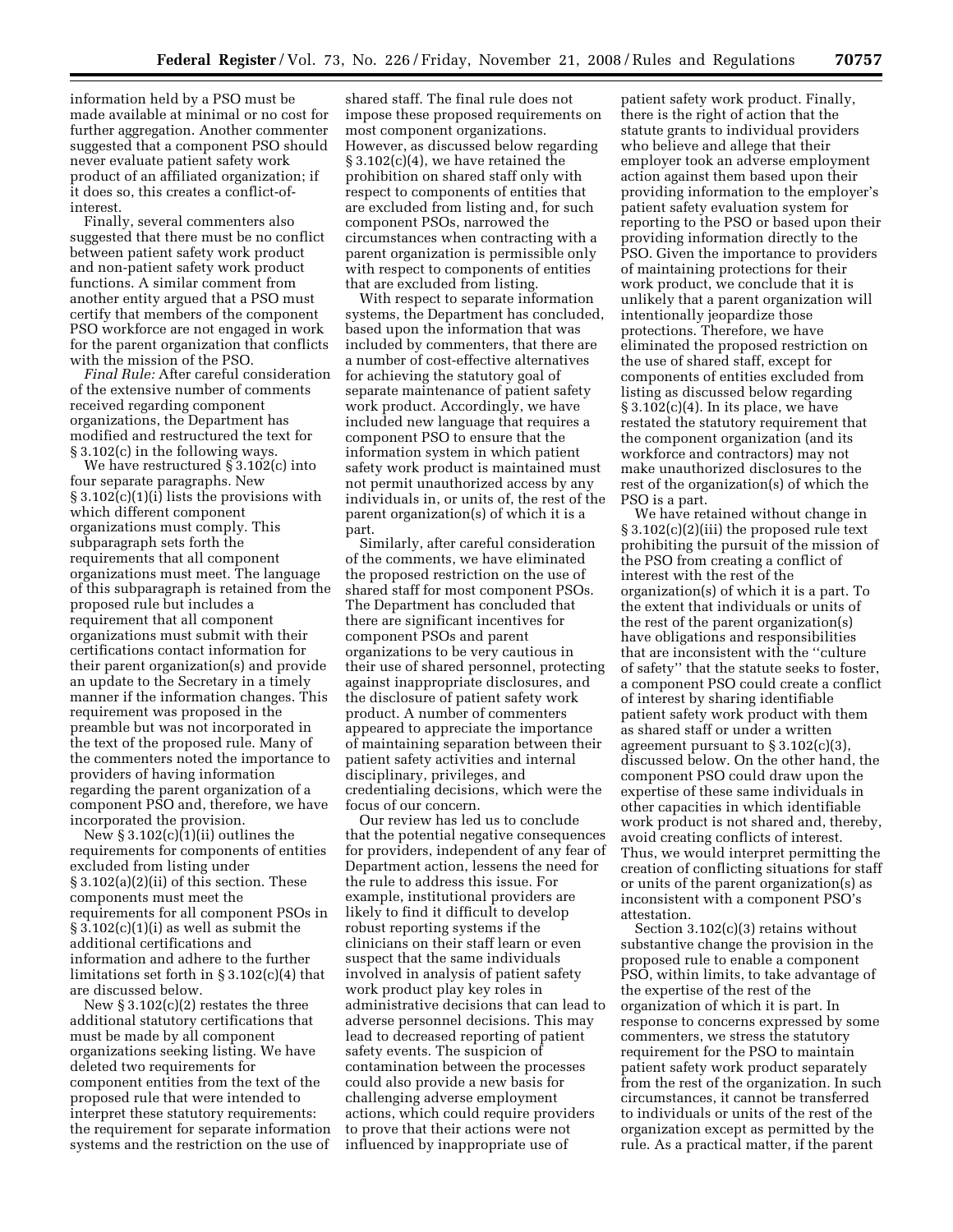information held by a PSO must be made available at minimal or no cost for further aggregation. Another commenter suggested that a component PSO should never evaluate patient safety work product of an affiliated organization; if it does so, this creates a conflict-ofinterest.

Finally, several commenters also suggested that there must be no conflict between patient safety work product and non-patient safety work product functions. A similar comment from another entity argued that a PSO must certify that members of the component PSO workforce are not engaged in work for the parent organization that conflicts with the mission of the PSO.

*Final Rule:* After careful consideration of the extensive number of comments received regarding component organizations, the Department has modified and restructured the text for § 3.102(c) in the following ways.

We have restructured § 3.102(c) into four separate paragraphs. New § 3.102(c)(1)(i) lists the provisions with which different component organizations must comply. This subparagraph sets forth the requirements that all component organizations must meet. The language of this subparagraph is retained from the proposed rule but includes a requirement that all component organizations must submit with their certifications contact information for their parent organization(s) and provide an update to the Secretary in a timely manner if the information changes. This requirement was proposed in the preamble but was not incorporated in the text of the proposed rule. Many of the commenters noted the importance to providers of having information regarding the parent organization of a component PSO and, therefore, we have incorporated the provision.

New  $\S 3.102(c)(1)(ii)$  outlines the requirements for components of entities excluded from listing under § 3.102(a)(2)(ii) of this section. These components must meet the requirements for all component PSOs in  $\S 3.102(c)(1)(i)$  as well as submit the additional certifications and information and adhere to the further limitations set forth in § 3.102(c)(4) that are discussed below.

New  $\S 3.102(c)(2)$  restates the three additional statutory certifications that must be made by all component organizations seeking listing. We have deleted two requirements for component entities from the text of the proposed rule that were intended to interpret these statutory requirements: the requirement for separate information systems and the restriction on the use of

shared staff. The final rule does not impose these proposed requirements on most component organizations. However, as discussed below regarding § 3.102(c)(4), we have retained the prohibition on shared staff only with respect to components of entities that are excluded from listing and, for such component PSOs, narrowed the circumstances when contracting with a parent organization is permissible only with respect to components of entities that are excluded from listing.

With respect to separate information systems, the Department has concluded, based upon the information that was included by commenters, that there are a number of cost-effective alternatives for achieving the statutory goal of separate maintenance of patient safety work product. Accordingly, we have included new language that requires a component PSO to ensure that the information system in which patient safety work product is maintained must not permit unauthorized access by any individuals in, or units of, the rest of the parent organization(s) of which it is a part.

Similarly, after careful consideration of the comments, we have eliminated the proposed restriction on the use of shared staff for most component PSOs. The Department has concluded that there are significant incentives for component PSOs and parent organizations to be very cautious in their use of shared personnel, protecting against inappropriate disclosures, and the disclosure of patient safety work product. A number of commenters appeared to appreciate the importance of maintaining separation between their patient safety activities and internal disciplinary, privileges, and credentialing decisions, which were the focus of our concern.

Our review has led us to conclude that the potential negative consequences for providers, independent of any fear of Department action, lessens the need for the rule to address this issue. For example, institutional providers are likely to find it difficult to develop robust reporting systems if the clinicians on their staff learn or even suspect that the same individuals involved in analysis of patient safety work product play key roles in administrative decisions that can lead to adverse personnel decisions. This may lead to decreased reporting of patient safety events. The suspicion of contamination between the processes could also provide a new basis for challenging adverse employment actions, which could require providers to prove that their actions were not influenced by inappropriate use of

patient safety work product. Finally, there is the right of action that the statute grants to individual providers who believe and allege that their employer took an adverse employment action against them based upon their providing information to the employer's patient safety evaluation system for reporting to the PSO or based upon their providing information directly to the PSO. Given the importance to providers of maintaining protections for their work product, we conclude that it is unlikely that a parent organization will intentionally jeopardize those protections. Therefore, we have eliminated the proposed restriction on the use of shared staff, except for components of entities excluded from listing as discussed below regarding  $§ 3.102(c)(4)$ . In its place, we have restated the statutory requirement that the component organization (and its workforce and contractors) may not make unauthorized disclosures to the rest of the organization(s) of which the PSO is a part.

We have retained without change in § 3.102(c)(2)(iii) the proposed rule text prohibiting the pursuit of the mission of the PSO from creating a conflict of interest with the rest of the organization(s) of which it is a part. To the extent that individuals or units of the rest of the parent organization(s) have obligations and responsibilities that are inconsistent with the ''culture of safety'' that the statute seeks to foster, a component PSO could create a conflict of interest by sharing identifiable patient safety work product with them as shared staff or under a written agreement pursuant to  $\S 3.102(c)(3)$ discussed below. On the other hand, the component PSO could draw upon the expertise of these same individuals in other capacities in which identifiable work product is not shared and, thereby, avoid creating conflicts of interest. Thus, we would interpret permitting the creation of conflicting situations for staff or units of the parent organization(s) as inconsistent with a component PSO's attestation.

Section 3.102(c)(3) retains without substantive change the provision in the proposed rule to enable a component PSO, within limits, to take advantage of the expertise of the rest of the organization of which it is part. In response to concerns expressed by some commenters, we stress the statutory requirement for the PSO to maintain patient safety work product separately from the rest of the organization. In such circumstances, it cannot be transferred to individuals or units of the rest of the organization except as permitted by the rule. As a practical matter, if the parent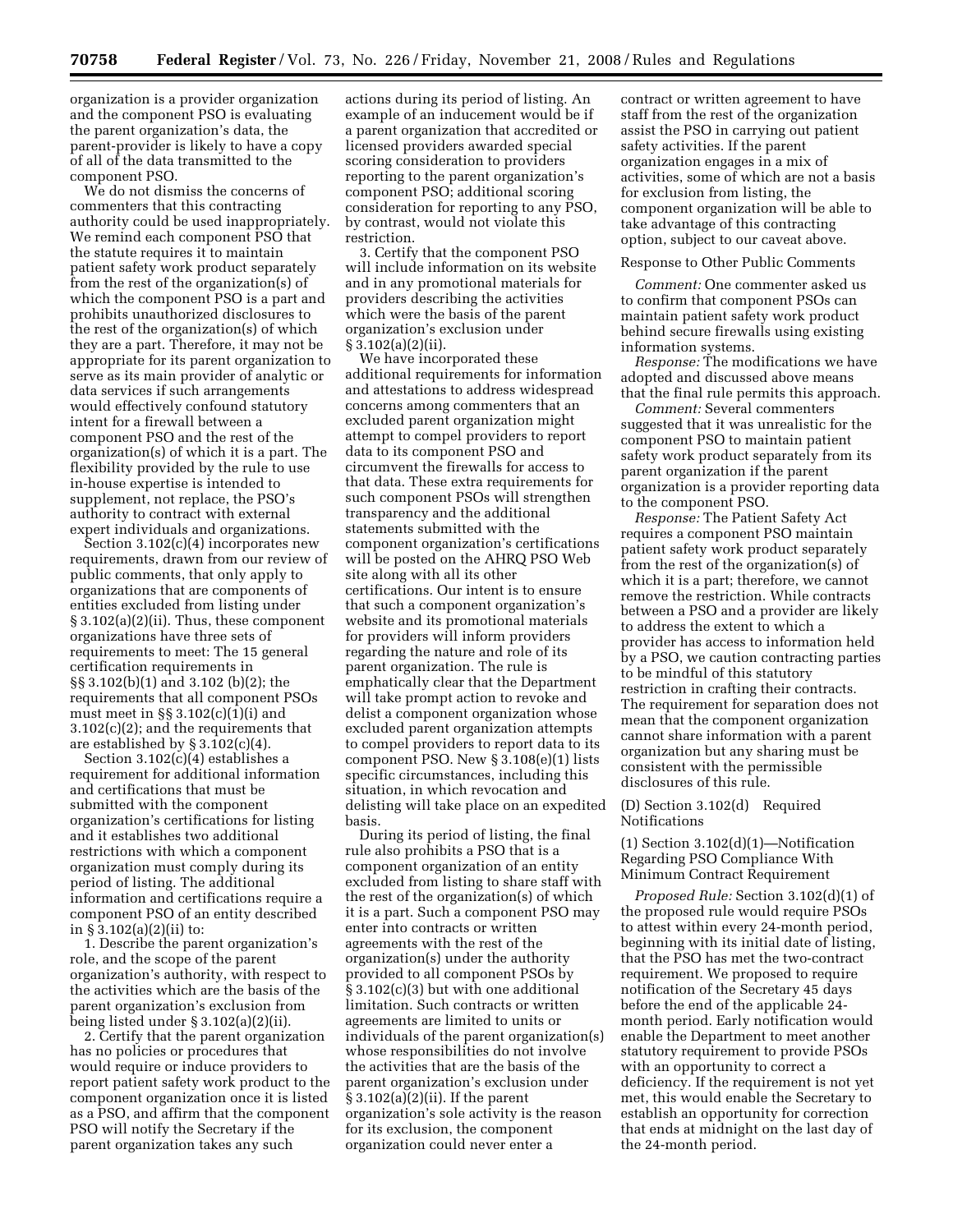organization is a provider organization and the component PSO is evaluating the parent organization's data, the parent-provider is likely to have a copy of all of the data transmitted to the component PSO.

We do not dismiss the concerns of commenters that this contracting authority could be used inappropriately. We remind each component PSO that the statute requires it to maintain patient safety work product separately from the rest of the organization(s) of which the component PSO is a part and prohibits unauthorized disclosures to the rest of the organization(s) of which they are a part. Therefore, it may not be appropriate for its parent organization to serve as its main provider of analytic or data services if such arrangements would effectively confound statutory intent for a firewall between a component PSO and the rest of the organization(s) of which it is a part. The flexibility provided by the rule to use in-house expertise is intended to supplement, not replace, the PSO's authority to contract with external expert individuals and organizations.

Section 3.102(c)(4) incorporates new requirements, drawn from our review of public comments, that only apply to organizations that are components of entities excluded from listing under § 3.102(a)(2)(ii). Thus, these component organizations have three sets of requirements to meet: The 15 general certification requirements in §§ 3.102(b)(1) and 3.102 (b)(2); the requirements that all component PSOs must meet in  $\S$  3.102(c)(1)(i) and 3.102(c)(2); and the requirements that are established by  $\S 3.102(c)(4)$ .

Section  $3.102(c)(4)$  establishes a requirement for additional information and certifications that must be submitted with the component organization's certifications for listing and it establishes two additional restrictions with which a component organization must comply during its period of listing. The additional information and certifications require a component PSO of an entity described in § 3.102(a)(2)(ii) to:

1. Describe the parent organization's role, and the scope of the parent organization's authority, with respect to the activities which are the basis of the parent organization's exclusion from being listed under § 3.102(a)(2)(ii).

2. Certify that the parent organization has no policies or procedures that would require or induce providers to report patient safety work product to the component organization once it is listed as a PSO, and affirm that the component PSO will notify the Secretary if the parent organization takes any such

actions during its period of listing. An example of an inducement would be if a parent organization that accredited or licensed providers awarded special scoring consideration to providers reporting to the parent organization's component PSO; additional scoring consideration for reporting to any PSO, by contrast, would not violate this restriction.

3. Certify that the component PSO will include information on its website and in any promotional materials for providers describing the activities which were the basis of the parent organization's exclusion under § 3.102(a)(2)(ii).

We have incorporated these additional requirements for information and attestations to address widespread concerns among commenters that an excluded parent organization might attempt to compel providers to report data to its component PSO and circumvent the firewalls for access to that data. These extra requirements for such component PSOs will strengthen transparency and the additional statements submitted with the component organization's certifications will be posted on the AHRQ PSO Web site along with all its other certifications. Our intent is to ensure that such a component organization's website and its promotional materials for providers will inform providers regarding the nature and role of its parent organization. The rule is emphatically clear that the Department will take prompt action to revoke and delist a component organization whose excluded parent organization attempts to compel providers to report data to its component PSO. New § 3.108(e)(1) lists specific circumstances, including this situation, in which revocation and delisting will take place on an expedited basis.

During its period of listing, the final rule also prohibits a PSO that is a component organization of an entity excluded from listing to share staff with the rest of the organization(s) of which it is a part. Such a component PSO may enter into contracts or written agreements with the rest of the organization(s) under the authority provided to all component PSOs by § 3.102(c)(3) but with one additional limitation. Such contracts or written agreements are limited to units or individuals of the parent organization(s) whose responsibilities do not involve the activities that are the basis of the parent organization's exclusion under § 3.102(a)(2)(ii). If the parent organization's sole activity is the reason for its exclusion, the component organization could never enter a

contract or written agreement to have staff from the rest of the organization assist the PSO in carrying out patient safety activities. If the parent organization engages in a mix of activities, some of which are not a basis for exclusion from listing, the component organization will be able to take advantage of this contracting option, subject to our caveat above.

## Response to Other Public Comments

*Comment:* One commenter asked us to confirm that component PSOs can maintain patient safety work product behind secure firewalls using existing information systems.

*Response:* The modifications we have adopted and discussed above means that the final rule permits this approach.

*Comment:* Several commenters suggested that it was unrealistic for the component PSO to maintain patient safety work product separately from its parent organization if the parent organization is a provider reporting data to the component PSO.

*Response:* The Patient Safety Act requires a component PSO maintain patient safety work product separately from the rest of the organization(s) of which it is a part; therefore, we cannot remove the restriction. While contracts between a PSO and a provider are likely to address the extent to which a provider has access to information held by a PSO, we caution contracting parties to be mindful of this statutory restriction in crafting their contracts. The requirement for separation does not mean that the component organization cannot share information with a parent organization but any sharing must be consistent with the permissible disclosures of this rule.

# (D) Section 3.102(d) Required Notifications

 $(1)$  Section 3.102 $(d)(1)$ —Notification Regarding PSO Compliance With Minimum Contract Requirement

*Proposed Rule:* Section 3.102(d)(1) of the proposed rule would require PSOs to attest within every 24-month period, beginning with its initial date of listing, that the PSO has met the two-contract requirement. We proposed to require notification of the Secretary 45 days before the end of the applicable 24 month period. Early notification would enable the Department to meet another statutory requirement to provide PSOs with an opportunity to correct a deficiency. If the requirement is not yet met, this would enable the Secretary to establish an opportunity for correction that ends at midnight on the last day of the 24-month period.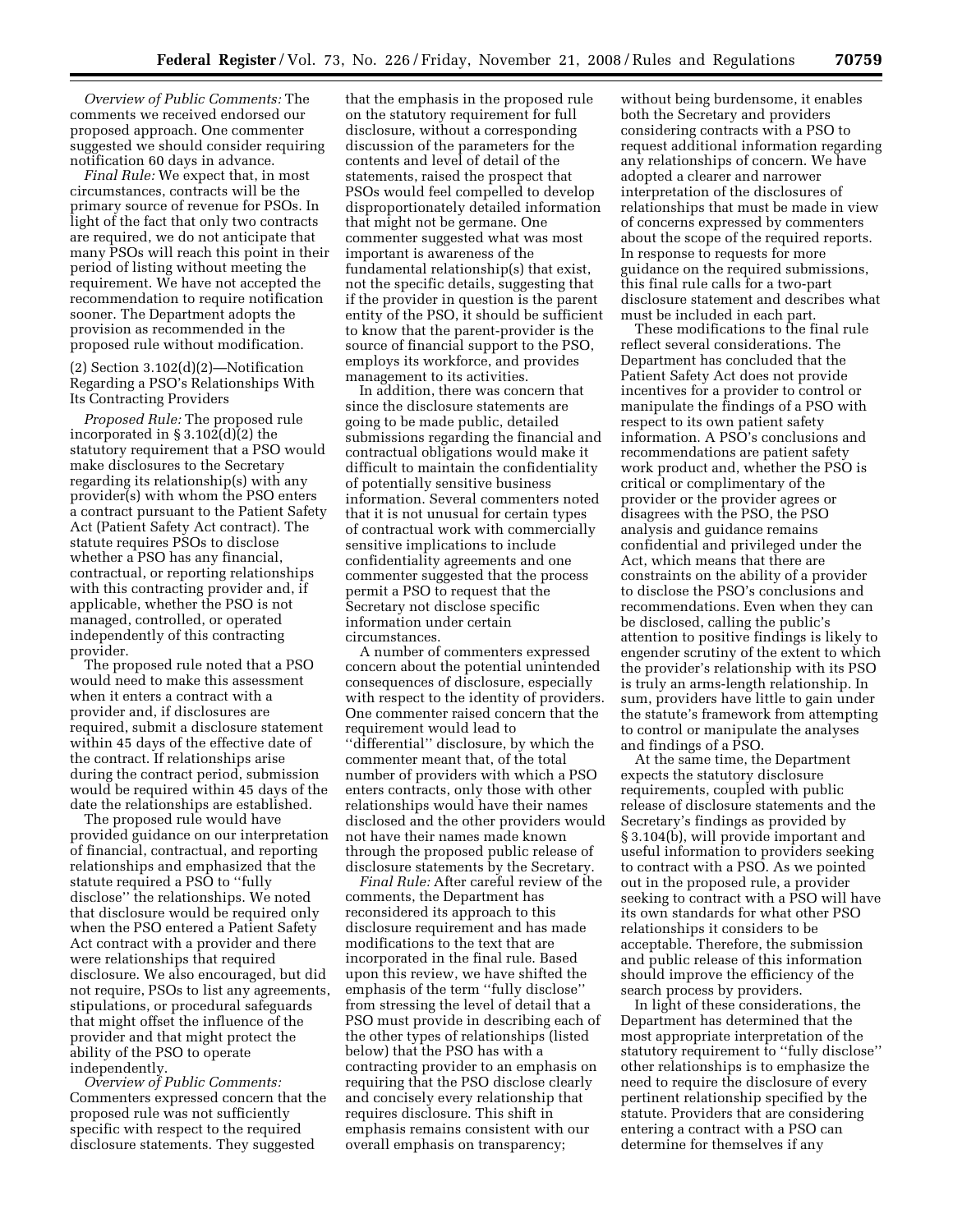*Overview of Public Comments:* The comments we received endorsed our proposed approach. One commenter suggested we should consider requiring notification 60 days in advance.

*Final Rule:* We expect that, in most circumstances, contracts will be the primary source of revenue for PSOs. In light of the fact that only two contracts are required, we do not anticipate that many PSOs will reach this point in their period of listing without meeting the requirement. We have not accepted the recommendation to require notification sooner. The Department adopts the provision as recommended in the proposed rule without modification.

(2) Section 3.102(d)(2)—Notification Regarding a PSO's Relationships With Its Contracting Providers

*Proposed Rule:* The proposed rule incorporated in § 3.102(d)(2) the statutory requirement that a PSO would make disclosures to the Secretary regarding its relationship(s) with any provider(s) with whom the PSO enters a contract pursuant to the Patient Safety Act (Patient Safety Act contract). The statute requires PSOs to disclose whether a PSO has any financial, contractual, or reporting relationships with this contracting provider and, if applicable, whether the PSO is not managed, controlled, or operated independently of this contracting provider.

The proposed rule noted that a PSO would need to make this assessment when it enters a contract with a provider and, if disclosures are required, submit a disclosure statement within 45 days of the effective date of the contract. If relationships arise during the contract period, submission would be required within 45 days of the date the relationships are established.

The proposed rule would have provided guidance on our interpretation of financial, contractual, and reporting relationships and emphasized that the statute required a PSO to ''fully disclose'' the relationships. We noted that disclosure would be required only when the PSO entered a Patient Safety Act contract with a provider and there were relationships that required disclosure. We also encouraged, but did not require, PSOs to list any agreements, stipulations, or procedural safeguards that might offset the influence of the provider and that might protect the ability of the PSO to operate independently.

*Overview of Public Comments:*  Commenters expressed concern that the proposed rule was not sufficiently specific with respect to the required disclosure statements. They suggested

that the emphasis in the proposed rule on the statutory requirement for full disclosure, without a corresponding discussion of the parameters for the contents and level of detail of the statements, raised the prospect that PSOs would feel compelled to develop disproportionately detailed information that might not be germane. One commenter suggested what was most important is awareness of the fundamental relationship(s) that exist, not the specific details, suggesting that if the provider in question is the parent entity of the PSO, it should be sufficient to know that the parent-provider is the source of financial support to the PSO, employs its workforce, and provides management to its activities.

In addition, there was concern that since the disclosure statements are going to be made public, detailed submissions regarding the financial and contractual obligations would make it difficult to maintain the confidentiality of potentially sensitive business information. Several commenters noted that it is not unusual for certain types of contractual work with commercially sensitive implications to include confidentiality agreements and one commenter suggested that the process permit a PSO to request that the Secretary not disclose specific information under certain circumstances.

A number of commenters expressed concern about the potential unintended consequences of disclosure, especially with respect to the identity of providers. One commenter raised concern that the requirement would lead to ''differential'' disclosure, by which the commenter meant that, of the total number of providers with which a PSO enters contracts, only those with other relationships would have their names disclosed and the other providers would not have their names made known through the proposed public release of disclosure statements by the Secretary.

*Final Rule:* After careful review of the comments, the Department has reconsidered its approach to this disclosure requirement and has made modifications to the text that are incorporated in the final rule. Based upon this review, we have shifted the emphasis of the term ''fully disclose'' from stressing the level of detail that a PSO must provide in describing each of the other types of relationships (listed below) that the PSO has with a contracting provider to an emphasis on requiring that the PSO disclose clearly and concisely every relationship that requires disclosure. This shift in emphasis remains consistent with our overall emphasis on transparency;

without being burdensome, it enables both the Secretary and providers considering contracts with a PSO to request additional information regarding any relationships of concern. We have adopted a clearer and narrower interpretation of the disclosures of relationships that must be made in view of concerns expressed by commenters about the scope of the required reports. In response to requests for more guidance on the required submissions, this final rule calls for a two-part disclosure statement and describes what must be included in each part.

These modifications to the final rule reflect several considerations. The Department has concluded that the Patient Safety Act does not provide incentives for a provider to control or manipulate the findings of a PSO with respect to its own patient safety information. A PSO's conclusions and recommendations are patient safety work product and, whether the PSO is critical or complimentary of the provider or the provider agrees or disagrees with the PSO, the PSO analysis and guidance remains confidential and privileged under the Act, which means that there are constraints on the ability of a provider to disclose the PSO's conclusions and recommendations. Even when they can be disclosed, calling the public's attention to positive findings is likely to engender scrutiny of the extent to which the provider's relationship with its PSO is truly an arms-length relationship. In sum, providers have little to gain under the statute's framework from attempting to control or manipulate the analyses and findings of a PSO.

At the same time, the Department expects the statutory disclosure requirements, coupled with public release of disclosure statements and the Secretary's findings as provided by § 3.104(b), will provide important and useful information to providers seeking to contract with a PSO. As we pointed out in the proposed rule, a provider seeking to contract with a PSO will have its own standards for what other PSO relationships it considers to be acceptable. Therefore, the submission and public release of this information should improve the efficiency of the search process by providers.

In light of these considerations, the Department has determined that the most appropriate interpretation of the statutory requirement to ''fully disclose'' other relationships is to emphasize the need to require the disclosure of every pertinent relationship specified by the statute. Providers that are considering entering a contract with a PSO can determine for themselves if any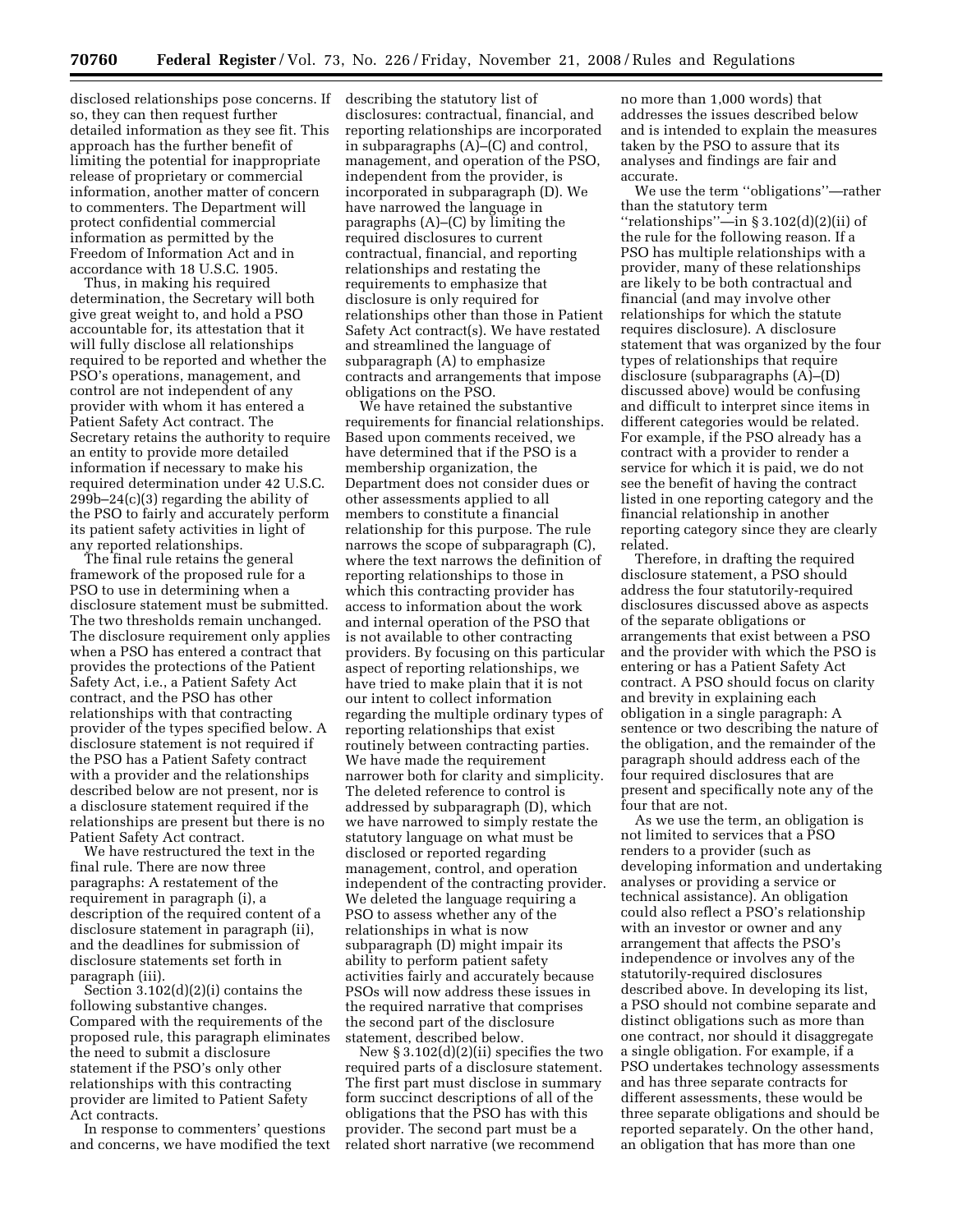disclosed relationships pose concerns. If so, they can then request further detailed information as they see fit. This approach has the further benefit of limiting the potential for inappropriate release of proprietary or commercial information, another matter of concern to commenters. The Department will protect confidential commercial information as permitted by the Freedom of Information Act and in accordance with 18 U.S.C. 1905.

Thus, in making his required determination, the Secretary will both give great weight to, and hold a PSO accountable for, its attestation that it will fully disclose all relationships required to be reported and whether the PSO's operations, management, and control are not independent of any provider with whom it has entered a Patient Safety Act contract. The Secretary retains the authority to require an entity to provide more detailed information if necessary to make his required determination under 42 U.S.C. 299b–24(c)(3) regarding the ability of the PSO to fairly and accurately perform its patient safety activities in light of any reported relationships.

The final rule retains the general framework of the proposed rule for a PSO to use in determining when a disclosure statement must be submitted. The two thresholds remain unchanged. The disclosure requirement only applies when a PSO has entered a contract that provides the protections of the Patient Safety Act, i.e., a Patient Safety Act contract, and the PSO has other relationships with that contracting provider of the types specified below. A disclosure statement is not required if the PSO has a Patient Safety contract with a provider and the relationships described below are not present, nor is a disclosure statement required if the relationships are present but there is no Patient Safety Act contract.

We have restructured the text in the final rule. There are now three paragraphs: A restatement of the requirement in paragraph (i), a description of the required content of a disclosure statement in paragraph (ii), and the deadlines for submission of disclosure statements set forth in paragraph (iii).

Section 3.102(d)(2)(i) contains the following substantive changes. Compared with the requirements of the proposed rule, this paragraph eliminates the need to submit a disclosure statement if the PSO's only other relationships with this contracting provider are limited to Patient Safety Act contracts.

In response to commenters' questions and concerns, we have modified the text describing the statutory list of disclosures: contractual, financial, and reporting relationships are incorporated in subparagraphs (A)–(C) and control, management, and operation of the PSO, independent from the provider, is incorporated in subparagraph (D). We have narrowed the language in paragraphs (A)–(C) by limiting the required disclosures to current contractual, financial, and reporting relationships and restating the requirements to emphasize that disclosure is only required for relationships other than those in Patient Safety Act contract(s). We have restated and streamlined the language of subparagraph (A) to emphasize contracts and arrangements that impose obligations on the PSO.

We have retained the substantive requirements for financial relationships. Based upon comments received, we have determined that if the PSO is a membership organization, the Department does not consider dues or other assessments applied to all members to constitute a financial relationship for this purpose. The rule narrows the scope of subparagraph (C), where the text narrows the definition of reporting relationships to those in which this contracting provider has access to information about the work and internal operation of the PSO that is not available to other contracting providers. By focusing on this particular aspect of reporting relationships, we have tried to make plain that it is not our intent to collect information regarding the multiple ordinary types of reporting relationships that exist routinely between contracting parties. We have made the requirement narrower both for clarity and simplicity. The deleted reference to control is addressed by subparagraph (D), which we have narrowed to simply restate the statutory language on what must be disclosed or reported regarding management, control, and operation independent of the contracting provider. We deleted the language requiring a PSO to assess whether any of the relationships in what is now subparagraph (D) might impair its ability to perform patient safety activities fairly and accurately because PSOs will now address these issues in the required narrative that comprises the second part of the disclosure statement, described below.

New  $\S 3.102(d)(2)(ii)$  specifies the two required parts of a disclosure statement. The first part must disclose in summary form succinct descriptions of all of the obligations that the PSO has with this provider. The second part must be a related short narrative (we recommend

no more than 1,000 words) that addresses the issues described below and is intended to explain the measures taken by the PSO to assure that its analyses and findings are fair and accurate.

We use the term ''obligations''—rather than the statutory term "relationships"—in  $\S 3.102(d)(2)(ii)$  of the rule for the following reason. If a PSO has multiple relationships with a provider, many of these relationships are likely to be both contractual and financial (and may involve other relationships for which the statute requires disclosure). A disclosure statement that was organized by the four types of relationships that require disclosure (subparagraphs (A)–(D) discussed above) would be confusing and difficult to interpret since items in different categories would be related. For example, if the PSO already has a contract with a provider to render a service for which it is paid, we do not see the benefit of having the contract listed in one reporting category and the financial relationship in another reporting category since they are clearly related.

Therefore, in drafting the required disclosure statement, a PSO should address the four statutorily-required disclosures discussed above as aspects of the separate obligations or arrangements that exist between a PSO and the provider with which the PSO is entering or has a Patient Safety Act contract. A PSO should focus on clarity and brevity in explaining each obligation in a single paragraph: A sentence or two describing the nature of the obligation, and the remainder of the paragraph should address each of the four required disclosures that are present and specifically note any of the four that are not.

As we use the term, an obligation is not limited to services that a PSO renders to a provider (such as developing information and undertaking analyses or providing a service or technical assistance). An obligation could also reflect a PSO's relationship with an investor or owner and any arrangement that affects the PSO's independence or involves any of the statutorily-required disclosures described above. In developing its list, a PSO should not combine separate and distinct obligations such as more than one contract, nor should it disaggregate a single obligation. For example, if a PSO undertakes technology assessments and has three separate contracts for different assessments, these would be three separate obligations and should be reported separately. On the other hand, an obligation that has more than one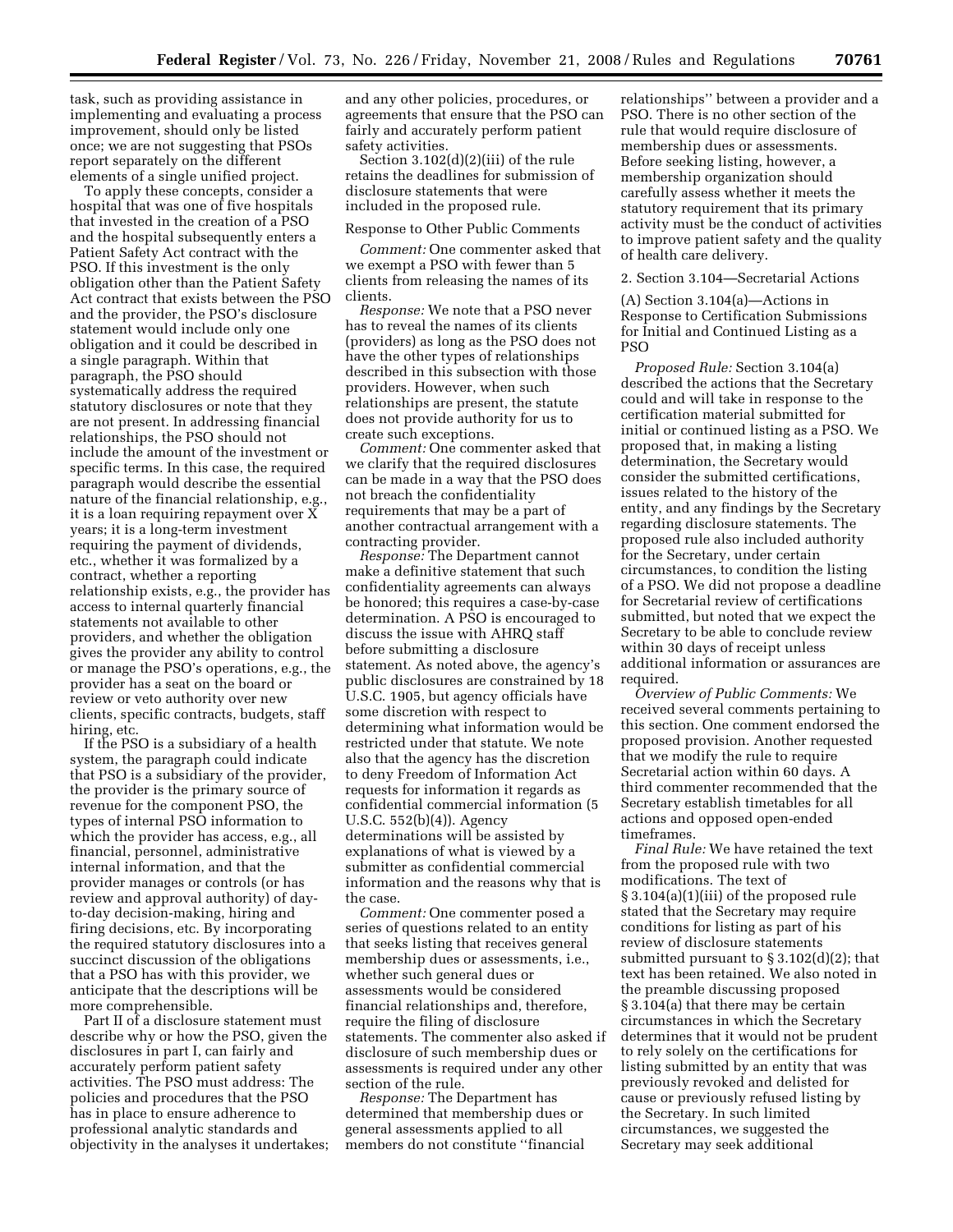task, such as providing assistance in implementing and evaluating a process improvement, should only be listed once; we are not suggesting that PSOs report separately on the different elements of a single unified project.

To apply these concepts, consider a hospital that was one of five hospitals that invested in the creation of a PSO and the hospital subsequently enters a Patient Safety Act contract with the PSO. If this investment is the only obligation other than the Patient Safety Act contract that exists between the PSO and the provider, the PSO's disclosure statement would include only one obligation and it could be described in a single paragraph. Within that paragraph, the PSO should systematically address the required statutory disclosures or note that they are not present. In addressing financial relationships, the PSO should not include the amount of the investment or specific terms. In this case, the required paragraph would describe the essential nature of the financial relationship, e.g., it is a loan requiring repayment over X years; it is a long-term investment requiring the payment of dividends, etc., whether it was formalized by a contract, whether a reporting relationship exists, e.g., the provider has access to internal quarterly financial statements not available to other providers, and whether the obligation gives the provider any ability to control or manage the PSO's operations, e.g., the provider has a seat on the board or review or veto authority over new clients, specific contracts, budgets, staff hiring, etc.

If the PSO is a subsidiary of a health system, the paragraph could indicate that PSO is a subsidiary of the provider, the provider is the primary source of revenue for the component PSO, the types of internal PSO information to which the provider has access, e.g., all financial, personnel, administrative internal information, and that the provider manages or controls (or has review and approval authority) of dayto-day decision-making, hiring and firing decisions, etc. By incorporating the required statutory disclosures into a succinct discussion of the obligations that a PSO has with this provider, we anticipate that the descriptions will be more comprehensible.

Part II of a disclosure statement must describe why or how the PSO, given the disclosures in part I, can fairly and accurately perform patient safety activities. The PSO must address: The policies and procedures that the PSO has in place to ensure adherence to professional analytic standards and objectivity in the analyses it undertakes; and any other policies, procedures, or agreements that ensure that the PSO can fairly and accurately perform patient safety activities.

Section  $3.102(d)(2)(iii)$  of the rule retains the deadlines for submission of disclosure statements that were included in the proposed rule.

### Response to Other Public Comments

*Comment:* One commenter asked that we exempt a PSO with fewer than 5 clients from releasing the names of its clients.

*Response:* We note that a PSO never has to reveal the names of its clients (providers) as long as the PSO does not have the other types of relationships described in this subsection with those providers. However, when such relationships are present, the statute does not provide authority for us to create such exceptions.

*Comment:* One commenter asked that we clarify that the required disclosures can be made in a way that the PSO does not breach the confidentiality requirements that may be a part of another contractual arrangement with a contracting provider.

*Response:* The Department cannot make a definitive statement that such confidentiality agreements can always be honored; this requires a case-by-case determination. A PSO is encouraged to discuss the issue with AHRQ staff before submitting a disclosure statement. As noted above, the agency's public disclosures are constrained by 18 U.S.C. 1905, but agency officials have some discretion with respect to determining what information would be restricted under that statute. We note also that the agency has the discretion to deny Freedom of Information Act requests for information it regards as confidential commercial information (5 U.S.C. 552(b)(4)). Agency determinations will be assisted by explanations of what is viewed by a submitter as confidential commercial information and the reasons why that is the case.

*Comment:* One commenter posed a series of questions related to an entity that seeks listing that receives general membership dues or assessments, i.e., whether such general dues or assessments would be considered financial relationships and, therefore, require the filing of disclosure statements. The commenter also asked if disclosure of such membership dues or assessments is required under any other section of the rule.

*Response:* The Department has determined that membership dues or general assessments applied to all members do not constitute ''financial

relationships'' between a provider and a PSO. There is no other section of the rule that would require disclosure of membership dues or assessments. Before seeking listing, however, a membership organization should carefully assess whether it meets the statutory requirement that its primary activity must be the conduct of activities to improve patient safety and the quality of health care delivery.

#### 2. Section 3.104—Secretarial Actions

(A) Section 3.104(a)—Actions in Response to Certification Submissions for Initial and Continued Listing as a PSO

*Proposed Rule:* Section 3.104(a) described the actions that the Secretary could and will take in response to the certification material submitted for initial or continued listing as a PSO. We proposed that, in making a listing determination, the Secretary would consider the submitted certifications, issues related to the history of the entity, and any findings by the Secretary regarding disclosure statements. The proposed rule also included authority for the Secretary, under certain circumstances, to condition the listing of a PSO. We did not propose a deadline for Secretarial review of certifications submitted, but noted that we expect the Secretary to be able to conclude review within 30 days of receipt unless additional information or assurances are required.

*Overview of Public Comments:* We received several comments pertaining to this section. One comment endorsed the proposed provision. Another requested that we modify the rule to require Secretarial action within 60 days. A third commenter recommended that the Secretary establish timetables for all actions and opposed open-ended timeframes.

*Final Rule:* We have retained the text from the proposed rule with two modifications. The text of § 3.104(a)(1)(iii) of the proposed rule stated that the Secretary may require conditions for listing as part of his review of disclosure statements submitted pursuant to § 3.102(d)(2); that text has been retained. We also noted in the preamble discussing proposed § 3.104(a) that there may be certain circumstances in which the Secretary determines that it would not be prudent to rely solely on the certifications for listing submitted by an entity that was previously revoked and delisted for cause or previously refused listing by the Secretary. In such limited circumstances, we suggested the Secretary may seek additional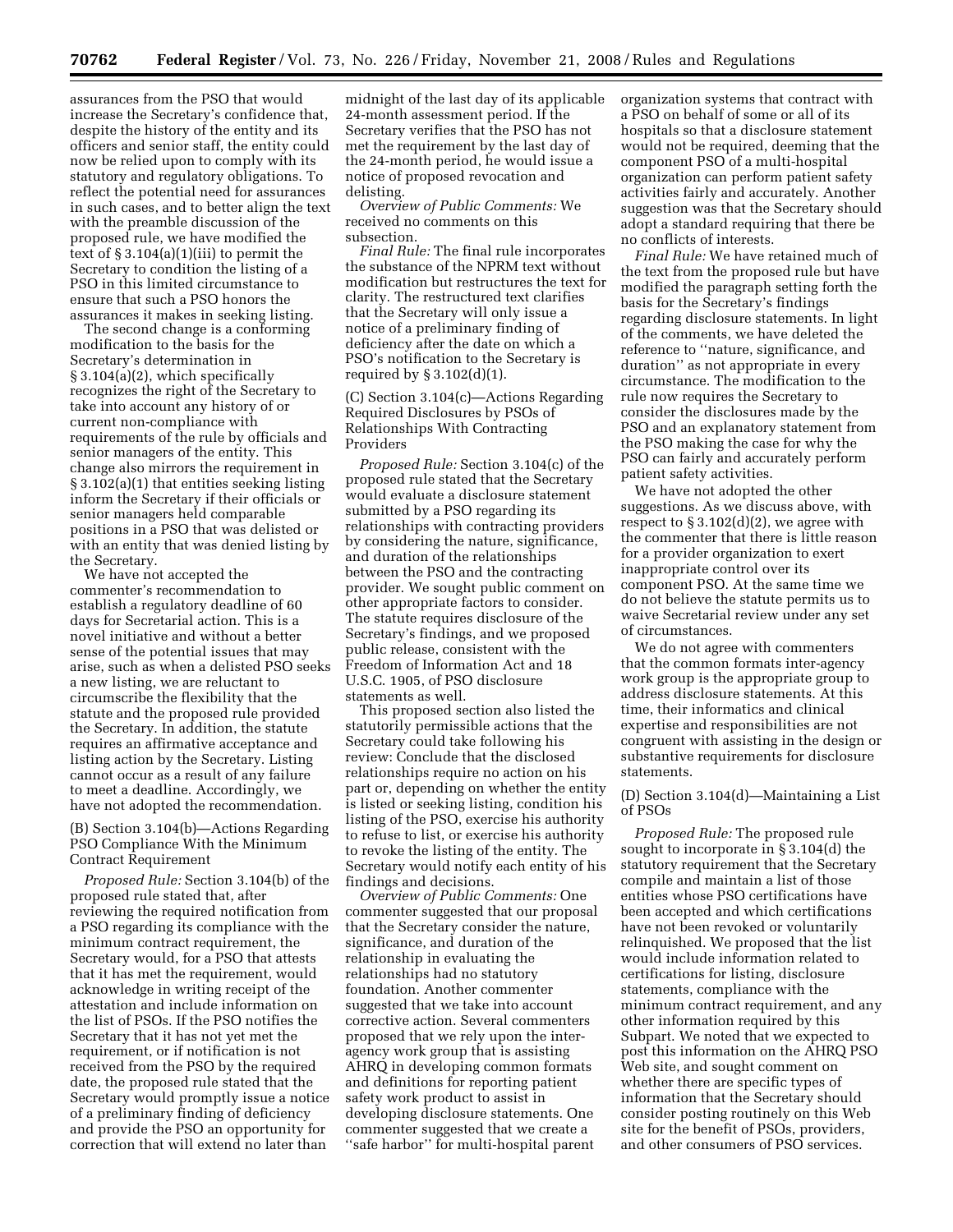assurances from the PSO that would increase the Secretary's confidence that, despite the history of the entity and its officers and senior staff, the entity could now be relied upon to comply with its statutory and regulatory obligations. To reflect the potential need for assurances in such cases, and to better align the text with the preamble discussion of the proposed rule, we have modified the text of  $\S 3.104(a)(1)(iii)$  to permit the Secretary to condition the listing of a PSO in this limited circumstance to ensure that such a PSO honors the assurances it makes in seeking listing.

The second change is a conforming modification to the basis for the Secretary's determination in § 3.104(a)(2), which specifically recognizes the right of the Secretary to take into account any history of or current non-compliance with requirements of the rule by officials and senior managers of the entity. This change also mirrors the requirement in § 3.102(a)(1) that entities seeking listing inform the Secretary if their officials or senior managers held comparable positions in a PSO that was delisted or with an entity that was denied listing by the Secretary.

We have not accepted the commenter's recommendation to establish a regulatory deadline of 60 days for Secretarial action. This is a novel initiative and without a better sense of the potential issues that may arise, such as when a delisted PSO seeks a new listing, we are reluctant to circumscribe the flexibility that the statute and the proposed rule provided the Secretary. In addition, the statute requires an affirmative acceptance and listing action by the Secretary. Listing cannot occur as a result of any failure to meet a deadline. Accordingly, we have not adopted the recommendation.

(B) Section 3.104(b)—Actions Regarding PSO Compliance With the Minimum Contract Requirement

*Proposed Rule:* Section 3.104(b) of the proposed rule stated that, after reviewing the required notification from a PSO regarding its compliance with the minimum contract requirement, the Secretary would, for a PSO that attests that it has met the requirement, would acknowledge in writing receipt of the attestation and include information on the list of PSOs. If the PSO notifies the Secretary that it has not yet met the requirement, or if notification is not received from the PSO by the required date, the proposed rule stated that the Secretary would promptly issue a notice of a preliminary finding of deficiency and provide the PSO an opportunity for correction that will extend no later than

midnight of the last day of its applicable 24-month assessment period. If the Secretary verifies that the PSO has not met the requirement by the last day of the 24-month period, he would issue a notice of proposed revocation and delisting.

*Overview of Public Comments:* We received no comments on this subsection.

*Final Rule:* The final rule incorporates the substance of the NPRM text without modification but restructures the text for clarity. The restructured text clarifies that the Secretary will only issue a notice of a preliminary finding of deficiency after the date on which a PSO's notification to the Secretary is required by § 3.102(d)(1).

(C) Section 3.104(c)—Actions Regarding Required Disclosures by PSOs of Relationships With Contracting Providers

*Proposed Rule:* Section 3.104(c) of the proposed rule stated that the Secretary would evaluate a disclosure statement submitted by a PSO regarding its relationships with contracting providers by considering the nature, significance, and duration of the relationships between the PSO and the contracting provider. We sought public comment on other appropriate factors to consider. The statute requires disclosure of the Secretary's findings, and we proposed public release, consistent with the Freedom of Information Act and 18 U.S.C. 1905, of PSO disclosure statements as well.

This proposed section also listed the statutorily permissible actions that the Secretary could take following his review: Conclude that the disclosed relationships require no action on his part or, depending on whether the entity is listed or seeking listing, condition his listing of the PSO, exercise his authority to refuse to list, or exercise his authority to revoke the listing of the entity. The Secretary would notify each entity of his findings and decisions.

*Overview of Public Comments:* One commenter suggested that our proposal that the Secretary consider the nature, significance, and duration of the relationship in evaluating the relationships had no statutory foundation. Another commenter suggested that we take into account corrective action. Several commenters proposed that we rely upon the interagency work group that is assisting AHRQ in developing common formats and definitions for reporting patient safety work product to assist in developing disclosure statements. One commenter suggested that we create a ''safe harbor'' for multi-hospital parent

organization systems that contract with a PSO on behalf of some or all of its hospitals so that a disclosure statement would not be required, deeming that the component PSO of a multi-hospital organization can perform patient safety activities fairly and accurately. Another suggestion was that the Secretary should adopt a standard requiring that there be no conflicts of interests.

*Final Rule:* We have retained much of the text from the proposed rule but have modified the paragraph setting forth the basis for the Secretary's findings regarding disclosure statements. In light of the comments, we have deleted the reference to ''nature, significance, and duration'' as not appropriate in every circumstance. The modification to the rule now requires the Secretary to consider the disclosures made by the PSO and an explanatory statement from the PSO making the case for why the PSO can fairly and accurately perform patient safety activities.

We have not adopted the other suggestions. As we discuss above, with respect to  $\S 3.102(d)(2)$ , we agree with the commenter that there is little reason for a provider organization to exert inappropriate control over its component PSO. At the same time we do not believe the statute permits us to waive Secretarial review under any set of circumstances.

We do not agree with commenters that the common formats inter-agency work group is the appropriate group to address disclosure statements. At this time, their informatics and clinical expertise and responsibilities are not congruent with assisting in the design or substantive requirements for disclosure statements.

(D) Section 3.104(d)—Maintaining a List of PSOs

*Proposed Rule:* The proposed rule sought to incorporate in § 3.104(d) the statutory requirement that the Secretary compile and maintain a list of those entities whose PSO certifications have been accepted and which certifications have not been revoked or voluntarily relinquished. We proposed that the list would include information related to certifications for listing, disclosure statements, compliance with the minimum contract requirement, and any other information required by this Subpart. We noted that we expected to post this information on the AHRQ PSO Web site, and sought comment on whether there are specific types of information that the Secretary should consider posting routinely on this Web site for the benefit of PSOs, providers, and other consumers of PSO services.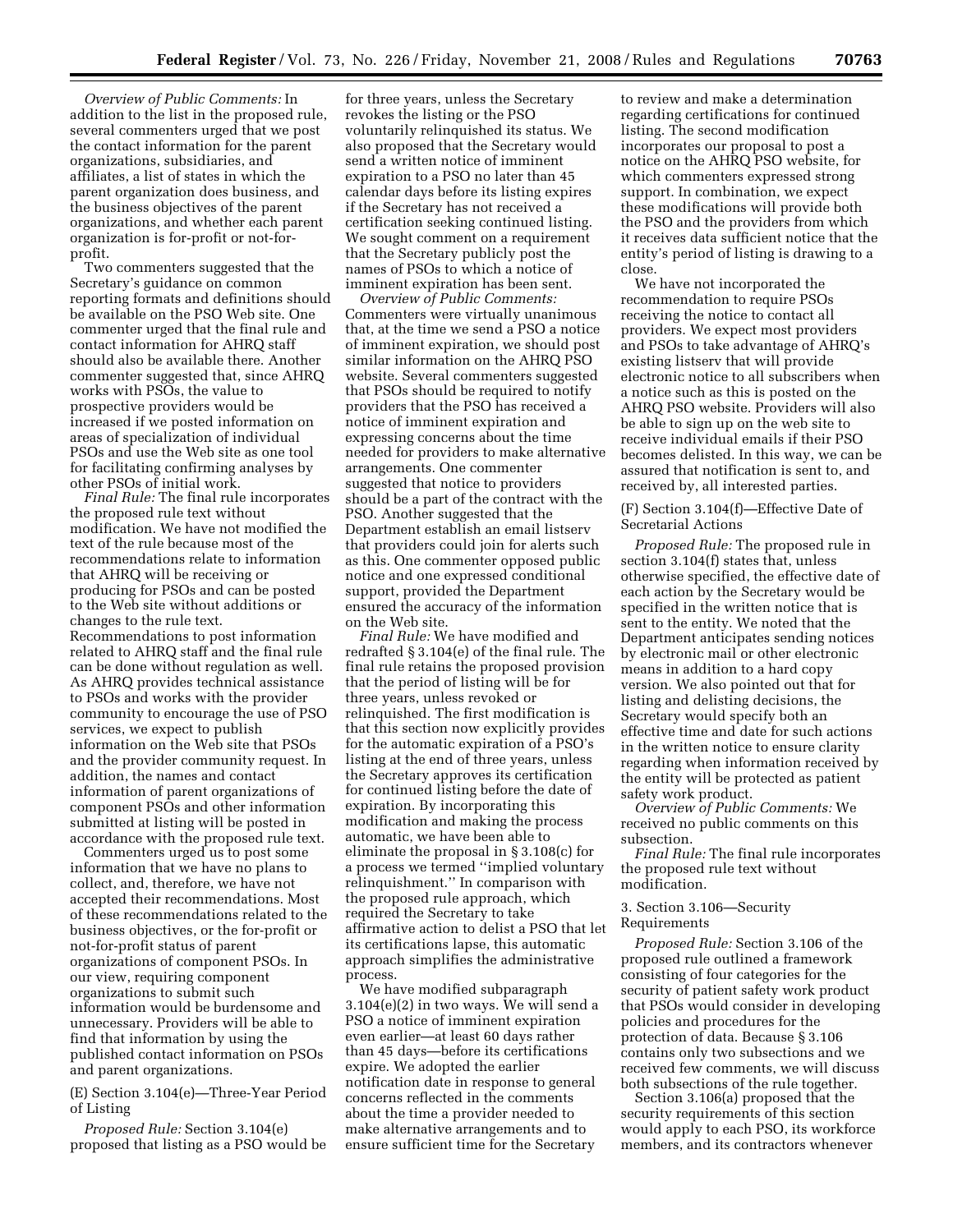*Overview of Public Comments:* In addition to the list in the proposed rule, several commenters urged that we post the contact information for the parent organizations, subsidiaries, and affiliates, a list of states in which the parent organization does business, and the business objectives of the parent organizations, and whether each parent organization is for-profit or not-forprofit.

Two commenters suggested that the Secretary's guidance on common reporting formats and definitions should be available on the PSO Web site. One commenter urged that the final rule and contact information for AHRQ staff should also be available there. Another commenter suggested that, since AHRQ works with PSOs, the value to prospective providers would be increased if we posted information on areas of specialization of individual PSOs and use the Web site as one tool for facilitating confirming analyses by other PSOs of initial work.

*Final Rule:* The final rule incorporates the proposed rule text without modification. We have not modified the text of the rule because most of the recommendations relate to information that AHRQ will be receiving or producing for PSOs and can be posted to the Web site without additions or changes to the rule text. Recommendations to post information related to AHRQ staff and the final rule can be done without regulation as well. As AHRQ provides technical assistance to PSOs and works with the provider community to encourage the use of PSO services, we expect to publish information on the Web site that PSOs and the provider community request. In addition, the names and contact information of parent organizations of component PSOs and other information submitted at listing will be posted in accordance with the proposed rule text.

Commenters urged us to post some information that we have no plans to collect, and, therefore, we have not accepted their recommendations. Most of these recommendations related to the business objectives, or the for-profit or not-for-profit status of parent organizations of component PSOs. In our view, requiring component organizations to submit such information would be burdensome and unnecessary. Providers will be able to find that information by using the published contact information on PSOs and parent organizations.

(E) Section 3.104(e)—Three-Year Period of Listing

*Proposed Rule:* Section 3.104(e) proposed that listing as a PSO would be

for three years, unless the Secretary revokes the listing or the PSO voluntarily relinquished its status. We also proposed that the Secretary would send a written notice of imminent expiration to a PSO no later than 45 calendar days before its listing expires if the Secretary has not received a certification seeking continued listing. We sought comment on a requirement that the Secretary publicly post the names of PSOs to which a notice of imminent expiration has been sent.

*Overview of Public Comments:*  Commenters were virtually unanimous that, at the time we send a PSO a notice of imminent expiration, we should post similar information on the AHRQ PSO website. Several commenters suggested that PSOs should be required to notify providers that the PSO has received a notice of imminent expiration and expressing concerns about the time needed for providers to make alternative arrangements. One commenter suggested that notice to providers should be a part of the contract with the PSO. Another suggested that the Department establish an email listserv that providers could join for alerts such as this. One commenter opposed public notice and one expressed conditional support, provided the Department ensured the accuracy of the information on the Web site.

*Final Rule:* We have modified and redrafted § 3.104(e) of the final rule. The final rule retains the proposed provision that the period of listing will be for three years, unless revoked or relinquished. The first modification is that this section now explicitly provides for the automatic expiration of a PSO's listing at the end of three years, unless the Secretary approves its certification for continued listing before the date of expiration. By incorporating this modification and making the process automatic, we have been able to eliminate the proposal in § 3.108(c) for a process we termed ''implied voluntary relinquishment.'' In comparison with the proposed rule approach, which required the Secretary to take affirmative action to delist a PSO that let its certifications lapse, this automatic approach simplifies the administrative process.

We have modified subparagraph 3.104(e)(2) in two ways. We will send a PSO a notice of imminent expiration even earlier—at least 60 days rather than 45 days—before its certifications expire. We adopted the earlier notification date in response to general concerns reflected in the comments about the time a provider needed to make alternative arrangements and to ensure sufficient time for the Secretary

to review and make a determination regarding certifications for continued listing. The second modification incorporates our proposal to post a notice on the AHRQ PSO website, for which commenters expressed strong support. In combination, we expect these modifications will provide both the PSO and the providers from which it receives data sufficient notice that the entity's period of listing is drawing to a close.

We have not incorporated the recommendation to require PSOs receiving the notice to contact all providers. We expect most providers and PSOs to take advantage of AHRQ's existing listserv that will provide electronic notice to all subscribers when a notice such as this is posted on the AHRQ PSO website. Providers will also be able to sign up on the web site to receive individual emails if their PSO becomes delisted. In this way, we can be assured that notification is sent to, and received by, all interested parties.

(F) Section 3.104(f)—Effective Date of Secretarial Actions

*Proposed Rule:* The proposed rule in section 3.104(f) states that, unless otherwise specified, the effective date of each action by the Secretary would be specified in the written notice that is sent to the entity. We noted that the Department anticipates sending notices by electronic mail or other electronic means in addition to a hard copy version. We also pointed out that for listing and delisting decisions, the Secretary would specify both an effective time and date for such actions in the written notice to ensure clarity regarding when information received by the entity will be protected as patient safety work product.

*Overview of Public Comments:* We received no public comments on this subsection.

*Final Rule:* The final rule incorporates the proposed rule text without modification.

# 3. Section 3.106—Security Requirements

*Proposed Rule:* Section 3.106 of the proposed rule outlined a framework consisting of four categories for the security of patient safety work product that PSOs would consider in developing policies and procedures for the protection of data. Because § 3.106 contains only two subsections and we received few comments, we will discuss both subsections of the rule together.

Section 3.106(a) proposed that the security requirements of this section would apply to each PSO, its workforce members, and its contractors whenever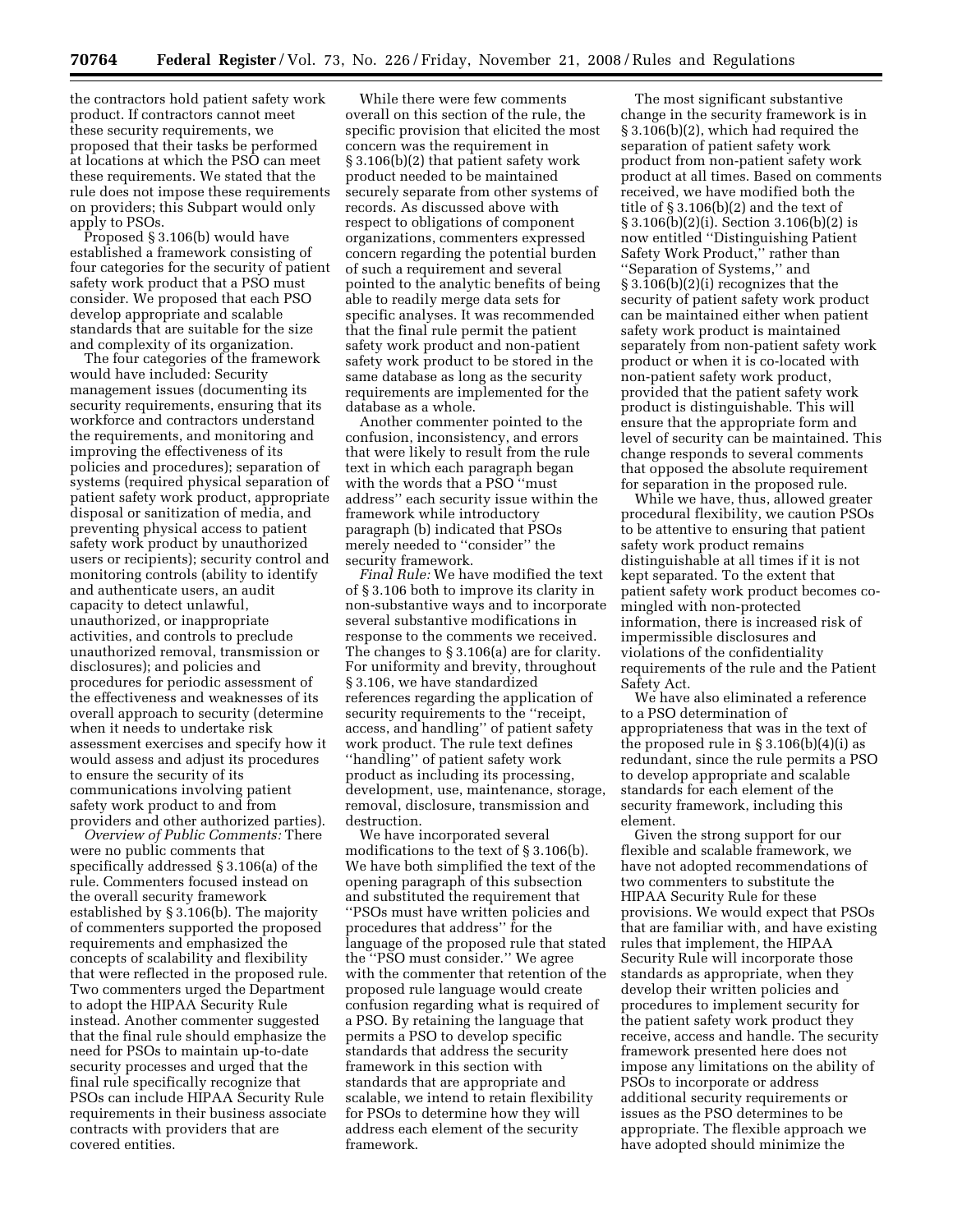the contractors hold patient safety work product. If contractors cannot meet these security requirements, we proposed that their tasks be performed at locations at which the PSO can meet these requirements. We stated that the rule does not impose these requirements on providers; this Subpart would only apply to PSOs.

Proposed § 3.106(b) would have established a framework consisting of four categories for the security of patient safety work product that a PSO must consider. We proposed that each PSO develop appropriate and scalable standards that are suitable for the size and complexity of its organization.

The four categories of the framework would have included: Security management issues (documenting its security requirements, ensuring that its workforce and contractors understand the requirements, and monitoring and improving the effectiveness of its policies and procedures); separation of systems (required physical separation of patient safety work product, appropriate disposal or sanitization of media, and preventing physical access to patient safety work product by unauthorized users or recipients); security control and monitoring controls (ability to identify and authenticate users, an audit capacity to detect unlawful, unauthorized, or inappropriate activities, and controls to preclude unauthorized removal, transmission or disclosures); and policies and procedures for periodic assessment of the effectiveness and weaknesses of its overall approach to security (determine when it needs to undertake risk assessment exercises and specify how it would assess and adjust its procedures to ensure the security of its communications involving patient safety work product to and from providers and other authorized parties).

*Overview of Public Comments:* There were no public comments that specifically addressed § 3.106(a) of the rule. Commenters focused instead on the overall security framework established by § 3.106(b). The majority of commenters supported the proposed requirements and emphasized the concepts of scalability and flexibility that were reflected in the proposed rule. Two commenters urged the Department to adopt the HIPAA Security Rule instead. Another commenter suggested that the final rule should emphasize the need for PSOs to maintain up-to-date security processes and urged that the final rule specifically recognize that PSOs can include HIPAA Security Rule requirements in their business associate contracts with providers that are covered entities.

While there were few comments overall on this section of the rule, the specific provision that elicited the most concern was the requirement in § 3.106(b)(2) that patient safety work product needed to be maintained securely separate from other systems of records. As discussed above with respect to obligations of component organizations, commenters expressed concern regarding the potential burden of such a requirement and several pointed to the analytic benefits of being able to readily merge data sets for specific analyses. It was recommended that the final rule permit the patient safety work product and non-patient safety work product to be stored in the same database as long as the security requirements are implemented for the database as a whole.

Another commenter pointed to the confusion, inconsistency, and errors that were likely to result from the rule text in which each paragraph began with the words that a PSO ''must address'' each security issue within the framework while introductory paragraph (b) indicated that PSOs merely needed to ''consider'' the security framework.

*Final Rule:* We have modified the text of § 3.106 both to improve its clarity in non-substantive ways and to incorporate several substantive modifications in response to the comments we received. The changes to § 3.106(a) are for clarity. For uniformity and brevity, throughout § 3.106, we have standardized references regarding the application of security requirements to the ''receipt, access, and handling'' of patient safety work product. The rule text defines ''handling'' of patient safety work product as including its processing, development, use, maintenance, storage, removal, disclosure, transmission and destruction.

We have incorporated several modifications to the text of § 3.106(b). We have both simplified the text of the opening paragraph of this subsection and substituted the requirement that ''PSOs must have written policies and procedures that address'' for the language of the proposed rule that stated the ''PSO must consider.'' We agree with the commenter that retention of the proposed rule language would create confusion regarding what is required of a PSO. By retaining the language that permits a PSO to develop specific standards that address the security framework in this section with standards that are appropriate and scalable, we intend to retain flexibility for PSOs to determine how they will address each element of the security framework.

The most significant substantive change in the security framework is in § 3.106(b)(2), which had required the separation of patient safety work product from non-patient safety work product at all times. Based on comments received, we have modified both the title of § 3.106(b)(2) and the text of § 3.106(b)(2)(i). Section 3.106(b)(2) is now entitled ''Distinguishing Patient Safety Work Product,'' rather than ''Separation of Systems,'' and § 3.106(b)(2)(i) recognizes that the security of patient safety work product can be maintained either when patient safety work product is maintained separately from non-patient safety work product or when it is co-located with non-patient safety work product, provided that the patient safety work product is distinguishable. This will ensure that the appropriate form and level of security can be maintained. This change responds to several comments that opposed the absolute requirement for separation in the proposed rule.

While we have, thus, allowed greater procedural flexibility, we caution PSOs to be attentive to ensuring that patient safety work product remains distinguishable at all times if it is not kept separated. To the extent that patient safety work product becomes comingled with non-protected information, there is increased risk of impermissible disclosures and violations of the confidentiality requirements of the rule and the Patient Safety Act.

We have also eliminated a reference to a PSO determination of appropriateness that was in the text of the proposed rule in  $\S 3.106(b)(4)(i)$  as redundant, since the rule permits a PSO to develop appropriate and scalable standards for each element of the security framework, including this element.

Given the strong support for our flexible and scalable framework, we have not adopted recommendations of two commenters to substitute the HIPAA Security Rule for these provisions. We would expect that PSOs that are familiar with, and have existing rules that implement, the HIPAA Security Rule will incorporate those standards as appropriate, when they develop their written policies and procedures to implement security for the patient safety work product they receive, access and handle. The security framework presented here does not impose any limitations on the ability of PSOs to incorporate or address additional security requirements or issues as the PSO determines to be appropriate. The flexible approach we have adopted should minimize the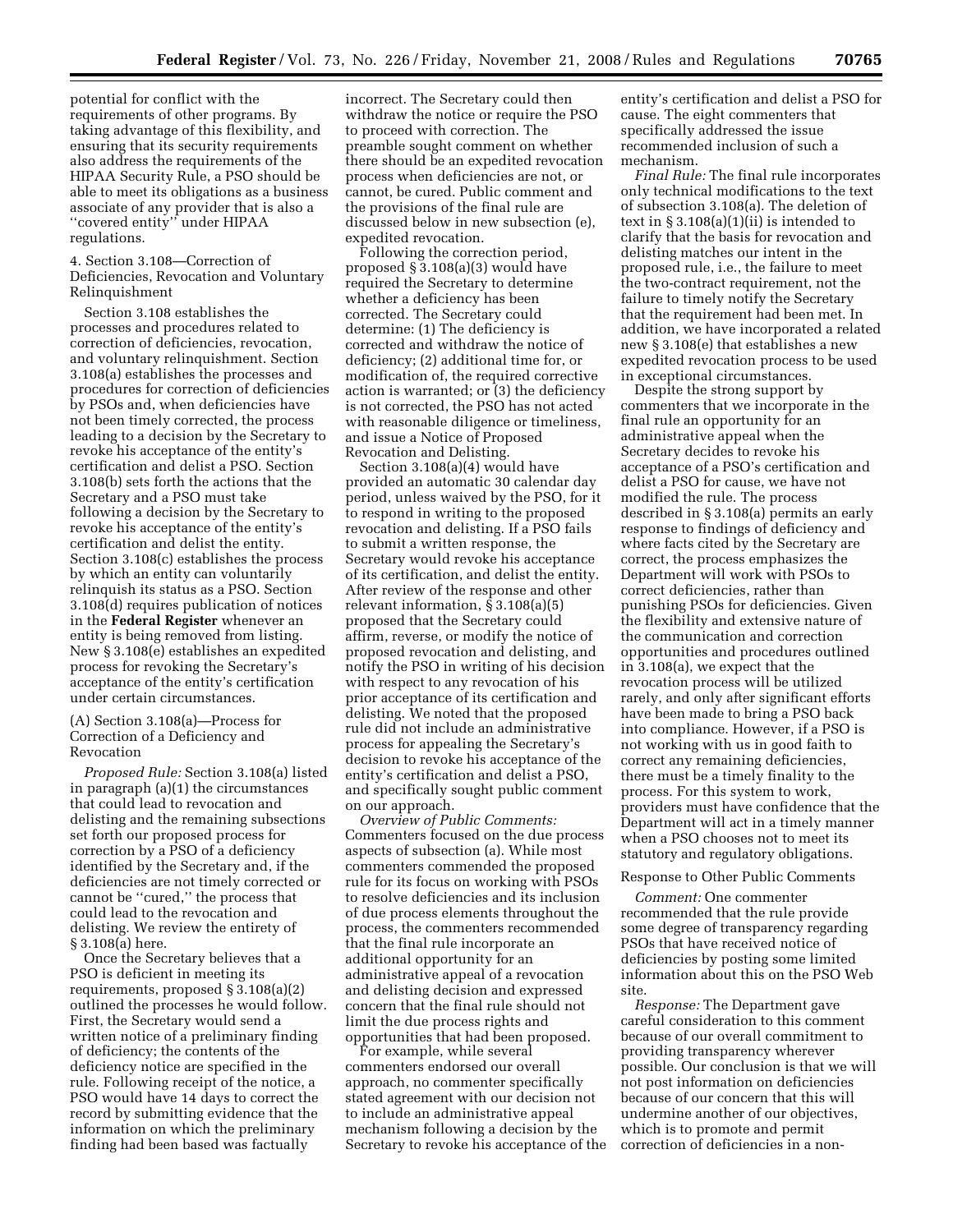potential for conflict with the requirements of other programs. By taking advantage of this flexibility, and ensuring that its security requirements also address the requirements of the HIPAA Security Rule, a PSO should be able to meet its obligations as a business associate of any provider that is also a ''covered entity'' under HIPAA regulations.

## 4. Section 3.108—Correction of Deficiencies, Revocation and Voluntary Relinquishment

Section 3.108 establishes the processes and procedures related to correction of deficiencies, revocation, and voluntary relinquishment. Section 3.108(a) establishes the processes and procedures for correction of deficiencies by PSOs and, when deficiencies have not been timely corrected, the process leading to a decision by the Secretary to revoke his acceptance of the entity's certification and delist a PSO. Section 3.108(b) sets forth the actions that the Secretary and a PSO must take following a decision by the Secretary to revoke his acceptance of the entity's certification and delist the entity. Section 3.108(c) establishes the process by which an entity can voluntarily relinquish its status as a PSO. Section 3.108(d) requires publication of notices in the **Federal Register** whenever an entity is being removed from listing. New § 3.108(e) establishes an expedited process for revoking the Secretary's acceptance of the entity's certification under certain circumstances.

# (A) Section 3.108(a)—Process for Correction of a Deficiency and Revocation

*Proposed Rule:* Section 3.108(a) listed in paragraph (a)(1) the circumstances that could lead to revocation and delisting and the remaining subsections set forth our proposed process for correction by a PSO of a deficiency identified by the Secretary and, if the deficiencies are not timely corrected or cannot be ''cured,'' the process that could lead to the revocation and delisting. We review the entirety of § 3.108(a) here.

Once the Secretary believes that a PSO is deficient in meeting its requirements, proposed § 3.108(a)(2) outlined the processes he would follow. First, the Secretary would send a written notice of a preliminary finding of deficiency; the contents of the deficiency notice are specified in the rule. Following receipt of the notice, a PSO would have 14 days to correct the record by submitting evidence that the information on which the preliminary finding had been based was factually

incorrect. The Secretary could then withdraw the notice or require the PSO to proceed with correction. The preamble sought comment on whether there should be an expedited revocation process when deficiencies are not, or cannot, be cured. Public comment and the provisions of the final rule are discussed below in new subsection (e), expedited revocation.

Following the correction period, proposed § 3.108(a)(3) would have required the Secretary to determine whether a deficiency has been corrected. The Secretary could determine: (1) The deficiency is corrected and withdraw the notice of deficiency; (2) additional time for, or modification of, the required corrective action is warranted; or (3) the deficiency is not corrected, the PSO has not acted with reasonable diligence or timeliness, and issue a Notice of Proposed Revocation and Delisting.

Section 3.108(a)(4) would have provided an automatic 30 calendar day period, unless waived by the PSO, for it to respond in writing to the proposed revocation and delisting. If a PSO fails to submit a written response, the Secretary would revoke his acceptance of its certification, and delist the entity. After review of the response and other relevant information, § 3.108(a)(5) proposed that the Secretary could affirm, reverse, or modify the notice of proposed revocation and delisting, and notify the PSO in writing of his decision with respect to any revocation of his prior acceptance of its certification and delisting. We noted that the proposed rule did not include an administrative process for appealing the Secretary's decision to revoke his acceptance of the entity's certification and delist a PSO, and specifically sought public comment on our approach.

*Overview of Public Comments:*  Commenters focused on the due process aspects of subsection (a). While most commenters commended the proposed rule for its focus on working with PSOs to resolve deficiencies and its inclusion of due process elements throughout the process, the commenters recommended that the final rule incorporate an additional opportunity for an administrative appeal of a revocation and delisting decision and expressed concern that the final rule should not limit the due process rights and opportunities that had been proposed.

For example, while several commenters endorsed our overall approach, no commenter specifically stated agreement with our decision not to include an administrative appeal mechanism following a decision by the Secretary to revoke his acceptance of the

entity's certification and delist a PSO for cause. The eight commenters that specifically addressed the issue recommended inclusion of such a mechanism.

*Final Rule:* The final rule incorporates only technical modifications to the text of subsection 3.108(a). The deletion of text in  $\S 3.108(a)(1)(ii)$  is intended to clarify that the basis for revocation and delisting matches our intent in the proposed rule, i.e., the failure to meet the two-contract requirement, not the failure to timely notify the Secretary that the requirement had been met. In addition, we have incorporated a related new § 3.108(e) that establishes a new expedited revocation process to be used in exceptional circumstances.

Despite the strong support by commenters that we incorporate in the final rule an opportunity for an administrative appeal when the Secretary decides to revoke his acceptance of a PSO's certification and delist a PSO for cause, we have not modified the rule. The process described in § 3.108(a) permits an early response to findings of deficiency and where facts cited by the Secretary are correct, the process emphasizes the Department will work with PSOs to correct deficiencies, rather than punishing PSOs for deficiencies. Given the flexibility and extensive nature of the communication and correction opportunities and procedures outlined in 3.108(a), we expect that the revocation process will be utilized rarely, and only after significant efforts have been made to bring a PSO back into compliance. However, if a PSO is not working with us in good faith to correct any remaining deficiencies, there must be a timely finality to the process. For this system to work, providers must have confidence that the Department will act in a timely manner when a PSO chooses not to meet its statutory and regulatory obligations.

# Response to Other Public Comments

*Comment:* One commenter recommended that the rule provide some degree of transparency regarding PSOs that have received notice of deficiencies by posting some limited information about this on the PSO Web site.

*Response:* The Department gave careful consideration to this comment because of our overall commitment to providing transparency wherever possible. Our conclusion is that we will not post information on deficiencies because of our concern that this will undermine another of our objectives, which is to promote and permit correction of deficiencies in a non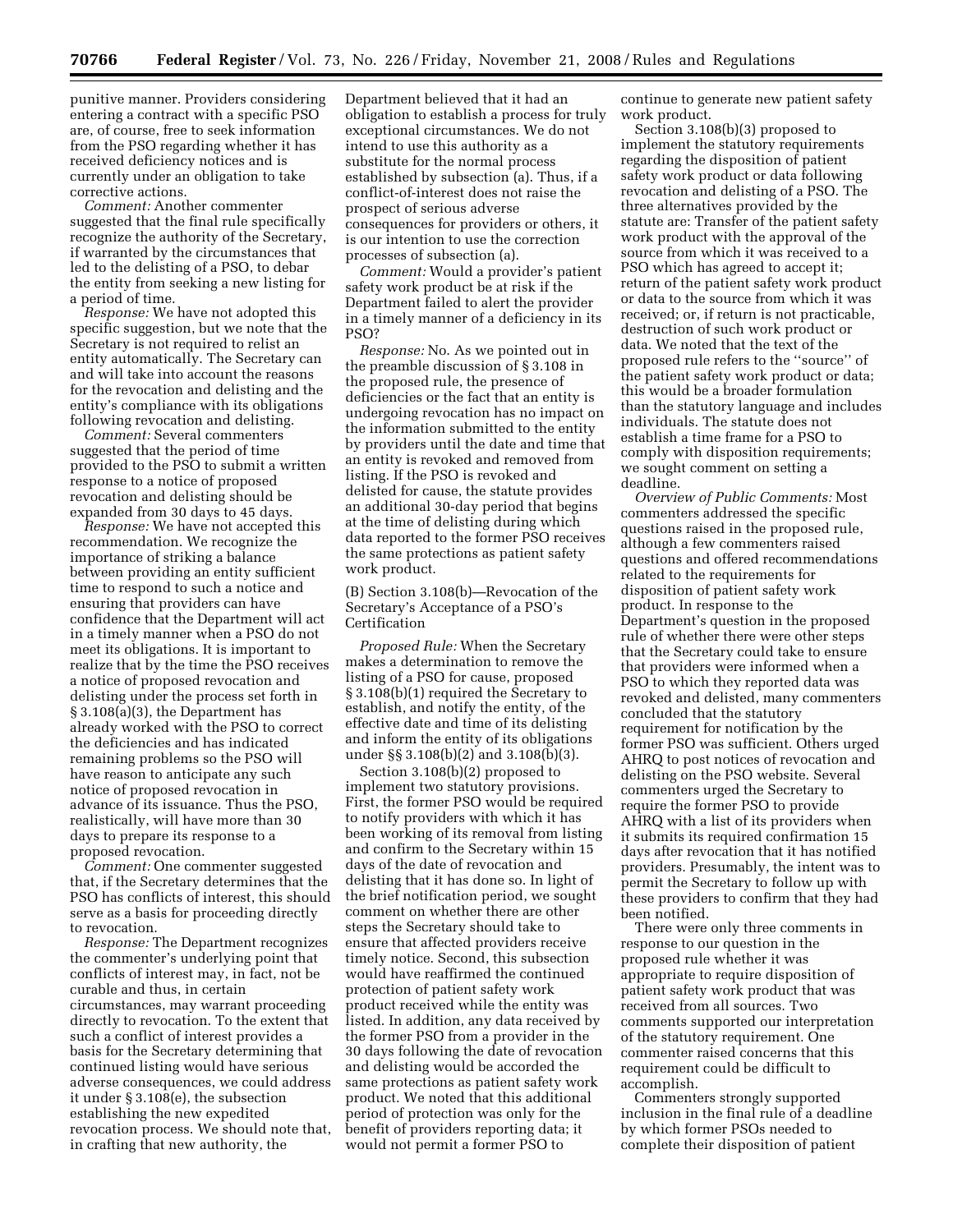punitive manner. Providers considering entering a contract with a specific PSO are, of course, free to seek information from the PSO regarding whether it has received deficiency notices and is currently under an obligation to take corrective actions.

*Comment:* Another commenter suggested that the final rule specifically recognize the authority of the Secretary, if warranted by the circumstances that led to the delisting of a PSO, to debar the entity from seeking a new listing for a period of time.

*Response:* We have not adopted this specific suggestion, but we note that the Secretary is not required to relist an entity automatically. The Secretary can and will take into account the reasons for the revocation and delisting and the entity's compliance with its obligations following revocation and delisting.

*Comment:* Several commenters suggested that the period of time provided to the PSO to submit a written response to a notice of proposed revocation and delisting should be expanded from 30 days to 45 days.

*Response:* We have not accepted this recommendation. We recognize the importance of striking a balance between providing an entity sufficient time to respond to such a notice and ensuring that providers can have confidence that the Department will act in a timely manner when a PSO do not meet its obligations. It is important to realize that by the time the PSO receives a notice of proposed revocation and delisting under the process set forth in § 3.108(a)(3), the Department has already worked with the PSO to correct the deficiencies and has indicated remaining problems so the PSO will have reason to anticipate any such notice of proposed revocation in advance of its issuance. Thus the PSO, realistically, will have more than 30 days to prepare its response to a proposed revocation.

*Comment:* One commenter suggested that, if the Secretary determines that the PSO has conflicts of interest, this should serve as a basis for proceeding directly to revocation.

*Response:* The Department recognizes the commenter's underlying point that conflicts of interest may, in fact, not be curable and thus, in certain circumstances, may warrant proceeding directly to revocation. To the extent that such a conflict of interest provides a basis for the Secretary determining that continued listing would have serious adverse consequences, we could address it under § 3.108(e), the subsection establishing the new expedited revocation process. We should note that, in crafting that new authority, the

Department believed that it had an obligation to establish a process for truly exceptional circumstances. We do not intend to use this authority as a substitute for the normal process established by subsection (a). Thus, if a conflict-of-interest does not raise the prospect of serious adverse consequences for providers or others, it is our intention to use the correction processes of subsection (a).

*Comment:* Would a provider's patient safety work product be at risk if the Department failed to alert the provider in a timely manner of a deficiency in its PSO?

*Response:* No. As we pointed out in the preamble discussion of § 3.108 in the proposed rule, the presence of deficiencies or the fact that an entity is undergoing revocation has no impact on the information submitted to the entity by providers until the date and time that an entity is revoked and removed from listing. If the PSO is revoked and delisted for cause, the statute provides an additional 30-day period that begins at the time of delisting during which data reported to the former PSO receives the same protections as patient safety work product.

(B) Section 3.108(b)—Revocation of the Secretary's Acceptance of a PSO's Certification

*Proposed Rule:* When the Secretary makes a determination to remove the listing of a PSO for cause, proposed § 3.108(b)(1) required the Secretary to establish, and notify the entity, of the effective date and time of its delisting and inform the entity of its obligations under §§ 3.108(b)(2) and 3.108(b)(3).

Section 3.108(b)(2) proposed to implement two statutory provisions. First, the former PSO would be required to notify providers with which it has been working of its removal from listing and confirm to the Secretary within 15 days of the date of revocation and delisting that it has done so. In light of the brief notification period, we sought comment on whether there are other steps the Secretary should take to ensure that affected providers receive timely notice. Second, this subsection would have reaffirmed the continued protection of patient safety work product received while the entity was listed. In addition, any data received by the former PSO from a provider in the 30 days following the date of revocation and delisting would be accorded the same protections as patient safety work product. We noted that this additional period of protection was only for the benefit of providers reporting data; it would not permit a former PSO to

continue to generate new patient safety work product.

Section 3.108(b)(3) proposed to implement the statutory requirements regarding the disposition of patient safety work product or data following revocation and delisting of a PSO. The three alternatives provided by the statute are: Transfer of the patient safety work product with the approval of the source from which it was received to a PSO which has agreed to accept it; return of the patient safety work product or data to the source from which it was received; or, if return is not practicable, destruction of such work product or data. We noted that the text of the proposed rule refers to the ''source'' of the patient safety work product or data; this would be a broader formulation than the statutory language and includes individuals. The statute does not establish a time frame for a PSO to comply with disposition requirements; we sought comment on setting a deadline.

*Overview of Public Comments:* Most commenters addressed the specific questions raised in the proposed rule, although a few commenters raised questions and offered recommendations related to the requirements for disposition of patient safety work product. In response to the Department's question in the proposed rule of whether there were other steps that the Secretary could take to ensure that providers were informed when a PSO to which they reported data was revoked and delisted, many commenters concluded that the statutory requirement for notification by the former PSO was sufficient. Others urged AHRQ to post notices of revocation and delisting on the PSO website. Several commenters urged the Secretary to require the former PSO to provide AHRQ with a list of its providers when it submits its required confirmation 15 days after revocation that it has notified providers. Presumably, the intent was to permit the Secretary to follow up with these providers to confirm that they had been notified.

There were only three comments in response to our question in the proposed rule whether it was appropriate to require disposition of patient safety work product that was received from all sources. Two comments supported our interpretation of the statutory requirement. One commenter raised concerns that this requirement could be difficult to accomplish.

Commenters strongly supported inclusion in the final rule of a deadline by which former PSOs needed to complete their disposition of patient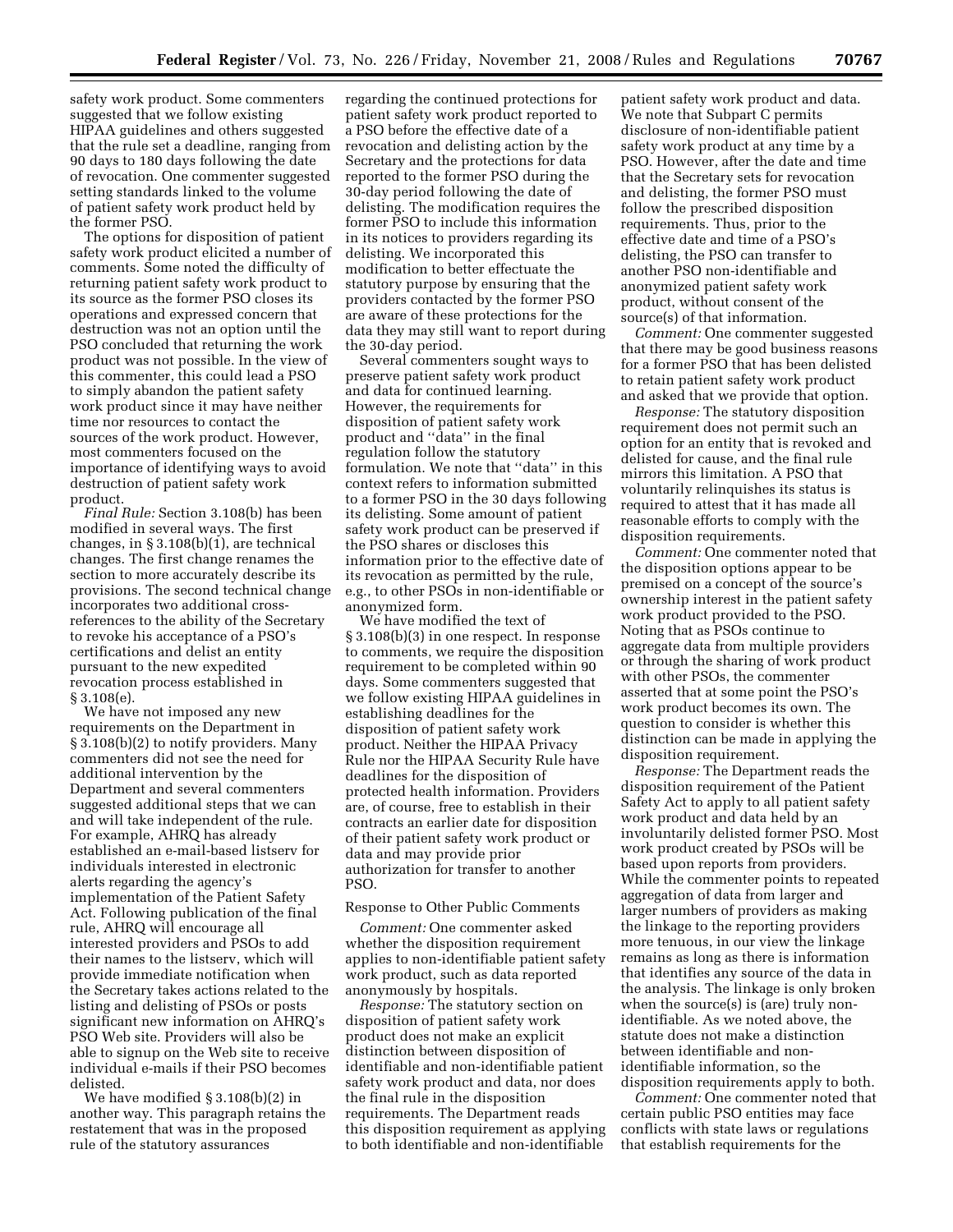safety work product. Some commenters suggested that we follow existing HIPAA guidelines and others suggested that the rule set a deadline, ranging from 90 days to 180 days following the date of revocation. One commenter suggested setting standards linked to the volume of patient safety work product held by the former PSO.

The options for disposition of patient safety work product elicited a number of comments. Some noted the difficulty of returning patient safety work product to its source as the former PSO closes its operations and expressed concern that destruction was not an option until the PSO concluded that returning the work product was not possible. In the view of this commenter, this could lead a PSO to simply abandon the patient safety work product since it may have neither time nor resources to contact the sources of the work product. However, most commenters focused on the importance of identifying ways to avoid destruction of patient safety work product.

*Final Rule:* Section 3.108(b) has been modified in several ways. The first changes, in § 3.108(b)(1), are technical changes. The first change renames the section to more accurately describe its provisions. The second technical change incorporates two additional crossreferences to the ability of the Secretary to revoke his acceptance of a PSO's certifications and delist an entity pursuant to the new expedited revocation process established in § 3.108(e).

We have not imposed any new requirements on the Department in § 3.108(b)(2) to notify providers. Many commenters did not see the need for additional intervention by the Department and several commenters suggested additional steps that we can and will take independent of the rule. For example, AHRQ has already established an e-mail-based listserv for individuals interested in electronic alerts regarding the agency's implementation of the Patient Safety Act. Following publication of the final rule, AHRQ will encourage all interested providers and PSOs to add their names to the listserv, which will provide immediate notification when the Secretary takes actions related to the listing and delisting of PSOs or posts significant new information on AHRQ's PSO Web site. Providers will also be able to signup on the Web site to receive individual e-mails if their PSO becomes delisted.

We have modified § 3.108(b)(2) in another way. This paragraph retains the restatement that was in the proposed rule of the statutory assurances

regarding the continued protections for patient safety work product reported to a PSO before the effective date of a revocation and delisting action by the Secretary and the protections for data reported to the former PSO during the 30-day period following the date of delisting. The modification requires the former PSO to include this information in its notices to providers regarding its delisting. We incorporated this modification to better effectuate the statutory purpose by ensuring that the providers contacted by the former PSO are aware of these protections for the data they may still want to report during the 30-day period.

Several commenters sought ways to preserve patient safety work product and data for continued learning. However, the requirements for disposition of patient safety work product and ''data'' in the final regulation follow the statutory formulation. We note that ''data'' in this context refers to information submitted to a former PSO in the 30 days following its delisting. Some amount of patient safety work product can be preserved if the PSO shares or discloses this information prior to the effective date of its revocation as permitted by the rule, e.g., to other PSOs in non-identifiable or anonymized form.

We have modified the text of § 3.108(b)(3) in one respect. In response to comments, we require the disposition requirement to be completed within 90 days. Some commenters suggested that we follow existing HIPAA guidelines in establishing deadlines for the disposition of patient safety work product. Neither the HIPAA Privacy Rule nor the HIPAA Security Rule have deadlines for the disposition of protected health information. Providers are, of course, free to establish in their contracts an earlier date for disposition of their patient safety work product or data and may provide prior authorization for transfer to another PSO.

# Response to Other Public Comments

*Comment:* One commenter asked whether the disposition requirement applies to non-identifiable patient safety work product, such as data reported anonymously by hospitals.

*Response:* The statutory section on disposition of patient safety work product does not make an explicit distinction between disposition of identifiable and non-identifiable patient safety work product and data, nor does the final rule in the disposition requirements. The Department reads this disposition requirement as applying to both identifiable and non-identifiable

patient safety work product and data. We note that Subpart C permits disclosure of non-identifiable patient safety work product at any time by a PSO. However, after the date and time that the Secretary sets for revocation and delisting, the former PSO must follow the prescribed disposition requirements. Thus, prior to the effective date and time of a PSO's delisting, the PSO can transfer to another PSO non-identifiable and anonymized patient safety work product, without consent of the source(s) of that information.

*Comment:* One commenter suggested that there may be good business reasons for a former PSO that has been delisted to retain patient safety work product and asked that we provide that option.

*Response:* The statutory disposition requirement does not permit such an option for an entity that is revoked and delisted for cause, and the final rule mirrors this limitation. A PSO that voluntarily relinquishes its status is required to attest that it has made all reasonable efforts to comply with the disposition requirements.

*Comment:* One commenter noted that the disposition options appear to be premised on a concept of the source's ownership interest in the patient safety work product provided to the PSO. Noting that as PSOs continue to aggregate data from multiple providers or through the sharing of work product with other PSOs, the commenter asserted that at some point the PSO's work product becomes its own. The question to consider is whether this distinction can be made in applying the disposition requirement.

*Response:* The Department reads the disposition requirement of the Patient Safety Act to apply to all patient safety work product and data held by an involuntarily delisted former PSO. Most work product created by PSOs will be based upon reports from providers. While the commenter points to repeated aggregation of data from larger and larger numbers of providers as making the linkage to the reporting providers more tenuous, in our view the linkage remains as long as there is information that identifies any source of the data in the analysis. The linkage is only broken when the source(s) is (are) truly nonidentifiable. As we noted above, the statute does not make a distinction between identifiable and nonidentifiable information, so the disposition requirements apply to both.

*Comment:* One commenter noted that certain public PSO entities may face conflicts with state laws or regulations that establish requirements for the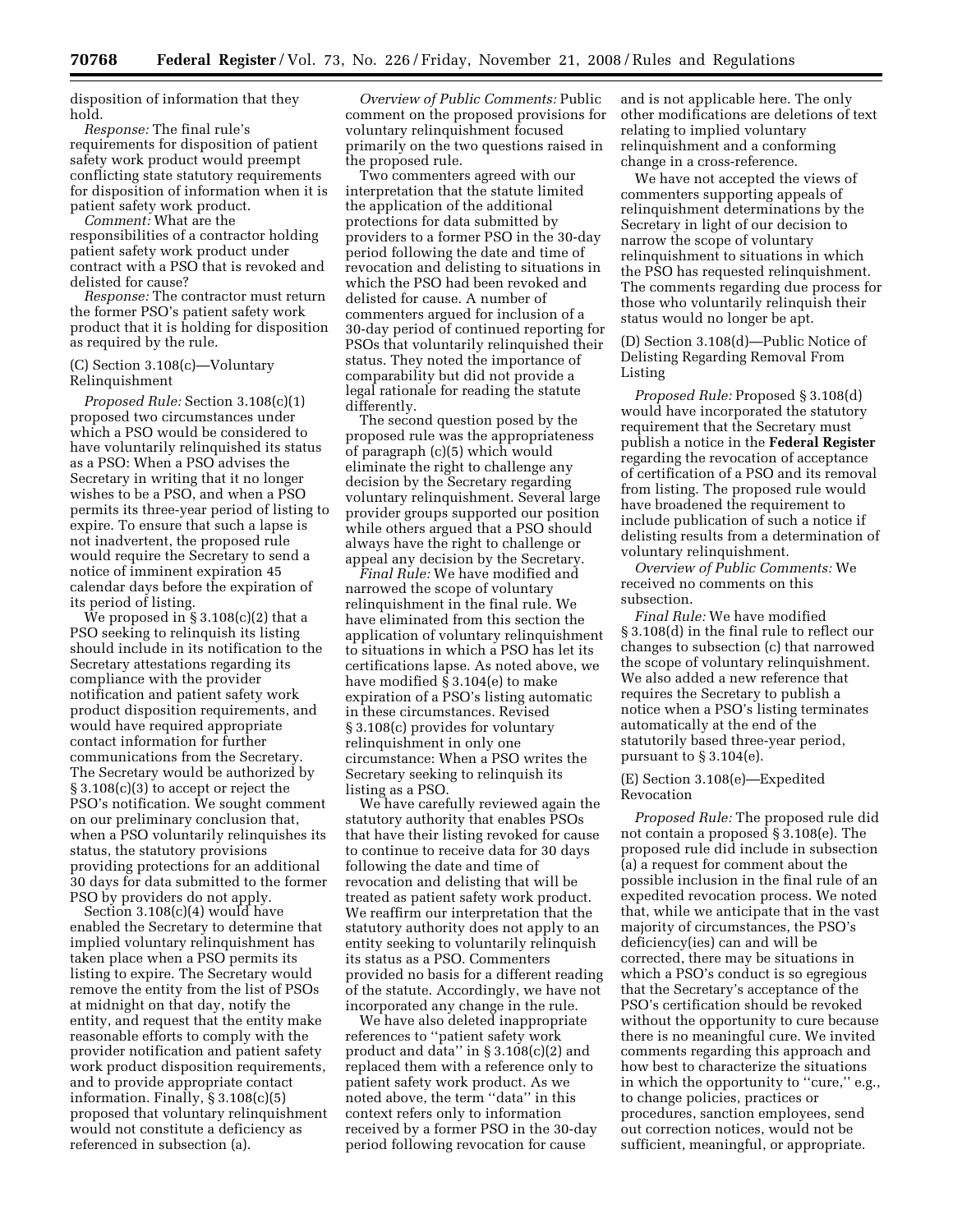disposition of information that they hold.

*Response:* The final rule's requirements for disposition of patient safety work product would preempt conflicting state statutory requirements for disposition of information when it is patient safety work product.

*Comment:* What are the responsibilities of a contractor holding patient safety work product under contract with a PSO that is revoked and delisted for cause?

*Response:* The contractor must return the former PSO's patient safety work product that it is holding for disposition as required by the rule.

### (C) Section 3.108(c)—Voluntary Relinquishment

*Proposed Rule:* Section 3.108(c)(1) proposed two circumstances under which a PSO would be considered to have voluntarily relinquished its status as a PSO: When a PSO advises the Secretary in writing that it no longer wishes to be a PSO, and when a PSO permits its three-year period of listing to expire. To ensure that such a lapse is not inadvertent, the proposed rule would require the Secretary to send a notice of imminent expiration 45 calendar days before the expiration of its period of listing.

We proposed in  $\S 3.108(c)(2)$  that a PSO seeking to relinquish its listing should include in its notification to the Secretary attestations regarding its compliance with the provider notification and patient safety work product disposition requirements, and would have required appropriate contact information for further communications from the Secretary. The Secretary would be authorized by § 3.108(c)(3) to accept or reject the PSO's notification. We sought comment on our preliminary conclusion that, when a PSO voluntarily relinquishes its status, the statutory provisions providing protections for an additional 30 days for data submitted to the former PSO by providers do not apply.

Section 3.108(c)(4) would have enabled the Secretary to determine that implied voluntary relinquishment has taken place when a PSO permits its listing to expire. The Secretary would remove the entity from the list of PSOs at midnight on that day, notify the entity, and request that the entity make reasonable efforts to comply with the provider notification and patient safety work product disposition requirements, and to provide appropriate contact information. Finally, § 3.108(c)(5) proposed that voluntary relinquishment would not constitute a deficiency as referenced in subsection (a).

*Overview of Public Comments:* Public comment on the proposed provisions for voluntary relinquishment focused primarily on the two questions raised in the proposed rule.

Two commenters agreed with our interpretation that the statute limited the application of the additional protections for data submitted by providers to a former PSO in the 30-day period following the date and time of revocation and delisting to situations in which the PSO had been revoked and delisted for cause. A number of commenters argued for inclusion of a 30-day period of continued reporting for PSOs that voluntarily relinquished their status. They noted the importance of comparability but did not provide a legal rationale for reading the statute differently.

The second question posed by the proposed rule was the appropriateness of paragraph (c)(5) which would eliminate the right to challenge any decision by the Secretary regarding voluntary relinquishment. Several large provider groups supported our position while others argued that a PSO should always have the right to challenge or appeal any decision by the Secretary.

*Final Rule:* We have modified and narrowed the scope of voluntary relinquishment in the final rule. We have eliminated from this section the application of voluntary relinquishment to situations in which a PSO has let its certifications lapse. As noted above, we have modified  $\bar{\S}$  3.104(e) to make expiration of a PSO's listing automatic in these circumstances. Revised § 3.108(c) provides for voluntary relinquishment in only one circumstance: When a PSO writes the Secretary seeking to relinquish its listing as a PSO.

We have carefully reviewed again the statutory authority that enables PSOs that have their listing revoked for cause to continue to receive data for 30 days following the date and time of revocation and delisting that will be treated as patient safety work product. We reaffirm our interpretation that the statutory authority does not apply to an entity seeking to voluntarily relinquish its status as a PSO. Commenters provided no basis for a different reading of the statute. Accordingly, we have not incorporated any change in the rule.

We have also deleted inappropriate references to ''patient safety work product and data'' in § 3.108(c)(2) and replaced them with a reference only to patient safety work product. As we noted above, the term ''data'' in this context refers only to information received by a former PSO in the 30-day period following revocation for cause

and is not applicable here. The only other modifications are deletions of text relating to implied voluntary relinquishment and a conforming change in a cross-reference.

We have not accepted the views of commenters supporting appeals of relinquishment determinations by the Secretary in light of our decision to narrow the scope of voluntary relinquishment to situations in which the PSO has requested relinquishment. The comments regarding due process for those who voluntarily relinquish their status would no longer be apt.

(D) Section 3.108(d)—Public Notice of Delisting Regarding Removal From Listing

*Proposed Rule:* Proposed § 3.108(d) would have incorporated the statutory requirement that the Secretary must publish a notice in the **Federal Register**  regarding the revocation of acceptance of certification of a PSO and its removal from listing. The proposed rule would have broadened the requirement to include publication of such a notice if delisting results from a determination of voluntary relinquishment.

*Overview of Public Comments:* We received no comments on this subsection.

*Final Rule:* We have modified § 3.108(d) in the final rule to reflect our changes to subsection (c) that narrowed the scope of voluntary relinquishment. We also added a new reference that requires the Secretary to publish a notice when a PSO's listing terminates automatically at the end of the statutorily based three-year period, pursuant to  $\S 3.104(e)$ .

## (E) Section 3.108(e)—Expedited Revocation

*Proposed Rule:* The proposed rule did not contain a proposed § 3.108(e). The proposed rule did include in subsection (a) a request for comment about the possible inclusion in the final rule of an expedited revocation process. We noted that, while we anticipate that in the vast majority of circumstances, the PSO's deficiency(ies) can and will be corrected, there may be situations in which a PSO's conduct is so egregious that the Secretary's acceptance of the PSO's certification should be revoked without the opportunity to cure because there is no meaningful cure. We invited comments regarding this approach and how best to characterize the situations in which the opportunity to "cure," e.g., to change policies, practices or procedures, sanction employees, send out correction notices, would not be sufficient, meaningful, or appropriate.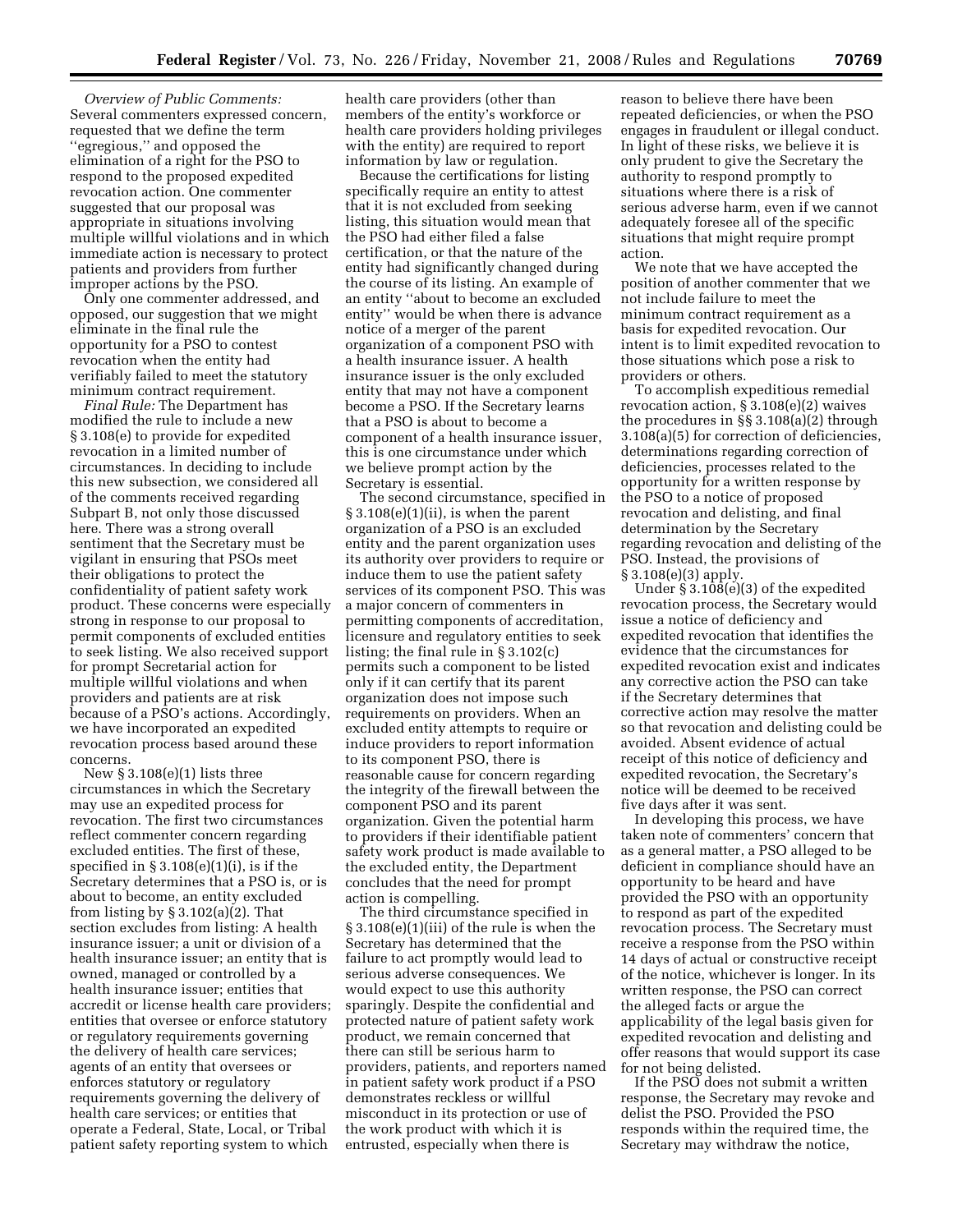*Overview of Public Comments:*  Several commenters expressed concern, requested that we define the term ''egregious,'' and opposed the elimination of a right for the PSO to respond to the proposed expedited revocation action. One commenter suggested that our proposal was appropriate in situations involving multiple willful violations and in which immediate action is necessary to protect patients and providers from further improper actions by the PSO.

Only one commenter addressed, and opposed, our suggestion that we might eliminate in the final rule the opportunity for a PSO to contest revocation when the entity had verifiably failed to meet the statutory minimum contract requirement.

*Final Rule:* The Department has modified the rule to include a new § 3.108(e) to provide for expedited revocation in a limited number of circumstances. In deciding to include this new subsection, we considered all of the comments received regarding Subpart B, not only those discussed here. There was a strong overall sentiment that the Secretary must be vigilant in ensuring that PSOs meet their obligations to protect the confidentiality of patient safety work product. These concerns were especially strong in response to our proposal to permit components of excluded entities to seek listing. We also received support for prompt Secretarial action for multiple willful violations and when providers and patients are at risk because of a PSO's actions. Accordingly, we have incorporated an expedited revocation process based around these concerns.

New  $\S 3.108(e)(1)$  lists three circumstances in which the Secretary may use an expedited process for revocation. The first two circumstances reflect commenter concern regarding excluded entities. The first of these, specified in  $\S 3.108(e)(1)(i)$ , is if the Secretary determines that a PSO is, or is about to become, an entity excluded from listing by  $\S 3.102(a)(2)$ . That section excludes from listing: A health insurance issuer; a unit or division of a health insurance issuer; an entity that is owned, managed or controlled by a health insurance issuer; entities that accredit or license health care providers; entities that oversee or enforce statutory or regulatory requirements governing the delivery of health care services; agents of an entity that oversees or enforces statutory or regulatory requirements governing the delivery of health care services; or entities that operate a Federal, State, Local, or Tribal patient safety reporting system to which

health care providers (other than members of the entity's workforce or health care providers holding privileges with the entity) are required to report information by law or regulation.

Because the certifications for listing specifically require an entity to attest that it is not excluded from seeking listing, this situation would mean that the PSO had either filed a false certification, or that the nature of the entity had significantly changed during the course of its listing. An example of an entity ''about to become an excluded entity'' would be when there is advance notice of a merger of the parent organization of a component PSO with a health insurance issuer. A health insurance issuer is the only excluded entity that may not have a component become a PSO. If the Secretary learns that a PSO is about to become a component of a health insurance issuer, this is one circumstance under which we believe prompt action by the Secretary is essential.

The second circumstance, specified in § 3.108(e)(1)(ii), is when the parent organization of a PSO is an excluded entity and the parent organization uses its authority over providers to require or induce them to use the patient safety services of its component PSO. This was a major concern of commenters in permitting components of accreditation, licensure and regulatory entities to seek listing; the final rule in § 3.102(c) permits such a component to be listed only if it can certify that its parent organization does not impose such requirements on providers. When an excluded entity attempts to require or induce providers to report information to its component PSO, there is reasonable cause for concern regarding the integrity of the firewall between the component PSO and its parent organization. Given the potential harm to providers if their identifiable patient safety work product is made available to the excluded entity, the Department concludes that the need for prompt action is compelling.

The third circumstance specified in § 3.108(e)(1)(iii) of the rule is when the Secretary has determined that the failure to act promptly would lead to serious adverse consequences. We would expect to use this authority sparingly. Despite the confidential and protected nature of patient safety work product, we remain concerned that there can still be serious harm to providers, patients, and reporters named in patient safety work product if a PSO demonstrates reckless or willful misconduct in its protection or use of the work product with which it is entrusted, especially when there is

reason to believe there have been repeated deficiencies, or when the PSO engages in fraudulent or illegal conduct. In light of these risks, we believe it is only prudent to give the Secretary the authority to respond promptly to situations where there is a risk of serious adverse harm, even if we cannot adequately foresee all of the specific situations that might require prompt action.

We note that we have accepted the position of another commenter that we not include failure to meet the minimum contract requirement as a basis for expedited revocation. Our intent is to limit expedited revocation to those situations which pose a risk to providers or others.

To accomplish expeditious remedial revocation action, § 3.108(e)(2) waives the procedures in §§ 3.108(a)(2) through 3.108(a)(5) for correction of deficiencies, determinations regarding correction of deficiencies, processes related to the opportunity for a written response by the PSO to a notice of proposed revocation and delisting, and final determination by the Secretary regarding revocation and delisting of the PSO. Instead, the provisions of § 3.108(e)(3) apply.

Under §  $3.108(e)(3)$  of the expedited revocation process, the Secretary would issue a notice of deficiency and expedited revocation that identifies the evidence that the circumstances for expedited revocation exist and indicates any corrective action the PSO can take if the Secretary determines that corrective action may resolve the matter so that revocation and delisting could be avoided. Absent evidence of actual receipt of this notice of deficiency and expedited revocation, the Secretary's notice will be deemed to be received five days after it was sent.

In developing this process, we have taken note of commenters' concern that as a general matter, a PSO alleged to be deficient in compliance should have an opportunity to be heard and have provided the PSO with an opportunity to respond as part of the expedited revocation process. The Secretary must receive a response from the PSO within 14 days of actual or constructive receipt of the notice, whichever is longer. In its written response, the PSO can correct the alleged facts or argue the applicability of the legal basis given for expedited revocation and delisting and offer reasons that would support its case for not being delisted.

If the PSO does not submit a written response, the Secretary may revoke and delist the PSO. Provided the PSO responds within the required time, the Secretary may withdraw the notice,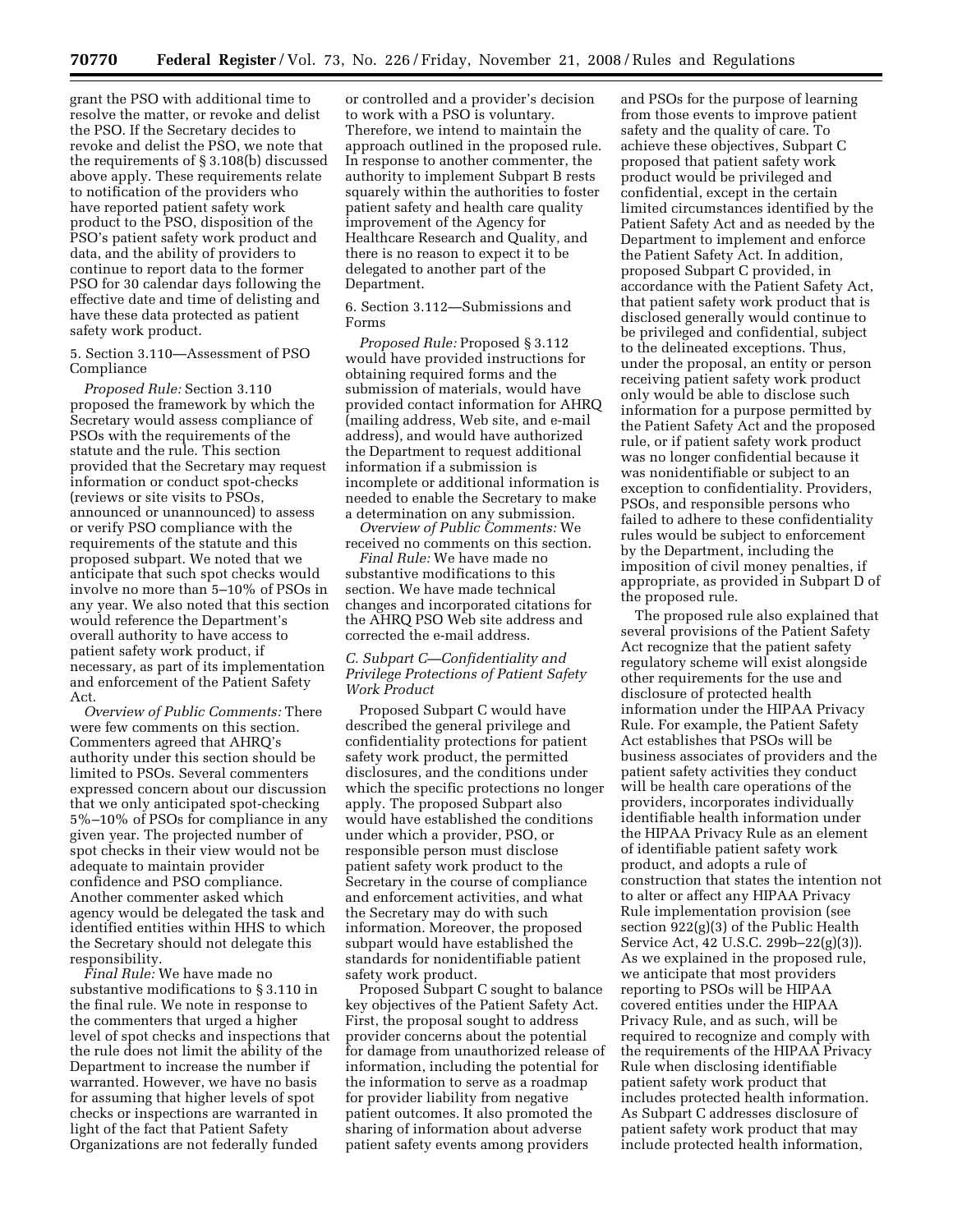grant the PSO with additional time to resolve the matter, or revoke and delist the PSO. If the Secretary decides to revoke and delist the PSO, we note that the requirements of § 3.108(b) discussed above apply. These requirements relate to notification of the providers who have reported patient safety work product to the PSO, disposition of the PSO's patient safety work product and data, and the ability of providers to continue to report data to the former PSO for 30 calendar days following the effective date and time of delisting and have these data protected as patient safety work product.

5. Section 3.110—Assessment of PSO Compliance

*Proposed Rule:* Section 3.110 proposed the framework by which the Secretary would assess compliance of PSOs with the requirements of the statute and the rule. This section provided that the Secretary may request information or conduct spot-checks (reviews or site visits to PSOs, announced or unannounced) to assess or verify PSO compliance with the requirements of the statute and this proposed subpart. We noted that we anticipate that such spot checks would involve no more than 5–10% of PSOs in any year. We also noted that this section would reference the Department's overall authority to have access to patient safety work product, if necessary, as part of its implementation and enforcement of the Patient Safety Act.

*Overview of Public Comments:* There were few comments on this section. Commenters agreed that AHRQ's authority under this section should be limited to PSOs. Several commenters expressed concern about our discussion that we only anticipated spot-checking 5%–10% of PSOs for compliance in any given year. The projected number of spot checks in their view would not be adequate to maintain provider confidence and PSO compliance. Another commenter asked which agency would be delegated the task and identified entities within HHS to which the Secretary should not delegate this responsibility.

*Final Rule:* We have made no substantive modifications to § 3.110 in the final rule. We note in response to the commenters that urged a higher level of spot checks and inspections that the rule does not limit the ability of the Department to increase the number if warranted. However, we have no basis for assuming that higher levels of spot checks or inspections are warranted in light of the fact that Patient Safety Organizations are not federally funded

or controlled and a provider's decision to work with a PSO is voluntary. Therefore, we intend to maintain the approach outlined in the proposed rule. In response to another commenter, the authority to implement Subpart B rests squarely within the authorities to foster patient safety and health care quality improvement of the Agency for Healthcare Research and Quality, and there is no reason to expect it to be delegated to another part of the Department.

6. Section 3.112—Submissions and Forms

*Proposed Rule:* Proposed § 3.112 would have provided instructions for obtaining required forms and the submission of materials, would have provided contact information for AHRQ (mailing address, Web site, and e-mail address), and would have authorized the Department to request additional information if a submission is incomplete or additional information is needed to enable the Secretary to make a determination on any submission.

*Overview of Public Comments:* We received no comments on this section.

*Final Rule:* We have made no substantive modifications to this section. We have made technical changes and incorporated citations for the AHRQ PSO Web site address and corrected the e-mail address.

### *C. Subpart C—Confidentiality and Privilege Protections of Patient Safety Work Product*

Proposed Subpart C would have described the general privilege and confidentiality protections for patient safety work product, the permitted disclosures, and the conditions under which the specific protections no longer apply. The proposed Subpart also would have established the conditions under which a provider, PSO, or responsible person must disclose patient safety work product to the Secretary in the course of compliance and enforcement activities, and what the Secretary may do with such information. Moreover, the proposed subpart would have established the standards for nonidentifiable patient safety work product.

Proposed Subpart C sought to balance key objectives of the Patient Safety Act. First, the proposal sought to address provider concerns about the potential for damage from unauthorized release of information, including the potential for the information to serve as a roadmap for provider liability from negative patient outcomes. It also promoted the sharing of information about adverse patient safety events among providers

and PSOs for the purpose of learning from those events to improve patient safety and the quality of care. To achieve these objectives, Subpart C proposed that patient safety work product would be privileged and confidential, except in the certain limited circumstances identified by the Patient Safety Act and as needed by the Department to implement and enforce the Patient Safety Act. In addition, proposed Subpart C provided, in accordance with the Patient Safety Act, that patient safety work product that is disclosed generally would continue to be privileged and confidential, subject to the delineated exceptions. Thus, under the proposal, an entity or person receiving patient safety work product only would be able to disclose such information for a purpose permitted by the Patient Safety Act and the proposed rule, or if patient safety work product was no longer confidential because it was nonidentifiable or subject to an exception to confidentiality. Providers, PSOs, and responsible persons who failed to adhere to these confidentiality rules would be subject to enforcement by the Department, including the imposition of civil money penalties, if appropriate, as provided in Subpart D of the proposed rule.

The proposed rule also explained that several provisions of the Patient Safety Act recognize that the patient safety regulatory scheme will exist alongside other requirements for the use and disclosure of protected health information under the HIPAA Privacy Rule. For example, the Patient Safety Act establishes that PSOs will be business associates of providers and the patient safety activities they conduct will be health care operations of the providers, incorporates individually identifiable health information under the HIPAA Privacy Rule as an element of identifiable patient safety work product, and adopts a rule of construction that states the intention not to alter or affect any HIPAA Privacy Rule implementation provision (see section 922(g)(3) of the Public Health Service Act, 42 U.S.C. 299b–22(g)(3)). As we explained in the proposed rule, we anticipate that most providers reporting to PSOs will be HIPAA covered entities under the HIPAA Privacy Rule, and as such, will be required to recognize and comply with the requirements of the HIPAA Privacy Rule when disclosing identifiable patient safety work product that includes protected health information. As Subpart C addresses disclosure of patient safety work product that may include protected health information,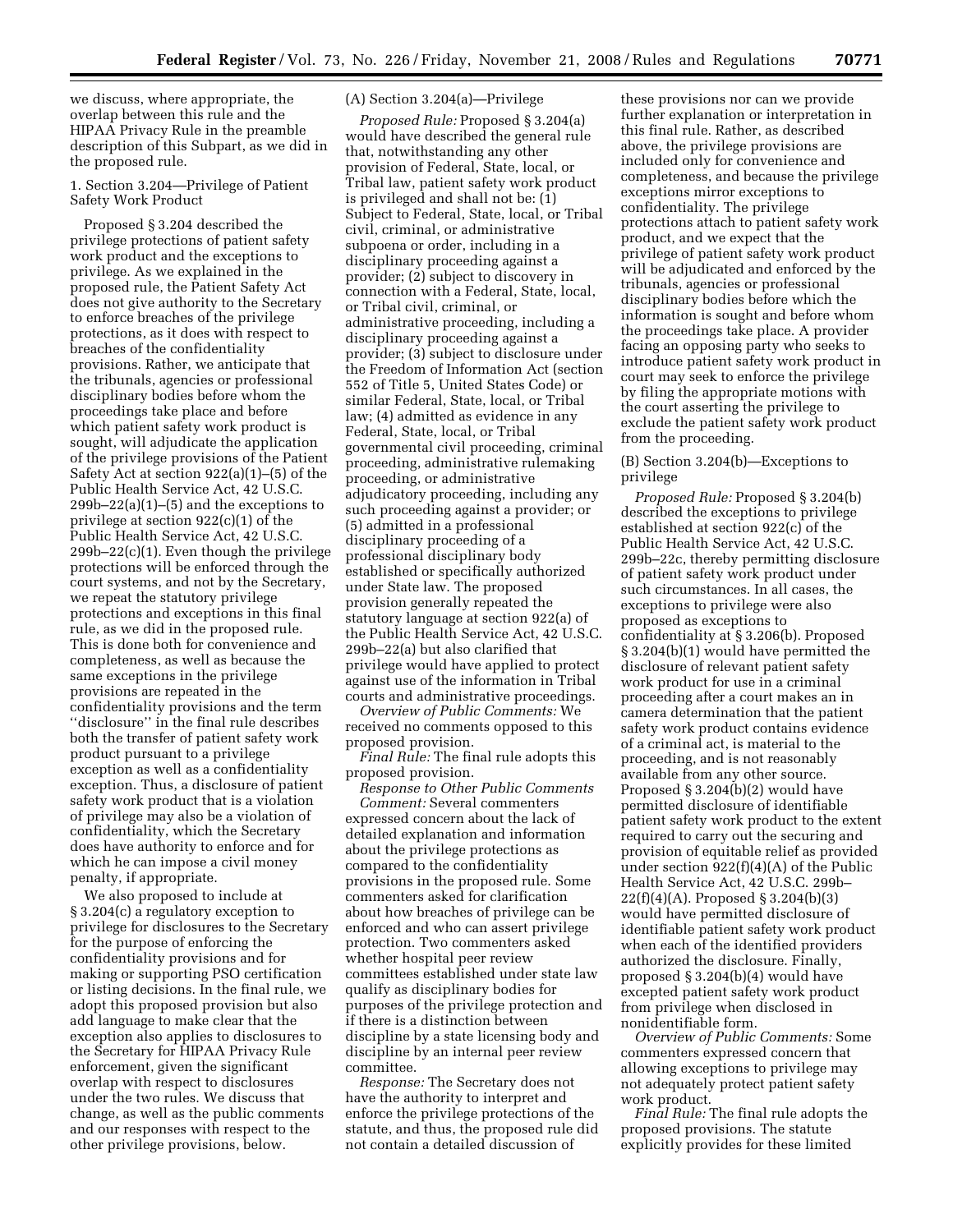we discuss, where appropriate, the overlap between this rule and the HIPAA Privacy Rule in the preamble description of this Subpart, as we did in the proposed rule.

## 1. Section 3.204—Privilege of Patient Safety Work Product

Proposed § 3.204 described the privilege protections of patient safety work product and the exceptions to privilege. As we explained in the proposed rule, the Patient Safety Act does not give authority to the Secretary to enforce breaches of the privilege protections, as it does with respect to breaches of the confidentiality provisions. Rather, we anticipate that the tribunals, agencies or professional disciplinary bodies before whom the proceedings take place and before which patient safety work product is sought, will adjudicate the application of the privilege provisions of the Patient Safety Act at section 922(a)(1)–(5) of the Public Health Service Act, 42 U.S.C.  $299b-22(a)(1)$ –(5) and the exceptions to privilege at section 922(c)(1) of the Public Health Service Act, 42 U.S.C. 299b–22(c)(1). Even though the privilege protections will be enforced through the court systems, and not by the Secretary, we repeat the statutory privilege protections and exceptions in this final rule, as we did in the proposed rule. This is done both for convenience and completeness, as well as because the same exceptions in the privilege provisions are repeated in the confidentiality provisions and the term ''disclosure'' in the final rule describes both the transfer of patient safety work product pursuant to a privilege exception as well as a confidentiality exception. Thus, a disclosure of patient safety work product that is a violation of privilege may also be a violation of confidentiality, which the Secretary does have authority to enforce and for which he can impose a civil money penalty, if appropriate.

We also proposed to include at § 3.204(c) a regulatory exception to privilege for disclosures to the Secretary for the purpose of enforcing the confidentiality provisions and for making or supporting PSO certification or listing decisions. In the final rule, we adopt this proposed provision but also add language to make clear that the exception also applies to disclosures to the Secretary for HIPAA Privacy Rule enforcement, given the significant overlap with respect to disclosures under the two rules. We discuss that change, as well as the public comments and our responses with respect to the other privilege provisions, below.

## (A) Section 3.204(a)—Privilege

*Proposed Rule:* Proposed § 3.204(a) would have described the general rule that, notwithstanding any other provision of Federal, State, local, or Tribal law, patient safety work product is privileged and shall not be: (1) Subject to Federal, State, local, or Tribal civil, criminal, or administrative subpoena or order, including in a disciplinary proceeding against a provider; (2) subject to discovery in connection with a Federal, State, local, or Tribal civil, criminal, or administrative proceeding, including a disciplinary proceeding against a provider; (3) subject to disclosure under the Freedom of Information Act (section 552 of Title 5, United States Code) or similar Federal, State, local, or Tribal law; (4) admitted as evidence in any Federal, State, local, or Tribal governmental civil proceeding, criminal proceeding, administrative rulemaking proceeding, or administrative adjudicatory proceeding, including any such proceeding against a provider; or (5) admitted in a professional disciplinary proceeding of a professional disciplinary body established or specifically authorized under State law. The proposed provision generally repeated the statutory language at section 922(a) of the Public Health Service Act, 42 U.S.C. 299b–22(a) but also clarified that privilege would have applied to protect against use of the information in Tribal courts and administrative proceedings.

*Overview of Public Comments:* We received no comments opposed to this proposed provision.

*Final Rule:* The final rule adopts this proposed provision.

*Response to Other Public Comments Comment:* Several commenters expressed concern about the lack of detailed explanation and information about the privilege protections as compared to the confidentiality provisions in the proposed rule. Some commenters asked for clarification about how breaches of privilege can be enforced and who can assert privilege protection. Two commenters asked whether hospital peer review committees established under state law qualify as disciplinary bodies for purposes of the privilege protection and if there is a distinction between discipline by a state licensing body and discipline by an internal peer review committee.

*Response:* The Secretary does not have the authority to interpret and enforce the privilege protections of the statute, and thus, the proposed rule did not contain a detailed discussion of

these provisions nor can we provide further explanation or interpretation in this final rule. Rather, as described above, the privilege provisions are included only for convenience and completeness, and because the privilege exceptions mirror exceptions to confidentiality. The privilege protections attach to patient safety work product, and we expect that the privilege of patient safety work product will be adjudicated and enforced by the tribunals, agencies or professional disciplinary bodies before which the information is sought and before whom the proceedings take place. A provider facing an opposing party who seeks to introduce patient safety work product in court may seek to enforce the privilege by filing the appropriate motions with the court asserting the privilege to exclude the patient safety work product from the proceeding.

## (B) Section 3.204(b)—Exceptions to privilege

*Proposed Rule:* Proposed § 3.204(b) described the exceptions to privilege established at section 922(c) of the Public Health Service Act, 42 U.S.C. 299b–22c, thereby permitting disclosure of patient safety work product under such circumstances. In all cases, the exceptions to privilege were also proposed as exceptions to confidentiality at § 3.206(b). Proposed § 3.204(b)(1) would have permitted the disclosure of relevant patient safety work product for use in a criminal proceeding after a court makes an in camera determination that the patient safety work product contains evidence of a criminal act, is material to the proceeding, and is not reasonably available from any other source. Proposed § 3.204(b)(2) would have permitted disclosure of identifiable patient safety work product to the extent required to carry out the securing and provision of equitable relief as provided under section  $922(f)(4)(A)$  of the Public Health Service Act, 42 U.S.C. 299b– 22(f)(4)(A). Proposed § 3.204(b)(3) would have permitted disclosure of identifiable patient safety work product when each of the identified providers authorized the disclosure. Finally, proposed § 3.204(b)(4) would have excepted patient safety work product from privilege when disclosed in nonidentifiable form.

*Overview of Public Comments:* Some commenters expressed concern that allowing exceptions to privilege may not adequately protect patient safety work product.

*Final Rule:* The final rule adopts the proposed provisions. The statute explicitly provides for these limited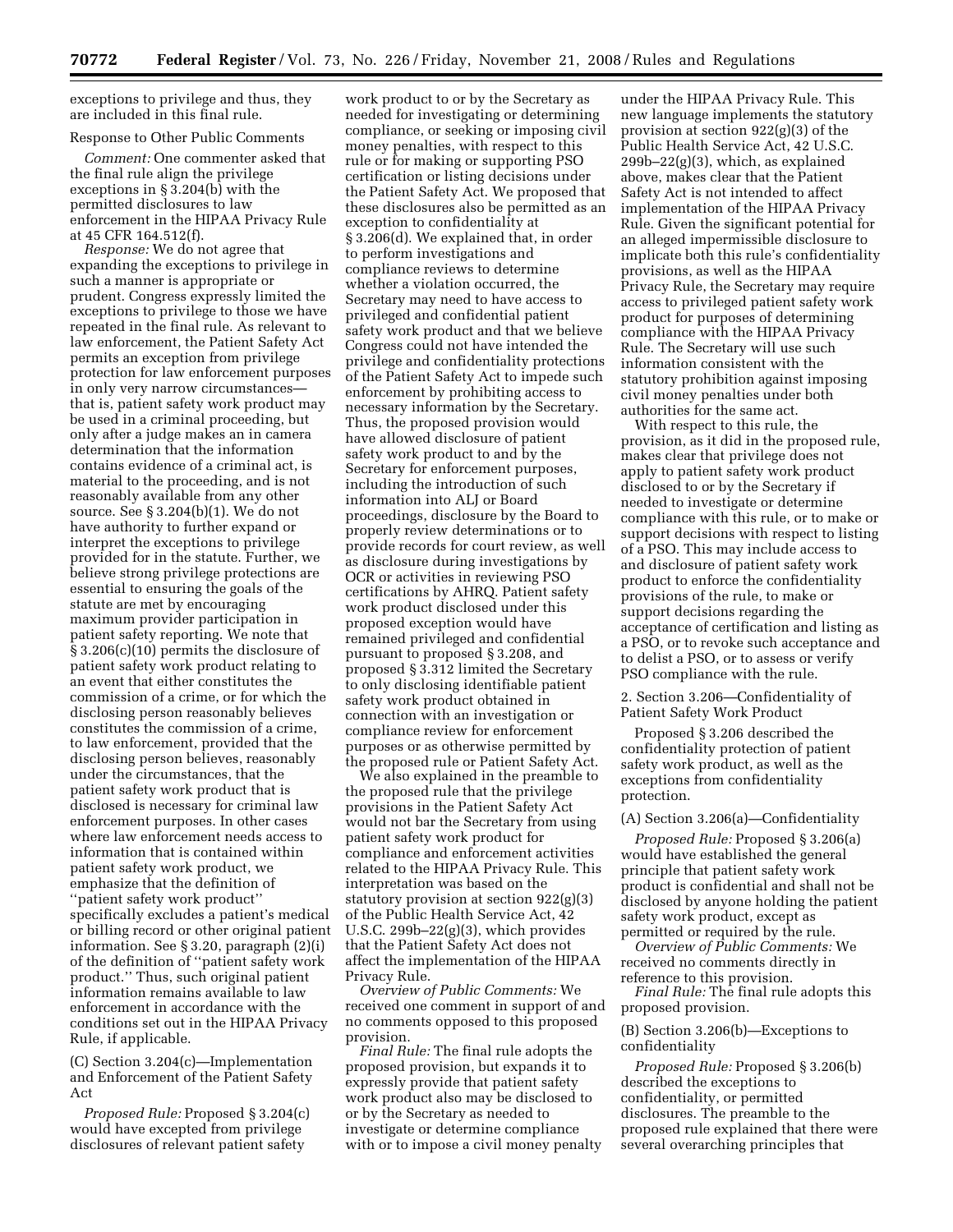exceptions to privilege and thus, they are included in this final rule.

### Response to Other Public Comments

*Comment:* One commenter asked that the final rule align the privilege exceptions in § 3.204(b) with the permitted disclosures to law enforcement in the HIPAA Privacy Rule at 45 CFR 164.512(f).

*Response:* We do not agree that expanding the exceptions to privilege in such a manner is appropriate or prudent. Congress expressly limited the exceptions to privilege to those we have repeated in the final rule. As relevant to law enforcement, the Patient Safety Act permits an exception from privilege protection for law enforcement purposes in only very narrow circumstances that is, patient safety work product may be used in a criminal proceeding, but only after a judge makes an in camera determination that the information contains evidence of a criminal act, is material to the proceeding, and is not reasonably available from any other source. See § 3.204(b)(1). We do not have authority to further expand or interpret the exceptions to privilege provided for in the statute. Further, we believe strong privilege protections are essential to ensuring the goals of the statute are met by encouraging maximum provider participation in patient safety reporting. We note that § 3.206(c)(10) permits the disclosure of patient safety work product relating to an event that either constitutes the commission of a crime, or for which the disclosing person reasonably believes constitutes the commission of a crime, to law enforcement, provided that the disclosing person believes, reasonably under the circumstances, that the patient safety work product that is disclosed is necessary for criminal law enforcement purposes. In other cases where law enforcement needs access to information that is contained within patient safety work product, we emphasize that the definition of ''patient safety work product''

specifically excludes a patient's medical or billing record or other original patient information. See § 3.20, paragraph (2)(i) of the definition of ''patient safety work product.'' Thus, such original patient information remains available to law enforcement in accordance with the conditions set out in the HIPAA Privacy Rule, if applicable.

(C) Section 3.204(c)—Implementation and Enforcement of the Patient Safety Act

*Proposed Rule:* Proposed § 3.204(c) would have excepted from privilege disclosures of relevant patient safety

work product to or by the Secretary as needed for investigating or determining compliance, or seeking or imposing civil money penalties, with respect to this rule or for making or supporting PSO certification or listing decisions under the Patient Safety Act. We proposed that these disclosures also be permitted as an exception to confidentiality at § 3.206(d). We explained that, in order to perform investigations and compliance reviews to determine whether a violation occurred, the Secretary may need to have access to privileged and confidential patient safety work product and that we believe Congress could not have intended the privilege and confidentiality protections of the Patient Safety Act to impede such enforcement by prohibiting access to necessary information by the Secretary. Thus, the proposed provision would have allowed disclosure of patient safety work product to and by the Secretary for enforcement purposes, including the introduction of such information into ALJ or Board proceedings, disclosure by the Board to properly review determinations or to provide records for court review, as well as disclosure during investigations by OCR or activities in reviewing PSO certifications by AHRQ. Patient safety work product disclosed under this proposed exception would have remained privileged and confidential pursuant to proposed § 3.208, and proposed § 3.312 limited the Secretary to only disclosing identifiable patient safety work product obtained in connection with an investigation or compliance review for enforcement purposes or as otherwise permitted by the proposed rule or Patient Safety Act.

We also explained in the preamble to the proposed rule that the privilege provisions in the Patient Safety Act would not bar the Secretary from using patient safety work product for compliance and enforcement activities related to the HIPAA Privacy Rule. This interpretation was based on the statutory provision at section 922(g)(3) of the Public Health Service Act, 42 U.S.C. 299b–22(g)(3), which provides that the Patient Safety Act does not affect the implementation of the HIPAA Privacy Rule.

*Overview of Public Comments:* We received one comment in support of and no comments opposed to this proposed provision.

*Final Rule:* The final rule adopts the proposed provision, but expands it to expressly provide that patient safety work product also may be disclosed to or by the Secretary as needed to investigate or determine compliance with or to impose a civil money penalty

under the HIPAA Privacy Rule. This new language implements the statutory provision at section 922(g)(3) of the Public Health Service Act, 42 U.S.C. 299b–22(g)(3), which, as explained above, makes clear that the Patient Safety Act is not intended to affect implementation of the HIPAA Privacy Rule. Given the significant potential for an alleged impermissible disclosure to implicate both this rule's confidentiality provisions, as well as the HIPAA Privacy Rule, the Secretary may require access to privileged patient safety work product for purposes of determining compliance with the HIPAA Privacy Rule. The Secretary will use such information consistent with the statutory prohibition against imposing civil money penalties under both authorities for the same act.

With respect to this rule, the provision, as it did in the proposed rule, makes clear that privilege does not apply to patient safety work product disclosed to or by the Secretary if needed to investigate or determine compliance with this rule, or to make or support decisions with respect to listing of a PSO. This may include access to and disclosure of patient safety work product to enforce the confidentiality provisions of the rule, to make or support decisions regarding the acceptance of certification and listing as a PSO, or to revoke such acceptance and to delist a PSO, or to assess or verify PSO compliance with the rule.

2. Section 3.206—Confidentiality of Patient Safety Work Product

Proposed § 3.206 described the confidentiality protection of patient safety work product, as well as the exceptions from confidentiality protection.

### (A) Section 3.206(a)—Confidentiality

*Proposed Rule:* Proposed § 3.206(a) would have established the general principle that patient safety work product is confidential and shall not be disclosed by anyone holding the patient safety work product, except as permitted or required by the rule.

*Overview of Public Comments:* We received no comments directly in reference to this provision.

*Final Rule:* The final rule adopts this proposed provision.

(B) Section 3.206(b)—Exceptions to confidentiality

*Proposed Rule:* Proposed § 3.206(b) described the exceptions to confidentiality, or permitted disclosures. The preamble to the proposed rule explained that there were several overarching principles that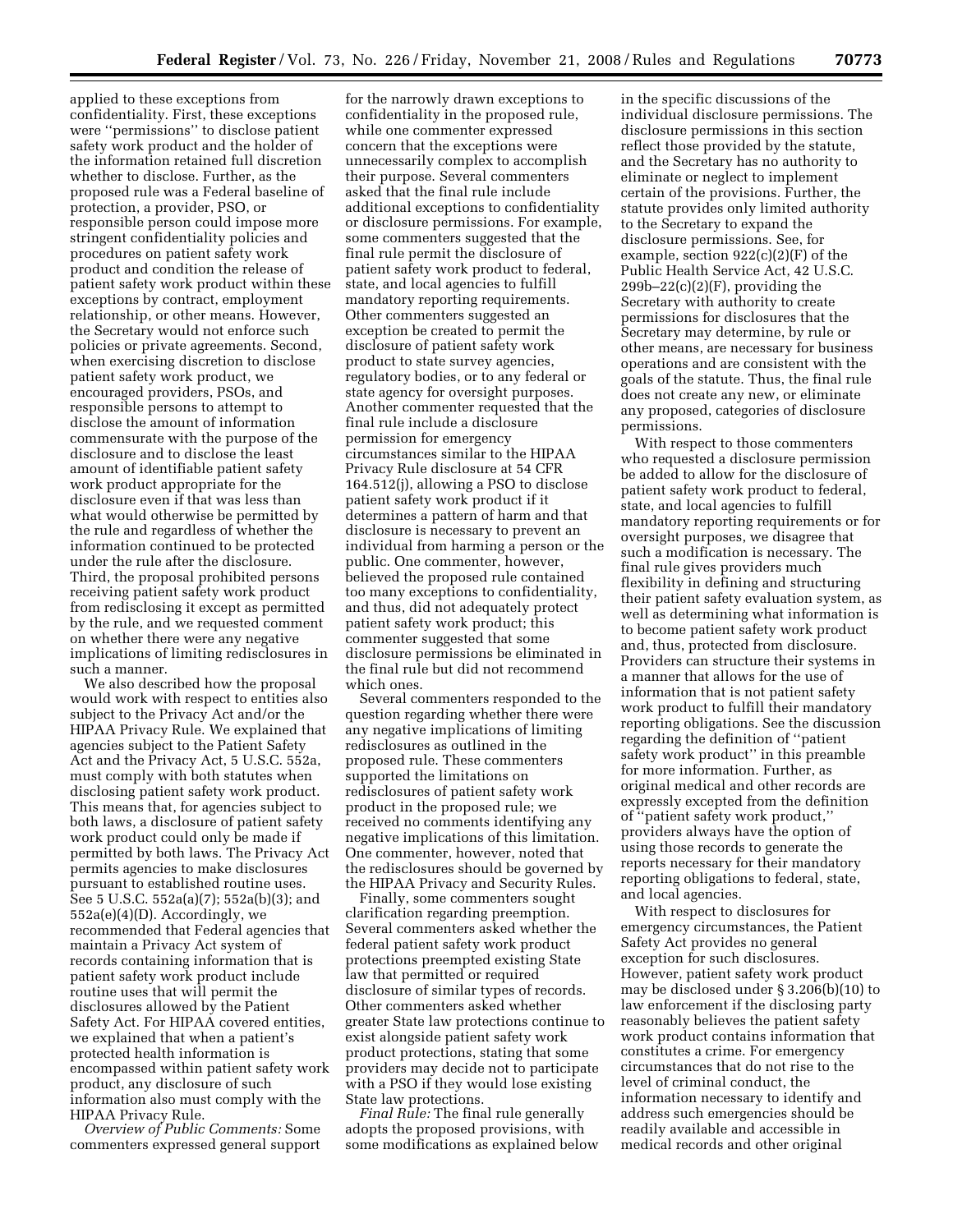applied to these exceptions from confidentiality. First, these exceptions were ''permissions'' to disclose patient safety work product and the holder of the information retained full discretion whether to disclose. Further, as the proposed rule was a Federal baseline of protection, a provider, PSO, or responsible person could impose more stringent confidentiality policies and procedures on patient safety work product and condition the release of patient safety work product within these exceptions by contract, employment relationship, or other means. However, the Secretary would not enforce such policies or private agreements. Second, when exercising discretion to disclose patient safety work product, we encouraged providers, PSOs, and responsible persons to attempt to disclose the amount of information commensurate with the purpose of the disclosure and to disclose the least amount of identifiable patient safety work product appropriate for the disclosure even if that was less than what would otherwise be permitted by the rule and regardless of whether the information continued to be protected under the rule after the disclosure. Third, the proposal prohibited persons receiving patient safety work product from redisclosing it except as permitted by the rule, and we requested comment on whether there were any negative implications of limiting redisclosures in such a manner.

We also described how the proposal would work with respect to entities also subject to the Privacy Act and/or the HIPAA Privacy Rule. We explained that agencies subject to the Patient Safety Act and the Privacy Act, 5 U.S.C. 552a, must comply with both statutes when disclosing patient safety work product. This means that, for agencies subject to both laws, a disclosure of patient safety work product could only be made if permitted by both laws. The Privacy Act permits agencies to make disclosures pursuant to established routine uses. See 5 U.S.C. 552a(a)(7); 552a(b)(3); and 552a(e)(4)(D). Accordingly, we recommended that Federal agencies that maintain a Privacy Act system of records containing information that is patient safety work product include routine uses that will permit the disclosures allowed by the Patient Safety Act. For HIPAA covered entities, we explained that when a patient's protected health information is encompassed within patient safety work product, any disclosure of such information also must comply with the HIPAA Privacy Rule.

*Overview of Public Comments:* Some commenters expressed general support

for the narrowly drawn exceptions to confidentiality in the proposed rule, while one commenter expressed concern that the exceptions were unnecessarily complex to accomplish their purpose. Several commenters asked that the final rule include additional exceptions to confidentiality or disclosure permissions. For example, some commenters suggested that the final rule permit the disclosure of patient safety work product to federal, state, and local agencies to fulfill mandatory reporting requirements. Other commenters suggested an exception be created to permit the disclosure of patient safety work product to state survey agencies, regulatory bodies, or to any federal or state agency for oversight purposes. Another commenter requested that the final rule include a disclosure permission for emergency circumstances similar to the HIPAA Privacy Rule disclosure at 54 CFR 164.512(j), allowing a PSO to disclose patient safety work product if it determines a pattern of harm and that disclosure is necessary to prevent an individual from harming a person or the public. One commenter, however, believed the proposed rule contained too many exceptions to confidentiality, and thus, did not adequately protect patient safety work product; this commenter suggested that some disclosure permissions be eliminated in the final rule but did not recommend which ones.

Several commenters responded to the question regarding whether there were any negative implications of limiting redisclosures as outlined in the proposed rule. These commenters supported the limitations on redisclosures of patient safety work product in the proposed rule; we received no comments identifying any negative implications of this limitation. One commenter, however, noted that the redisclosures should be governed by the HIPAA Privacy and Security Rules.

Finally, some commenters sought clarification regarding preemption. Several commenters asked whether the federal patient safety work product protections preempted existing State law that permitted or required disclosure of similar types of records. Other commenters asked whether greater State law protections continue to exist alongside patient safety work product protections, stating that some providers may decide not to participate with a PSO if they would lose existing State law protections.

*Final Rule:* The final rule generally adopts the proposed provisions, with some modifications as explained below in the specific discussions of the individual disclosure permissions. The disclosure permissions in this section reflect those provided by the statute, and the Secretary has no authority to eliminate or neglect to implement certain of the provisions. Further, the statute provides only limited authority to the Secretary to expand the disclosure permissions. See, for example, section 922(c)(2)(F) of the Public Health Service Act, 42 U.S.C.  $299b-22(c)(2)(F)$ , providing the Secretary with authority to create permissions for disclosures that the Secretary may determine, by rule or other means, are necessary for business operations and are consistent with the goals of the statute. Thus, the final rule does not create any new, or eliminate any proposed, categories of disclosure permissions.

With respect to those commenters who requested a disclosure permission be added to allow for the disclosure of patient safety work product to federal, state, and local agencies to fulfill mandatory reporting requirements or for oversight purposes, we disagree that such a modification is necessary. The final rule gives providers much flexibility in defining and structuring their patient safety evaluation system, as well as determining what information is to become patient safety work product and, thus, protected from disclosure. Providers can structure their systems in a manner that allows for the use of information that is not patient safety work product to fulfill their mandatory reporting obligations. See the discussion regarding the definition of ''patient safety work product'' in this preamble for more information. Further, as original medical and other records are expressly excepted from the definition of ''patient safety work product,'' providers always have the option of using those records to generate the reports necessary for their mandatory reporting obligations to federal, state, and local agencies.

With respect to disclosures for emergency circumstances, the Patient Safety Act provides no general exception for such disclosures. However, patient safety work product may be disclosed under § 3.206(b)(10) to law enforcement if the disclosing party reasonably believes the patient safety work product contains information that constitutes a crime. For emergency circumstances that do not rise to the level of criminal conduct, the information necessary to identify and address such emergencies should be readily available and accessible in medical records and other original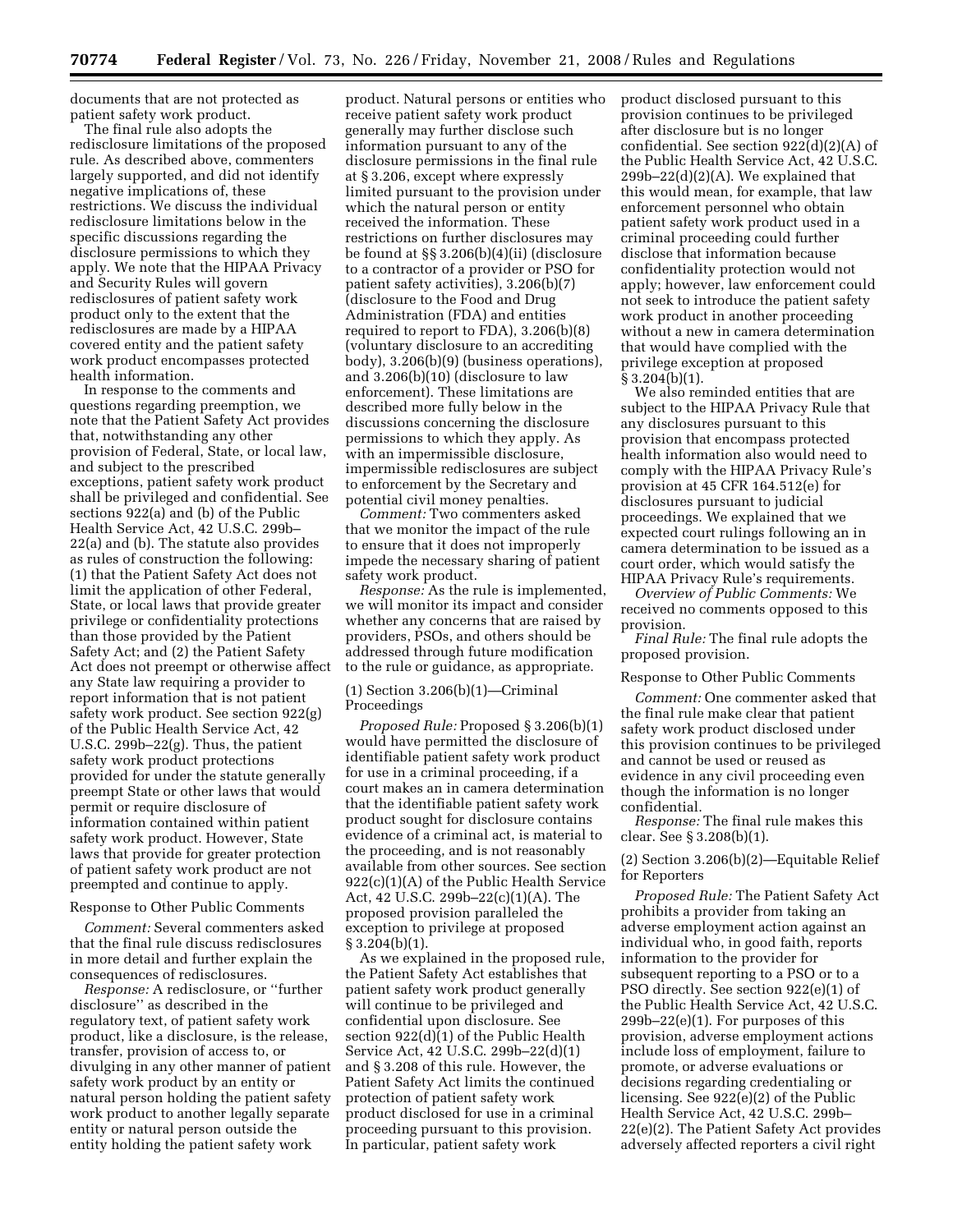documents that are not protected as patient safety work product.

The final rule also adopts the redisclosure limitations of the proposed rule. As described above, commenters largely supported, and did not identify negative implications of, these restrictions. We discuss the individual redisclosure limitations below in the specific discussions regarding the disclosure permissions to which they apply. We note that the HIPAA Privacy and Security Rules will govern redisclosures of patient safety work product only to the extent that the redisclosures are made by a HIPAA covered entity and the patient safety work product encompasses protected health information.

In response to the comments and questions regarding preemption, we note that the Patient Safety Act provides that, notwithstanding any other provision of Federal, State, or local law, and subject to the prescribed exceptions, patient safety work product shall be privileged and confidential. See sections 922(a) and (b) of the Public Health Service Act, 42 U.S.C. 299b– 22(a) and (b). The statute also provides as rules of construction the following: (1) that the Patient Safety Act does not limit the application of other Federal, State, or local laws that provide greater privilege or confidentiality protections than those provided by the Patient Safety Act; and (2) the Patient Safety Act does not preempt or otherwise affect any State law requiring a provider to report information that is not patient safety work product. See section 922(g) of the Public Health Service Act, 42 U.S.C. 299b–22(g). Thus, the patient safety work product protections provided for under the statute generally preempt State or other laws that would permit or require disclosure of information contained within patient safety work product. However, State laws that provide for greater protection of patient safety work product are not preempted and continue to apply.

#### Response to Other Public Comments

*Comment:* Several commenters asked that the final rule discuss redisclosures in more detail and further explain the consequences of redisclosures.

*Response:* A redisclosure, or ''further disclosure'' as described in the regulatory text, of patient safety work product, like a disclosure, is the release, transfer, provision of access to, or divulging in any other manner of patient safety work product by an entity or natural person holding the patient safety work product to another legally separate entity or natural person outside the entity holding the patient safety work

product. Natural persons or entities who receive patient safety work product generally may further disclose such information pursuant to any of the disclosure permissions in the final rule at § 3.206, except where expressly limited pursuant to the provision under which the natural person or entity received the information. These restrictions on further disclosures may be found at §§ 3.206(b)(4)(ii) (disclosure to a contractor of a provider or PSO for patient safety activities), 3.206(b)(7) (disclosure to the Food and Drug Administration (FDA) and entities required to report to FDA), 3.206(b)(8) (voluntary disclosure to an accrediting body), 3.206(b)(9) (business operations), and 3.206(b)(10) (disclosure to law enforcement). These limitations are described more fully below in the discussions concerning the disclosure permissions to which they apply. As with an impermissible disclosure, impermissible redisclosures are subject to enforcement by the Secretary and potential civil money penalties.

*Comment:* Two commenters asked that we monitor the impact of the rule to ensure that it does not improperly impede the necessary sharing of patient safety work product.

*Response:* As the rule is implemented, we will monitor its impact and consider whether any concerns that are raised by providers, PSOs, and others should be addressed through future modification to the rule or guidance, as appropriate.

# (1) Section 3.206(b)(1)—Criminal Proceedings

*Proposed Rule:* Proposed § 3.206(b)(1) would have permitted the disclosure of identifiable patient safety work product for use in a criminal proceeding, if a court makes an in camera determination that the identifiable patient safety work product sought for disclosure contains evidence of a criminal act, is material to the proceeding, and is not reasonably available from other sources. See section 922(c)(1)(A) of the Public Health Service Act, 42 U.S.C. 299b–22(c)(1)(A). The proposed provision paralleled the exception to privilege at proposed  $\S 3.204(b)(1)$ .

As we explained in the proposed rule, the Patient Safety Act establishes that patient safety work product generally will continue to be privileged and confidential upon disclosure. See section 922(d)(1) of the Public Health Service Act, 42 U.S.C. 299b–22(d)(1) and § 3.208 of this rule. However, the Patient Safety Act limits the continued protection of patient safety work product disclosed for use in a criminal proceeding pursuant to this provision. In particular, patient safety work

product disclosed pursuant to this provision continues to be privileged after disclosure but is no longer confidential. See section 922(d)(2)(A) of the Public Health Service Act, 42 U.S.C.  $299b-22(d)(2)(A)$ . We explained that this would mean, for example, that law enforcement personnel who obtain patient safety work product used in a criminal proceeding could further disclose that information because confidentiality protection would not apply; however, law enforcement could not seek to introduce the patient safety work product in another proceeding without a new in camera determination that would have complied with the privilege exception at proposed  $§ 3.204(b)(1).$ 

We also reminded entities that are subject to the HIPAA Privacy Rule that any disclosures pursuant to this provision that encompass protected health information also would need to comply with the HIPAA Privacy Rule's provision at 45 CFR 164.512(e) for disclosures pursuant to judicial proceedings. We explained that we expected court rulings following an in camera determination to be issued as a court order, which would satisfy the HIPAA Privacy Rule's requirements.

*Overview of Public Comments:* We received no comments opposed to this provision.

*Final Rule:* The final rule adopts the proposed provision.

### Response to Other Public Comments

*Comment:* One commenter asked that the final rule make clear that patient safety work product disclosed under this provision continues to be privileged and cannot be used or reused as evidence in any civil proceeding even though the information is no longer confidential.

*Response:* The final rule makes this clear. See § 3.208(b)(1).

## (2) Section 3.206(b)(2)—Equitable Relief for Reporters

*Proposed Rule:* The Patient Safety Act prohibits a provider from taking an adverse employment action against an individual who, in good faith, reports information to the provider for subsequent reporting to a PSO or to a PSO directly. See section 922(e)(1) of the Public Health Service Act, 42 U.S.C. 299b–22(e)(1). For purposes of this provision, adverse employment actions include loss of employment, failure to promote, or adverse evaluations or decisions regarding credentialing or licensing. See 922(e)(2) of the Public Health Service Act, 42 U.S.C. 299b– 22(e)(2). The Patient Safety Act provides adversely affected reporters a civil right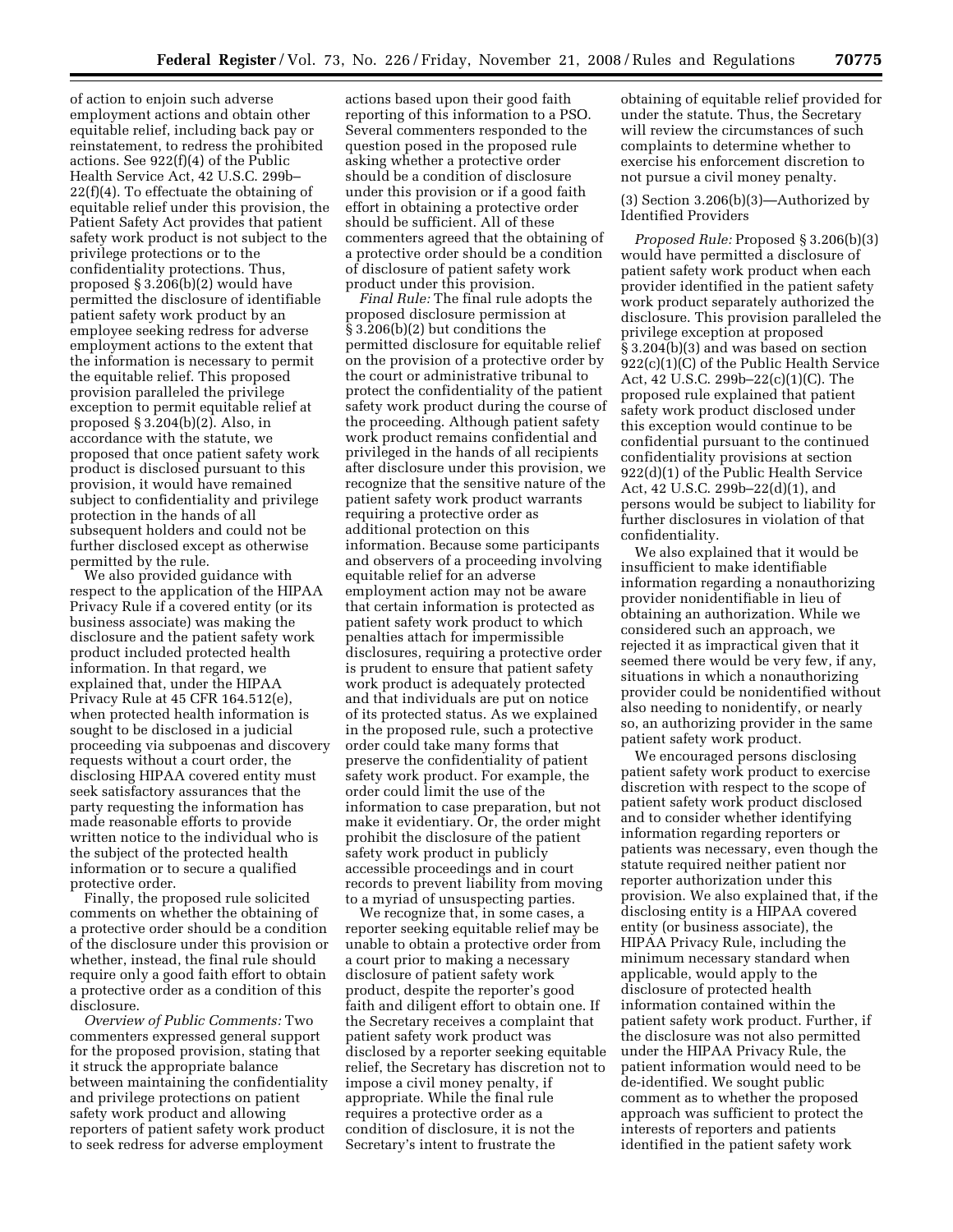of action to enjoin such adverse employment actions and obtain other equitable relief, including back pay or reinstatement, to redress the prohibited actions. See 922(f)(4) of the Public Health Service Act, 42 U.S.C. 299b– 22(f)(4). To effectuate the obtaining of equitable relief under this provision, the Patient Safety Act provides that patient safety work product is not subject to the privilege protections or to the confidentiality protections. Thus, proposed § 3.206(b)(2) would have permitted the disclosure of identifiable patient safety work product by an employee seeking redress for adverse employment actions to the extent that the information is necessary to permit the equitable relief. This proposed provision paralleled the privilege exception to permit equitable relief at proposed § 3.204(b)(2). Also, in accordance with the statute, we proposed that once patient safety work product is disclosed pursuant to this provision, it would have remained subject to confidentiality and privilege protection in the hands of all subsequent holders and could not be further disclosed except as otherwise permitted by the rule.

We also provided guidance with respect to the application of the HIPAA Privacy Rule if a covered entity (or its business associate) was making the disclosure and the patient safety work product included protected health information. In that regard, we explained that, under the HIPAA Privacy Rule at 45 CFR 164.512(e), when protected health information is sought to be disclosed in a judicial proceeding via subpoenas and discovery requests without a court order, the disclosing HIPAA covered entity must seek satisfactory assurances that the party requesting the information has made reasonable efforts to provide written notice to the individual who is the subject of the protected health information or to secure a qualified protective order.

Finally, the proposed rule solicited comments on whether the obtaining of a protective order should be a condition of the disclosure under this provision or whether, instead, the final rule should require only a good faith effort to obtain a protective order as a condition of this disclosure.

*Overview of Public Comments:* Two commenters expressed general support for the proposed provision, stating that it struck the appropriate balance between maintaining the confidentiality and privilege protections on patient safety work product and allowing reporters of patient safety work product to seek redress for adverse employment

actions based upon their good faith reporting of this information to a PSO. Several commenters responded to the question posed in the proposed rule asking whether a protective order should be a condition of disclosure under this provision or if a good faith effort in obtaining a protective order should be sufficient. All of these commenters agreed that the obtaining of a protective order should be a condition of disclosure of patient safety work product under this provision.

*Final Rule:* The final rule adopts the proposed disclosure permission at § 3.206(b)(2) but conditions the permitted disclosure for equitable relief on the provision of a protective order by the court or administrative tribunal to protect the confidentiality of the patient safety work product during the course of the proceeding. Although patient safety work product remains confidential and privileged in the hands of all recipients after disclosure under this provision, we recognize that the sensitive nature of the patient safety work product warrants requiring a protective order as additional protection on this information. Because some participants and observers of a proceeding involving equitable relief for an adverse employment action may not be aware that certain information is protected as patient safety work product to which penalties attach for impermissible disclosures, requiring a protective order is prudent to ensure that patient safety work product is adequately protected and that individuals are put on notice of its protected status. As we explained in the proposed rule, such a protective order could take many forms that preserve the confidentiality of patient safety work product. For example, the order could limit the use of the information to case preparation, but not make it evidentiary. Or, the order might prohibit the disclosure of the patient safety work product in publicly accessible proceedings and in court records to prevent liability from moving to a myriad of unsuspecting parties.

We recognize that, in some cases, a reporter seeking equitable relief may be unable to obtain a protective order from a court prior to making a necessary disclosure of patient safety work product, despite the reporter's good faith and diligent effort to obtain one. If the Secretary receives a complaint that patient safety work product was disclosed by a reporter seeking equitable relief, the Secretary has discretion not to impose a civil money penalty, if appropriate. While the final rule requires a protective order as a condition of disclosure, it is not the Secretary's intent to frustrate the

obtaining of equitable relief provided for under the statute. Thus, the Secretary will review the circumstances of such complaints to determine whether to exercise his enforcement discretion to not pursue a civil money penalty.

(3) Section 3.206(b)(3)—Authorized by Identified Providers

*Proposed Rule:* Proposed § 3.206(b)(3) would have permitted a disclosure of patient safety work product when each provider identified in the patient safety work product separately authorized the disclosure. This provision paralleled the privilege exception at proposed § 3.204(b)(3) and was based on section 922(c)(1)(C) of the Public Health Service Act, 42 U.S.C. 299b–22(c)(1)(C). The proposed rule explained that patient safety work product disclosed under this exception would continue to be confidential pursuant to the continued confidentiality provisions at section 922(d)(1) of the Public Health Service Act, 42 U.S.C. 299b–22(d)(1), and persons would be subject to liability for further disclosures in violation of that confidentiality.

We also explained that it would be insufficient to make identifiable information regarding a nonauthorizing provider nonidentifiable in lieu of obtaining an authorization. While we considered such an approach, we rejected it as impractical given that it seemed there would be very few, if any, situations in which a nonauthorizing provider could be nonidentified without also needing to nonidentify, or nearly so, an authorizing provider in the same patient safety work product.

We encouraged persons disclosing patient safety work product to exercise discretion with respect to the scope of patient safety work product disclosed and to consider whether identifying information regarding reporters or patients was necessary, even though the statute required neither patient nor reporter authorization under this provision. We also explained that, if the disclosing entity is a HIPAA covered entity (or business associate), the HIPAA Privacy Rule, including the minimum necessary standard when applicable, would apply to the disclosure of protected health information contained within the patient safety work product. Further, if the disclosure was not also permitted under the HIPAA Privacy Rule, the patient information would need to be de-identified. We sought public comment as to whether the proposed approach was sufficient to protect the interests of reporters and patients identified in the patient safety work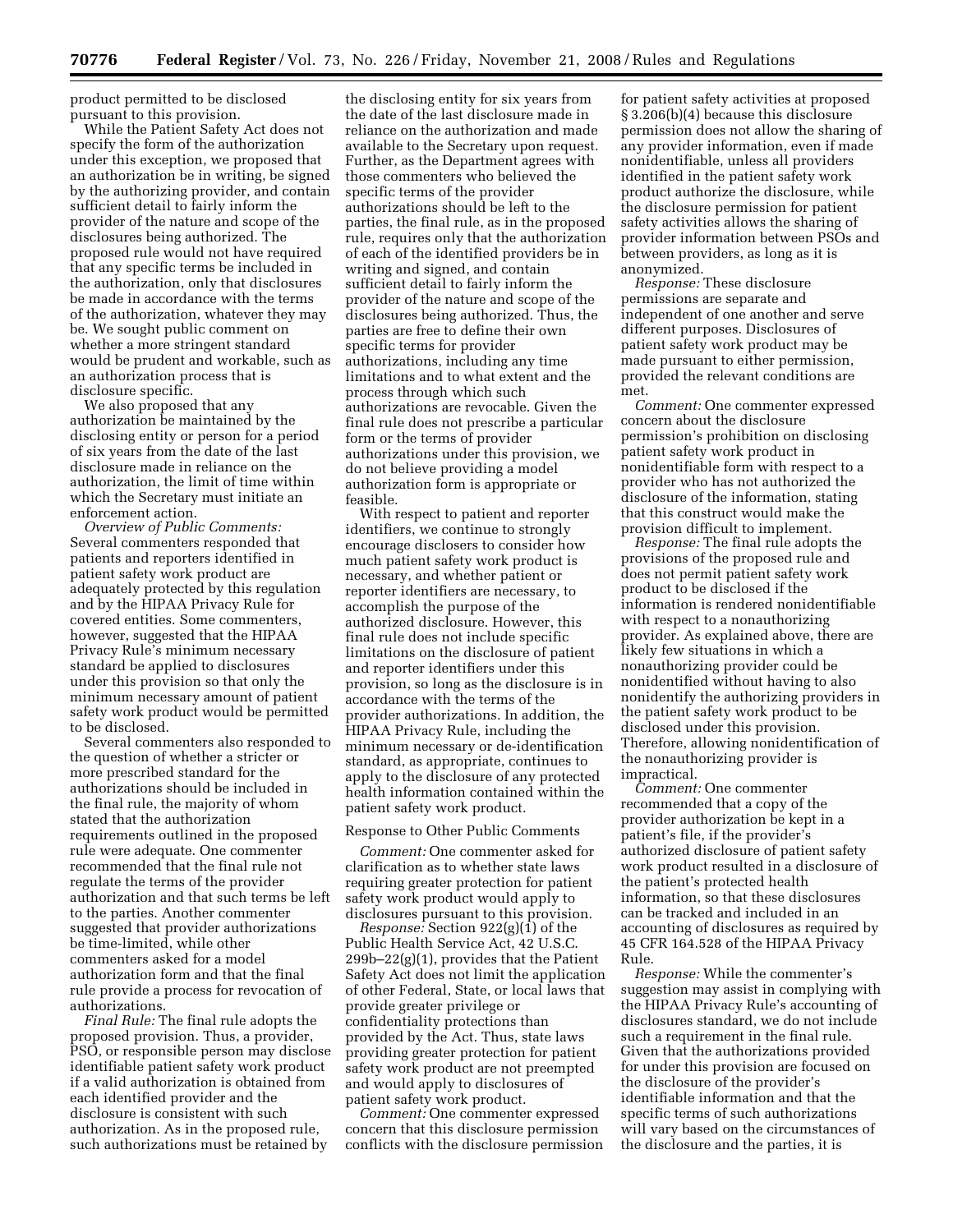product permitted to be disclosed pursuant to this provision.

While the Patient Safety Act does not specify the form of the authorization under this exception, we proposed that an authorization be in writing, be signed by the authorizing provider, and contain sufficient detail to fairly inform the provider of the nature and scope of the disclosures being authorized. The proposed rule would not have required that any specific terms be included in the authorization, only that disclosures be made in accordance with the terms of the authorization, whatever they may be. We sought public comment on whether a more stringent standard would be prudent and workable, such as an authorization process that is disclosure specific.

We also proposed that any authorization be maintained by the disclosing entity or person for a period of six years from the date of the last disclosure made in reliance on the authorization, the limit of time within which the Secretary must initiate an enforcement action.

*Overview of Public Comments:*  Several commenters responded that patients and reporters identified in patient safety work product are adequately protected by this regulation and by the HIPAA Privacy Rule for covered entities. Some commenters, however, suggested that the HIPAA Privacy Rule's minimum necessary standard be applied to disclosures under this provision so that only the minimum necessary amount of patient safety work product would be permitted to be disclosed.

Several commenters also responded to the question of whether a stricter or more prescribed standard for the authorizations should be included in the final rule, the majority of whom stated that the authorization requirements outlined in the proposed rule were adequate. One commenter recommended that the final rule not regulate the terms of the provider authorization and that such terms be left to the parties. Another commenter suggested that provider authorizations be time-limited, while other commenters asked for a model authorization form and that the final rule provide a process for revocation of authorizations.

*Final Rule:* The final rule adopts the proposed provision. Thus, a provider, PSO, or responsible person may disclose identifiable patient safety work product if a valid authorization is obtained from each identified provider and the disclosure is consistent with such authorization. As in the proposed rule, such authorizations must be retained by

the disclosing entity for six years from the date of the last disclosure made in reliance on the authorization and made available to the Secretary upon request. Further, as the Department agrees with those commenters who believed the specific terms of the provider authorizations should be left to the parties, the final rule, as in the proposed rule, requires only that the authorization of each of the identified providers be in writing and signed, and contain sufficient detail to fairly inform the provider of the nature and scope of the disclosures being authorized. Thus, the parties are free to define their own specific terms for provider authorizations, including any time limitations and to what extent and the process through which such authorizations are revocable. Given the final rule does not prescribe a particular form or the terms of provider authorizations under this provision, we do not believe providing a model authorization form is appropriate or feasible.

With respect to patient and reporter identifiers, we continue to strongly encourage disclosers to consider how much patient safety work product is necessary, and whether patient or reporter identifiers are necessary, to accomplish the purpose of the authorized disclosure. However, this final rule does not include specific limitations on the disclosure of patient and reporter identifiers under this provision, so long as the disclosure is in accordance with the terms of the provider authorizations. In addition, the HIPAA Privacy Rule, including the minimum necessary or de-identification standard, as appropriate, continues to apply to the disclosure of any protected health information contained within the patient safety work product.

#### Response to Other Public Comments

*Comment:* One commenter asked for clarification as to whether state laws requiring greater protection for patient safety work product would apply to disclosures pursuant to this provision.

*Response:* Section 922(g)(1) of the Public Health Service Act, 42 U.S.C. 299b–22(g)(1), provides that the Patient Safety Act does not limit the application of other Federal, State, or local laws that provide greater privilege or confidentiality protections than provided by the Act. Thus, state laws providing greater protection for patient safety work product are not preempted and would apply to disclosures of patient safety work product.

*Comment:* One commenter expressed concern that this disclosure permission conflicts with the disclosure permission

for patient safety activities at proposed § 3.206(b)(4) because this disclosure permission does not allow the sharing of any provider information, even if made nonidentifiable, unless all providers identified in the patient safety work product authorize the disclosure, while the disclosure permission for patient safety activities allows the sharing of provider information between PSOs and between providers, as long as it is anonymized.

*Response:* These disclosure permissions are separate and independent of one another and serve different purposes. Disclosures of patient safety work product may be made pursuant to either permission, provided the relevant conditions are met.

*Comment:* One commenter expressed concern about the disclosure permission's prohibition on disclosing patient safety work product in nonidentifiable form with respect to a provider who has not authorized the disclosure of the information, stating that this construct would make the provision difficult to implement.

*Response:* The final rule adopts the provisions of the proposed rule and does not permit patient safety work product to be disclosed if the information is rendered nonidentifiable with respect to a nonauthorizing provider. As explained above, there are likely few situations in which a nonauthorizing provider could be nonidentified without having to also nonidentify the authorizing providers in the patient safety work product to be disclosed under this provision. Therefore, allowing nonidentification of the nonauthorizing provider is impractical.

*Comment:* One commenter recommended that a copy of the provider authorization be kept in a patient's file, if the provider's authorized disclosure of patient safety work product resulted in a disclosure of the patient's protected health information, so that these disclosures can be tracked and included in an accounting of disclosures as required by 45 CFR 164.528 of the HIPAA Privacy Rule.

*Response:* While the commenter's suggestion may assist in complying with the HIPAA Privacy Rule's accounting of disclosures standard, we do not include such a requirement in the final rule. Given that the authorizations provided for under this provision are focused on the disclosure of the provider's identifiable information and that the specific terms of such authorizations will vary based on the circumstances of the disclosure and the parties, it is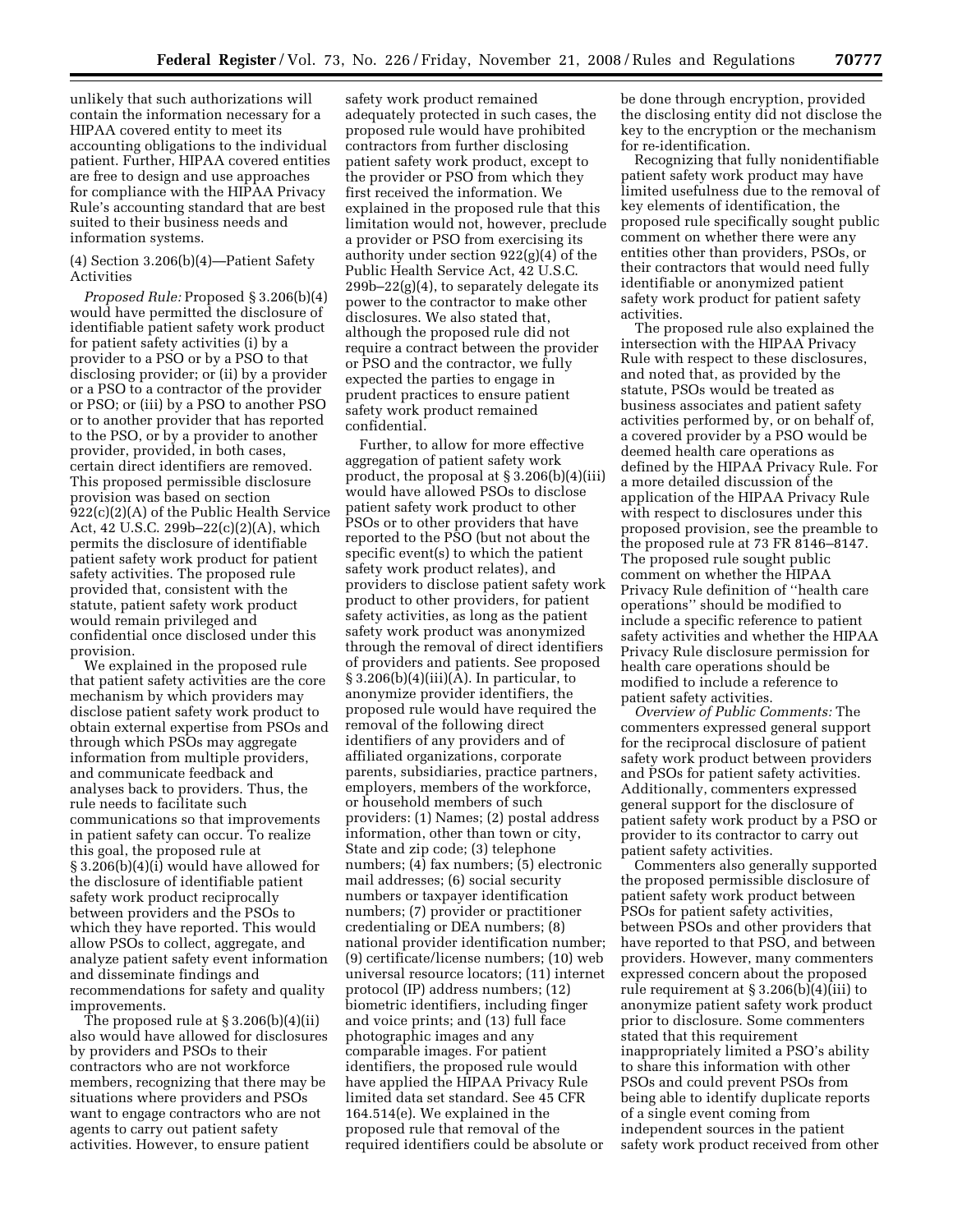unlikely that such authorizations will contain the information necessary for a HIPAA covered entity to meet its accounting obligations to the individual patient. Further, HIPAA covered entities are free to design and use approaches for compliance with the HIPAA Privacy Rule's accounting standard that are best suited to their business needs and information systems.

### (4) Section 3.206(b)(4)—Patient Safety Activities

*Proposed Rule:* Proposed § 3.206(b)(4) would have permitted the disclosure of identifiable patient safety work product for patient safety activities (i) by a provider to a PSO or by a PSO to that disclosing provider; or (ii) by a provider or a PSO to a contractor of the provider or PSO; or (iii) by a PSO to another PSO or to another provider that has reported to the PSO, or by a provider to another provider, provided, in both cases, certain direct identifiers are removed. This proposed permissible disclosure provision was based on section 922(c)(2)(A) of the Public Health Service Act, 42 U.S.C. 299b–22(c)(2)(A), which permits the disclosure of identifiable patient safety work product for patient safety activities. The proposed rule provided that, consistent with the statute, patient safety work product would remain privileged and confidential once disclosed under this provision.

We explained in the proposed rule that patient safety activities are the core mechanism by which providers may disclose patient safety work product to obtain external expertise from PSOs and through which PSOs may aggregate information from multiple providers, and communicate feedback and analyses back to providers. Thus, the rule needs to facilitate such communications so that improvements in patient safety can occur. To realize this goal, the proposed rule at § 3.206(b)(4)(i) would have allowed for the disclosure of identifiable patient safety work product reciprocally between providers and the PSOs to which they have reported. This would allow PSOs to collect, aggregate, and analyze patient safety event information and disseminate findings and recommendations for safety and quality improvements.

The proposed rule at § 3.206(b)(4)(ii) also would have allowed for disclosures by providers and PSOs to their contractors who are not workforce members, recognizing that there may be situations where providers and PSOs want to engage contractors who are not agents to carry out patient safety activities. However, to ensure patient

safety work product remained adequately protected in such cases, the proposed rule would have prohibited contractors from further disclosing patient safety work product, except to the provider or PSO from which they first received the information. We explained in the proposed rule that this limitation would not, however, preclude a provider or PSO from exercising its authority under section 922(g)(4) of the Public Health Service Act, 42 U.S.C.  $299b-22(g)(4)$ , to separately delegate its power to the contractor to make other disclosures. We also stated that, although the proposed rule did not require a contract between the provider or PSO and the contractor, we fully expected the parties to engage in prudent practices to ensure patient safety work product remained confidential.

Further, to allow for more effective aggregation of patient safety work product, the proposal at § 3.206(b)(4)(iii) would have allowed PSOs to disclose patient safety work product to other PSOs or to other providers that have reported to the PSO (but not about the specific event(s) to which the patient safety work product relates), and providers to disclose patient safety work product to other providers, for patient safety activities, as long as the patient safety work product was anonymized through the removal of direct identifiers of providers and patients. See proposed  $§ 3.206(b)(4)(iii)(A)$ . In particular, to anonymize provider identifiers, the proposed rule would have required the removal of the following direct identifiers of any providers and of affiliated organizations, corporate parents, subsidiaries, practice partners, employers, members of the workforce, or household members of such providers: (1) Names; (2) postal address information, other than town or city, State and zip code; (3) telephone numbers; (4) fax numbers; (5) electronic mail addresses; (6) social security numbers or taxpayer identification numbers; (7) provider or practitioner credentialing or DEA numbers; (8) national provider identification number; (9) certificate/license numbers; (10) web universal resource locators; (11) internet protocol (IP) address numbers; (12) biometric identifiers, including finger and voice prints; and (13) full face photographic images and any comparable images. For patient identifiers, the proposed rule would have applied the HIPAA Privacy Rule limited data set standard. See 45 CFR 164.514(e). We explained in the proposed rule that removal of the required identifiers could be absolute or

be done through encryption, provided the disclosing entity did not disclose the key to the encryption or the mechanism for re-identification.

Recognizing that fully nonidentifiable patient safety work product may have limited usefulness due to the removal of key elements of identification, the proposed rule specifically sought public comment on whether there were any entities other than providers, PSOs, or their contractors that would need fully identifiable or anonymized patient safety work product for patient safety activities.

The proposed rule also explained the intersection with the HIPAA Privacy Rule with respect to these disclosures, and noted that, as provided by the statute, PSOs would be treated as business associates and patient safety activities performed by, or on behalf of, a covered provider by a PSO would be deemed health care operations as defined by the HIPAA Privacy Rule. For a more detailed discussion of the application of the HIPAA Privacy Rule with respect to disclosures under this proposed provision, see the preamble to the proposed rule at 73 FR 8146–8147. The proposed rule sought public comment on whether the HIPAA Privacy Rule definition of ''health care operations'' should be modified to include a specific reference to patient safety activities and whether the HIPAA Privacy Rule disclosure permission for health care operations should be modified to include a reference to patient safety activities.

*Overview of Public Comments:* The commenters expressed general support for the reciprocal disclosure of patient safety work product between providers and PSOs for patient safety activities. Additionally, commenters expressed general support for the disclosure of patient safety work product by a PSO or provider to its contractor to carry out patient safety activities.

Commenters also generally supported the proposed permissible disclosure of patient safety work product between PSOs for patient safety activities, between PSOs and other providers that have reported to that PSO, and between providers. However, many commenters expressed concern about the proposed rule requirement at § 3.206(b)(4)(iii) to anonymize patient safety work product prior to disclosure. Some commenters stated that this requirement inappropriately limited a PSO's ability to share this information with other PSOs and could prevent PSOs from being able to identify duplicate reports of a single event coming from independent sources in the patient safety work product received from other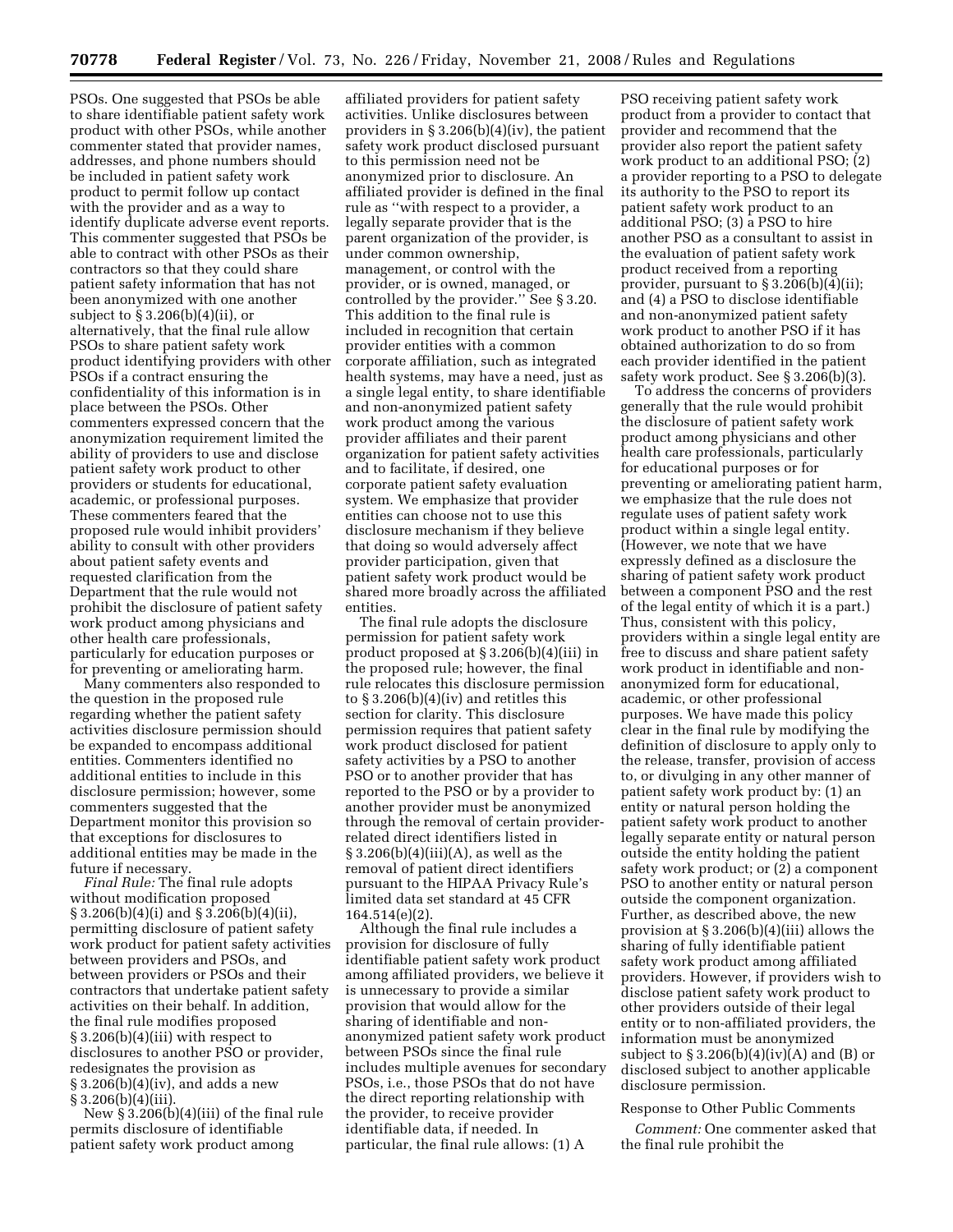PSOs. One suggested that PSOs be able to share identifiable patient safety work product with other PSOs, while another commenter stated that provider names, addresses, and phone numbers should be included in patient safety work product to permit follow up contact with the provider and as a way to identify duplicate adverse event reports. This commenter suggested that PSOs be able to contract with other PSOs as their contractors so that they could share patient safety information that has not been anonymized with one another subject to § 3.206(b)(4)(ii), or alternatively, that the final rule allow PSOs to share patient safety work product identifying providers with other PSOs if a contract ensuring the confidentiality of this information is in place between the PSOs. Other commenters expressed concern that the anonymization requirement limited the ability of providers to use and disclose patient safety work product to other providers or students for educational, academic, or professional purposes. These commenters feared that the proposed rule would inhibit providers' ability to consult with other providers about patient safety events and requested clarification from the Department that the rule would not prohibit the disclosure of patient safety work product among physicians and other health care professionals, particularly for education purposes or for preventing or ameliorating harm.

Many commenters also responded to the question in the proposed rule regarding whether the patient safety activities disclosure permission should be expanded to encompass additional entities. Commenters identified no additional entities to include in this disclosure permission; however, some commenters suggested that the Department monitor this provision so that exceptions for disclosures to additional entities may be made in the future if necessary.

*Final Rule:* The final rule adopts without modification proposed § 3.206(b)(4)(i) and § 3.206(b)(4)(ii), permitting disclosure of patient safety work product for patient safety activities between providers and PSOs, and between providers or PSOs and their contractors that undertake patient safety activities on their behalf. In addition, the final rule modifies proposed § 3.206(b)(4)(iii) with respect to disclosures to another PSO or provider, redesignates the provision as § 3.206(b)(4)(iv), and adds a new  $§ 3.206(b)(4)(iii).$ 

New § 3.206(b)(4)(iii) of the final rule permits disclosure of identifiable patient safety work product among

affiliated providers for patient safety activities. Unlike disclosures between providers in § 3.206(b)(4)(iv), the patient safety work product disclosed pursuant to this permission need not be anonymized prior to disclosure. An affiliated provider is defined in the final rule as ''with respect to a provider, a legally separate provider that is the parent organization of the provider, is under common ownership, management, or control with the provider, or is owned, managed, or controlled by the provider.'' See § 3.20. This addition to the final rule is included in recognition that certain provider entities with a common corporate affiliation, such as integrated health systems, may have a need, just as a single legal entity, to share identifiable and non-anonymized patient safety work product among the various provider affiliates and their parent organization for patient safety activities and to facilitate, if desired, one corporate patient safety evaluation system. We emphasize that provider entities can choose not to use this disclosure mechanism if they believe that doing so would adversely affect provider participation, given that patient safety work product would be shared more broadly across the affiliated entities.

The final rule adopts the disclosure permission for patient safety work product proposed at § 3.206(b)(4)(iii) in the proposed rule; however, the final rule relocates this disclosure permission to  $\S 3.206(b)(4)(iv)$  and retitles this section for clarity. This disclosure permission requires that patient safety work product disclosed for patient safety activities by a PSO to another PSO or to another provider that has reported to the PSO or by a provider to another provider must be anonymized through the removal of certain providerrelated direct identifiers listed in  $\S 3.206(b)(4)(iii)(A)$ , as well as the removal of patient direct identifiers pursuant to the HIPAA Privacy Rule's limited data set standard at 45 CFR 164.514(e)(2).

Although the final rule includes a provision for disclosure of fully identifiable patient safety work product among affiliated providers, we believe it is unnecessary to provide a similar provision that would allow for the sharing of identifiable and nonanonymized patient safety work product between PSOs since the final rule includes multiple avenues for secondary PSOs, i.e., those PSOs that do not have the direct reporting relationship with the provider, to receive provider identifiable data, if needed. In particular, the final rule allows: (1) A

PSO receiving patient safety work product from a provider to contact that provider and recommend that the provider also report the patient safety work product to an additional PSO; (2) a provider reporting to a PSO to delegate its authority to the PSO to report its patient safety work product to an additional PSO; (3) a PSO to hire another PSO as a consultant to assist in the evaluation of patient safety work product received from a reporting provider, pursuant to § 3.206(b)(4)(ii); and (4) a PSO to disclose identifiable and non-anonymized patient safety work product to another PSO if it has obtained authorization to do so from each provider identified in the patient safety work product. See § 3.206(b)(3).

To address the concerns of providers generally that the rule would prohibit the disclosure of patient safety work product among physicians and other health care professionals, particularly for educational purposes or for preventing or ameliorating patient harm, we emphasize that the rule does not regulate uses of patient safety work product within a single legal entity. (However, we note that we have expressly defined as a disclosure the sharing of patient safety work product between a component PSO and the rest of the legal entity of which it is a part.) Thus, consistent with this policy, providers within a single legal entity are free to discuss and share patient safety work product in identifiable and nonanonymized form for educational, academic, or other professional purposes. We have made this policy clear in the final rule by modifying the definition of disclosure to apply only to the release, transfer, provision of access to, or divulging in any other manner of patient safety work product by: (1) an entity or natural person holding the patient safety work product to another legally separate entity or natural person outside the entity holding the patient safety work product; or (2) a component PSO to another entity or natural person outside the component organization. Further, as described above, the new provision at § 3.206(b)(4)(iii) allows the sharing of fully identifiable patient safety work product among affiliated providers. However, if providers wish to disclose patient safety work product to other providers outside of their legal entity or to non-affiliated providers, the information must be anonymized subject to  $\S 3.206(b)(4)(iv)(A)$  and  $(B)$  or disclosed subject to another applicable disclosure permission.

#### Response to Other Public Comments

*Comment:* One commenter asked that the final rule prohibit the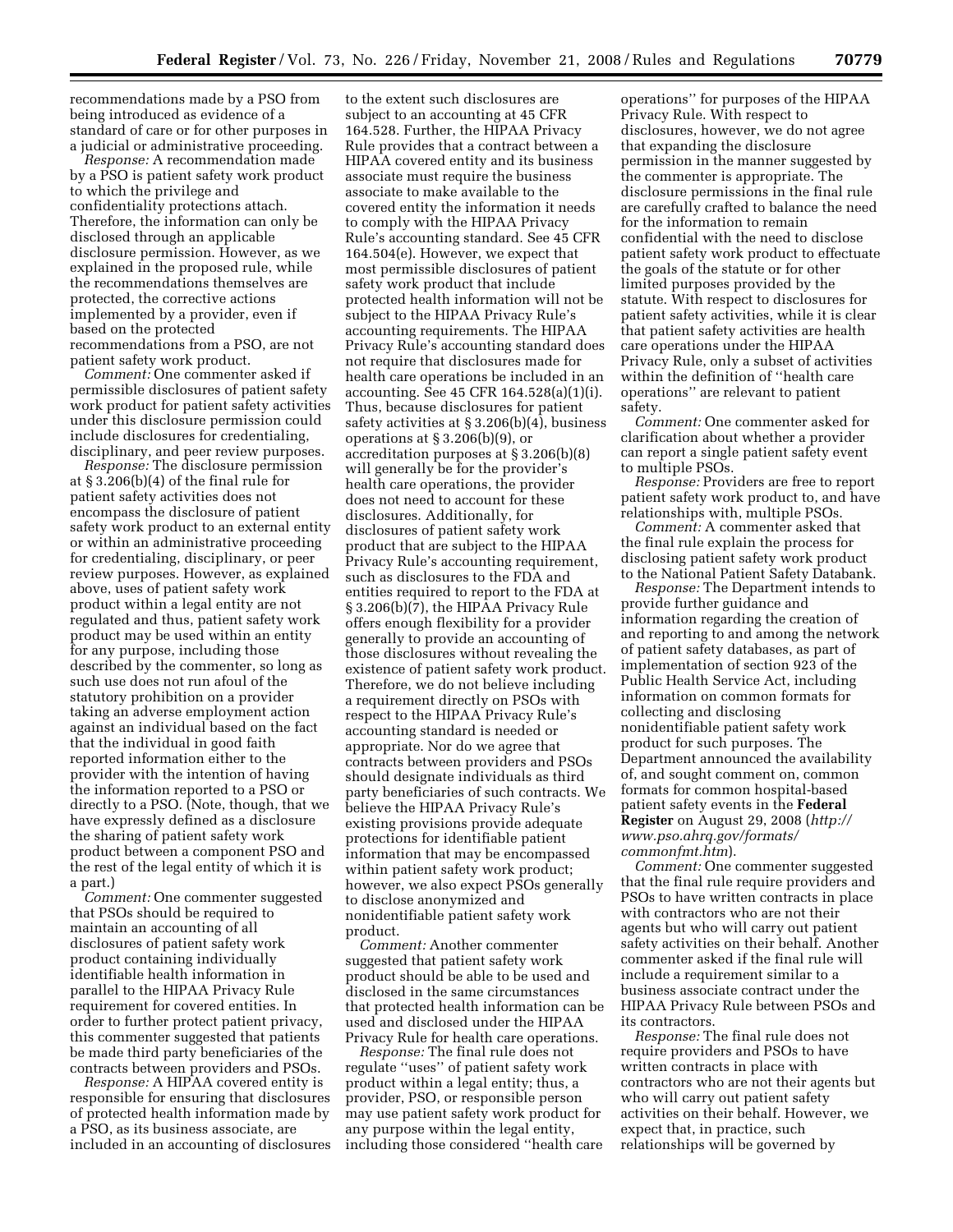recommendations made by a PSO from being introduced as evidence of a standard of care or for other purposes in a judicial or administrative proceeding.

*Response:* A recommendation made by a PSO is patient safety work product to which the privilege and confidentiality protections attach. Therefore, the information can only be disclosed through an applicable disclosure permission. However, as we explained in the proposed rule, while the recommendations themselves are protected, the corrective actions implemented by a provider, even if based on the protected recommendations from a PSO, are not patient safety work product.

*Comment:* One commenter asked if permissible disclosures of patient safety work product for patient safety activities under this disclosure permission could include disclosures for credentialing, disciplinary, and peer review purposes.

*Response:* The disclosure permission at § 3.206(b)(4) of the final rule for patient safety activities does not encompass the disclosure of patient safety work product to an external entity or within an administrative proceeding for credentialing, disciplinary, or peer review purposes. However, as explained above, uses of patient safety work product within a legal entity are not regulated and thus, patient safety work product may be used within an entity for any purpose, including those described by the commenter, so long as such use does not run afoul of the statutory prohibition on a provider taking an adverse employment action against an individual based on the fact that the individual in good faith reported information either to the provider with the intention of having the information reported to a PSO or directly to a PSO. (Note, though, that we have expressly defined as a disclosure the sharing of patient safety work product between a component PSO and the rest of the legal entity of which it is a part.)

*Comment:* One commenter suggested that PSOs should be required to maintain an accounting of all disclosures of patient safety work product containing individually identifiable health information in parallel to the HIPAA Privacy Rule requirement for covered entities. In order to further protect patient privacy, this commenter suggested that patients be made third party beneficiaries of the contracts between providers and PSOs.

*Response:* A HIPAA covered entity is responsible for ensuring that disclosures of protected health information made by a PSO, as its business associate, are included in an accounting of disclosures

to the extent such disclosures are subject to an accounting at 45 CFR 164.528. Further, the HIPAA Privacy Rule provides that a contract between a HIPAA covered entity and its business associate must require the business associate to make available to the covered entity the information it needs to comply with the HIPAA Privacy Rule's accounting standard. See 45 CFR 164.504(e). However, we expect that most permissible disclosures of patient safety work product that include protected health information will not be subject to the HIPAA Privacy Rule's accounting requirements. The HIPAA Privacy Rule's accounting standard does not require that disclosures made for health care operations be included in an accounting. See 45 CFR 164.528(a)(1)(i). Thus, because disclosures for patient safety activities at § 3.206(b)(4), business operations at § 3.206(b)(9), or accreditation purposes at § 3.206(b)(8) will generally be for the provider's health care operations, the provider does not need to account for these disclosures. Additionally, for disclosures of patient safety work product that are subject to the HIPAA Privacy Rule's accounting requirement, such as disclosures to the FDA and entities required to report to the FDA at § 3.206(b)(7), the HIPAA Privacy Rule offers enough flexibility for a provider generally to provide an accounting of those disclosures without revealing the existence of patient safety work product. Therefore, we do not believe including a requirement directly on PSOs with respect to the HIPAA Privacy Rule's accounting standard is needed or appropriate. Nor do we agree that contracts between providers and PSOs should designate individuals as third party beneficiaries of such contracts. We believe the HIPAA Privacy Rule's existing provisions provide adequate protections for identifiable patient information that may be encompassed within patient safety work product; however, we also expect PSOs generally to disclose anonymized and nonidentifiable patient safety work product.

*Comment:* Another commenter suggested that patient safety work product should be able to be used and disclosed in the same circumstances that protected health information can be used and disclosed under the HIPAA Privacy Rule for health care operations.

*Response:* The final rule does not regulate ''uses'' of patient safety work product within a legal entity; thus, a provider, PSO, or responsible person may use patient safety work product for any purpose within the legal entity, including those considered ''health care

operations'' for purposes of the HIPAA Privacy Rule. With respect to disclosures, however, we do not agree that expanding the disclosure permission in the manner suggested by the commenter is appropriate. The disclosure permissions in the final rule are carefully crafted to balance the need for the information to remain confidential with the need to disclose patient safety work product to effectuate the goals of the statute or for other limited purposes provided by the statute. With respect to disclosures for patient safety activities, while it is clear that patient safety activities are health care operations under the HIPAA Privacy Rule, only a subset of activities within the definition of ''health care operations'' are relevant to patient safety.

*Comment:* One commenter asked for clarification about whether a provider can report a single patient safety event to multiple PSOs.

*Response:* Providers are free to report patient safety work product to, and have relationships with, multiple PSOs.

*Comment:* A commenter asked that the final rule explain the process for disclosing patient safety work product to the National Patient Safety Databank.

*Response:* The Department intends to provide further guidance and information regarding the creation of and reporting to and among the network of patient safety databases, as part of implementation of section 923 of the Public Health Service Act, including information on common formats for collecting and disclosing nonidentifiable patient safety work product for such purposes. The Department announced the availability of, and sought comment on, common formats for common hospital-based patient safety events in the **Federal Register** on August 29, 2008 (*http:// [www.pso.ahrq.gov/formats/](http://www.pso.ahrq.gov/formats/commonfmt.htm) commonfmt.htm*).

*Comment:* One commenter suggested that the final rule require providers and PSOs to have written contracts in place with contractors who are not their agents but who will carry out patient safety activities on their behalf. Another commenter asked if the final rule will include a requirement similar to a business associate contract under the HIPAA Privacy Rule between PSOs and its contractors.

*Response:* The final rule does not require providers and PSOs to have written contracts in place with contractors who are not their agents but who will carry out patient safety activities on their behalf. However, we expect that, in practice, such relationships will be governed by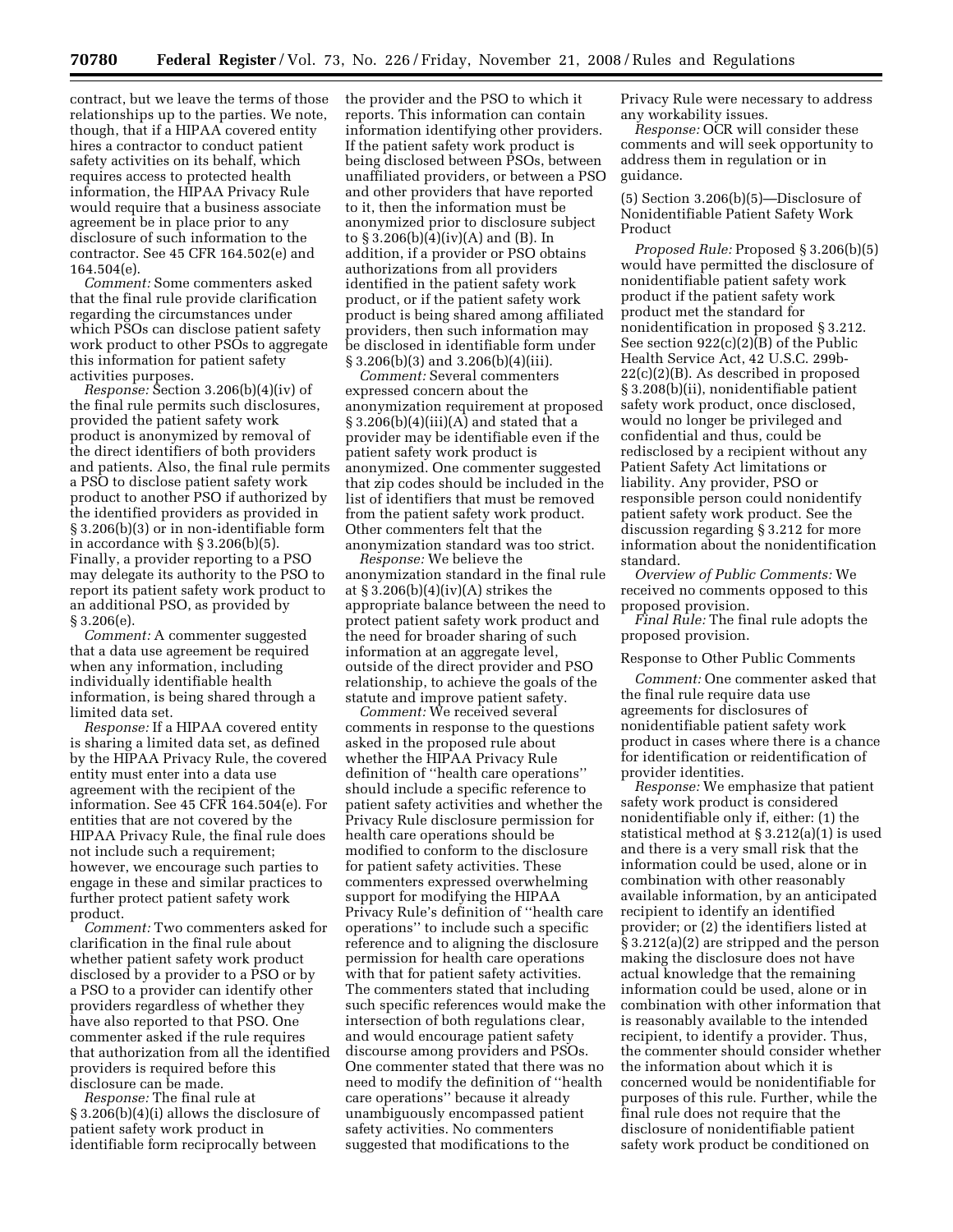contract, but we leave the terms of those relationships up to the parties. We note, though, that if a HIPAA covered entity hires a contractor to conduct patient safety activities on its behalf, which requires access to protected health information, the HIPAA Privacy Rule would require that a business associate agreement be in place prior to any disclosure of such information to the contractor. See 45 CFR 164.502(e) and 164.504(e).

*Comment:* Some commenters asked that the final rule provide clarification regarding the circumstances under which PSOs can disclose patient safety work product to other PSOs to aggregate this information for patient safety activities purposes.

*Response:* Section 3.206(b)(4)(iv) of the final rule permits such disclosures, provided the patient safety work product is anonymized by removal of the direct identifiers of both providers and patients. Also, the final rule permits a PSO to disclose patient safety work product to another PSO if authorized by the identified providers as provided in § 3.206(b)(3) or in non-identifiable form in accordance with § 3.206(b)(5). Finally, a provider reporting to a PSO may delegate its authority to the PSO to report its patient safety work product to an additional PSO, as provided by § 3.206(e).

*Comment:* A commenter suggested that a data use agreement be required when any information, including individually identifiable health information, is being shared through a limited data set.

*Response:* If a HIPAA covered entity is sharing a limited data set, as defined by the HIPAA Privacy Rule, the covered entity must enter into a data use agreement with the recipient of the information. See 45 CFR 164.504(e). For entities that are not covered by the HIPAA Privacy Rule, the final rule does not include such a requirement; however, we encourage such parties to engage in these and similar practices to further protect patient safety work product.

*Comment:* Two commenters asked for clarification in the final rule about whether patient safety work product disclosed by a provider to a PSO or by a PSO to a provider can identify other providers regardless of whether they have also reported to that PSO. One commenter asked if the rule requires that authorization from all the identified providers is required before this disclosure can be made.

*Response:* The final rule at § 3.206(b)(4)(i) allows the disclosure of patient safety work product in identifiable form reciprocally between

the provider and the PSO to which it reports. This information can contain information identifying other providers. If the patient safety work product is being disclosed between PSOs, between unaffiliated providers, or between a PSO and other providers that have reported to it, then the information must be anonymized prior to disclosure subject to § 3.206(b)(4)(iv)(A) and (B). In addition, if a provider or PSO obtains authorizations from all providers identified in the patient safety work product, or if the patient safety work product is being shared among affiliated providers, then such information may be disclosed in identifiable form under § 3.206(b)(3) and 3.206(b)(4)(iii).

*Comment:* Several commenters expressed concern about the anonymization requirement at proposed  $\S 3.206(b)(4)(iii)(A)$  and stated that a provider may be identifiable even if the patient safety work product is anonymized. One commenter suggested that zip codes should be included in the list of identifiers that must be removed from the patient safety work product. Other commenters felt that the anonymization standard was too strict.

*Response:* We believe the anonymization standard in the final rule at  $\S 3.206(b)(4)(iv)(A)$  strikes the appropriate balance between the need to protect patient safety work product and the need for broader sharing of such information at an aggregate level, outside of the direct provider and PSO relationship, to achieve the goals of the statute and improve patient safety.

*Comment:* We received several comments in response to the questions asked in the proposed rule about whether the HIPAA Privacy Rule definition of ''health care operations'' should include a specific reference to patient safety activities and whether the Privacy Rule disclosure permission for health care operations should be modified to conform to the disclosure for patient safety activities. These commenters expressed overwhelming support for modifying the HIPAA Privacy Rule's definition of ''health care operations'' to include such a specific reference and to aligning the disclosure permission for health care operations with that for patient safety activities. The commenters stated that including such specific references would make the intersection of both regulations clear, and would encourage patient safety discourse among providers and PSOs. One commenter stated that there was no need to modify the definition of ''health care operations'' because it already unambiguously encompassed patient safety activities. No commenters suggested that modifications to the

Privacy Rule were necessary to address any workability issues.

*Response:* OCR will consider these comments and will seek opportunity to address them in regulation or in guidance.

# (5) Section 3.206(b)(5)—Disclosure of Nonidentifiable Patient Safety Work Product

*Proposed Rule:* Proposed § 3.206(b)(5) would have permitted the disclosure of nonidentifiable patient safety work product if the patient safety work product met the standard for nonidentification in proposed § 3.212. See section 922(c)(2)(B) of the Public Health Service Act, 42 U.S.C. 299b-22(c)(2)(B). As described in proposed § 3.208(b)(ii), nonidentifiable patient safety work product, once disclosed, would no longer be privileged and confidential and thus, could be redisclosed by a recipient without any Patient Safety Act limitations or liability. Any provider, PSO or responsible person could nonidentify patient safety work product. See the discussion regarding § 3.212 for more information about the nonidentification standard.

*Overview of Public Comments:* We received no comments opposed to this proposed provision.

*Final Rule:* The final rule adopts the proposed provision.

#### Response to Other Public Comments

*Comment:* One commenter asked that the final rule require data use agreements for disclosures of nonidentifiable patient safety work product in cases where there is a chance for identification or reidentification of provider identities.

*Response:* We emphasize that patient safety work product is considered nonidentifiable only if, either: (1) the statistical method at § 3.212(a)(1) is used and there is a very small risk that the information could be used, alone or in combination with other reasonably available information, by an anticipated recipient to identify an identified provider; or (2) the identifiers listed at § 3.212(a)(2) are stripped and the person making the disclosure does not have actual knowledge that the remaining information could be used, alone or in combination with other information that is reasonably available to the intended recipient, to identify a provider. Thus, the commenter should consider whether the information about which it is concerned would be nonidentifiable for purposes of this rule. Further, while the final rule does not require that the disclosure of nonidentifiable patient safety work product be conditioned on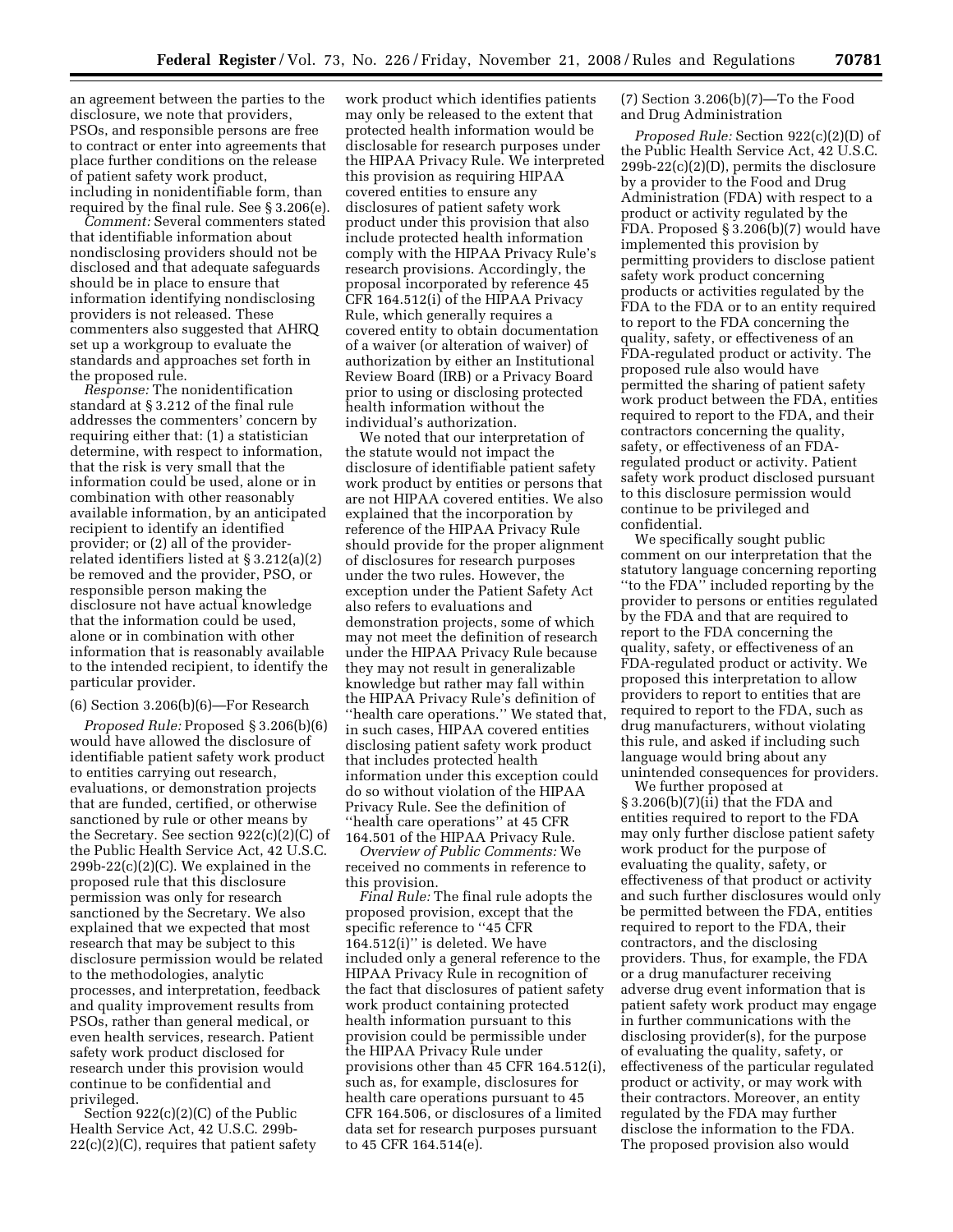an agreement between the parties to the disclosure, we note that providers, PSOs, and responsible persons are free to contract or enter into agreements that place further conditions on the release of patient safety work product, including in nonidentifiable form, than required by the final rule. See § 3.206(e).

*Comment:* Several commenters stated that identifiable information about nondisclosing providers should not be disclosed and that adequate safeguards should be in place to ensure that information identifying nondisclosing providers is not released. These commenters also suggested that AHRQ set up a workgroup to evaluate the standards and approaches set forth in the proposed rule.

*Response:* The nonidentification standard at § 3.212 of the final rule addresses the commenters' concern by requiring either that: (1) a statistician determine, with respect to information, that the risk is very small that the information could be used, alone or in combination with other reasonably available information, by an anticipated recipient to identify an identified provider; or (2) all of the providerrelated identifiers listed at § 3.212(a)(2) be removed and the provider, PSO, or responsible person making the disclosure not have actual knowledge that the information could be used, alone or in combination with other information that is reasonably available to the intended recipient, to identify the particular provider.

# (6) Section 3.206(b)(6)—For Research

*Proposed Rule:* Proposed § 3.206(b)(6) would have allowed the disclosure of identifiable patient safety work product to entities carrying out research, evaluations, or demonstration projects that are funded, certified, or otherwise sanctioned by rule or other means by the Secretary. See section 922(c)(2)(C) of the Public Health Service Act, 42 U.S.C.  $299b-22(c)(2)(C)$ . We explained in the proposed rule that this disclosure permission was only for research sanctioned by the Secretary. We also explained that we expected that most research that may be subject to this disclosure permission would be related to the methodologies, analytic processes, and interpretation, feedback and quality improvement results from PSOs, rather than general medical, or even health services, research. Patient safety work product disclosed for research under this provision would continue to be confidential and privileged.

Section 922(c)(2)(C) of the Public Health Service Act, 42 U.S.C. 299b- $22(c)(2)(C)$ , requires that patient safety

work product which identifies patients may only be released to the extent that protected health information would be disclosable for research purposes under the HIPAA Privacy Rule. We interpreted this provision as requiring HIPAA covered entities to ensure any disclosures of patient safety work product under this provision that also include protected health information comply with the HIPAA Privacy Rule's research provisions. Accordingly, the proposal incorporated by reference 45 CFR 164.512(i) of the HIPAA Privacy Rule, which generally requires a covered entity to obtain documentation of a waiver (or alteration of waiver) of authorization by either an Institutional Review Board (IRB) or a Privacy Board prior to using or disclosing protected health information without the individual's authorization.

We noted that our interpretation of the statute would not impact the disclosure of identifiable patient safety work product by entities or persons that are not HIPAA covered entities. We also explained that the incorporation by reference of the HIPAA Privacy Rule should provide for the proper alignment of disclosures for research purposes under the two rules. However, the exception under the Patient Safety Act also refers to evaluations and demonstration projects, some of which may not meet the definition of research under the HIPAA Privacy Rule because they may not result in generalizable knowledge but rather may fall within the HIPAA Privacy Rule's definition of ''health care operations.'' We stated that, in such cases, HIPAA covered entities disclosing patient safety work product that includes protected health information under this exception could do so without violation of the HIPAA Privacy Rule. See the definition of ''health care operations'' at 45 CFR 164.501 of the HIPAA Privacy Rule.

*Overview of Public Comments:* We received no comments in reference to this provision.

*Final Rule:* The final rule adopts the proposed provision, except that the specific reference to ''45 CFR 164.512(i)'' is deleted. We have included only a general reference to the HIPAA Privacy Rule in recognition of the fact that disclosures of patient safety work product containing protected health information pursuant to this provision could be permissible under the HIPAA Privacy Rule under provisions other than 45 CFR 164.512(i), such as, for example, disclosures for health care operations pursuant to 45 CFR 164.506, or disclosures of a limited data set for research purposes pursuant to 45 CFR 164.514(e).

(7) Section 3.206(b)(7)—To the Food and Drug Administration

*Proposed Rule:* Section 922(c)(2)(D) of the Public Health Service Act, 42 U.S.C. 299b-22(c)(2)(D), permits the disclosure by a provider to the Food and Drug Administration (FDA) with respect to a product or activity regulated by the FDA. Proposed § 3.206(b)(7) would have implemented this provision by permitting providers to disclose patient safety work product concerning products or activities regulated by the FDA to the FDA or to an entity required to report to the FDA concerning the quality, safety, or effectiveness of an FDA-regulated product or activity. The proposed rule also would have permitted the sharing of patient safety work product between the FDA, entities required to report to the FDA, and their contractors concerning the quality, safety, or effectiveness of an FDAregulated product or activity. Patient safety work product disclosed pursuant to this disclosure permission would continue to be privileged and confidential.

We specifically sought public comment on our interpretation that the statutory language concerning reporting ''to the FDA'' included reporting by the provider to persons or entities regulated by the FDA and that are required to report to the FDA concerning the quality, safety, or effectiveness of an FDA-regulated product or activity. We proposed this interpretation to allow providers to report to entities that are required to report to the FDA, such as drug manufacturers, without violating this rule, and asked if including such language would bring about any unintended consequences for providers.

We further proposed at § 3.206(b)(7)(ii) that the FDA and entities required to report to the FDA may only further disclose patient safety work product for the purpose of evaluating the quality, safety, or effectiveness of that product or activity and such further disclosures would only be permitted between the FDA, entities required to report to the FDA, their contractors, and the disclosing providers. Thus, for example, the FDA or a drug manufacturer receiving adverse drug event information that is patient safety work product may engage in further communications with the disclosing provider(s), for the purpose of evaluating the quality, safety, or effectiveness of the particular regulated product or activity, or may work with their contractors. Moreover, an entity regulated by the FDA may further disclose the information to the FDA. The proposed provision also would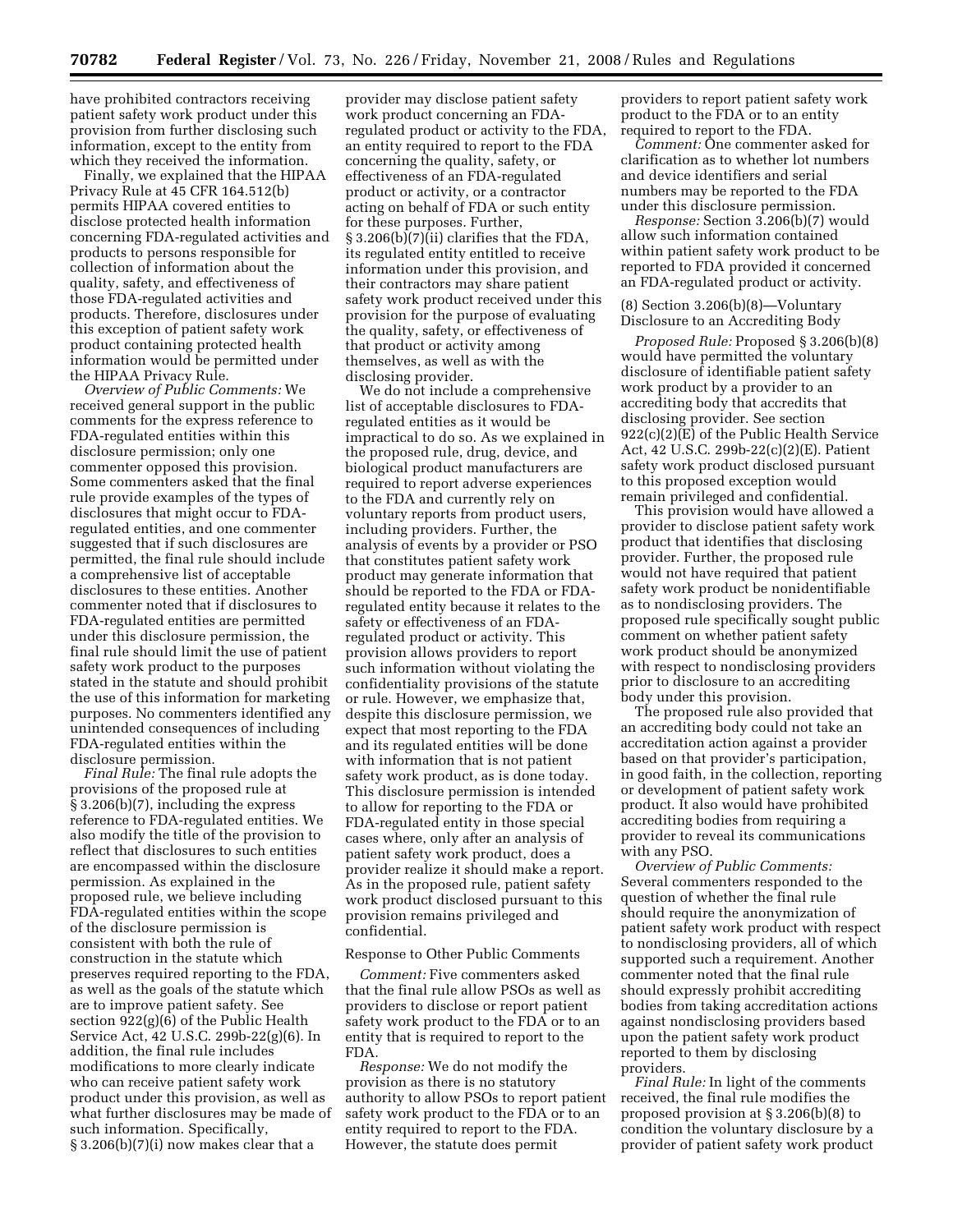have prohibited contractors receiving patient safety work product under this provision from further disclosing such information, except to the entity from which they received the information.

Finally, we explained that the HIPAA Privacy Rule at 45 CFR 164.512(b) permits HIPAA covered entities to disclose protected health information concerning FDA-regulated activities and products to persons responsible for collection of information about the quality, safety, and effectiveness of those FDA-regulated activities and products. Therefore, disclosures under this exception of patient safety work product containing protected health information would be permitted under the HIPAA Privacy Rule.

*Overview of Public Comments:* We received general support in the public comments for the express reference to FDA-regulated entities within this disclosure permission; only one commenter opposed this provision. Some commenters asked that the final rule provide examples of the types of disclosures that might occur to FDAregulated entities, and one commenter suggested that if such disclosures are permitted, the final rule should include a comprehensive list of acceptable disclosures to these entities. Another commenter noted that if disclosures to FDA-regulated entities are permitted under this disclosure permission, the final rule should limit the use of patient safety work product to the purposes stated in the statute and should prohibit the use of this information for marketing purposes. No commenters identified any unintended consequences of including FDA-regulated entities within the disclosure permission.

*Final Rule:* The final rule adopts the provisions of the proposed rule at § 3.206(b)(7), including the express reference to FDA-regulated entities. We also modify the title of the provision to reflect that disclosures to such entities are encompassed within the disclosure permission. As explained in the proposed rule, we believe including FDA-regulated entities within the scope of the disclosure permission is consistent with both the rule of construction in the statute which preserves required reporting to the FDA, as well as the goals of the statute which are to improve patient safety. See section 922(g)(6) of the Public Health Service Act, 42 U.S.C. 299b-22(g)(6). In addition, the final rule includes modifications to more clearly indicate who can receive patient safety work product under this provision, as well as what further disclosures may be made of such information. Specifically, § 3.206(b)(7)(i) now makes clear that a

provider may disclose patient safety work product concerning an FDAregulated product or activity to the FDA, an entity required to report to the FDA concerning the quality, safety, or effectiveness of an FDA-regulated product or activity, or a contractor acting on behalf of FDA or such entity for these purposes. Further, § 3.206(b)(7)(ii) clarifies that the FDA, its regulated entity entitled to receive information under this provision, and their contractors may share patient safety work product received under this provision for the purpose of evaluating the quality, safety, or effectiveness of that product or activity among themselves, as well as with the disclosing provider.

We do not include a comprehensive list of acceptable disclosures to FDAregulated entities as it would be impractical to do so. As we explained in the proposed rule, drug, device, and biological product manufacturers are required to report adverse experiences to the FDA and currently rely on voluntary reports from product users, including providers. Further, the analysis of events by a provider or PSO that constitutes patient safety work product may generate information that should be reported to the FDA or FDAregulated entity because it relates to the safety or effectiveness of an FDAregulated product or activity. This provision allows providers to report such information without violating the confidentiality provisions of the statute or rule. However, we emphasize that, despite this disclosure permission, we expect that most reporting to the FDA and its regulated entities will be done with information that is not patient safety work product, as is done today. This disclosure permission is intended to allow for reporting to the FDA or FDA-regulated entity in those special cases where, only after an analysis of patient safety work product, does a provider realize it should make a report. As in the proposed rule, patient safety work product disclosed pursuant to this provision remains privileged and confidential.

#### Response to Other Public Comments

*Comment:* Five commenters asked that the final rule allow PSOs as well as providers to disclose or report patient safety work product to the FDA or to an entity that is required to report to the FDA.

*Response:* We do not modify the provision as there is no statutory authority to allow PSOs to report patient safety work product to the FDA or to an entity required to report to the FDA. However, the statute does permit

providers to report patient safety work product to the FDA or to an entity required to report to the FDA.

*Comment:* One commenter asked for clarification as to whether lot numbers and device identifiers and serial numbers may be reported to the FDA under this disclosure permission.

*Response:* Section 3.206(b)(7) would allow such information contained within patient safety work product to be reported to FDA provided it concerned an FDA-regulated product or activity.

(8) Section 3.206(b)(8)—Voluntary Disclosure to an Accrediting Body

*Proposed Rule:* Proposed § 3.206(b)(8) would have permitted the voluntary disclosure of identifiable patient safety work product by a provider to an accrediting body that accredits that disclosing provider. See section 922(c)(2)(E) of the Public Health Service Act, 42 U.S.C. 299b-22(c)(2)(E). Patient safety work product disclosed pursuant to this proposed exception would remain privileged and confidential.

This provision would have allowed a provider to disclose patient safety work product that identifies that disclosing provider. Further, the proposed rule would not have required that patient safety work product be nonidentifiable as to nondisclosing providers. The proposed rule specifically sought public comment on whether patient safety work product should be anonymized with respect to nondisclosing providers prior to disclosure to an accrediting body under this provision.

The proposed rule also provided that an accrediting body could not take an accreditation action against a provider based on that provider's participation, in good faith, in the collection, reporting or development of patient safety work product. It also would have prohibited accrediting bodies from requiring a provider to reveal its communications with any PSO.

*Overview of Public Comments:*  Several commenters responded to the question of whether the final rule should require the anonymization of patient safety work product with respect to nondisclosing providers, all of which supported such a requirement. Another commenter noted that the final rule should expressly prohibit accrediting bodies from taking accreditation actions against nondisclosing providers based upon the patient safety work product reported to them by disclosing providers.

*Final Rule:* In light of the comments received, the final rule modifies the proposed provision at § 3.206(b)(8) to condition the voluntary disclosure by a provider of patient safety work product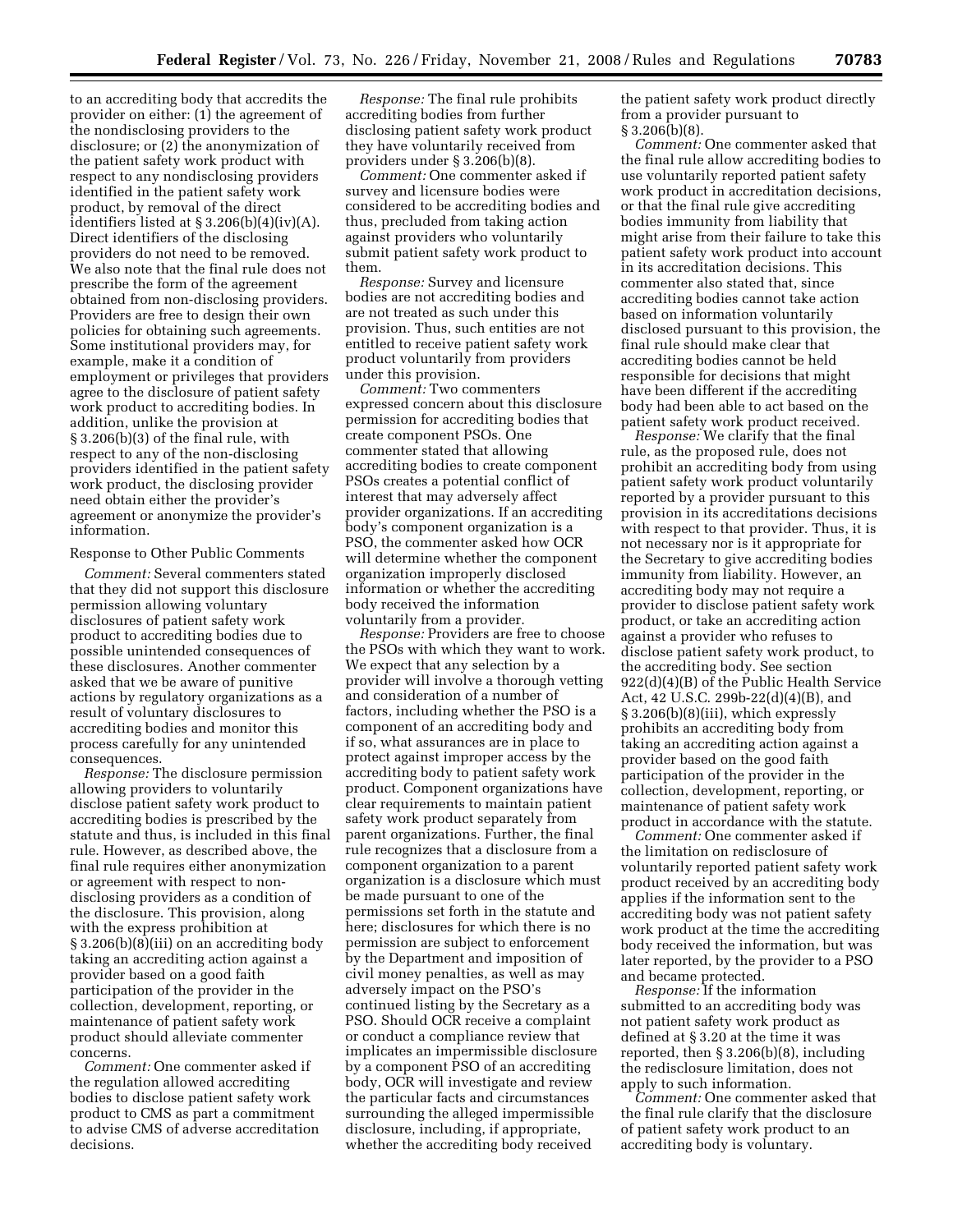to an accrediting body that accredits the provider on either: (1) the agreement of the nondisclosing providers to the disclosure; or (2) the anonymization of the patient safety work product with respect to any nondisclosing providers identified in the patient safety work product, by removal of the direct identifiers listed at  $\S 3.206(b)(4)(iv)(A)$ . Direct identifiers of the disclosing providers do not need to be removed. We also note that the final rule does not prescribe the form of the agreement obtained from non-disclosing providers. Providers are free to design their own policies for obtaining such agreements. Some institutional providers may, for example, make it a condition of employment or privileges that providers agree to the disclosure of patient safety work product to accrediting bodies. In addition, unlike the provision at § 3.206(b)(3) of the final rule, with respect to any of the non-disclosing providers identified in the patient safety work product, the disclosing provider need obtain either the provider's agreement or anonymize the provider's information.

### Response to Other Public Comments

*Comment:* Several commenters stated that they did not support this disclosure permission allowing voluntary disclosures of patient safety work product to accrediting bodies due to possible unintended consequences of these disclosures. Another commenter asked that we be aware of punitive actions by regulatory organizations as a result of voluntary disclosures to accrediting bodies and monitor this process carefully for any unintended consequences.

*Response:* The disclosure permission allowing providers to voluntarily disclose patient safety work product to accrediting bodies is prescribed by the statute and thus, is included in this final rule. However, as described above, the final rule requires either anonymization or agreement with respect to nondisclosing providers as a condition of the disclosure. This provision, along with the express prohibition at § 3.206(b)(8)(iii) on an accrediting body taking an accrediting action against a provider based on a good faith participation of the provider in the collection, development, reporting, or maintenance of patient safety work product should alleviate commenter concerns.

*Comment:* One commenter asked if the regulation allowed accrediting bodies to disclose patient safety work product to CMS as part a commitment to advise CMS of adverse accreditation decisions.

*Response:* The final rule prohibits accrediting bodies from further disclosing patient safety work product they have voluntarily received from providers under § 3.206(b)(8).

*Comment:* One commenter asked if survey and licensure bodies were considered to be accrediting bodies and thus, precluded from taking action against providers who voluntarily submit patient safety work product to them.

*Response:* Survey and licensure bodies are not accrediting bodies and are not treated as such under this provision. Thus, such entities are not entitled to receive patient safety work product voluntarily from providers under this provision.

*Comment:* Two commenters expressed concern about this disclosure permission for accrediting bodies that create component PSOs. One commenter stated that allowing accrediting bodies to create component PSOs creates a potential conflict of interest that may adversely affect provider organizations. If an accrediting body's component organization is a PSO, the commenter asked how OCR will determine whether the component organization improperly disclosed information or whether the accrediting body received the information voluntarily from a provider.

*Response:* Providers are free to choose the PSOs with which they want to work. We expect that any selection by a provider will involve a thorough vetting and consideration of a number of factors, including whether the PSO is a component of an accrediting body and if so, what assurances are in place to protect against improper access by the accrediting body to patient safety work product. Component organizations have clear requirements to maintain patient safety work product separately from parent organizations. Further, the final rule recognizes that a disclosure from a component organization to a parent organization is a disclosure which must be made pursuant to one of the permissions set forth in the statute and here; disclosures for which there is no permission are subject to enforcement by the Department and imposition of civil money penalties, as well as may adversely impact on the PSO's continued listing by the Secretary as a PSO. Should OCR receive a complaint or conduct a compliance review that implicates an impermissible disclosure by a component PSO of an accrediting body, OCR will investigate and review the particular facts and circumstances surrounding the alleged impermissible disclosure, including, if appropriate, whether the accrediting body received

the patient safety work product directly from a provider pursuant to § 3.206(b)(8).

*Comment:* One commenter asked that the final rule allow accrediting bodies to use voluntarily reported patient safety work product in accreditation decisions, or that the final rule give accrediting bodies immunity from liability that might arise from their failure to take this patient safety work product into account in its accreditation decisions. This commenter also stated that, since accrediting bodies cannot take action based on information voluntarily disclosed pursuant to this provision, the final rule should make clear that accrediting bodies cannot be held responsible for decisions that might have been different if the accrediting body had been able to act based on the patient safety work product received.

*Response:* We clarify that the final rule, as the proposed rule, does not prohibit an accrediting body from using patient safety work product voluntarily reported by a provider pursuant to this provision in its accreditations decisions with respect to that provider. Thus, it is not necessary nor is it appropriate for the Secretary to give accrediting bodies immunity from liability. However, an accrediting body may not require a provider to disclose patient safety work product, or take an accrediting action against a provider who refuses to disclose patient safety work product, to the accrediting body. See section 922(d)(4)(B) of the Public Health Service Act, 42 U.S.C. 299b-22(d)(4)(B), and § 3.206(b)(8)(iii), which expressly prohibits an accrediting body from taking an accrediting action against a provider based on the good faith participation of the provider in the collection, development, reporting, or maintenance of patient safety work product in accordance with the statute.

*Comment:* One commenter asked if the limitation on redisclosure of voluntarily reported patient safety work product received by an accrediting body applies if the information sent to the accrediting body was not patient safety work product at the time the accrediting body received the information, but was later reported, by the provider to a PSO and became protected.

*Response:* If the information submitted to an accrediting body was not patient safety work product as defined at § 3.20 at the time it was reported, then § 3.206(b)(8), including the redisclosure limitation, does not apply to such information.

*Comment:* One commenter asked that the final rule clarify that the disclosure of patient safety work product to an accrediting body is voluntary.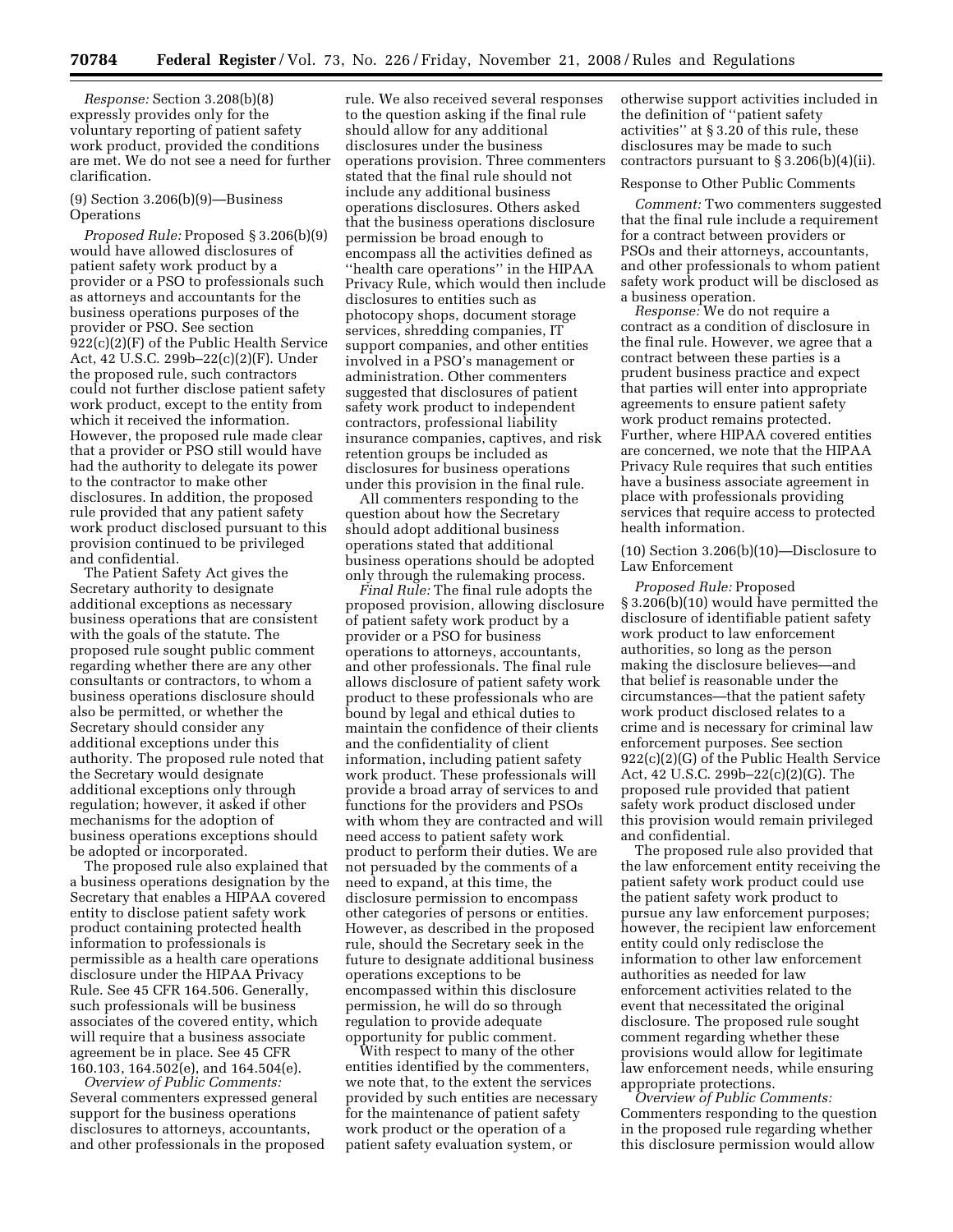*Response:* Section 3.208(b)(8) expressly provides only for the voluntary reporting of patient safety work product, provided the conditions are met. We do not see a need for further clarification.

### (9) Section 3.206(b)(9)—Business **Operations**

*Proposed Rule:* Proposed § 3.206(b)(9) would have allowed disclosures of patient safety work product by a provider or a PSO to professionals such as attorneys and accountants for the business operations purposes of the provider or PSO. See section 922(c)(2)(F) of the Public Health Service Act, 42 U.S.C. 299b–22(c)(2)(F). Under the proposed rule, such contractors could not further disclose patient safety work product, except to the entity from which it received the information. However, the proposed rule made clear that a provider or PSO still would have had the authority to delegate its power to the contractor to make other disclosures. In addition, the proposed rule provided that any patient safety work product disclosed pursuant to this provision continued to be privileged and confidential.

The Patient Safety Act gives the Secretary authority to designate additional exceptions as necessary business operations that are consistent with the goals of the statute. The proposed rule sought public comment regarding whether there are any other consultants or contractors, to whom a business operations disclosure should also be permitted, or whether the Secretary should consider any additional exceptions under this authority. The proposed rule noted that the Secretary would designate additional exceptions only through regulation; however, it asked if other mechanisms for the adoption of business operations exceptions should be adopted or incorporated.

The proposed rule also explained that a business operations designation by the Secretary that enables a HIPAA covered entity to disclose patient safety work product containing protected health information to professionals is permissible as a health care operations disclosure under the HIPAA Privacy Rule. See 45 CFR 164.506. Generally, such professionals will be business associates of the covered entity, which will require that a business associate agreement be in place. See 45 CFR 160.103, 164.502(e), and 164.504(e).

*Overview of Public Comments:*  Several commenters expressed general support for the business operations disclosures to attorneys, accountants, and other professionals in the proposed

rule. We also received several responses to the question asking if the final rule should allow for any additional disclosures under the business operations provision. Three commenters stated that the final rule should not include any additional business operations disclosures. Others asked that the business operations disclosure permission be broad enough to encompass all the activities defined as ''health care operations'' in the HIPAA Privacy Rule, which would then include disclosures to entities such as photocopy shops, document storage services, shredding companies, IT support companies, and other entities involved in a PSO's management or administration. Other commenters suggested that disclosures of patient safety work product to independent contractors, professional liability insurance companies, captives, and risk retention groups be included as disclosures for business operations under this provision in the final rule.

All commenters responding to the question about how the Secretary should adopt additional business operations stated that additional business operations should be adopted only through the rulemaking process.

*Final Rule:* The final rule adopts the proposed provision, allowing disclosure of patient safety work product by a provider or a PSO for business operations to attorneys, accountants, and other professionals. The final rule allows disclosure of patient safety work product to these professionals who are bound by legal and ethical duties to maintain the confidence of their clients and the confidentiality of client information, including patient safety work product. These professionals will provide a broad array of services to and functions for the providers and PSOs with whom they are contracted and will need access to patient safety work product to perform their duties. We are not persuaded by the comments of a need to expand, at this time, the disclosure permission to encompass other categories of persons or entities. However, as described in the proposed rule, should the Secretary seek in the future to designate additional business operations exceptions to be encompassed within this disclosure permission, he will do so through regulation to provide adequate opportunity for public comment.

With respect to many of the other entities identified by the commenters, we note that, to the extent the services provided by such entities are necessary for the maintenance of patient safety work product or the operation of a patient safety evaluation system, or

otherwise support activities included in the definition of ''patient safety activities'' at § 3.20 of this rule, these disclosures may be made to such contractors pursuant to  $\S 3.206(b)(4)(ii)$ .

#### Response to Other Public Comments

*Comment:* Two commenters suggested that the final rule include a requirement for a contract between providers or PSOs and their attorneys, accountants, and other professionals to whom patient safety work product will be disclosed as a business operation.

*Response:* We do not require a contract as a condition of disclosure in the final rule. However, we agree that a contract between these parties is a prudent business practice and expect that parties will enter into appropriate agreements to ensure patient safety work product remains protected. Further, where HIPAA covered entities are concerned, we note that the HIPAA Privacy Rule requires that such entities have a business associate agreement in place with professionals providing services that require access to protected health information.

## (10) Section 3.206(b)(10)—Disclosure to Law Enforcement

*Proposed Rule:* Proposed § 3.206(b)(10) would have permitted the disclosure of identifiable patient safety work product to law enforcement authorities, so long as the person making the disclosure believes—and that belief is reasonable under the circumstances—that the patient safety work product disclosed relates to a crime and is necessary for criminal law enforcement purposes. See section 922(c)(2)(G) of the Public Health Service Act, 42 U.S.C. 299b–22(c)(2)(G). The proposed rule provided that patient safety work product disclosed under this provision would remain privileged and confidential.

The proposed rule also provided that the law enforcement entity receiving the patient safety work product could use the patient safety work product to pursue any law enforcement purposes; however, the recipient law enforcement entity could only redisclose the information to other law enforcement authorities as needed for law enforcement activities related to the event that necessitated the original disclosure. The proposed rule sought comment regarding whether these provisions would allow for legitimate law enforcement needs, while ensuring appropriate protections.

*Overview of Public Comments:*  Commenters responding to the question in the proposed rule regarding whether this disclosure permission would allow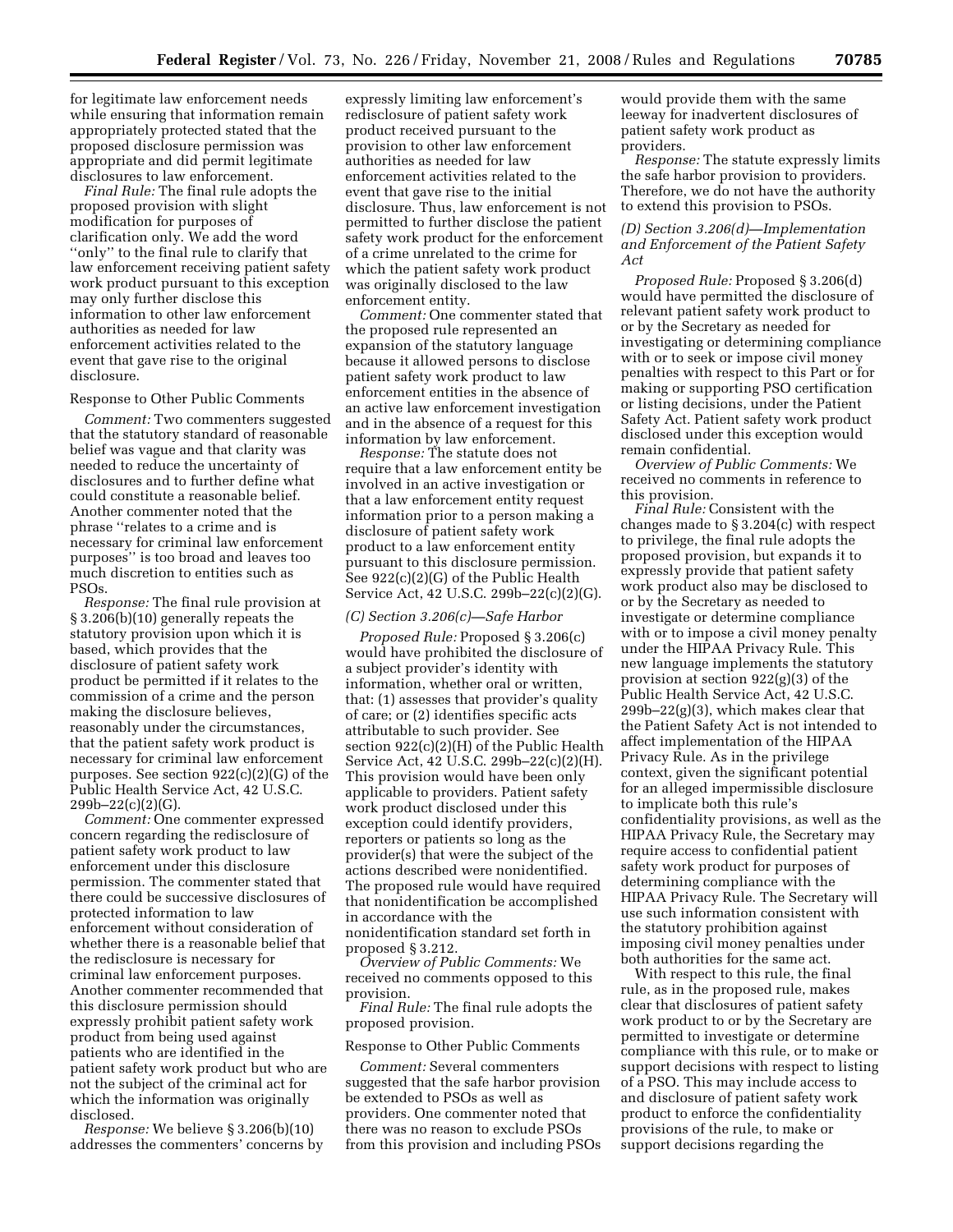for legitimate law enforcement needs while ensuring that information remain appropriately protected stated that the proposed disclosure permission was appropriate and did permit legitimate disclosures to law enforcement.

*Final Rule:* The final rule adopts the proposed provision with slight modification for purposes of clarification only. We add the word ''only'' to the final rule to clarify that law enforcement receiving patient safety work product pursuant to this exception may only further disclose this information to other law enforcement authorities as needed for law enforcement activities related to the event that gave rise to the original disclosure.

#### Response to Other Public Comments

*Comment:* Two commenters suggested that the statutory standard of reasonable belief was vague and that clarity was needed to reduce the uncertainty of disclosures and to further define what could constitute a reasonable belief. Another commenter noted that the phrase ''relates to a crime and is necessary for criminal law enforcement purposes'' is too broad and leaves too much discretion to entities such as PSOs.

*Response:* The final rule provision at § 3.206(b)(10) generally repeats the statutory provision upon which it is based, which provides that the disclosure of patient safety work product be permitted if it relates to the commission of a crime and the person making the disclosure believes, reasonably under the circumstances, that the patient safety work product is necessary for criminal law enforcement purposes. See section 922(c)(2)(G) of the Public Health Service Act, 42 U.S.C.  $299b - 22(c)(2)(G)$ .

*Comment:* One commenter expressed concern regarding the redisclosure of patient safety work product to law enforcement under this disclosure permission. The commenter stated that there could be successive disclosures of protected information to law enforcement without consideration of whether there is a reasonable belief that the redisclosure is necessary for criminal law enforcement purposes. Another commenter recommended that this disclosure permission should expressly prohibit patient safety work product from being used against patients who are identified in the patient safety work product but who are not the subject of the criminal act for which the information was originally disclosed.

*Response:* We believe § 3.206(b)(10) addresses the commenters' concerns by

expressly limiting law enforcement's redisclosure of patient safety work product received pursuant to the provision to other law enforcement authorities as needed for law enforcement activities related to the event that gave rise to the initial disclosure. Thus, law enforcement is not permitted to further disclose the patient safety work product for the enforcement of a crime unrelated to the crime for which the patient safety work product was originally disclosed to the law enforcement entity.

*Comment:* One commenter stated that the proposed rule represented an expansion of the statutory language because it allowed persons to disclose patient safety work product to law enforcement entities in the absence of an active law enforcement investigation and in the absence of a request for this information by law enforcement.

*Response:* The statute does not require that a law enforcement entity be involved in an active investigation or that a law enforcement entity request information prior to a person making a disclosure of patient safety work product to a law enforcement entity pursuant to this disclosure permission. See 922(c)(2)(G) of the Public Health Service Act, 42 U.S.C. 299b–22(c)(2)(G).

#### *(C) Section 3.206(c)—Safe Harbor*

*Proposed Rule:* Proposed § 3.206(c) would have prohibited the disclosure of a subject provider's identity with information, whether oral or written, that: (1) assesses that provider's quality of care; or (2) identifies specific acts attributable to such provider. See section 922(c)(2)(H) of the Public Health Service Act, 42 U.S.C. 299b–22(c)(2)(H). This provision would have been only applicable to providers. Patient safety work product disclosed under this exception could identify providers, reporters or patients so long as the provider(s) that were the subject of the actions described were nonidentified. The proposed rule would have required that nonidentification be accomplished in accordance with the nonidentification standard set forth in proposed § 3.212.

*Overview of Public Comments:* We received no comments opposed to this provision.

*Final Rule:* The final rule adopts the proposed provision.

#### Response to Other Public Comments

*Comment:* Several commenters suggested that the safe harbor provision be extended to PSOs as well as providers. One commenter noted that there was no reason to exclude PSOs from this provision and including PSOs would provide them with the same leeway for inadvertent disclosures of patient safety work product as providers.

*Response:* The statute expressly limits the safe harbor provision to providers. Therefore, we do not have the authority to extend this provision to PSOs.

## *(D) Section 3.206(d)—Implementation and Enforcement of the Patient Safety Act*

*Proposed Rule:* Proposed § 3.206(d) would have permitted the disclosure of relevant patient safety work product to or by the Secretary as needed for investigating or determining compliance with or to seek or impose civil money penalties with respect to this Part or for making or supporting PSO certification or listing decisions, under the Patient Safety Act. Patient safety work product disclosed under this exception would remain confidential.

*Overview of Public Comments:* We received no comments in reference to this provision.

*Final Rule:* Consistent with the changes made to § 3.204(c) with respect to privilege, the final rule adopts the proposed provision, but expands it to expressly provide that patient safety work product also may be disclosed to or by the Secretary as needed to investigate or determine compliance with or to impose a civil money penalty under the HIPAA Privacy Rule. This new language implements the statutory provision at section 922(g)(3) of the Public Health Service Act, 42 U.S.C. 299b–22(g)(3), which makes clear that the Patient Safety Act is not intended to affect implementation of the HIPAA Privacy Rule. As in the privilege context, given the significant potential for an alleged impermissible disclosure to implicate both this rule's confidentiality provisions, as well as the HIPAA Privacy Rule, the Secretary may require access to confidential patient safety work product for purposes of determining compliance with the HIPAA Privacy Rule. The Secretary will use such information consistent with the statutory prohibition against imposing civil money penalties under both authorities for the same act.

With respect to this rule, the final rule, as in the proposed rule, makes clear that disclosures of patient safety work product to or by the Secretary are permitted to investigate or determine compliance with this rule, or to make or support decisions with respect to listing of a PSO. This may include access to and disclosure of patient safety work product to enforce the confidentiality provisions of the rule, to make or support decisions regarding the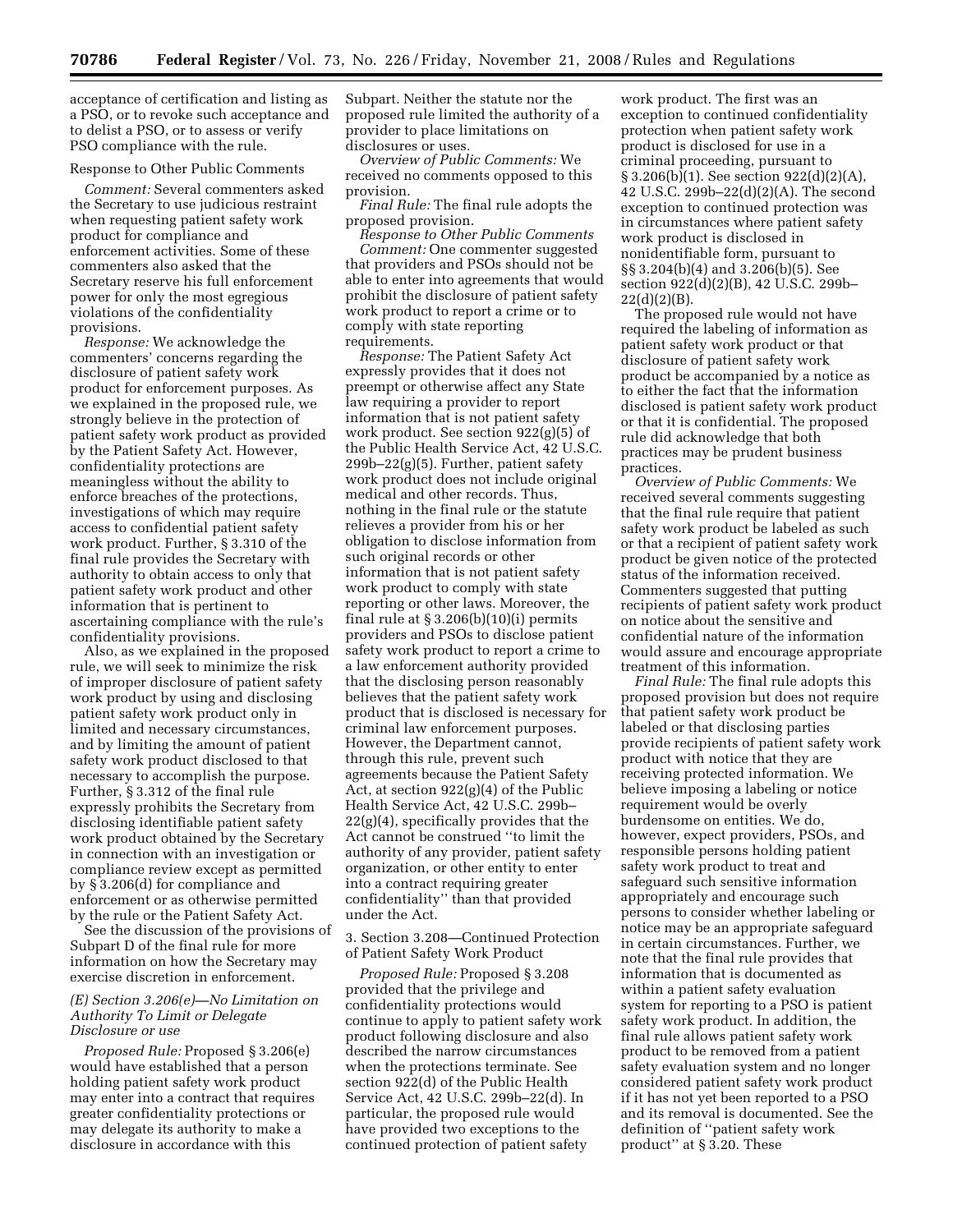acceptance of certification and listing as a PSO, or to revoke such acceptance and to delist a PSO, or to assess or verify PSO compliance with the rule.

## Response to Other Public Comments

*Comment:* Several commenters asked the Secretary to use judicious restraint when requesting patient safety work product for compliance and enforcement activities. Some of these commenters also asked that the Secretary reserve his full enforcement power for only the most egregious violations of the confidentiality provisions.

*Response:* We acknowledge the commenters' concerns regarding the disclosure of patient safety work product for enforcement purposes. As we explained in the proposed rule, we strongly believe in the protection of patient safety work product as provided by the Patient Safety Act. However, confidentiality protections are meaningless without the ability to enforce breaches of the protections, investigations of which may require access to confidential patient safety work product. Further, § 3.310 of the final rule provides the Secretary with authority to obtain access to only that patient safety work product and other information that is pertinent to ascertaining compliance with the rule's confidentiality provisions.

Also, as we explained in the proposed rule, we will seek to minimize the risk of improper disclosure of patient safety work product by using and disclosing patient safety work product only in limited and necessary circumstances, and by limiting the amount of patient safety work product disclosed to that necessary to accomplish the purpose. Further, § 3.312 of the final rule expressly prohibits the Secretary from disclosing identifiable patient safety work product obtained by the Secretary in connection with an investigation or compliance review except as permitted by § 3.206(d) for compliance and enforcement or as otherwise permitted by the rule or the Patient Safety Act.

See the discussion of the provisions of Subpart D of the final rule for more information on how the Secretary may exercise discretion in enforcement.

### *(E) Section 3.206(e)—No Limitation on Authority To Limit or Delegate Disclosure or use*

*Proposed Rule:* Proposed § 3.206(e) would have established that a person holding patient safety work product may enter into a contract that requires greater confidentiality protections or may delegate its authority to make a disclosure in accordance with this

Subpart. Neither the statute nor the proposed rule limited the authority of a provider to place limitations on disclosures or uses.

*Overview of Public Comments:* We received no comments opposed to this provision.

*Final Rule:* The final rule adopts the proposed provision.

*Response to Other Public Comments Comment:* One commenter suggested that providers and PSOs should not be able to enter into agreements that would prohibit the disclosure of patient safety work product to report a crime or to comply with state reporting requirements.

*Response:* The Patient Safety Act expressly provides that it does not preempt or otherwise affect any State law requiring a provider to report information that is not patient safety work product. See section 922(g)(5) of the Public Health Service Act, 42 U.S.C.  $299b-22(g)(5)$ . Further, patient safety work product does not include original medical and other records. Thus, nothing in the final rule or the statute relieves a provider from his or her obligation to disclose information from such original records or other information that is not patient safety work product to comply with state reporting or other laws. Moreover, the final rule at  $\S 3.206(b)(10)(i)$  permits providers and PSOs to disclose patient safety work product to report a crime to a law enforcement authority provided that the disclosing person reasonably believes that the patient safety work product that is disclosed is necessary for criminal law enforcement purposes. However, the Department cannot, through this rule, prevent such agreements because the Patient Safety Act, at section 922(g)(4) of the Public Health Service Act, 42 U.S.C. 299b– 22(g)(4), specifically provides that the Act cannot be construed ''to limit the authority of any provider, patient safety organization, or other entity to enter into a contract requiring greater confidentiality'' than that provided under the Act.

3. Section 3.208—Continued Protection of Patient Safety Work Product

*Proposed Rule:* Proposed § 3.208 provided that the privilege and confidentiality protections would continue to apply to patient safety work product following disclosure and also described the narrow circumstances when the protections terminate. See section 922(d) of the Public Health Service Act, 42 U.S.C. 299b–22(d). In particular, the proposed rule would have provided two exceptions to the continued protection of patient safety

work product. The first was an exception to continued confidentiality protection when patient safety work product is disclosed for use in a criminal proceeding, pursuant to § 3.206(b)(1). See section 922(d)(2)(A), 42 U.S.C. 299b–22(d)(2)(A). The second exception to continued protection was in circumstances where patient safety work product is disclosed in nonidentifiable form, pursuant to §§ 3.204(b)(4) and 3.206(b)(5). See section 922(d)(2)(B), 42 U.S.C. 299b–  $22(d)(2)(B)$ .

The proposed rule would not have required the labeling of information as patient safety work product or that disclosure of patient safety work product be accompanied by a notice as to either the fact that the information disclosed is patient safety work product or that it is confidential. The proposed rule did acknowledge that both practices may be prudent business practices.

*Overview of Public Comments:* We received several comments suggesting that the final rule require that patient safety work product be labeled as such or that a recipient of patient safety work product be given notice of the protected status of the information received. Commenters suggested that putting recipients of patient safety work product on notice about the sensitive and confidential nature of the information would assure and encourage appropriate treatment of this information.

*Final Rule:* The final rule adopts this proposed provision but does not require that patient safety work product be labeled or that disclosing parties provide recipients of patient safety work product with notice that they are receiving protected information. We believe imposing a labeling or notice requirement would be overly burdensome on entities. We do, however, expect providers, PSOs, and responsible persons holding patient safety work product to treat and safeguard such sensitive information appropriately and encourage such persons to consider whether labeling or notice may be an appropriate safeguard in certain circumstances. Further, we note that the final rule provides that information that is documented as within a patient safety evaluation system for reporting to a PSO is patient safety work product. In addition, the final rule allows patient safety work product to be removed from a patient safety evaluation system and no longer considered patient safety work product if it has not yet been reported to a PSO and its removal is documented. See the definition of ''patient safety work product'' at § 3.20. These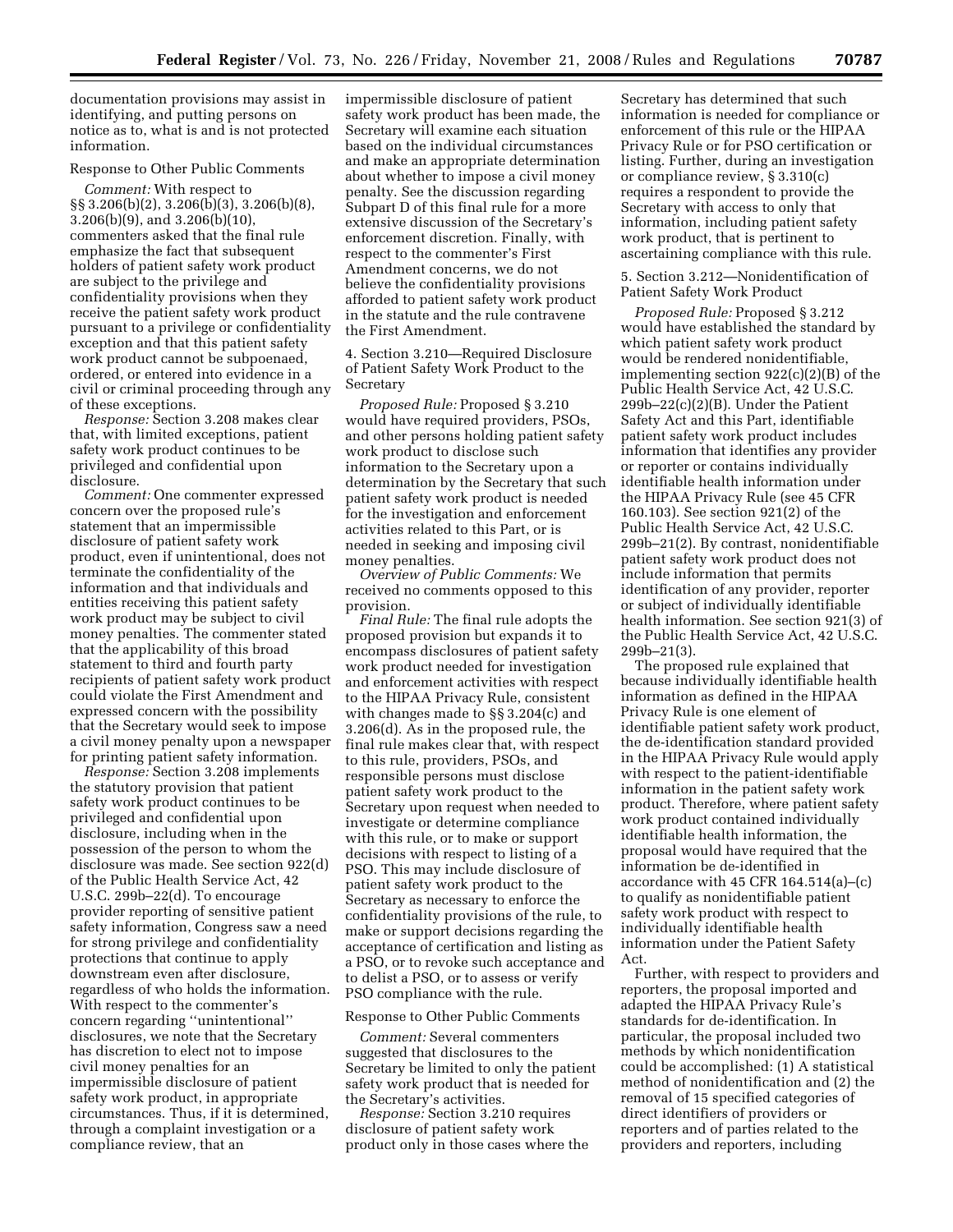documentation provisions may assist in identifying, and putting persons on notice as to, what is and is not protected information.

#### Response to Other Public Comments

*Comment:* With respect to §§ 3.206(b)(2), 3.206(b)(3), 3.206(b)(8), 3.206(b)(9), and 3.206(b)(10), commenters asked that the final rule emphasize the fact that subsequent holders of patient safety work product are subject to the privilege and confidentiality provisions when they receive the patient safety work product pursuant to a privilege or confidentiality exception and that this patient safety work product cannot be subpoenaed, ordered, or entered into evidence in a civil or criminal proceeding through any of these exceptions.

*Response:* Section 3.208 makes clear that, with limited exceptions, patient safety work product continues to be privileged and confidential upon disclosure.

*Comment:* One commenter expressed concern over the proposed rule's statement that an impermissible disclosure of patient safety work product, even if unintentional, does not terminate the confidentiality of the information and that individuals and entities receiving this patient safety work product may be subject to civil money penalties. The commenter stated that the applicability of this broad statement to third and fourth party recipients of patient safety work product could violate the First Amendment and expressed concern with the possibility that the Secretary would seek to impose a civil money penalty upon a newspaper for printing patient safety information.

*Response:* Section 3.208 implements the statutory provision that patient safety work product continues to be privileged and confidential upon disclosure, including when in the possession of the person to whom the disclosure was made. See section 922(d) of the Public Health Service Act, 42 U.S.C. 299b–22(d). To encourage provider reporting of sensitive patient safety information, Congress saw a need for strong privilege and confidentiality protections that continue to apply downstream even after disclosure, regardless of who holds the information. With respect to the commenter's concern regarding ''unintentional'' disclosures, we note that the Secretary has discretion to elect not to impose civil money penalties for an impermissible disclosure of patient safety work product, in appropriate circumstances. Thus, if it is determined, through a complaint investigation or a compliance review, that an

impermissible disclosure of patient safety work product has been made, the Secretary will examine each situation based on the individual circumstances and make an appropriate determination about whether to impose a civil money penalty. See the discussion regarding Subpart D of this final rule for a more extensive discussion of the Secretary's enforcement discretion. Finally, with respect to the commenter's First Amendment concerns, we do not believe the confidentiality provisions afforded to patient safety work product in the statute and the rule contravene the First Amendment.

4. Section 3.210—Required Disclosure of Patient Safety Work Product to the Secretary

*Proposed Rule:* Proposed § 3.210 would have required providers, PSOs, and other persons holding patient safety work product to disclose such information to the Secretary upon a determination by the Secretary that such patient safety work product is needed for the investigation and enforcement activities related to this Part, or is needed in seeking and imposing civil money penalties.

*Overview of Public Comments:* We received no comments opposed to this provision.

*Final Rule:* The final rule adopts the proposed provision but expands it to encompass disclosures of patient safety work product needed for investigation and enforcement activities with respect to the HIPAA Privacy Rule, consistent with changes made to §§ 3.204(c) and 3.206(d). As in the proposed rule, the final rule makes clear that, with respect to this rule, providers, PSOs, and responsible persons must disclose patient safety work product to the Secretary upon request when needed to investigate or determine compliance with this rule, or to make or support decisions with respect to listing of a PSO. This may include disclosure of patient safety work product to the Secretary as necessary to enforce the confidentiality provisions of the rule, to make or support decisions regarding the acceptance of certification and listing as a PSO, or to revoke such acceptance and to delist a PSO, or to assess or verify PSO compliance with the rule.

#### Response to Other Public Comments

*Comment:* Several commenters suggested that disclosures to the Secretary be limited to only the patient safety work product that is needed for the Secretary's activities.

*Response:* Section 3.210 requires disclosure of patient safety work product only in those cases where the

Secretary has determined that such information is needed for compliance or enforcement of this rule or the HIPAA Privacy Rule or for PSO certification or listing. Further, during an investigation or compliance review, § 3.310(c) requires a respondent to provide the Secretary with access to only that information, including patient safety work product, that is pertinent to ascertaining compliance with this rule.

### 5. Section 3.212—Nonidentification of Patient Safety Work Product

*Proposed Rule:* Proposed § 3.212 would have established the standard by which patient safety work product would be rendered nonidentifiable, implementing section 922(c)(2)(B) of the Public Health Service Act, 42 U.S.C. 299b–22(c)(2)(B). Under the Patient Safety Act and this Part, identifiable patient safety work product includes information that identifies any provider or reporter or contains individually identifiable health information under the HIPAA Privacy Rule (see 45 CFR 160.103). See section 921(2) of the Public Health Service Act, 42 U.S.C. 299b–21(2). By contrast, nonidentifiable patient safety work product does not include information that permits identification of any provider, reporter or subject of individually identifiable health information. See section 921(3) of the Public Health Service Act, 42 U.S.C. 299b–21(3).

The proposed rule explained that because individually identifiable health information as defined in the HIPAA Privacy Rule is one element of identifiable patient safety work product, the de-identification standard provided in the HIPAA Privacy Rule would apply with respect to the patient-identifiable information in the patient safety work product. Therefore, where patient safety work product contained individually identifiable health information, the proposal would have required that the information be de-identified in accordance with 45 CFR 164.514(a)–(c) to qualify as nonidentifiable patient safety work product with respect to individually identifiable health information under the Patient Safety Act.

Further, with respect to providers and reporters, the proposal imported and adapted the HIPAA Privacy Rule's standards for de-identification. In particular, the proposal included two methods by which nonidentification could be accomplished: (1) A statistical method of nonidentification and (2) the removal of 15 specified categories of direct identifiers of providers or reporters and of parties related to the providers and reporters, including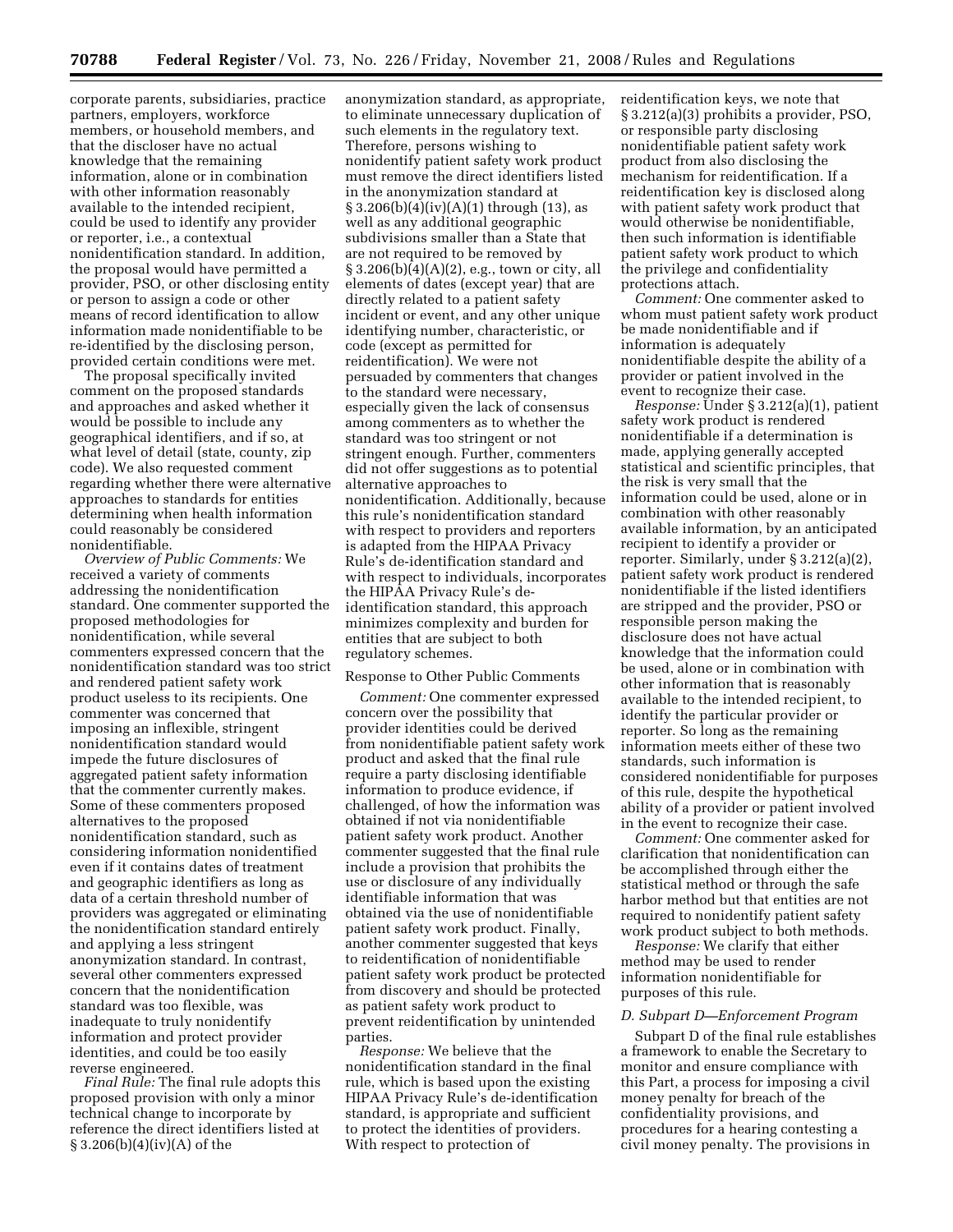corporate parents, subsidiaries, practice partners, employers, workforce members, or household members, and that the discloser have no actual knowledge that the remaining information, alone or in combination with other information reasonably available to the intended recipient, could be used to identify any provider or reporter, i.e., a contextual nonidentification standard. In addition, the proposal would have permitted a provider, PSO, or other disclosing entity or person to assign a code or other means of record identification to allow information made nonidentifiable to be re-identified by the disclosing person, provided certain conditions were met.

The proposal specifically invited comment on the proposed standards and approaches and asked whether it would be possible to include any geographical identifiers, and if so, at what level of detail (state, county, zip code). We also requested comment regarding whether there were alternative approaches to standards for entities determining when health information could reasonably be considered nonidentifiable.

*Overview of Public Comments:* We received a variety of comments addressing the nonidentification standard. One commenter supported the proposed methodologies for nonidentification, while several commenters expressed concern that the nonidentification standard was too strict and rendered patient safety work product useless to its recipients. One commenter was concerned that imposing an inflexible, stringent nonidentification standard would impede the future disclosures of aggregated patient safety information that the commenter currently makes. Some of these commenters proposed alternatives to the proposed nonidentification standard, such as considering information nonidentified even if it contains dates of treatment and geographic identifiers as long as data of a certain threshold number of providers was aggregated or eliminating the nonidentification standard entirely and applying a less stringent anonymization standard. In contrast, several other commenters expressed concern that the nonidentification standard was too flexible, was inadequate to truly nonidentify information and protect provider identities, and could be too easily reverse engineered.

*Final Rule:* The final rule adopts this proposed provision with only a minor technical change to incorporate by reference the direct identifiers listed at § 3.206(b)(4)(iv)(A) of the

anonymization standard, as appropriate, to eliminate unnecessary duplication of such elements in the regulatory text. Therefore, persons wishing to nonidentify patient safety work product must remove the direct identifiers listed in the anonymization standard at  $\S 3.206(b)(4)(iv)(A)(1)$  through (13), as well as any additional geographic subdivisions smaller than a State that are not required to be removed by § 3.206(b)(4)(A)(2), e.g., town or city, all elements of dates (except year) that are directly related to a patient safety incident or event, and any other unique identifying number, characteristic, or code (except as permitted for reidentification). We were not persuaded by commenters that changes to the standard were necessary, especially given the lack of consensus among commenters as to whether the standard was too stringent or not stringent enough. Further, commenters did not offer suggestions as to potential alternative approaches to nonidentification. Additionally, because this rule's nonidentification standard with respect to providers and reporters is adapted from the HIPAA Privacy Rule's de-identification standard and with respect to individuals, incorporates the HIPAA Privacy Rule's deidentification standard, this approach minimizes complexity and burden for entities that are subject to both regulatory schemes.

#### Response to Other Public Comments

*Comment:* One commenter expressed concern over the possibility that provider identities could be derived from nonidentifiable patient safety work product and asked that the final rule require a party disclosing identifiable information to produce evidence, if challenged, of how the information was obtained if not via nonidentifiable patient safety work product. Another commenter suggested that the final rule include a provision that prohibits the use or disclosure of any individually identifiable information that was obtained via the use of nonidentifiable patient safety work product. Finally, another commenter suggested that keys to reidentification of nonidentifiable patient safety work product be protected from discovery and should be protected as patient safety work product to prevent reidentification by unintended parties.

*Response:* We believe that the nonidentification standard in the final rule, which is based upon the existing HIPAA Privacy Rule's de-identification standard, is appropriate and sufficient to protect the identities of providers. With respect to protection of

reidentification keys, we note that § 3.212(a)(3) prohibits a provider, PSO, or responsible party disclosing nonidentifiable patient safety work product from also disclosing the mechanism for reidentification. If a reidentification key is disclosed along with patient safety work product that would otherwise be nonidentifiable, then such information is identifiable patient safety work product to which the privilege and confidentiality protections attach.

*Comment:* One commenter asked to whom must patient safety work product be made nonidentifiable and if information is adequately nonidentifiable despite the ability of a provider or patient involved in the event to recognize their case.

*Response:* Under § 3.212(a)(1), patient safety work product is rendered nonidentifiable if a determination is made, applying generally accepted statistical and scientific principles, that the risk is very small that the information could be used, alone or in combination with other reasonably available information, by an anticipated recipient to identify a provider or reporter. Similarly, under § 3.212(a)(2), patient safety work product is rendered nonidentifiable if the listed identifiers are stripped and the provider, PSO or responsible person making the disclosure does not have actual knowledge that the information could be used, alone or in combination with other information that is reasonably available to the intended recipient, to identify the particular provider or reporter. So long as the remaining information meets either of these two standards, such information is considered nonidentifiable for purposes of this rule, despite the hypothetical ability of a provider or patient involved in the event to recognize their case.

*Comment:* One commenter asked for clarification that nonidentification can be accomplished through either the statistical method or through the safe harbor method but that entities are not required to nonidentify patient safety work product subject to both methods.

*Response:* We clarify that either method may be used to render information nonidentifiable for purposes of this rule.

#### *D. Subpart D—Enforcement Program*

Subpart D of the final rule establishes a framework to enable the Secretary to monitor and ensure compliance with this Part, a process for imposing a civil money penalty for breach of the confidentiality provisions, and procedures for a hearing contesting a civil money penalty. The provisions in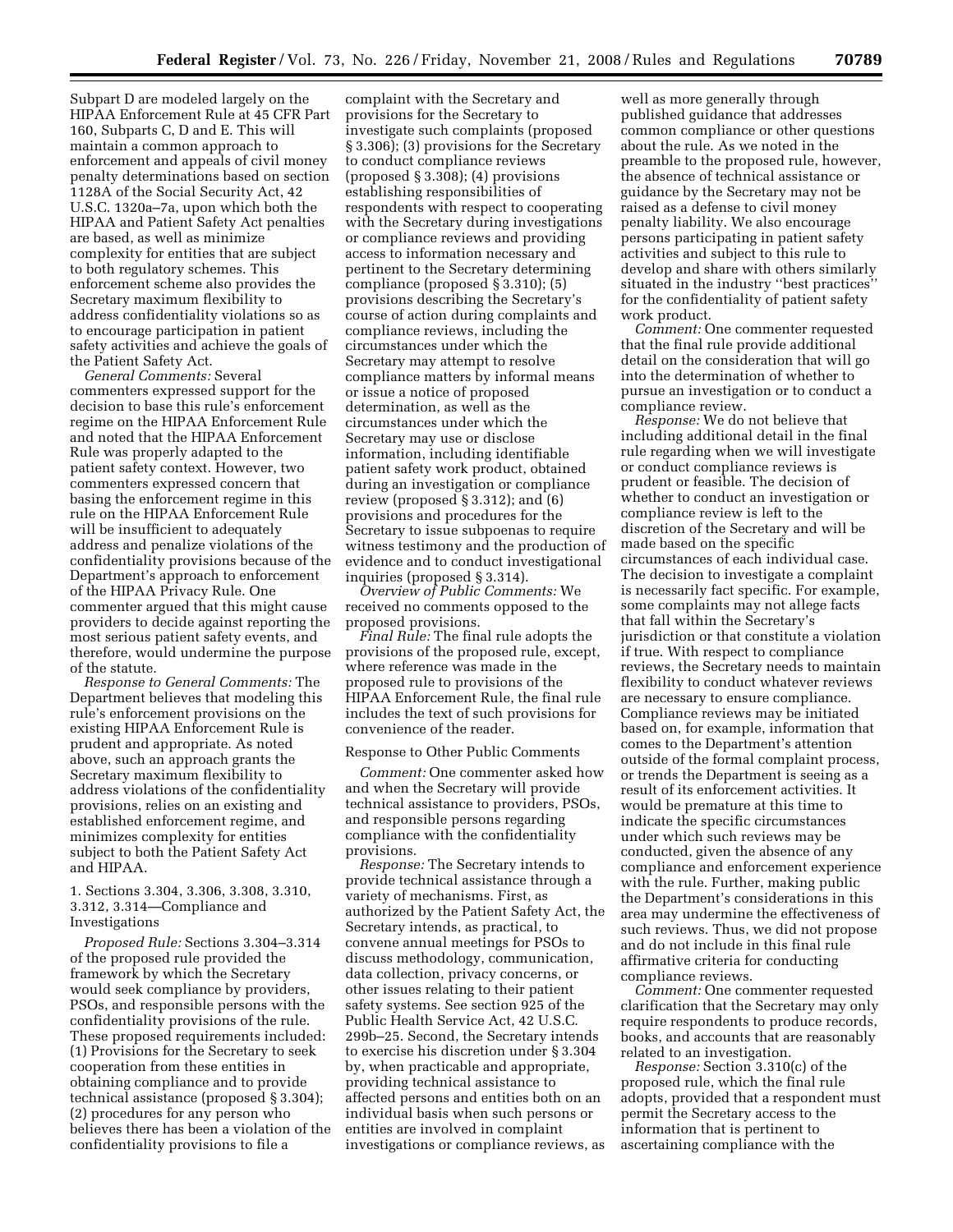Subpart D are modeled largely on the HIPAA Enforcement Rule at 45 CFR Part 160, Subparts C, D and E. This will maintain a common approach to enforcement and appeals of civil money penalty determinations based on section 1128A of the Social Security Act, 42 U.S.C. 1320a–7a, upon which both the HIPAA and Patient Safety Act penalties are based, as well as minimize complexity for entities that are subject to both regulatory schemes. This enforcement scheme also provides the Secretary maximum flexibility to address confidentiality violations so as to encourage participation in patient safety activities and achieve the goals of the Patient Safety Act.

*General Comments:* Several commenters expressed support for the decision to base this rule's enforcement regime on the HIPAA Enforcement Rule and noted that the HIPAA Enforcement Rule was properly adapted to the patient safety context. However, two commenters expressed concern that basing the enforcement regime in this rule on the HIPAA Enforcement Rule will be insufficient to adequately address and penalize violations of the confidentiality provisions because of the Department's approach to enforcement of the HIPAA Privacy Rule. One commenter argued that this might cause providers to decide against reporting the most serious patient safety events, and therefore, would undermine the purpose of the statute.

*Response to General Comments:* The Department believes that modeling this rule's enforcement provisions on the existing HIPAA Enforcement Rule is prudent and appropriate. As noted above, such an approach grants the Secretary maximum flexibility to address violations of the confidentiality provisions, relies on an existing and established enforcement regime, and minimizes complexity for entities subject to both the Patient Safety Act and HIPAA.

1. Sections 3.304, 3.306, 3.308, 3.310, 3.312, 3.314—Compliance and Investigations

*Proposed Rule:* Sections 3.304–3.314 of the proposed rule provided the framework by which the Secretary would seek compliance by providers, PSOs, and responsible persons with the confidentiality provisions of the rule. These proposed requirements included: (1) Provisions for the Secretary to seek cooperation from these entities in obtaining compliance and to provide technical assistance (proposed § 3.304); (2) procedures for any person who believes there has been a violation of the confidentiality provisions to file a

complaint with the Secretary and provisions for the Secretary to investigate such complaints (proposed § 3.306); (3) provisions for the Secretary to conduct compliance reviews (proposed § 3.308); (4) provisions establishing responsibilities of respondents with respect to cooperating with the Secretary during investigations or compliance reviews and providing access to information necessary and pertinent to the Secretary determining compliance (proposed § 3.310); (5) provisions describing the Secretary's course of action during complaints and compliance reviews, including the circumstances under which the Secretary may attempt to resolve compliance matters by informal means or issue a notice of proposed determination, as well as the circumstances under which the Secretary may use or disclose information, including identifiable patient safety work product, obtained during an investigation or compliance review (proposed § 3.312); and (6) provisions and procedures for the Secretary to issue subpoenas to require witness testimony and the production of evidence and to conduct investigational inquiries (proposed § 3.314).

*Overview of Public Comments:* We received no comments opposed to the proposed provisions.

*Final Rule:* The final rule adopts the provisions of the proposed rule, except, where reference was made in the proposed rule to provisions of the HIPAA Enforcement Rule, the final rule includes the text of such provisions for convenience of the reader.

### Response to Other Public Comments

*Comment:* One commenter asked how and when the Secretary will provide technical assistance to providers, PSOs, and responsible persons regarding compliance with the confidentiality provisions.

*Response:* The Secretary intends to provide technical assistance through a variety of mechanisms. First, as authorized by the Patient Safety Act, the Secretary intends, as practical, to convene annual meetings for PSOs to discuss methodology, communication, data collection, privacy concerns, or other issues relating to their patient safety systems. See section 925 of the Public Health Service Act, 42 U.S.C. 299b–25. Second, the Secretary intends to exercise his discretion under § 3.304 by, when practicable and appropriate, providing technical assistance to affected persons and entities both on an individual basis when such persons or entities are involved in complaint investigations or compliance reviews, as

well as more generally through published guidance that addresses common compliance or other questions about the rule. As we noted in the preamble to the proposed rule, however, the absence of technical assistance or guidance by the Secretary may not be raised as a defense to civil money penalty liability. We also encourage persons participating in patient safety activities and subject to this rule to develop and share with others similarly situated in the industry ''best practices'' for the confidentiality of patient safety work product.

*Comment:* One commenter requested that the final rule provide additional detail on the consideration that will go into the determination of whether to pursue an investigation or to conduct a compliance review.

*Response:* We do not believe that including additional detail in the final rule regarding when we will investigate or conduct compliance reviews is prudent or feasible. The decision of whether to conduct an investigation or compliance review is left to the discretion of the Secretary and will be made based on the specific circumstances of each individual case. The decision to investigate a complaint is necessarily fact specific. For example, some complaints may not allege facts that fall within the Secretary's jurisdiction or that constitute a violation if true. With respect to compliance reviews, the Secretary needs to maintain flexibility to conduct whatever reviews are necessary to ensure compliance. Compliance reviews may be initiated based on, for example, information that comes to the Department's attention outside of the formal complaint process, or trends the Department is seeing as a result of its enforcement activities. It would be premature at this time to indicate the specific circumstances under which such reviews may be conducted, given the absence of any compliance and enforcement experience with the rule. Further, making public the Department's considerations in this area may undermine the effectiveness of such reviews. Thus, we did not propose and do not include in this final rule affirmative criteria for conducting compliance reviews.

*Comment:* One commenter requested clarification that the Secretary may only require respondents to produce records, books, and accounts that are reasonably related to an investigation.

*Response:* Section 3.310(c) of the proposed rule, which the final rule adopts, provided that a respondent must permit the Secretary access to the information that is pertinent to ascertaining compliance with the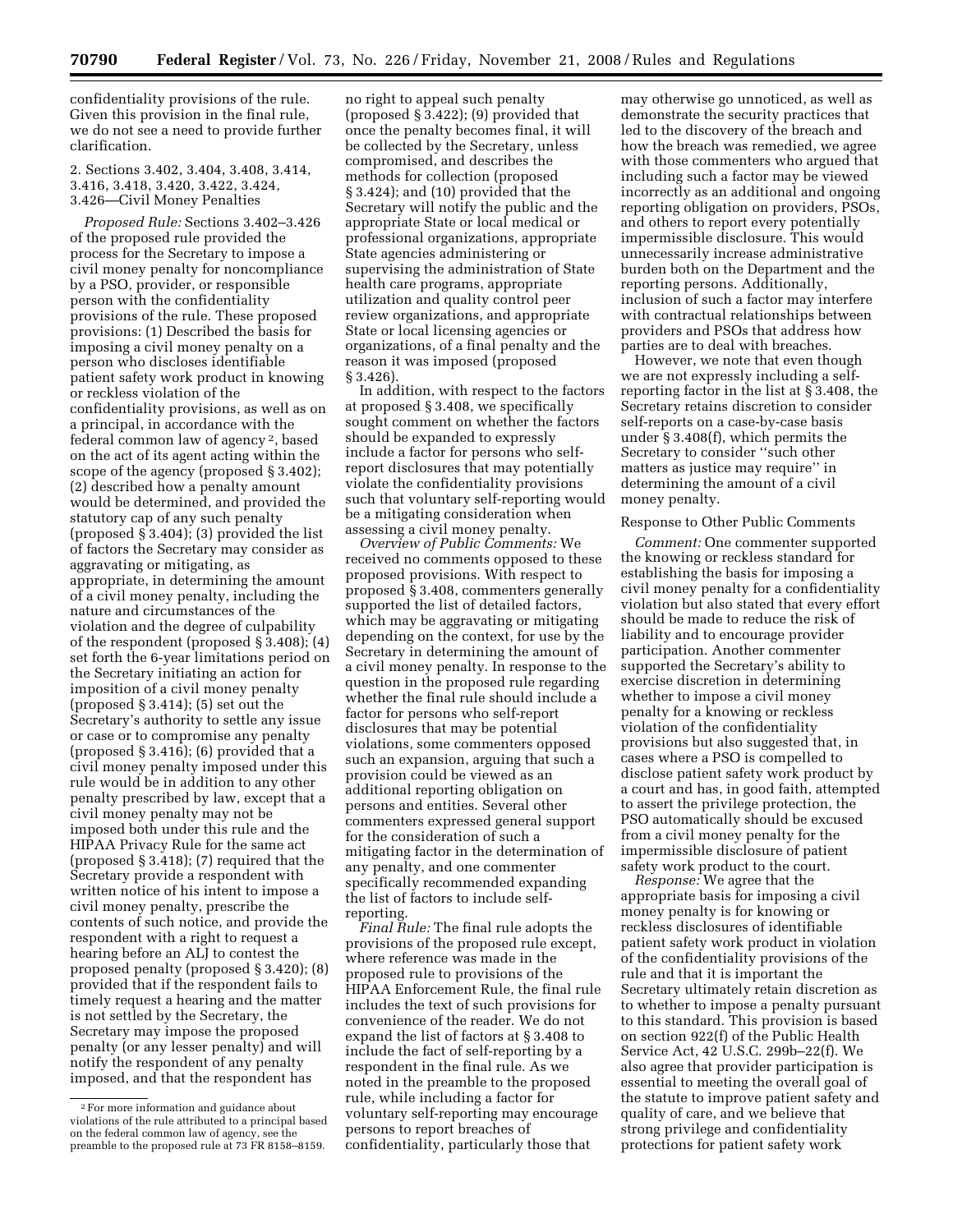confidentiality provisions of the rule. Given this provision in the final rule, we do not see a need to provide further clarification.

## 2. Sections 3.402, 3.404, 3.408, 3.414, 3.416, 3.418, 3.420, 3.422, 3.424, 3.426—Civil Money Penalties

*Proposed Rule:* Sections 3.402–3.426 of the proposed rule provided the process for the Secretary to impose a civil money penalty for noncompliance by a PSO, provider, or responsible person with the confidentiality provisions of the rule. These proposed provisions: (1) Described the basis for imposing a civil money penalty on a person who discloses identifiable patient safety work product in knowing or reckless violation of the confidentiality provisions, as well as on a principal, in accordance with the federal common law of agency 2, based on the act of its agent acting within the scope of the agency (proposed § 3.402); (2) described how a penalty amount would be determined, and provided the statutory cap of any such penalty (proposed § 3.404); (3) provided the list of factors the Secretary may consider as aggravating or mitigating, as appropriate, in determining the amount of a civil money penalty, including the nature and circumstances of the violation and the degree of culpability of the respondent (proposed § 3.408); (4) set forth the 6-year limitations period on the Secretary initiating an action for imposition of a civil money penalty (proposed § 3.414); (5) set out the Secretary's authority to settle any issue or case or to compromise any penalty (proposed § 3.416); (6) provided that a civil money penalty imposed under this rule would be in addition to any other penalty prescribed by law, except that a civil money penalty may not be imposed both under this rule and the HIPAA Privacy Rule for the same act (proposed § 3.418); (7) required that the Secretary provide a respondent with written notice of his intent to impose a civil money penalty, prescribe the contents of such notice, and provide the respondent with a right to request a hearing before an ALJ to contest the proposed penalty (proposed § 3.420); (8) provided that if the respondent fails to timely request a hearing and the matter is not settled by the Secretary, the Secretary may impose the proposed penalty (or any lesser penalty) and will notify the respondent of any penalty imposed, and that the respondent has

no right to appeal such penalty (proposed § 3.422); (9) provided that once the penalty becomes final, it will be collected by the Secretary, unless compromised, and describes the methods for collection (proposed § 3.424); and (10) provided that the Secretary will notify the public and the appropriate State or local medical or professional organizations, appropriate State agencies administering or supervising the administration of State health care programs, appropriate utilization and quality control peer review organizations, and appropriate State or local licensing agencies or organizations, of a final penalty and the reason it was imposed (proposed § 3.426).

In addition, with respect to the factors at proposed § 3.408, we specifically sought comment on whether the factors should be expanded to expressly include a factor for persons who selfreport disclosures that may potentially violate the confidentiality provisions such that voluntary self-reporting would be a mitigating consideration when assessing a civil money penalty.

*Overview of Public Comments:* We received no comments opposed to these proposed provisions. With respect to proposed § 3.408, commenters generally supported the list of detailed factors, which may be aggravating or mitigating depending on the context, for use by the Secretary in determining the amount of a civil money penalty. In response to the question in the proposed rule regarding whether the final rule should include a factor for persons who self-report disclosures that may be potential violations, some commenters opposed such an expansion, arguing that such a provision could be viewed as an additional reporting obligation on persons and entities. Several other commenters expressed general support for the consideration of such a mitigating factor in the determination of any penalty, and one commenter specifically recommended expanding the list of factors to include selfreporting.

*Final Rule:* The final rule adopts the provisions of the proposed rule except, where reference was made in the proposed rule to provisions of the HIPAA Enforcement Rule, the final rule includes the text of such provisions for convenience of the reader. We do not expand the list of factors at § 3.408 to include the fact of self-reporting by a respondent in the final rule. As we noted in the preamble to the proposed rule, while including a factor for voluntary self-reporting may encourage persons to report breaches of confidentiality, particularly those that

may otherwise go unnoticed, as well as demonstrate the security practices that led to the discovery of the breach and how the breach was remedied, we agree with those commenters who argued that including such a factor may be viewed incorrectly as an additional and ongoing reporting obligation on providers, PSOs, and others to report every potentially impermissible disclosure. This would unnecessarily increase administrative burden both on the Department and the reporting persons. Additionally, inclusion of such a factor may interfere with contractual relationships between providers and PSOs that address how parties are to deal with breaches.

However, we note that even though we are not expressly including a selfreporting factor in the list at § 3.408, the Secretary retains discretion to consider self-reports on a case-by-case basis under § 3.408(f), which permits the Secretary to consider ''such other matters as justice may require'' in determining the amount of a civil money penalty.

#### Response to Other Public Comments

*Comment:* One commenter supported the knowing or reckless standard for establishing the basis for imposing a civil money penalty for a confidentiality violation but also stated that every effort should be made to reduce the risk of liability and to encourage provider participation. Another commenter supported the Secretary's ability to exercise discretion in determining whether to impose a civil money penalty for a knowing or reckless violation of the confidentiality provisions but also suggested that, in cases where a PSO is compelled to disclose patient safety work product by a court and has, in good faith, attempted to assert the privilege protection, the PSO automatically should be excused from a civil money penalty for the impermissible disclosure of patient safety work product to the court.

*Response:* We agree that the appropriate basis for imposing a civil money penalty is for knowing or reckless disclosures of identifiable patient safety work product in violation of the confidentiality provisions of the rule and that it is important the Secretary ultimately retain discretion as to whether to impose a penalty pursuant to this standard. This provision is based on section 922(f) of the Public Health Service Act, 42 U.S.C. 299b–22(f). We also agree that provider participation is essential to meeting the overall goal of the statute to improve patient safety and quality of care, and we believe that strong privilege and confidentiality protections for patient safety work

<sup>2</sup>For more information and guidance about violations of the rule attributed to a principal based on the federal common law of agency, see the preamble to the proposed rule at 73 FR 8158–8159.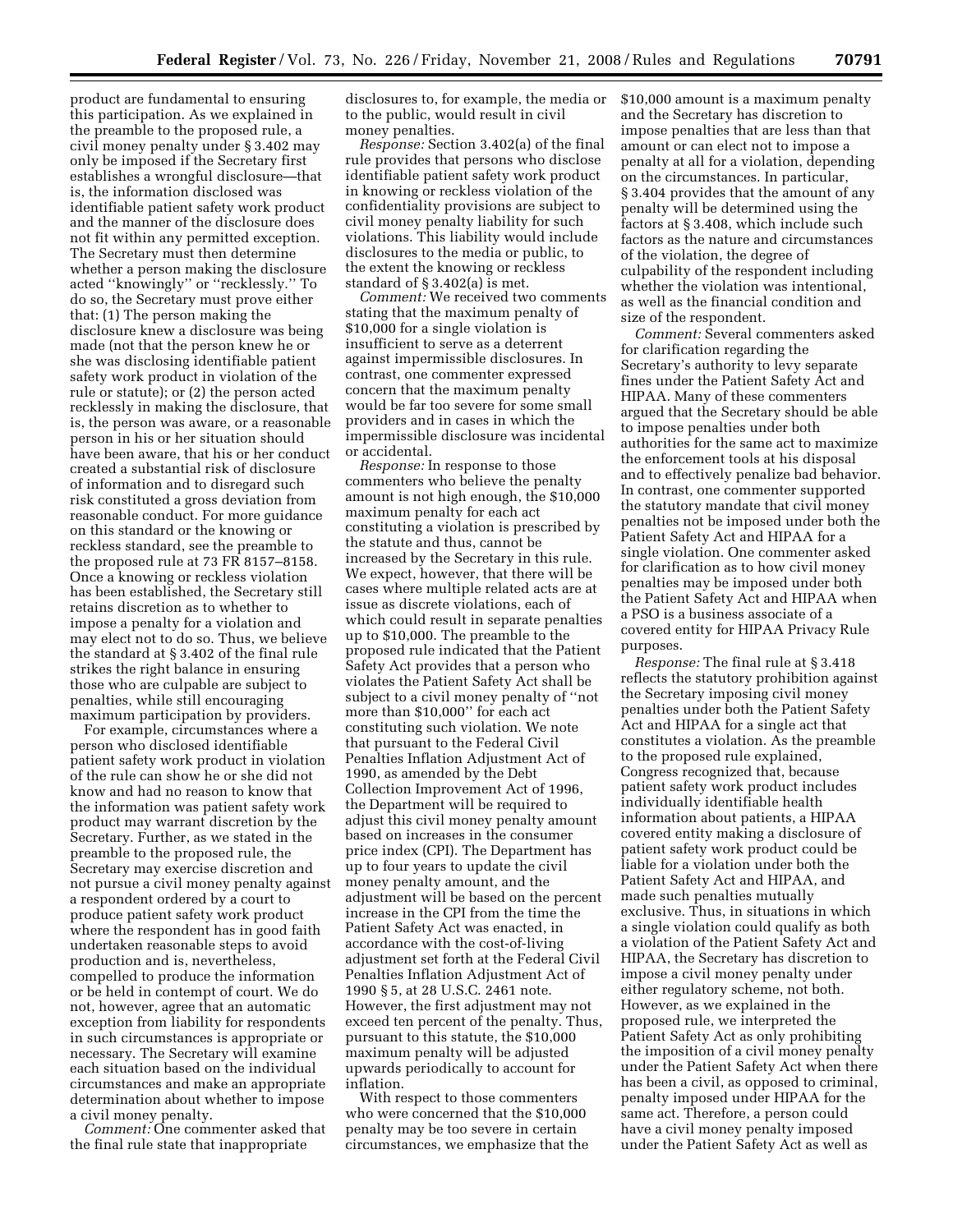product are fundamental to ensuring this participation. As we explained in the preamble to the proposed rule, a civil money penalty under § 3.402 may only be imposed if the Secretary first establishes a wrongful disclosure—that is, the information disclosed was identifiable patient safety work product and the manner of the disclosure does not fit within any permitted exception. The Secretary must then determine whether a person making the disclosure acted ''knowingly'' or ''recklessly.'' To do so, the Secretary must prove either that: (1) The person making the disclosure knew a disclosure was being made (not that the person knew he or she was disclosing identifiable patient safety work product in violation of the rule or statute); or (2) the person acted recklessly in making the disclosure, that is, the person was aware, or a reasonable person in his or her situation should have been aware, that his or her conduct created a substantial risk of disclosure of information and to disregard such risk constituted a gross deviation from reasonable conduct. For more guidance on this standard or the knowing or reckless standard, see the preamble to the proposed rule at 73 FR 8157–8158. Once a knowing or reckless violation has been established, the Secretary still retains discretion as to whether to impose a penalty for a violation and may elect not to do so. Thus, we believe the standard at § 3.402 of the final rule strikes the right balance in ensuring those who are culpable are subject to penalties, while still encouraging maximum participation by providers.

For example, circumstances where a person who disclosed identifiable patient safety work product in violation of the rule can show he or she did not know and had no reason to know that the information was patient safety work product may warrant discretion by the Secretary. Further, as we stated in the preamble to the proposed rule, the Secretary may exercise discretion and not pursue a civil money penalty against a respondent ordered by a court to produce patient safety work product where the respondent has in good faith undertaken reasonable steps to avoid production and is, nevertheless, compelled to produce the information or be held in contempt of court. We do not, however, agree that an automatic exception from liability for respondents in such circumstances is appropriate or necessary. The Secretary will examine each situation based on the individual circumstances and make an appropriate determination about whether to impose a civil money penalty.

*Comment:* One commenter asked that the final rule state that inappropriate

disclosures to, for example, the media or to the public, would result in civil money penalties.

*Response:* Section 3.402(a) of the final rule provides that persons who disclose identifiable patient safety work product in knowing or reckless violation of the confidentiality provisions are subject to civil money penalty liability for such violations. This liability would include disclosures to the media or public, to the extent the knowing or reckless standard of § 3.402(a) is met.

*Comment:* We received two comments stating that the maximum penalty of \$10,000 for a single violation is insufficient to serve as a deterrent against impermissible disclosures. In contrast, one commenter expressed concern that the maximum penalty would be far too severe for some small providers and in cases in which the impermissible disclosure was incidental or accidental.

*Response:* In response to those commenters who believe the penalty amount is not high enough, the \$10,000 maximum penalty for each act constituting a violation is prescribed by the statute and thus, cannot be increased by the Secretary in this rule. We expect, however, that there will be cases where multiple related acts are at issue as discrete violations, each of which could result in separate penalties up to \$10,000. The preamble to the proposed rule indicated that the Patient Safety Act provides that a person who violates the Patient Safety Act shall be subject to a civil money penalty of ''not more than \$10,000'' for each act constituting such violation. We note that pursuant to the Federal Civil Penalties Inflation Adjustment Act of 1990, as amended by the Debt Collection Improvement Act of 1996, the Department will be required to adjust this civil money penalty amount based on increases in the consumer price index (CPI). The Department has up to four years to update the civil money penalty amount, and the adjustment will be based on the percent increase in the CPI from the time the Patient Safety Act was enacted, in accordance with the cost-of-living adjustment set forth at the Federal Civil Penalties Inflation Adjustment Act of 1990 § 5, at 28 U.S.C. 2461 note. However, the first adjustment may not exceed ten percent of the penalty. Thus, pursuant to this statute, the \$10,000 maximum penalty will be adjusted upwards periodically to account for inflation.

With respect to those commenters who were concerned that the \$10,000 penalty may be too severe in certain circumstances, we emphasize that the \$10,000 amount is a maximum penalty and the Secretary has discretion to impose penalties that are less than that amount or can elect not to impose a penalty at all for a violation, depending on the circumstances. In particular, § 3.404 provides that the amount of any penalty will be determined using the factors at § 3.408, which include such factors as the nature and circumstances of the violation, the degree of culpability of the respondent including whether the violation was intentional, as well as the financial condition and size of the respondent.

*Comment:* Several commenters asked for clarification regarding the Secretary's authority to levy separate fines under the Patient Safety Act and HIPAA. Many of these commenters argued that the Secretary should be able to impose penalties under both authorities for the same act to maximize the enforcement tools at his disposal and to effectively penalize bad behavior. In contrast, one commenter supported the statutory mandate that civil money penalties not be imposed under both the Patient Safety Act and HIPAA for a single violation. One commenter asked for clarification as to how civil money penalties may be imposed under both the Patient Safety Act and HIPAA when a PSO is a business associate of a covered entity for HIPAA Privacy Rule purposes.

*Response:* The final rule at § 3.418 reflects the statutory prohibition against the Secretary imposing civil money penalties under both the Patient Safety Act and HIPAA for a single act that constitutes a violation. As the preamble to the proposed rule explained, Congress recognized that, because patient safety work product includes individually identifiable health information about patients, a HIPAA covered entity making a disclosure of patient safety work product could be liable for a violation under both the Patient Safety Act and HIPAA, and made such penalties mutually exclusive. Thus, in situations in which a single violation could qualify as both a violation of the Patient Safety Act and HIPAA, the Secretary has discretion to impose a civil money penalty under either regulatory scheme, not both. However, as we explained in the proposed rule, we interpreted the Patient Safety Act as only prohibiting the imposition of a civil money penalty under the Patient Safety Act when there has been a civil, as opposed to criminal, penalty imposed under HIPAA for the same act. Therefore, a person could have a civil money penalty imposed under the Patient Safety Act as well as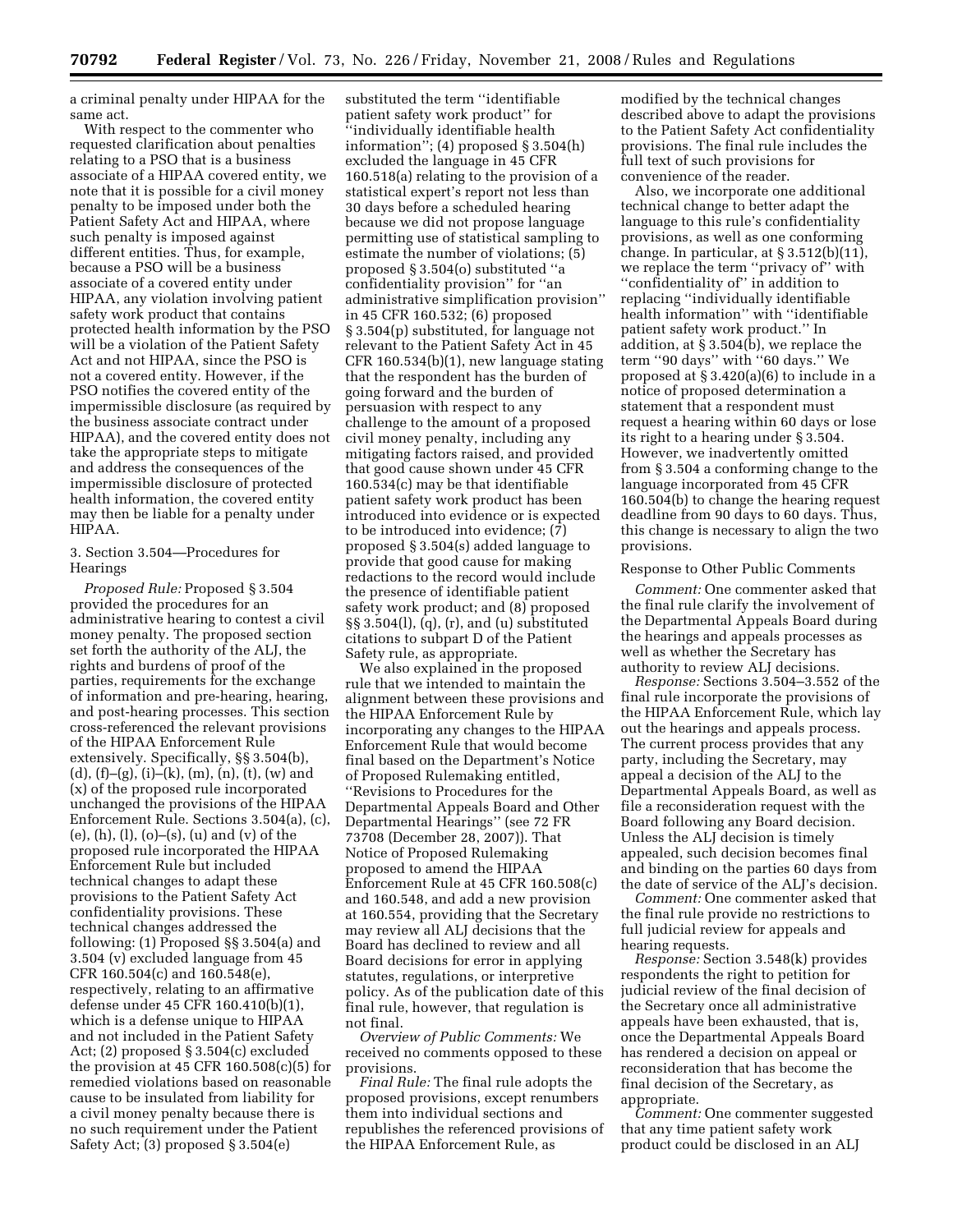a criminal penalty under HIPAA for the same act.

With respect to the commenter who requested clarification about penalties relating to a PSO that is a business associate of a HIPAA covered entity, we note that it is possible for a civil money penalty to be imposed under both the Patient Safety Act and HIPAA, where such penalty is imposed against different entities. Thus, for example, because a PSO will be a business associate of a covered entity under HIPAA, any violation involving patient safety work product that contains protected health information by the PSO will be a violation of the Patient Safety Act and not HIPAA, since the PSO is not a covered entity. However, if the PSO notifies the covered entity of the impermissible disclosure (as required by the business associate contract under HIPAA), and the covered entity does not take the appropriate steps to mitigate and address the consequences of the impermissible disclosure of protected health information, the covered entity may then be liable for a penalty under HIPAA.

### 3. Section 3.504—Procedures for Hearings

*Proposed Rule:* Proposed § 3.504 provided the procedures for an administrative hearing to contest a civil money penalty. The proposed section set forth the authority of the ALJ, the rights and burdens of proof of the parties, requirements for the exchange of information and pre-hearing, hearing, and post-hearing processes. This section cross-referenced the relevant provisions of the HIPAA Enforcement Rule extensively. Specifically, §§ 3.504(b), (d),  $(f)-(g)$ ,  $(i)-(k)$ ,  $(m)$ ,  $(n)$ ,  $(t)$ ,  $(w)$  and (x) of the proposed rule incorporated unchanged the provisions of the HIPAA Enforcement Rule. Sections 3.504(a), (c), (e),  $(h)$ ,  $(l)$ ,  $(o)$ – $(s)$ ,  $(u)$  and  $(v)$  of the proposed rule incorporated the HIPAA Enforcement Rule but included technical changes to adapt these provisions to the Patient Safety Act confidentiality provisions. These technical changes addressed the following: (1) Proposed §§ 3.504(a) and 3.504 (v) excluded language from 45 CFR 160.504(c) and 160.548(e), respectively, relating to an affirmative defense under 45 CFR 160.410(b)(1), which is a defense unique to HIPAA and not included in the Patient Safety Act; (2) proposed § 3.504(c) excluded the provision at 45 CFR  $160.508(c)(5)$  for remedied violations based on reasonable cause to be insulated from liability for a civil money penalty because there is no such requirement under the Patient Safety Act; (3) proposed § 3.504(e)

substituted the term ''identifiable patient safety work product'' for ''individually identifiable health information''; (4) proposed § 3.504(h) excluded the language in 45 CFR 160.518(a) relating to the provision of a statistical expert's report not less than 30 days before a scheduled hearing because we did not propose language permitting use of statistical sampling to estimate the number of violations; (5) proposed § 3.504(o) substituted ''a confidentiality provision'' for ''an administrative simplification provision'' in 45 CFR 160.532; (6) proposed § 3.504(p) substituted, for language not relevant to the Patient Safety Act in 45 CFR 160.534(b)(1), new language stating that the respondent has the burden of going forward and the burden of persuasion with respect to any challenge to the amount of a proposed civil money penalty, including any mitigating factors raised, and provided that good cause shown under 45 CFR 160.534(c) may be that identifiable patient safety work product has been introduced into evidence or is expected to be introduced into evidence; (7) proposed § 3.504(s) added language to provide that good cause for making redactions to the record would include the presence of identifiable patient safety work product; and (8) proposed §§ 3.504(l), (q), (r), and (u) substituted citations to subpart D of the Patient Safety rule, as appropriate.

We also explained in the proposed rule that we intended to maintain the alignment between these provisions and the HIPAA Enforcement Rule by incorporating any changes to the HIPAA Enforcement Rule that would become final based on the Department's Notice of Proposed Rulemaking entitled, ''Revisions to Procedures for the Departmental Appeals Board and Other Departmental Hearings'' (see 72 FR 73708 (December 28, 2007)). That Notice of Proposed Rulemaking proposed to amend the HIPAA Enforcement Rule at 45 CFR 160.508(c) and 160.548, and add a new provision at 160.554, providing that the Secretary may review all ALJ decisions that the Board has declined to review and all Board decisions for error in applying statutes, regulations, or interpretive policy. As of the publication date of this final rule, however, that regulation is not final.

*Overview of Public Comments:* We received no comments opposed to these provisions.

*Final Rule:* The final rule adopts the proposed provisions, except renumbers them into individual sections and republishes the referenced provisions of the HIPAA Enforcement Rule, as

modified by the technical changes described above to adapt the provisions to the Patient Safety Act confidentiality provisions. The final rule includes the full text of such provisions for convenience of the reader.

Also, we incorporate one additional technical change to better adapt the language to this rule's confidentiality provisions, as well as one conforming change. In particular, at § 3.512(b)(11), we replace the term ''privacy of'' with ''confidentiality of'' in addition to replacing ''individually identifiable health information'' with ''identifiable patient safety work product.'' In addition, at § 3.504(b), we replace the term ''90 days'' with ''60 days.'' We proposed at § 3.420(a)(6) to include in a notice of proposed determination a statement that a respondent must request a hearing within 60 days or lose its right to a hearing under § 3.504. However, we inadvertently omitted from § 3.504 a conforming change to the language incorporated from 45 CFR 160.504(b) to change the hearing request deadline from 90 days to 60 days. Thus, this change is necessary to align the two provisions.

### Response to Other Public Comments

*Comment:* One commenter asked that the final rule clarify the involvement of the Departmental Appeals Board during the hearings and appeals processes as well as whether the Secretary has authority to review ALJ decisions.

*Response:* Sections 3.504–3.552 of the final rule incorporate the provisions of the HIPAA Enforcement Rule, which lay out the hearings and appeals process. The current process provides that any party, including the Secretary, may appeal a decision of the ALJ to the Departmental Appeals Board, as well as file a reconsideration request with the Board following any Board decision. Unless the ALJ decision is timely appealed, such decision becomes final and binding on the parties 60 days from the date of service of the ALJ's decision.

*Comment:* One commenter asked that the final rule provide no restrictions to full judicial review for appeals and hearing requests.

*Response:* Section 3.548(k) provides respondents the right to petition for judicial review of the final decision of the Secretary once all administrative appeals have been exhausted, that is, once the Departmental Appeals Board has rendered a decision on appeal or reconsideration that has become the final decision of the Secretary, as appropriate.

*Comment:* One commenter suggested that any time patient safety work product could be disclosed in an ALJ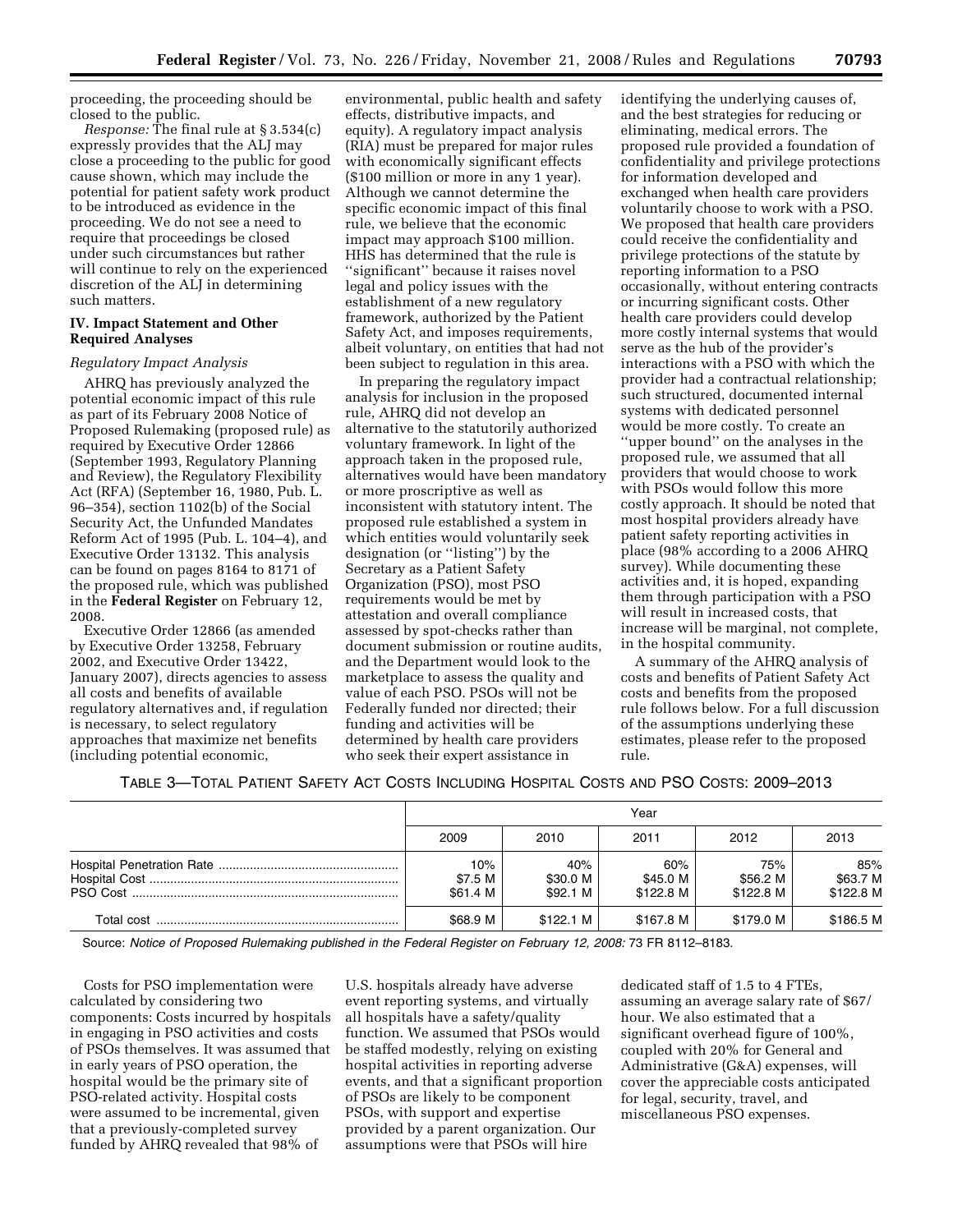proceeding, the proceeding should be closed to the public.

*Response:* The final rule at § 3.534(c) expressly provides that the ALJ may close a proceeding to the public for good cause shown, which may include the potential for patient safety work product to be introduced as evidence in the proceeding. We do not see a need to require that proceedings be closed under such circumstances but rather will continue to rely on the experienced discretion of the ALJ in determining such matters.

### **IV. Impact Statement and Other Required Analyses**

#### *Regulatory Impact Analysis*

AHRQ has previously analyzed the potential economic impact of this rule as part of its February 2008 Notice of Proposed Rulemaking (proposed rule) as required by Executive Order 12866 (September 1993, Regulatory Planning and Review), the Regulatory Flexibility Act (RFA) (September 16, 1980, Pub. L. 96–354), section 1102(b) of the Social Security Act, the Unfunded Mandates Reform Act of 1995 (Pub. L. 104–4), and Executive Order 13132. This analysis can be found on pages 8164 to 8171 of the proposed rule, which was published in the **Federal Register** on February 12, 2008.

Executive Order 12866 (as amended by Executive Order 13258, February 2002, and Executive Order 13422, January 2007), directs agencies to assess all costs and benefits of available regulatory alternatives and, if regulation is necessary, to select regulatory approaches that maximize net benefits (including potential economic,

environmental, public health and safety effects, distributive impacts, and equity). A regulatory impact analysis (RIA) must be prepared for major rules with economically significant effects (\$100 million or more in any 1 year). Although we cannot determine the specific economic impact of this final rule, we believe that the economic impact may approach \$100 million. HHS has determined that the rule is ''significant'' because it raises novel legal and policy issues with the establishment of a new regulatory framework, authorized by the Patient Safety Act, and imposes requirements, albeit voluntary, on entities that had not been subject to regulation in this area.

In preparing the regulatory impact analysis for inclusion in the proposed rule, AHRQ did not develop an alternative to the statutorily authorized voluntary framework. In light of the approach taken in the proposed rule, alternatives would have been mandatory or more proscriptive as well as inconsistent with statutory intent. The proposed rule established a system in which entities would voluntarily seek designation (or ''listing'') by the Secretary as a Patient Safety Organization (PSO), most PSO requirements would be met by attestation and overall compliance assessed by spot-checks rather than document submission or routine audits, and the Department would look to the marketplace to assess the quality and value of each PSO. PSOs will not be Federally funded nor directed; their funding and activities will be determined by health care providers who seek their expert assistance in

identifying the underlying causes of, and the best strategies for reducing or eliminating, medical errors. The proposed rule provided a foundation of confidentiality and privilege protections for information developed and exchanged when health care providers voluntarily choose to work with a PSO. We proposed that health care providers could receive the confidentiality and privilege protections of the statute by reporting information to a PSO occasionally, without entering contracts or incurring significant costs. Other health care providers could develop more costly internal systems that would serve as the hub of the provider's interactions with a PSO with which the provider had a contractual relationship; such structured, documented internal systems with dedicated personnel would be more costly. To create an ''upper bound'' on the analyses in the proposed rule, we assumed that all providers that would choose to work with PSOs would follow this more costly approach. It should be noted that most hospital providers already have patient safety reporting activities in place (98% according to a 2006 AHRQ survey). While documenting these activities and, it is hoped, expanding them through participation with a PSO will result in increased costs, that increase will be marginal, not complete, in the hospital community.

A summary of the AHRQ analysis of costs and benefits of Patient Safety Act costs and benefits from the proposed rule follows below. For a full discussion of the assumptions underlying these estimates, please refer to the proposed rule.

|  |  | TABLE 3—TOTAL PATIENT SAFETY ACT COSTS INCLUDING HOSPITAL COSTS AND PSO COSTS: 2009—2013 |
|--|--|------------------------------------------------------------------------------------------|
|--|--|------------------------------------------------------------------------------------------|

|            | Year                       |                             |                              |                              |                              |
|------------|----------------------------|-----------------------------|------------------------------|------------------------------|------------------------------|
|            | 2009                       | 2010                        | 2011                         | 2012                         | 2013                         |
|            | 10%<br>\$7.5 M<br>\$61.4 M | 40%<br>\$30.0 M<br>\$92.1 M | 60%<br>\$45.0 M<br>\$122.8 M | 75%<br>\$56.2 M<br>\$122.8 M | 85%<br>\$63.7 M<br>\$122.8 M |
| Total cost | \$68.9 M                   | \$122.1 M                   | \$167.8 M                    | \$179.0 M                    | \$186.5 M                    |

Source: *Notice of Proposed Rulemaking published in the Federal Register on February 12, 2008: 73 FR 8112-8183.* 

Costs for PSO implementation were calculated by considering two components: Costs incurred by hospitals in engaging in PSO activities and costs of PSOs themselves. It was assumed that in early years of PSO operation, the hospital would be the primary site of PSO-related activity. Hospital costs were assumed to be incremental, given that a previously-completed survey funded by AHRQ revealed that 98% of

U.S. hospitals already have adverse event reporting systems, and virtually all hospitals have a safety/quality function. We assumed that PSOs would be staffed modestly, relying on existing hospital activities in reporting adverse events, and that a significant proportion of PSOs are likely to be component PSOs, with support and expertise provided by a parent organization. Our assumptions were that PSOs will hire

dedicated staff of 1.5 to 4 FTEs, assuming an average salary rate of \$67/ hour. We also estimated that a significant overhead figure of 100%, coupled with 20% for General and Administrative (G&A) expenses, will cover the appreciable costs anticipated for legal, security, travel, and miscellaneous PSO expenses.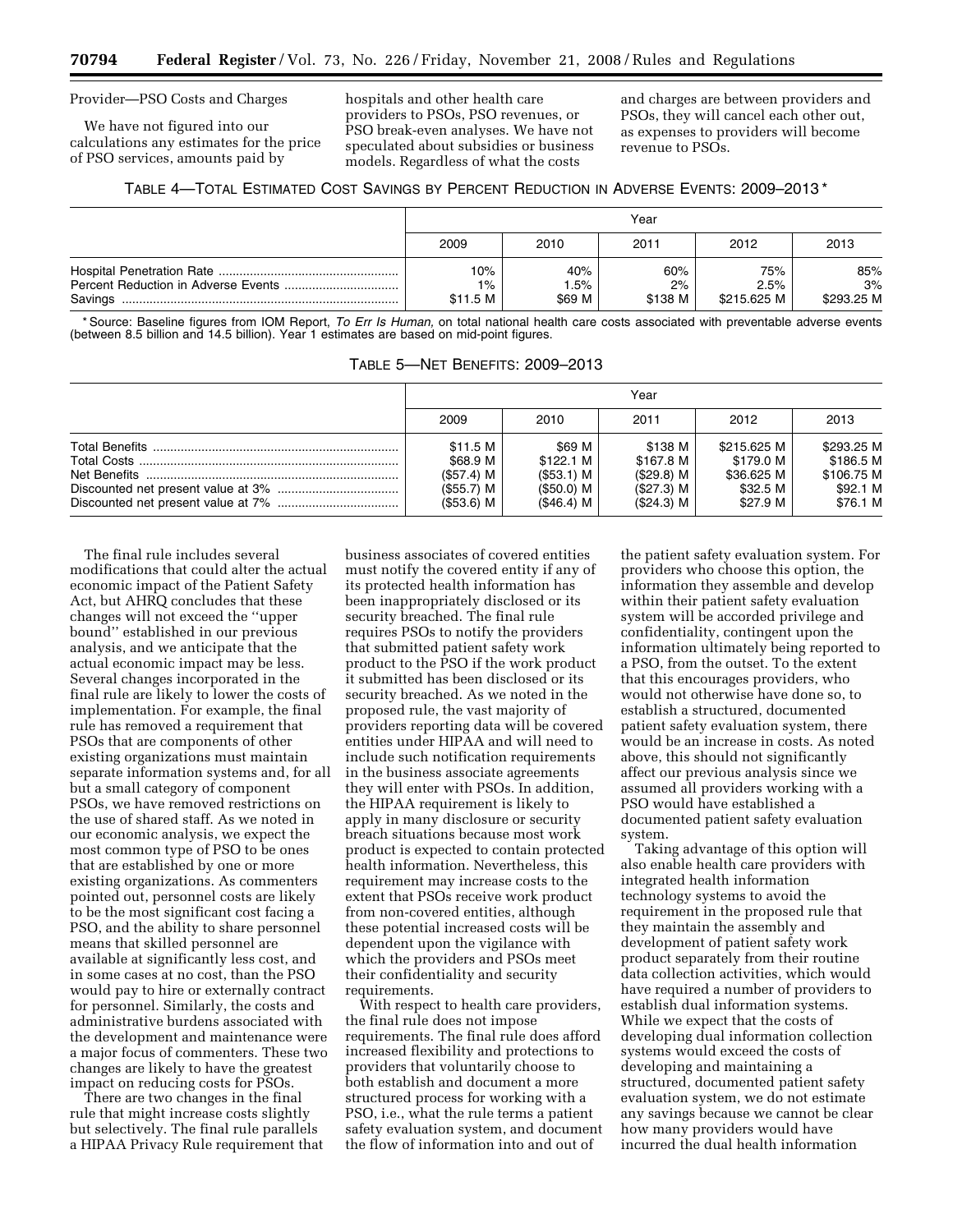## Provider—PSO Costs and Charges

We have not figured into our calculations any estimates for the price of PSO services, amounts paid by

hospitals and other health care providers to PSOs, PSO revenues, or PSO break-even analyses. We have not speculated about subsidies or business models. Regardless of what the costs

and charges are between providers and PSOs, they will cancel each other out, as expenses to providers will become revenue to PSOs.

|  | TABLE 4—TOTAL ESTIMATED COST SAVINGS BY PERCENT REDUCTION IN ADVERSE EVENTS: 2009-2013 <sup>*</sup> |  |
|--|-----------------------------------------------------------------------------------------------------|--|
|--|-----------------------------------------------------------------------------------------------------|--|

|         | Year              |                  |               |                     |                  |
|---------|-------------------|------------------|---------------|---------------------|------------------|
|         | 2009              | 2010             | 2011          | 2012                | 2013             |
|         | 10%               | 40%              | 60%           | 75%                 | 85%              |
| Savings | $1\%$<br>\$11.5 M | $.5\%$<br>\$69 M | 2%<br>\$138 M | 2.5%<br>\$215.625 M | 3%<br>\$293.25 M |

Source: Baseline figures from IOM Report, To Err Is Human, on total national health care costs associated with preventable adverse events (between 8.5 billion and 14.5 billion). Year 1 estimates are based on mid-point figures.

|  | TABLE 5—NET BENEFITS: 2009–2013 |
|--|---------------------------------|
|--|---------------------------------|

| Year                                                           |                                                                 |                                                                   |                                                                |                                                               |
|----------------------------------------------------------------|-----------------------------------------------------------------|-------------------------------------------------------------------|----------------------------------------------------------------|---------------------------------------------------------------|
| 2009                                                           | 2010                                                            | 2011                                                              | 2012                                                           | 2013                                                          |
| \$11.5 M<br>\$68.9 M<br>(S57.4) M<br>(\$55.7) M<br>$($53.6)$ M | \$69 M<br>\$122.1 M<br>$(S53.1)$ M<br>(\$50.0) M<br>$(S46.4)$ M | \$138 M<br>\$167.8 M<br>$(S29.8)$ M<br>$($27.3)$ M<br>$($24.3)$ M | \$215.625 M<br>\$179.0 M<br>\$36.625 M<br>\$32.5 M<br>\$27.9 M | \$293.25 M<br>\$186.5 M<br>\$106.75 M<br>\$92.1 M<br>\$76.1 M |

The final rule includes several modifications that could alter the actual economic impact of the Patient Safety Act, but AHRQ concludes that these changes will not exceed the ''upper bound'' established in our previous analysis, and we anticipate that the actual economic impact may be less. Several changes incorporated in the final rule are likely to lower the costs of implementation. For example, the final rule has removed a requirement that PSOs that are components of other existing organizations must maintain separate information systems and, for all but a small category of component PSOs, we have removed restrictions on the use of shared staff. As we noted in our economic analysis, we expect the most common type of PSO to be ones that are established by one or more existing organizations. As commenters pointed out, personnel costs are likely to be the most significant cost facing a PSO, and the ability to share personnel means that skilled personnel are available at significantly less cost, and in some cases at no cost, than the PSO would pay to hire or externally contract for personnel. Similarly, the costs and administrative burdens associated with the development and maintenance were a major focus of commenters. These two changes are likely to have the greatest impact on reducing costs for PSOs.

There are two changes in the final rule that might increase costs slightly but selectively. The final rule parallels a HIPAA Privacy Rule requirement that

business associates of covered entities must notify the covered entity if any of its protected health information has been inappropriately disclosed or its security breached. The final rule requires PSOs to notify the providers that submitted patient safety work product to the PSO if the work product it submitted has been disclosed or its security breached. As we noted in the proposed rule, the vast majority of providers reporting data will be covered entities under HIPAA and will need to include such notification requirements in the business associate agreements they will enter with PSOs. In addition, the HIPAA requirement is likely to apply in many disclosure or security breach situations because most work product is expected to contain protected health information. Nevertheless, this requirement may increase costs to the extent that PSOs receive work product from non-covered entities, although these potential increased costs will be dependent upon the vigilance with which the providers and PSOs meet their confidentiality and security requirements.

With respect to health care providers, the final rule does not impose requirements. The final rule does afford increased flexibility and protections to providers that voluntarily choose to both establish and document a more structured process for working with a PSO, i.e., what the rule terms a patient safety evaluation system, and document the flow of information into and out of

the patient safety evaluation system. For providers who choose this option, the information they assemble and develop within their patient safety evaluation system will be accorded privilege and confidentiality, contingent upon the information ultimately being reported to a PSO, from the outset. To the extent that this encourages providers, who would not otherwise have done so, to establish a structured, documented patient safety evaluation system, there would be an increase in costs. As noted above, this should not significantly affect our previous analysis since we assumed all providers working with a PSO would have established a documented patient safety evaluation system.

Taking advantage of this option will also enable health care providers with integrated health information technology systems to avoid the requirement in the proposed rule that they maintain the assembly and development of patient safety work product separately from their routine data collection activities, which would have required a number of providers to establish dual information systems. While we expect that the costs of developing dual information collection systems would exceed the costs of developing and maintaining a structured, documented patient safety evaluation system, we do not estimate any savings because we cannot be clear how many providers would have incurred the dual health information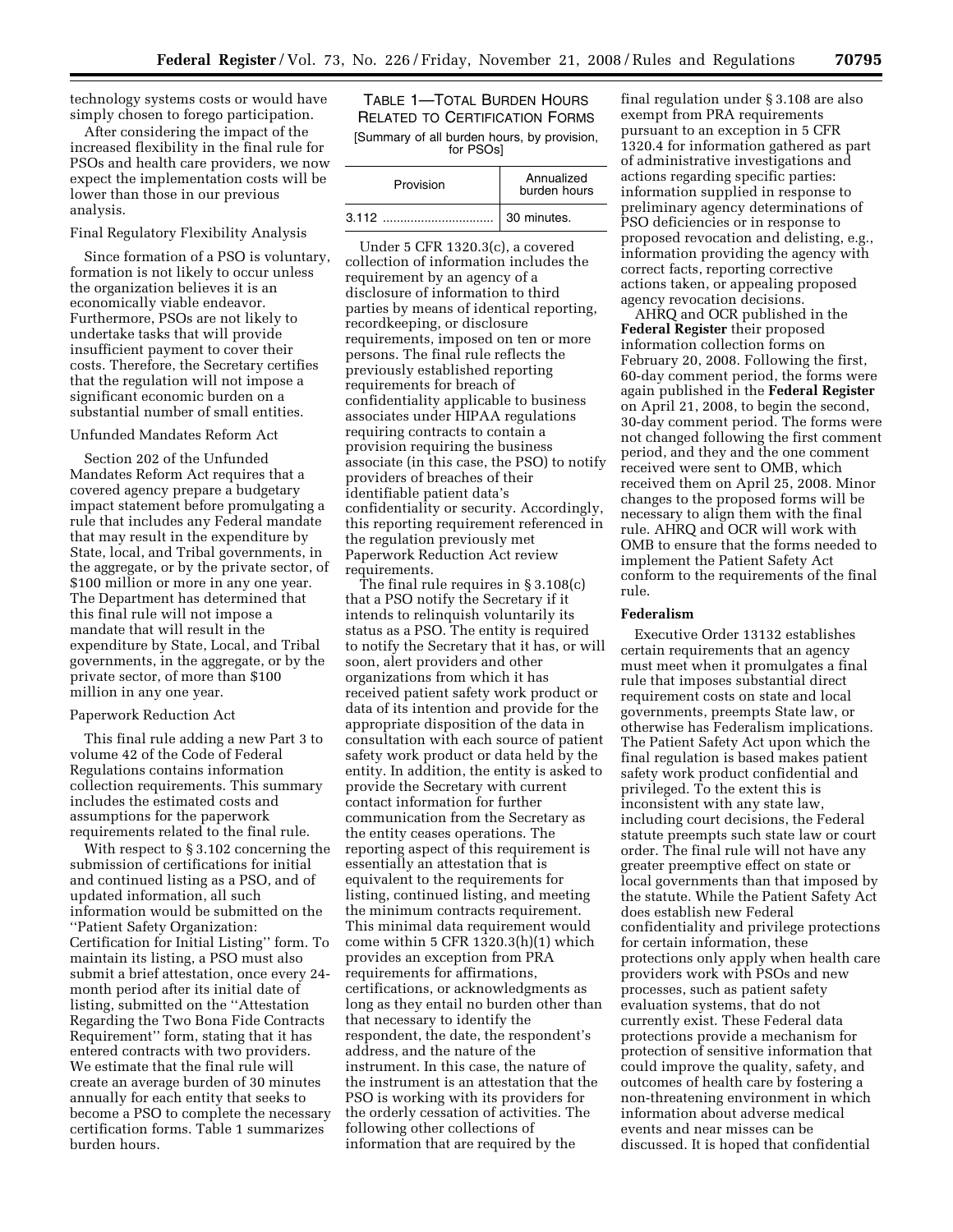technology systems costs or would have simply chosen to forego participation.

After considering the impact of the increased flexibility in the final rule for PSOs and health care providers, we now expect the implementation costs will be lower than those in our previous analysis.

### Final Regulatory Flexibility Analysis

Since formation of a PSO is voluntary, formation is not likely to occur unless the organization believes it is an economically viable endeavor. Furthermore, PSOs are not likely to undertake tasks that will provide insufficient payment to cover their costs. Therefore, the Secretary certifies that the regulation will not impose a significant economic burden on a substantial number of small entities.

# Unfunded Mandates Reform Act

Section 202 of the Unfunded Mandates Reform Act requires that a covered agency prepare a budgetary impact statement before promulgating a rule that includes any Federal mandate that may result in the expenditure by State, local, and Tribal governments, in the aggregate, or by the private sector, of \$100 million or more in any one year. The Department has determined that this final rule will not impose a mandate that will result in the expenditure by State, Local, and Tribal governments, in the aggregate, or by the private sector, of more than \$100 million in any one year.

### Paperwork Reduction Act

This final rule adding a new Part 3 to volume 42 of the Code of Federal Regulations contains information collection requirements. This summary includes the estimated costs and assumptions for the paperwork requirements related to the final rule.

With respect to § 3.102 concerning the submission of certifications for initial and continued listing as a PSO, and of updated information, all such information would be submitted on the ''Patient Safety Organization: Certification for Initial Listing'' form. To maintain its listing, a PSO must also submit a brief attestation, once every 24 month period after its initial date of listing, submitted on the ''Attestation Regarding the Two Bona Fide Contracts Requirement'' form, stating that it has entered contracts with two providers. We estimate that the final rule will create an average burden of 30 minutes annually for each entity that seeks to become a PSO to complete the necessary certification forms. Table 1 summarizes burden hours.

## TABLE 1—TOTAL BURDEN HOURS RELATED TO CERTIFICATION FORMS [Summary of all burden hours, by provision, for PSOs]

| Provision | Annualized<br>burden hours |
|-----------|----------------------------|
|           | 30 minutes.                |

Under 5 CFR 1320.3(c), a covered collection of information includes the requirement by an agency of a disclosure of information to third parties by means of identical reporting, recordkeeping, or disclosure requirements, imposed on ten or more persons. The final rule reflects the previously established reporting requirements for breach of confidentiality applicable to business associates under HIPAA regulations requiring contracts to contain a provision requiring the business associate (in this case, the PSO) to notify providers of breaches of their identifiable patient data's confidentiality or security. Accordingly, this reporting requirement referenced in the regulation previously met Paperwork Reduction Act review requirements.

The final rule requires in § 3.108(c) that a PSO notify the Secretary if it intends to relinquish voluntarily its status as a PSO. The entity is required to notify the Secretary that it has, or will soon, alert providers and other organizations from which it has received patient safety work product or data of its intention and provide for the appropriate disposition of the data in consultation with each source of patient safety work product or data held by the entity. In addition, the entity is asked to provide the Secretary with current contact information for further communication from the Secretary as the entity ceases operations. The reporting aspect of this requirement is essentially an attestation that is equivalent to the requirements for listing, continued listing, and meeting the minimum contracts requirement. This minimal data requirement would come within 5 CFR 1320.3(h)(1) which provides an exception from PRA requirements for affirmations, certifications, or acknowledgments as long as they entail no burden other than that necessary to identify the respondent, the date, the respondent's address, and the nature of the instrument. In this case, the nature of the instrument is an attestation that the PSO is working with its providers for the orderly cessation of activities. The following other collections of information that are required by the

final regulation under § 3.108 are also exempt from PRA requirements pursuant to an exception in 5 CFR 1320.4 for information gathered as part of administrative investigations and actions regarding specific parties: information supplied in response to preliminary agency determinations of PSO deficiencies or in response to proposed revocation and delisting, e.g., information providing the agency with correct facts, reporting corrective actions taken, or appealing proposed agency revocation decisions.

AHRQ and OCR published in the **Federal Register** their proposed information collection forms on February 20, 2008. Following the first, 60-day comment period, the forms were again published in the **Federal Register**  on April 21, 2008, to begin the second, 30-day comment period. The forms were not changed following the first comment period, and they and the one comment received were sent to OMB, which received them on April 25, 2008. Minor changes to the proposed forms will be necessary to align them with the final rule. AHRQ and OCR will work with OMB to ensure that the forms needed to implement the Patient Safety Act conform to the requirements of the final rule.

#### **Federalism**

Executive Order 13132 establishes certain requirements that an agency must meet when it promulgates a final rule that imposes substantial direct requirement costs on state and local governments, preempts State law, or otherwise has Federalism implications. The Patient Safety Act upon which the final regulation is based makes patient safety work product confidential and privileged. To the extent this is inconsistent with any state law, including court decisions, the Federal statute preempts such state law or court order. The final rule will not have any greater preemptive effect on state or local governments than that imposed by the statute. While the Patient Safety Act does establish new Federal confidentiality and privilege protections for certain information, these protections only apply when health care providers work with PSOs and new processes, such as patient safety evaluation systems, that do not currently exist. These Federal data protections provide a mechanism for protection of sensitive information that could improve the quality, safety, and outcomes of health care by fostering a non-threatening environment in which information about adverse medical events and near misses can be discussed. It is hoped that confidential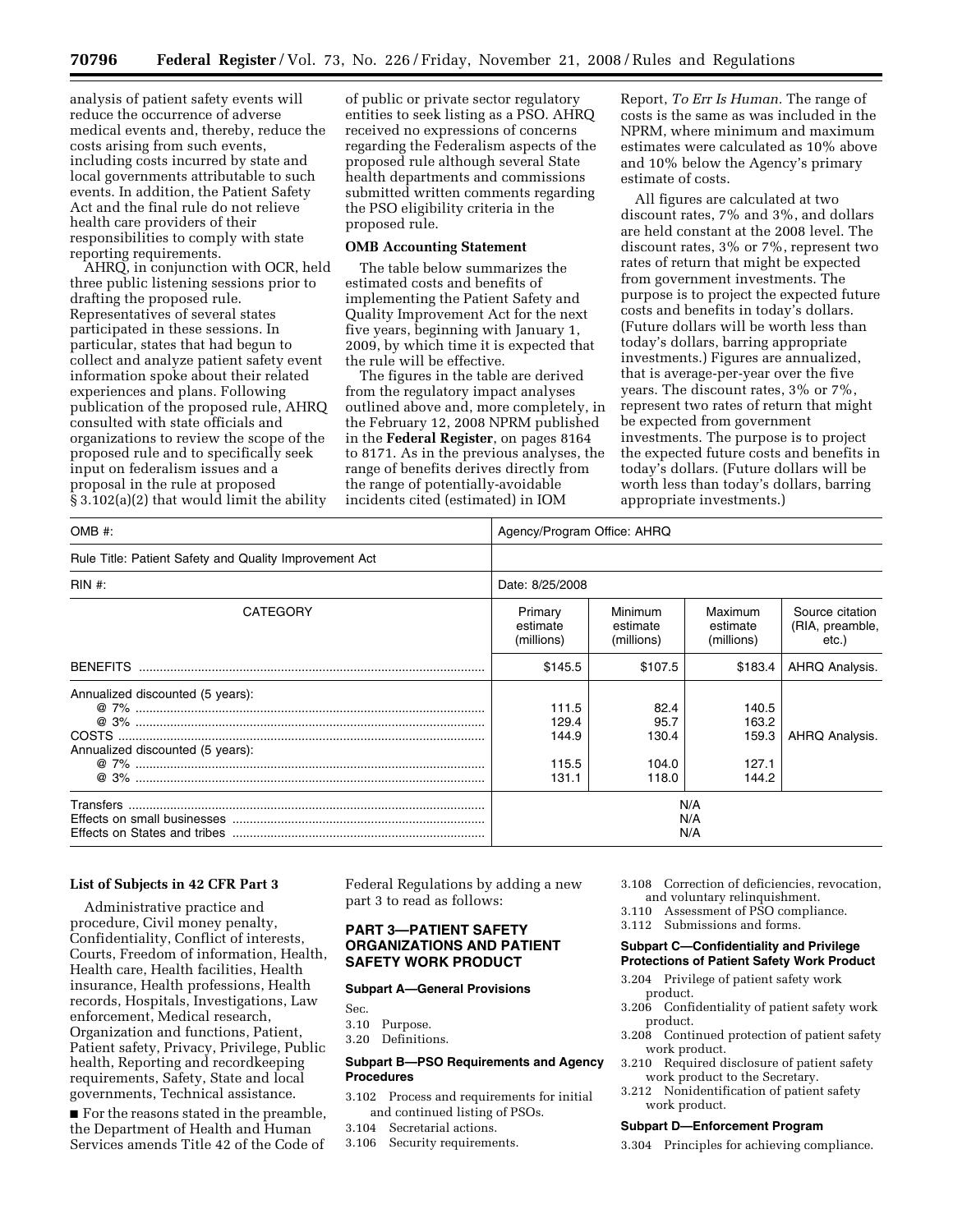analysis of patient safety events will reduce the occurrence of adverse medical events and, thereby, reduce the costs arising from such events, including costs incurred by state and local governments attributable to such events. In addition, the Patient Safety Act and the final rule do not relieve health care providers of their responsibilities to comply with state reporting requirements.

AHRQ, in conjunction with OCR, held three public listening sessions prior to drafting the proposed rule. Representatives of several states participated in these sessions. In particular, states that had begun to collect and analyze patient safety event information spoke about their related experiences and plans. Following publication of the proposed rule, AHRQ consulted with state officials and organizations to review the scope of the proposed rule and to specifically seek input on federalism issues and a proposal in the rule at proposed § 3.102(a)(2) that would limit the ability

of public or private sector regulatory entities to seek listing as a PSO. AHRQ received no expressions of concerns regarding the Federalism aspects of the proposed rule although several State health departments and commissions submitted written comments regarding the PSO eligibility criteria in the proposed rule.

# **OMB Accounting Statement**

The table below summarizes the estimated costs and benefits of implementing the Patient Safety and Quality Improvement Act for the next five years, beginning with January 1, 2009, by which time it is expected that the rule will be effective.

The figures in the table are derived from the regulatory impact analyses outlined above and, more completely, in the February 12, 2008 NPRM published in the **Federal Register**, on pages 8164 to 8171. As in the previous analyses, the range of benefits derives directly from the range of potentially-avoidable incidents cited (estimated) in IOM

Report, *To Err Is Human.* The range of costs is the same as was included in the NPRM, where minimum and maximum estimates were calculated as 10% above and 10% below the Agency's primary estimate of costs.

All figures are calculated at two discount rates, 7% and 3%, and dollars are held constant at the 2008 level. The discount rates, 3% or 7%, represent two rates of return that might be expected from government investments. The purpose is to project the expected future costs and benefits in today's dollars. (Future dollars will be worth less than today's dollars, barring appropriate investments.) Figures are annualized, that is average-per-year over the five years. The discount rates, 3% or 7%, represent two rates of return that might be expected from government investments. The purpose is to project the expected future costs and benefits in today's dollars. (Future dollars will be worth less than today's dollars, barring appropriate investments.)

| OMB #:                                                               | Agency/Program Office: AHRQ               |                                         |                                           |                                             |
|----------------------------------------------------------------------|-------------------------------------------|-----------------------------------------|-------------------------------------------|---------------------------------------------|
| Rule Title: Patient Safety and Quality Improvement Act               |                                           |                                         |                                           |                                             |
| $RIN#$ :                                                             | Date: 8/25/2008                           |                                         |                                           |                                             |
| <b>CATEGORY</b>                                                      | Primary<br>estimate<br>(millions)         | Minimum<br>estimate<br>(millions)       | Maximum<br>estimate<br>(millions)         | Source citation<br>(RIA, preamble,<br>etc.) |
| <b>BENEFITS</b>                                                      | \$145.5                                   | \$107.5                                 | \$183.4                                   | AHRQ Analysis.                              |
| Annualized discounted (5 years):<br>Annualized discounted (5 years): | 111.5<br>129.4<br>144.9<br>115.5<br>131.1 | 82.4<br>95.7<br>130.4<br>104.0<br>118.0 | 140.5<br>163.2<br>159.3<br>127.1<br>144.2 | AHRQ Analysis.                              |
|                                                                      | N/A<br>N/A<br>N/A                         |                                         |                                           |                                             |

#### **List of Subjects in 42 CFR Part 3**

Administrative practice and procedure, Civil money penalty, Confidentiality, Conflict of interests, Courts, Freedom of information, Health, Health care, Health facilities, Health insurance, Health professions, Health records, Hospitals, Investigations, Law enforcement, Medical research, Organization and functions, Patient, Patient safety, Privacy, Privilege, Public health, Reporting and recordkeeping requirements, Safety, State and local governments, Technical assistance.

■ For the reasons stated in the preamble, the Department of Health and Human Services amends Title 42 of the Code of

Federal Regulations by adding a new part 3 to read as follows:

## **PART 3—PATIENT SAFETY ORGANIZATIONS AND PATIENT SAFETY WORK PRODUCT**

#### **Subpart A—General Provisions**

- Sec.
- 3.10 Purpose.
- 3.20 Definitions.

### **Subpart B—PSO Requirements and Agency Procedures**

- 3.102 Process and requirements for initial and continued listing of PSOs.
- 3.104 Secretarial actions.
- 3.106 Security requirements.

3.108 Correction of deficiencies, revocation, and voluntary relinquishment.

- 3.110 Assessment of PSO compliance.
- 3.112 Submissions and forms.

#### **Subpart C—Confidentiality and Privilege Protections of Patient Safety Work Product**

- 3.204 Privilege of patient safety work product.
- 3.206 Confidentiality of patient safety work product.
- 3.208 Continued protection of patient safety work product.
- 3.210 Required disclosure of patient safety work product to the Secretary.
- 3.212 Nonidentification of patient safety work product.

#### **Subpart D—Enforcement Program**

3.304 Principles for achieving compliance.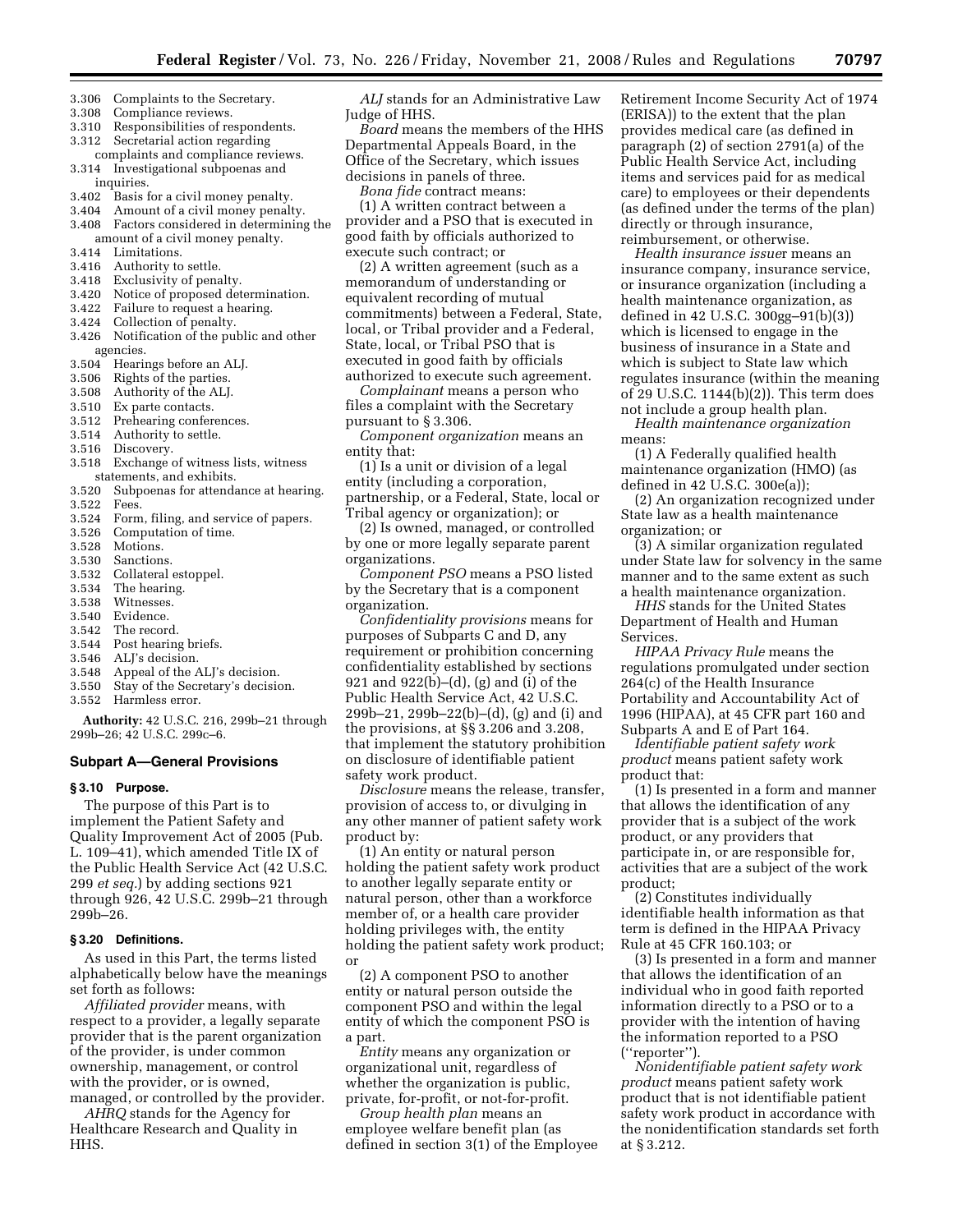- 3.306 Complaints to the Secretary.
- 3.308 Compliance reviews.
- 3.310 Responsibilities of respondents.
- 3.312 Secretarial action regarding
- complaints and compliance reviews. 3.314 Investigational subpoenas and inquiries.
- 3.402 Basis for a civil money penalty.
- 3.404 Amount of a civil money penalty.
- 3.408 Factors considered in determining the amount of a civil money penalty.
- 3.414 Limitations.
- 3.416 Authority to settle.
- 3.418 Exclusivity of penalty.
- 3.420 Notice of proposed determination.
- 3.422 Failure to request a hearing.
- 3.424 Collection of penalty.
- 3.426 Notification of the public and other agencies.
- 3.504 Hearings before an ALJ.
- 3.506 Rights of the parties.
- 3.508 Authority of the ALJ.
- 3.510 Ex parte contacts.
- 3.512 Prehearing conferences.
- 3.514 Authority to settle.
- 3.516 Discovery.
- 3.518 Exchange of witness lists, witness statements, and exhibits.
- 3.520 Subpoenas for attendance at hearing.
- 3.522 Fees.
- 3.524 Form, filing, and service of papers.
- 3.526 Computation of time.
- 3.528 Motions.
- 3.530 Sanctions.
- 3.532 Collateral estoppel.
- 3.534 The hearing.
- 3.538 Witnesses.
- 3.540 Evidence.
- 3.542 The record.
- 3.544 Post hearing briefs.
- 3.546 ALJ's decision.
- 3.548 Appeal of the ALJ's decision.
- 3.550 Stay of the Secretary's decision.
- 3.552 Harmless error.

**Authority:** 42 U.S.C. 216, 299b–21 through 299b–26; 42 U.S.C. 299c–6.

#### **Subpart A—General Provisions**

### **§ 3.10 Purpose.**

The purpose of this Part is to implement the Patient Safety and Quality Improvement Act of 2005 (Pub. L. 109–41), which amended Title IX of the Public Health Service Act (42 U.S.C. 299 *et seq.*) by adding sections 921 through 926, 42 U.S.C. 299b–21 through 299b–26.

#### **§ 3.20 Definitions.**

As used in this Part, the terms listed alphabetically below have the meanings set forth as follows:

*Affiliated provider* means, with respect to a provider, a legally separate provider that is the parent organization of the provider, is under common ownership, management, or control with the provider, or is owned, managed, or controlled by the provider.

*AHRQ* stands for the Agency for Healthcare Research and Quality in HHS.

*ALJ* stands for an Administrative Law Judge of HHS.

*Board* means the members of the HHS Departmental Appeals Board, in the Office of the Secretary, which issues decisions in panels of three.

*Bona fide* contract means:

(1) A written contract between a provider and a PSO that is executed in good faith by officials authorized to execute such contract; or

(2) A written agreement (such as a memorandum of understanding or equivalent recording of mutual commitments) between a Federal, State, local, or Tribal provider and a Federal, State, local, or Tribal PSO that is executed in good faith by officials authorized to execute such agreement.

*Complainant* means a person who files a complaint with the Secretary pursuant to § 3.306.

*Component organization* means an entity that:

(1) Is a unit or division of a legal entity (including a corporation, partnership, or a Federal, State, local or Tribal agency or organization); or

(2) Is owned, managed, or controlled by one or more legally separate parent organizations.

*Component PSO* means a PSO listed by the Secretary that is a component organization.

*Confidentiality provisions* means for purposes of Subparts C and D, any requirement or prohibition concerning confidentiality established by sections 921 and 922(b)–(d), (g) and (i) of the Public Health Service Act, 42 U.S.C. 299b–21, 299b–22(b)–(d), (g) and (i) and the provisions, at §§ 3.206 and 3.208, that implement the statutory prohibition on disclosure of identifiable patient safety work product.

*Disclosure* means the release, transfer, provision of access to, or divulging in any other manner of patient safety work product by:

(1) An entity or natural person holding the patient safety work product to another legally separate entity or natural person, other than a workforce member of, or a health care provider holding privileges with, the entity holding the patient safety work product; or

(2) A component PSO to another entity or natural person outside the component PSO and within the legal entity of which the component PSO is a part.

*Entity* means any organization or organizational unit, regardless of whether the organization is public, private, for-profit, or not-for-profit.

*Group health plan* means an employee welfare benefit plan (as defined in section 3(1) of the Employee Retirement Income Security Act of 1974 (ERISA)) to the extent that the plan provides medical care (as defined in paragraph (2) of section 2791(a) of the Public Health Service Act, including items and services paid for as medical care) to employees or their dependents (as defined under the terms of the plan) directly or through insurance, reimbursement, or otherwise.

*Health insurance issue*r means an insurance company, insurance service, or insurance organization (including a health maintenance organization, as defined in 42 U.S.C. 300gg–91(b)(3)) which is licensed to engage in the business of insurance in a State and which is subject to State law which regulates insurance (within the meaning of 29 U.S.C. 1144(b)(2)). This term does not include a group health plan.

*Health maintenance organization*  means:

(1) A Federally qualified health maintenance organization (HMO) (as defined in 42 U.S.C. 300e(a));

(2) An organization recognized under State law as a health maintenance organization; or

(3) A similar organization regulated under State law for solvency in the same manner and to the same extent as such a health maintenance organization.

*HHS* stands for the United States Department of Health and Human Services.

*HIPAA Privacy Rule* means the regulations promulgated under section 264(c) of the Health Insurance Portability and Accountability Act of 1996 (HIPAA), at 45 CFR part 160 and Subparts A and E of Part 164.

*Identifiable patient safety work product* means patient safety work product that:

(1) Is presented in a form and manner that allows the identification of any provider that is a subject of the work product, or any providers that participate in, or are responsible for, activities that are a subject of the work product;

(2) Constitutes individually identifiable health information as that term is defined in the HIPAA Privacy Rule at 45 CFR 160.103; or

(3) Is presented in a form and manner that allows the identification of an individual who in good faith reported information directly to a PSO or to a provider with the intention of having the information reported to a PSO (''reporter'').

*Nonidentifiable patient safety work product* means patient safety work product that is not identifiable patient safety work product in accordance with the nonidentification standards set forth at § 3.212.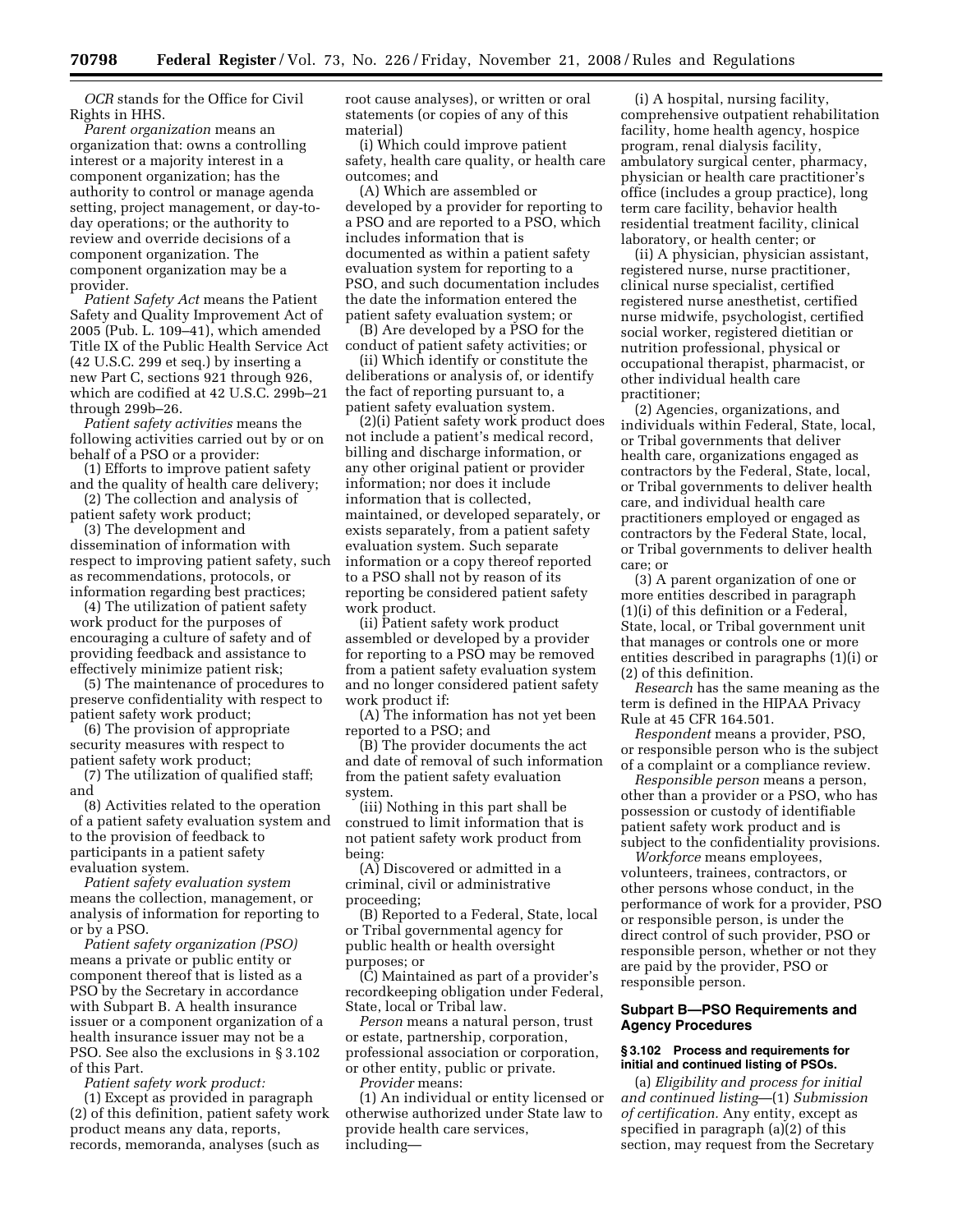*OCR* stands for the Office for Civil Rights in HHS.

*Parent organization* means an organization that: owns a controlling interest or a majority interest in a component organization; has the authority to control or manage agenda setting, project management, or day-today operations; or the authority to review and override decisions of a component organization. The component organization may be a provider.

*Patient Safety Act* means the Patient Safety and Quality Improvement Act of 2005 (Pub. L. 109–41), which amended Title IX of the Public Health Service Act (42 U.S.C. 299 et seq.) by inserting a new Part C, sections 921 through 926, which are codified at 42 U.S.C. 299b–21 through 299b–26.

*Patient safety activities* means the following activities carried out by or on behalf of a PSO or a provider:

(1) Efforts to improve patient safety and the quality of health care delivery;

(2) The collection and analysis of patient safety work product;

(3) The development and dissemination of information with respect to improving patient safety, such as recommendations, protocols, or information regarding best practices;

(4) The utilization of patient safety work product for the purposes of encouraging a culture of safety and of providing feedback and assistance to effectively minimize patient risk;

(5) The maintenance of procedures to preserve confidentiality with respect to patient safety work product;

(6) The provision of appropriate security measures with respect to patient safety work product;

(7) The utilization of qualified staff; and

(8) Activities related to the operation of a patient safety evaluation system and to the provision of feedback to participants in a patient safety evaluation system.

*Patient safety evaluation system*  means the collection, management, or analysis of information for reporting to or by a PSO.

*Patient safety organization (PSO)*  means a private or public entity or component thereof that is listed as a PSO by the Secretary in accordance with Subpart B. A health insurance issuer or a component organization of a health insurance issuer may not be a PSO. See also the exclusions in § 3.102 of this Part.

*Patient safety work product:*  (1) Except as provided in paragraph (2) of this definition, patient safety work product means any data, reports, records, memoranda, analyses (such as

root cause analyses), or written or oral statements (or copies of any of this material)

(i) Which could improve patient safety, health care quality, or health care outcomes; and

(A) Which are assembled or developed by a provider for reporting to a PSO and are reported to a PSO, which includes information that is documented as within a patient safety evaluation system for reporting to a PSO, and such documentation includes the date the information entered the patient safety evaluation system; or

(B) Are developed by a PSO for the conduct of patient safety activities; or

(ii) Which identify or constitute the deliberations or analysis of, or identify the fact of reporting pursuant to, a patient safety evaluation system.

(2)(i) Patient safety work product does not include a patient's medical record, billing and discharge information, or any other original patient or provider information; nor does it include information that is collected, maintained, or developed separately, or exists separately, from a patient safety evaluation system. Such separate information or a copy thereof reported to a PSO shall not by reason of its reporting be considered patient safety work product.

(ii) Patient safety work product assembled or developed by a provider for reporting to a PSO may be removed from a patient safety evaluation system and no longer considered patient safety work product if:

(A) The information has not yet been reported to a PSO; and

(B) The provider documents the act and date of removal of such information from the patient safety evaluation system.

(iii) Nothing in this part shall be construed to limit information that is not patient safety work product from being:

(A) Discovered or admitted in a criminal, civil or administrative proceeding;

(B) Reported to a Federal, State, local or Tribal governmental agency for public health or health oversight purposes; or

(C) Maintained as part of a provider's recordkeeping obligation under Federal, State, local or Tribal law.

*Person* means a natural person, trust or estate, partnership, corporation, professional association or corporation, or other entity, public or private. *Provider* means:

(1) An individual or entity licensed or otherwise authorized under State law to provide health care services, including—

(i) A hospital, nursing facility, comprehensive outpatient rehabilitation facility, home health agency, hospice program, renal dialysis facility, ambulatory surgical center, pharmacy, physician or health care practitioner's office (includes a group practice), long term care facility, behavior health residential treatment facility, clinical laboratory, or health center; or

(ii) A physician, physician assistant, registered nurse, nurse practitioner, clinical nurse specialist, certified registered nurse anesthetist, certified nurse midwife, psychologist, certified social worker, registered dietitian or nutrition professional, physical or occupational therapist, pharmacist, or other individual health care practitioner;

(2) Agencies, organizations, and individuals within Federal, State, local, or Tribal governments that deliver health care, organizations engaged as contractors by the Federal, State, local, or Tribal governments to deliver health care, and individual health care practitioners employed or engaged as contractors by the Federal State, local, or Tribal governments to deliver health care; or

(3) A parent organization of one or more entities described in paragraph (1)(i) of this definition or a Federal, State, local, or Tribal government unit that manages or controls one or more entities described in paragraphs (1)(i) or (2) of this definition.

*Research* has the same meaning as the term is defined in the HIPAA Privacy Rule at 45 CFR 164.501.

*Respondent* means a provider, PSO, or responsible person who is the subject of a complaint or a compliance review.

*Responsible person* means a person, other than a provider or a PSO, who has possession or custody of identifiable patient safety work product and is subject to the confidentiality provisions.

*Workforce* means employees, volunteers, trainees, contractors, or other persons whose conduct, in the performance of work for a provider, PSO or responsible person, is under the direct control of such provider, PSO or responsible person, whether or not they are paid by the provider, PSO or responsible person.

# **Subpart B—PSO Requirements and Agency Procedures**

### **§ 3.102 Process and requirements for initial and continued listing of PSOs.**

(a) *Eligibility and process for initial and continued listing*—(1) *Submission of certification.* Any entity, except as specified in paragraph (a)(2) of this section, may request from the Secretary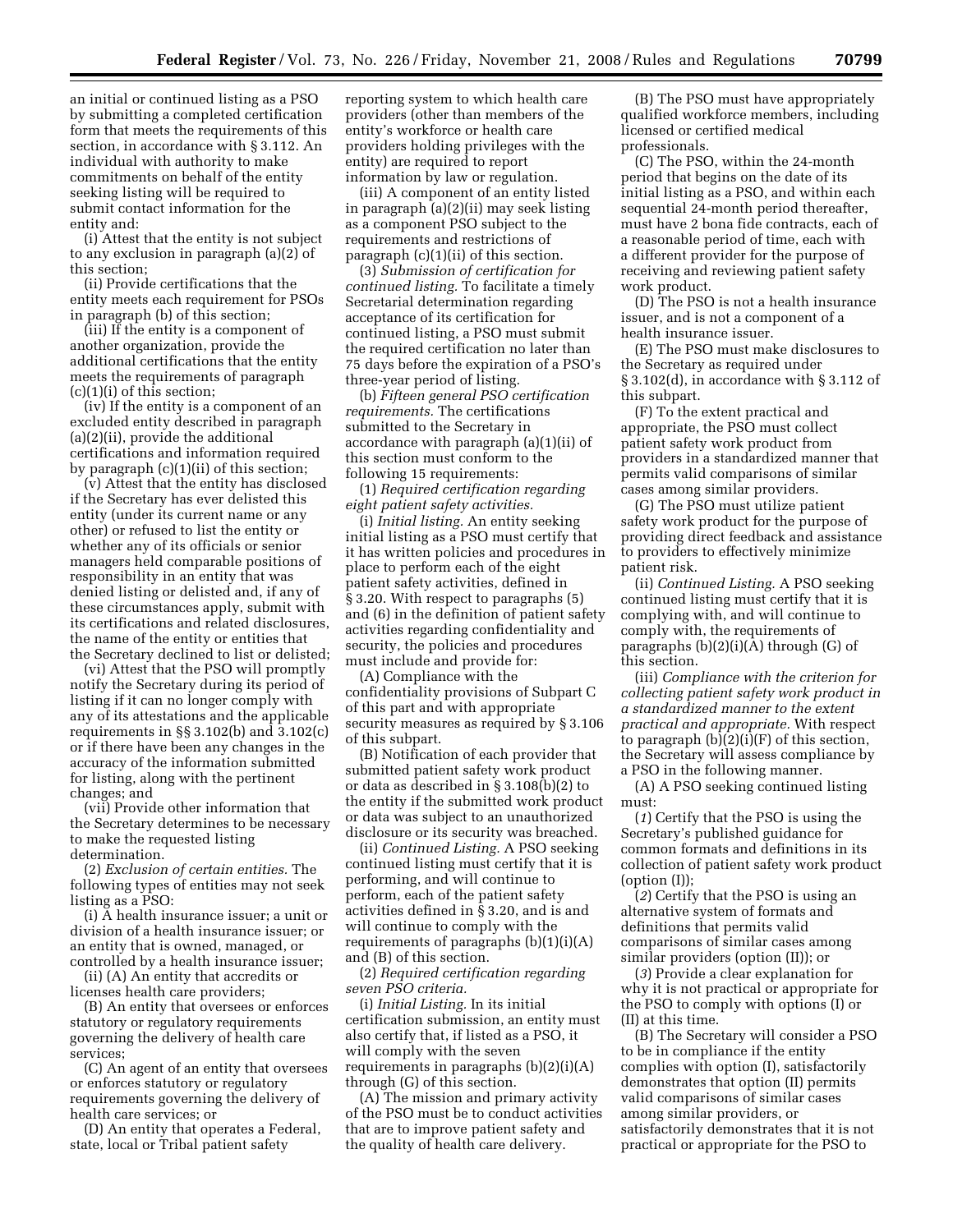an initial or continued listing as a PSO by submitting a completed certification form that meets the requirements of this section, in accordance with § 3.112. An individual with authority to make commitments on behalf of the entity seeking listing will be required to submit contact information for the entity and:

(i) Attest that the entity is not subject to any exclusion in paragraph (a)(2) of this section;

(ii) Provide certifications that the entity meets each requirement for PSOs in paragraph (b) of this section;

(iii) If the entity is a component of another organization, provide the additional certifications that the entity meets the requirements of paragraph  $(c)(1)(i)$  of this section;

(iv) If the entity is a component of an excluded entity described in paragraph (a)(2)(ii), provide the additional certifications and information required by paragraph (c)(1)(ii) of this section;

(v) Attest that the entity has disclosed if the Secretary has ever delisted this entity (under its current name or any other) or refused to list the entity or whether any of its officials or senior managers held comparable positions of responsibility in an entity that was denied listing or delisted and, if any of these circumstances apply, submit with its certifications and related disclosures, the name of the entity or entities that the Secretary declined to list or delisted;

(vi) Attest that the PSO will promptly notify the Secretary during its period of listing if it can no longer comply with any of its attestations and the applicable requirements in §§ 3.102(b) and 3.102(c) or if there have been any changes in the accuracy of the information submitted for listing, along with the pertinent changes; and

(vii) Provide other information that the Secretary determines to be necessary to make the requested listing determination.

(2) *Exclusion of certain entities.* The following types of entities may not seek listing as a PSO:

(i) A health insurance issuer; a unit or division of a health insurance issuer; or an entity that is owned, managed, or controlled by a health insurance issuer;

(ii) (A) An entity that accredits or licenses health care providers;

(B) An entity that oversees or enforces statutory or regulatory requirements governing the delivery of health care services;

(C) An agent of an entity that oversees or enforces statutory or regulatory requirements governing the delivery of health care services; or

(D) An entity that operates a Federal, state, local or Tribal patient safety

reporting system to which health care providers (other than members of the entity's workforce or health care providers holding privileges with the entity) are required to report information by law or regulation.

(iii) A component of an entity listed in paragraph (a)(2)(ii) may seek listing as a component PSO subject to the requirements and restrictions of paragraph (c)(1)(ii) of this section.

(3) *Submission of certification for continued listing.* To facilitate a timely Secretarial determination regarding acceptance of its certification for continued listing, a PSO must submit the required certification no later than 75 days before the expiration of a PSO's three-year period of listing.

(b) *Fifteen general PSO certification requirements.* The certifications submitted to the Secretary in accordance with paragraph (a)(1)(ii) of this section must conform to the following 15 requirements:

(1) *Required certification regarding eight patient safety activities.* 

(i) *Initial listing.* An entity seeking initial listing as a PSO must certify that it has written policies and procedures in place to perform each of the eight patient safety activities, defined in § 3.20. With respect to paragraphs (5) and (6) in the definition of patient safety activities regarding confidentiality and security, the policies and procedures must include and provide for:

(A) Compliance with the confidentiality provisions of Subpart C of this part and with appropriate security measures as required by § 3.106 of this subpart.

(B) Notification of each provider that submitted patient safety work product or data as described in § 3.108(b)(2) to the entity if the submitted work product or data was subject to an unauthorized disclosure or its security was breached.

(ii) *Continued Listing.* A PSO seeking continued listing must certify that it is performing, and will continue to perform, each of the patient safety activities defined in § 3.20, and is and will continue to comply with the requirements of paragraphs  $(b)(1)(i)(A)$ and (B) of this section.

(2) *Required certification regarding seven PSO criteria.* 

(i) *Initial Listing.* In its initial certification submission, an entity must also certify that, if listed as a PSO, it will comply with the seven requirements in paragraphs (b)(2)(i)(A) through (G) of this section.

(A) The mission and primary activity of the PSO must be to conduct activities that are to improve patient safety and the quality of health care delivery.

(B) The PSO must have appropriately qualified workforce members, including licensed or certified medical professionals.

(C) The PSO, within the 24-month period that begins on the date of its initial listing as a PSO, and within each sequential 24-month period thereafter, must have 2 bona fide contracts, each of a reasonable period of time, each with a different provider for the purpose of receiving and reviewing patient safety work product.

(D) The PSO is not a health insurance issuer, and is not a component of a health insurance issuer.

(E) The PSO must make disclosures to the Secretary as required under § 3.102(d), in accordance with § 3.112 of this subpart.

(F) To the extent practical and appropriate, the PSO must collect patient safety work product from providers in a standardized manner that permits valid comparisons of similar cases among similar providers.

(G) The PSO must utilize patient safety work product for the purpose of providing direct feedback and assistance to providers to effectively minimize patient risk.

(ii) *Continued Listing.* A PSO seeking continued listing must certify that it is complying with, and will continue to comply with, the requirements of paragraphs (b)(2)(i)(A) through (G) of this section.

(iii) *Compliance with the criterion for collecting patient safety work product in a standardized manner to the extent practical and appropriate.* With respect to paragraph (b)(2)(i)(F) of this section, the Secretary will assess compliance by a PSO in the following manner.

(A) A PSO seeking continued listing must:

(*1*) Certify that the PSO is using the Secretary's published guidance for common formats and definitions in its collection of patient safety work product (option (I));

(*2*) Certify that the PSO is using an alternative system of formats and definitions that permits valid comparisons of similar cases among similar providers (option (II)); or

(*3*) Provide a clear explanation for why it is not practical or appropriate for the PSO to comply with options (I) or (II) at this time.

(B) The Secretary will consider a PSO to be in compliance if the entity complies with option (I), satisfactorily demonstrates that option (II) permits valid comparisons of similar cases among similar providers, or satisfactorily demonstrates that it is not practical or appropriate for the PSO to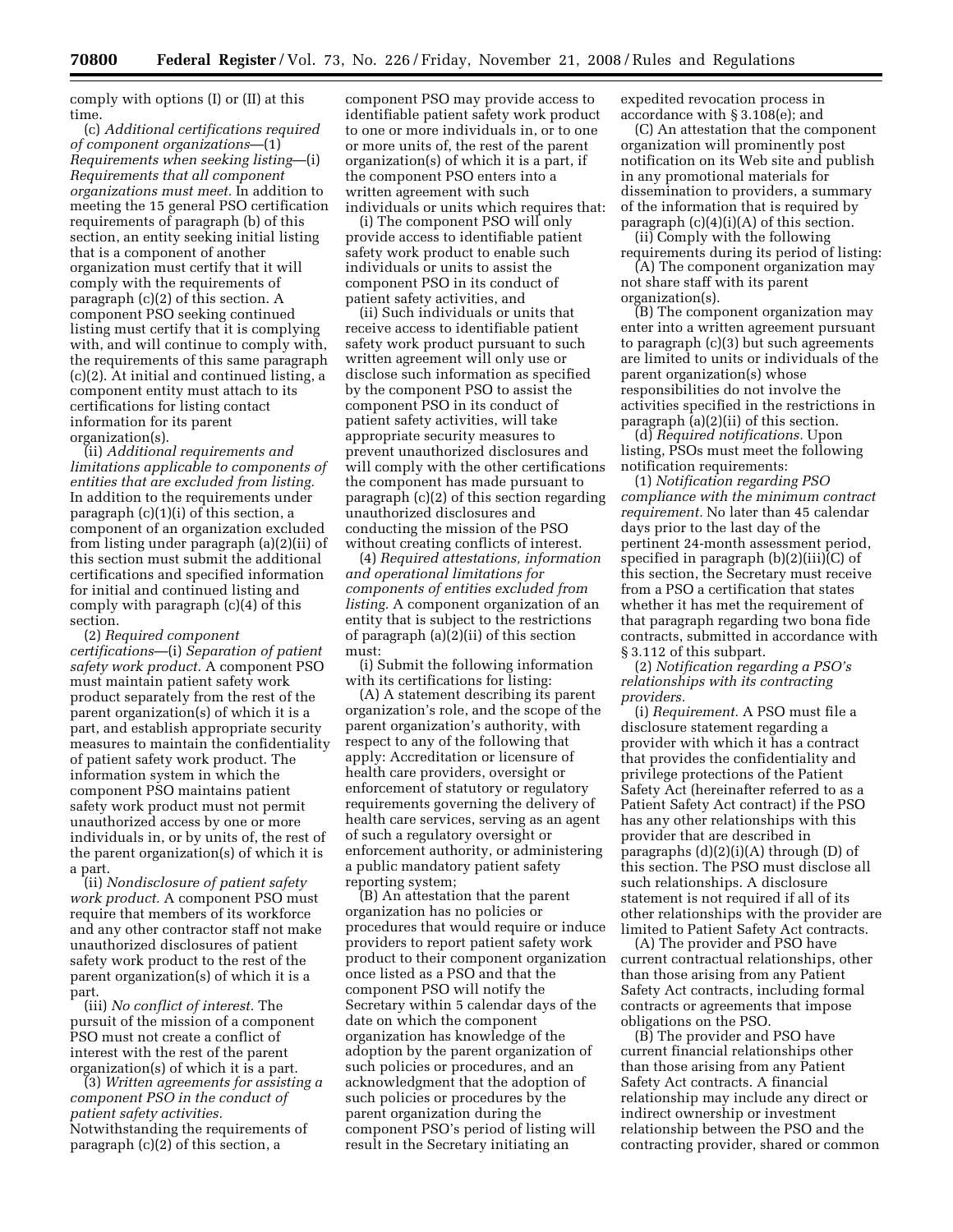comply with options (I) or (II) at this time.

(c) *Additional certifications required of component organizations*—(1) *Requirements when seeking listing*—(i) *Requirements that all component organizations must meet.* In addition to meeting the 15 general PSO certification requirements of paragraph (b) of this section, an entity seeking initial listing that is a component of another organization must certify that it will comply with the requirements of paragraph (c)(2) of this section. A component PSO seeking continued listing must certify that it is complying with, and will continue to comply with, the requirements of this same paragraph (c)(2). At initial and continued listing, a component entity must attach to its certifications for listing contact information for its parent organization(s).

(ii) *Additional requirements and limitations applicable to components of entities that are excluded from listing.*  In addition to the requirements under paragraph (c)(1)(i) of this section, a component of an organization excluded from listing under paragraph (a)(2)(ii) of this section must submit the additional certifications and specified information for initial and continued listing and comply with paragraph (c)(4) of this section.

(2) *Required component certifications*—(i) *Separation of patient safety work product.* A component PSO must maintain patient safety work product separately from the rest of the parent organization(s) of which it is a part, and establish appropriate security measures to maintain the confidentiality of patient safety work product. The information system in which the component PSO maintains patient safety work product must not permit unauthorized access by one or more individuals in, or by units of, the rest of the parent organization(s) of which it is a part.

(ii) *Nondisclosure of patient safety work product.* A component PSO must require that members of its workforce and any other contractor staff not make unauthorized disclosures of patient safety work product to the rest of the parent organization(s) of which it is a part.

(iii) *No conflict of interest.* The pursuit of the mission of a component PSO must not create a conflict of interest with the rest of the parent organization(s) of which it is a part.

(3) *Written agreements for assisting a component PSO in the conduct of patient safety activities.*  Notwithstanding the requirements of paragraph (c)(2) of this section, a

component PSO may provide access to identifiable patient safety work product to one or more individuals in, or to one or more units of, the rest of the parent organization(s) of which it is a part, if the component PSO enters into a written agreement with such individuals or units which requires that:

(i) The component PSO will only provide access to identifiable patient safety work product to enable such individuals or units to assist the component PSO in its conduct of patient safety activities, and

(ii) Such individuals or units that receive access to identifiable patient safety work product pursuant to such written agreement will only use or disclose such information as specified by the component PSO to assist the component PSO in its conduct of patient safety activities, will take appropriate security measures to prevent unauthorized disclosures and will comply with the other certifications the component has made pursuant to paragraph (c)(2) of this section regarding unauthorized disclosures and conducting the mission of the PSO without creating conflicts of interest.

(4) *Required attestations, information and operational limitations for components of entities excluded from listing.* A component organization of an entity that is subject to the restrictions of paragraph (a)(2)(ii) of this section must:

(i) Submit the following information with its certifications for listing:

(A) A statement describing its parent organization's role, and the scope of the parent organization's authority, with respect to any of the following that apply: Accreditation or licensure of health care providers, oversight or enforcement of statutory or regulatory requirements governing the delivery of health care services, serving as an agent of such a regulatory oversight or enforcement authority, or administering a public mandatory patient safety reporting system;

(B) An attestation that the parent organization has no policies or procedures that would require or induce providers to report patient safety work product to their component organization once listed as a PSO and that the component PSO will notify the Secretary within 5 calendar days of the date on which the component organization has knowledge of the adoption by the parent organization of such policies or procedures, and an acknowledgment that the adoption of such policies or procedures by the parent organization during the component PSO's period of listing will result in the Secretary initiating an

expedited revocation process in accordance with § 3.108(e); and

(C) An attestation that the component organization will prominently post notification on its Web site and publish in any promotional materials for dissemination to providers, a summary of the information that is required by paragraph (c)(4)(i)(A) of this section.

(ii) Comply with the following requirements during its period of listing:

(A) The component organization may not share staff with its parent organization(s).

(B) The component organization may enter into a written agreement pursuant to paragraph (c)(3) but such agreements are limited to units or individuals of the parent organization(s) whose responsibilities do not involve the activities specified in the restrictions in paragraph (a)(2)(ii) of this section.

(d) *Required notifications.* Upon listing, PSOs must meet the following notification requirements:

(1) *Notification regarding PSO compliance with the minimum contract requirement.* No later than 45 calendar days prior to the last day of the pertinent 24-month assessment period, specified in paragraph (b)(2)(iii)(C) of this section, the Secretary must receive from a PSO a certification that states whether it has met the requirement of that paragraph regarding two bona fide contracts, submitted in accordance with § 3.112 of this subpart.

(2) *Notification regarding a PSO's relationships with its contracting providers.* 

(i) *Requirement.* A PSO must file a disclosure statement regarding a provider with which it has a contract that provides the confidentiality and privilege protections of the Patient Safety Act (hereinafter referred to as a Patient Safety Act contract) if the PSO has any other relationships with this provider that are described in paragraphs  $(d)(2)(i)(A)$  through  $(D)$  of this section. The PSO must disclose all such relationships. A disclosure statement is not required if all of its other relationships with the provider are limited to Patient Safety Act contracts.

(A) The provider and PSO have current contractual relationships, other than those arising from any Patient Safety Act contracts, including formal contracts or agreements that impose obligations on the PSO.

(B) The provider and PSO have current financial relationships other than those arising from any Patient Safety Act contracts. A financial relationship may include any direct or indirect ownership or investment relationship between the PSO and the contracting provider, shared or common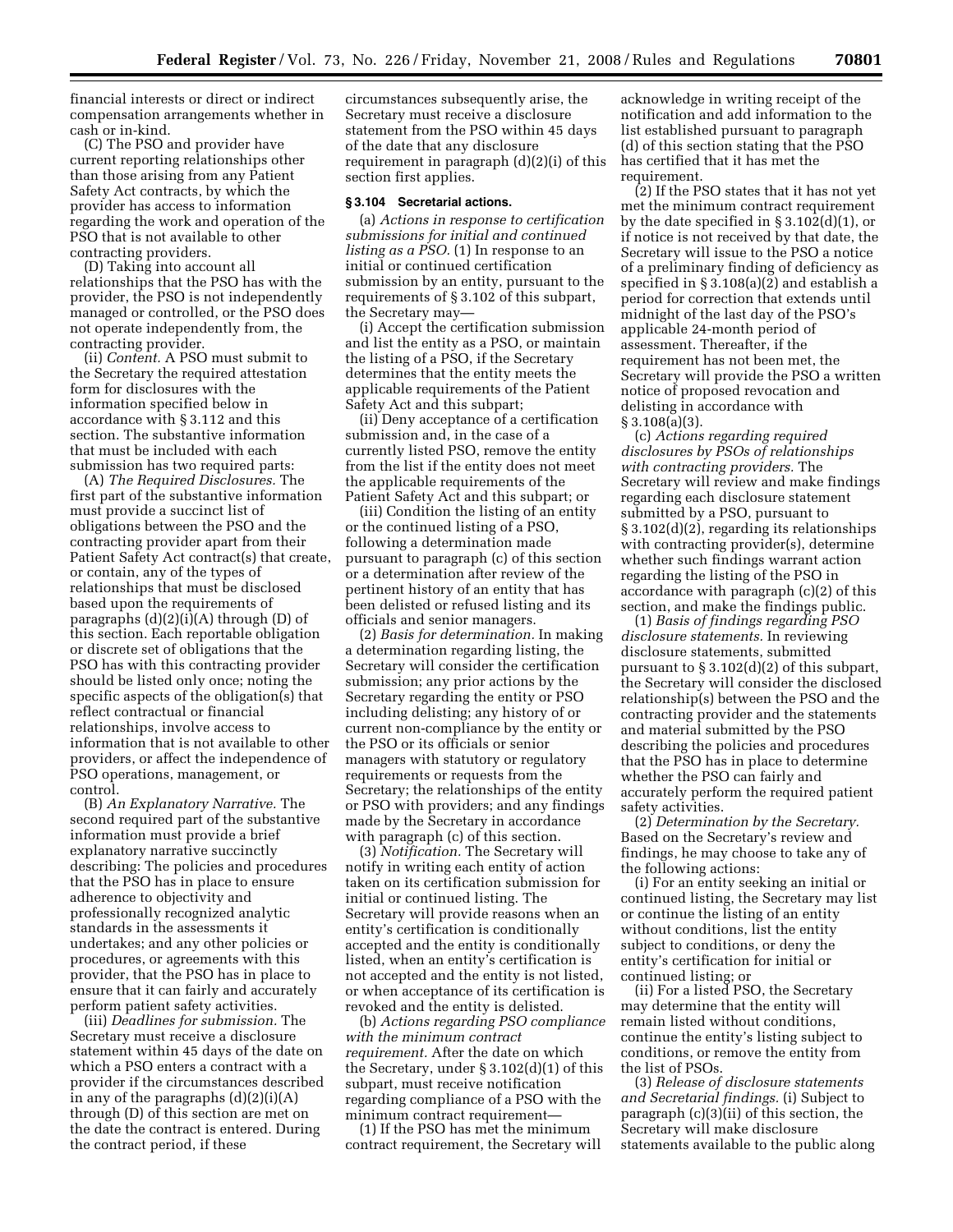financial interests or direct or indirect compensation arrangements whether in cash or in-kind.

(C) The PSO and provider have current reporting relationships other than those arising from any Patient Safety Act contracts, by which the provider has access to information regarding the work and operation of the PSO that is not available to other contracting providers.

(D) Taking into account all relationships that the PSO has with the provider, the PSO is not independently managed or controlled, or the PSO does not operate independently from, the contracting provider.

(ii) *Content.* A PSO must submit to the Secretary the required attestation form for disclosures with the information specified below in accordance with § 3.112 and this section. The substantive information that must be included with each submission has two required parts:

(A) *The Required Disclosures.* The first part of the substantive information must provide a succinct list of obligations between the PSO and the contracting provider apart from their Patient Safety Act contract(s) that create, or contain, any of the types of relationships that must be disclosed based upon the requirements of paragraphs  $(d)(2)(i)(A)$  through  $(D)$  of this section. Each reportable obligation or discrete set of obligations that the PSO has with this contracting provider should be listed only once; noting the specific aspects of the obligation(s) that reflect contractual or financial relationships, involve access to information that is not available to other providers, or affect the independence of PSO operations, management, or control.

(B) *An Explanatory Narrative.* The second required part of the substantive information must provide a brief explanatory narrative succinctly describing: The policies and procedures that the PSO has in place to ensure adherence to objectivity and professionally recognized analytic standards in the assessments it undertakes; and any other policies or procedures, or agreements with this provider, that the PSO has in place to ensure that it can fairly and accurately perform patient safety activities.

(iii) *Deadlines for submission.* The Secretary must receive a disclosure statement within 45 days of the date on which a PSO enters a contract with a provider if the circumstances described in any of the paragraphs (d)(2)(i)(A) through (D) of this section are met on the date the contract is entered. During the contract period, if these

circumstances subsequently arise, the Secretary must receive a disclosure statement from the PSO within 45 days of the date that any disclosure requirement in paragraph (d)(2)(i) of this section first applies.

#### **§ 3.104 Secretarial actions.**

(a) *Actions in response to certification submissions for initial and continued listing as a PSO.* (1) In response to an initial or continued certification submission by an entity, pursuant to the requirements of § 3.102 of this subpart, the Secretary may—

(i) Accept the certification submission and list the entity as a PSO, or maintain the listing of a PSO, if the Secretary determines that the entity meets the applicable requirements of the Patient Safety Act and this subpart;

(ii) Deny acceptance of a certification submission and, in the case of a currently listed PSO, remove the entity from the list if the entity does not meet the applicable requirements of the Patient Safety Act and this subpart; or

(iii) Condition the listing of an entity or the continued listing of a PSO, following a determination made pursuant to paragraph (c) of this section or a determination after review of the pertinent history of an entity that has been delisted or refused listing and its officials and senior managers.

(2) *Basis for determination.* In making a determination regarding listing, the Secretary will consider the certification submission; any prior actions by the Secretary regarding the entity or PSO including delisting; any history of or current non-compliance by the entity or the PSO or its officials or senior managers with statutory or regulatory requirements or requests from the Secretary; the relationships of the entity or PSO with providers; and any findings made by the Secretary in accordance with paragraph (c) of this section.

(3) *Notification.* The Secretary will notify in writing each entity of action taken on its certification submission for initial or continued listing. The Secretary will provide reasons when an entity's certification is conditionally accepted and the entity is conditionally listed, when an entity's certification is not accepted and the entity is not listed, or when acceptance of its certification is revoked and the entity is delisted.

(b) *Actions regarding PSO compliance with the minimum contract requirement.* After the date on which the Secretary, under § 3.102(d)(1) of this subpart, must receive notification regarding compliance of a PSO with the minimum contract requirement—

(1) If the PSO has met the minimum contract requirement, the Secretary will

acknowledge in writing receipt of the notification and add information to the list established pursuant to paragraph (d) of this section stating that the PSO has certified that it has met the requirement.

(2) If the PSO states that it has not yet met the minimum contract requirement by the date specified in  $\S 3.102(d)(1)$ , or if notice is not received by that date, the Secretary will issue to the PSO a notice of a preliminary finding of deficiency as specified in § 3.108(a)(2) and establish a period for correction that extends until midnight of the last day of the PSO's applicable 24-month period of assessment. Thereafter, if the requirement has not been met, the Secretary will provide the PSO a written notice of proposed revocation and delisting in accordance with  $§ 3.108(a)(3).$ 

(c) *Actions regarding required disclosures by PSOs of relationships with contracting providers.* The Secretary will review and make findings regarding each disclosure statement submitted by a PSO, pursuant to § 3.102(d)(2), regarding its relationships with contracting provider(s), determine whether such findings warrant action regarding the listing of the PSO in accordance with paragraph (c)(2) of this section, and make the findings public.

(1) *Basis of findings regarding PSO disclosure statements.* In reviewing disclosure statements, submitted pursuant to § 3.102(d)(2) of this subpart, the Secretary will consider the disclosed relationship(s) between the PSO and the contracting provider and the statements and material submitted by the PSO describing the policies and procedures that the PSO has in place to determine whether the PSO can fairly and accurately perform the required patient safety activities.

(2) *Determination by the Secretary.*  Based on the Secretary's review and findings, he may choose to take any of the following actions:

(i) For an entity seeking an initial or continued listing, the Secretary may list or continue the listing of an entity without conditions, list the entity subject to conditions, or deny the entity's certification for initial or continued listing; or

(ii) For a listed PSO, the Secretary may determine that the entity will remain listed without conditions, continue the entity's listing subject to conditions, or remove the entity from the list of PSOs.

(3) *Release of disclosure statements and Secretarial findings.* (i) Subject to paragraph (c)(3)(ii) of this section, the Secretary will make disclosure statements available to the public along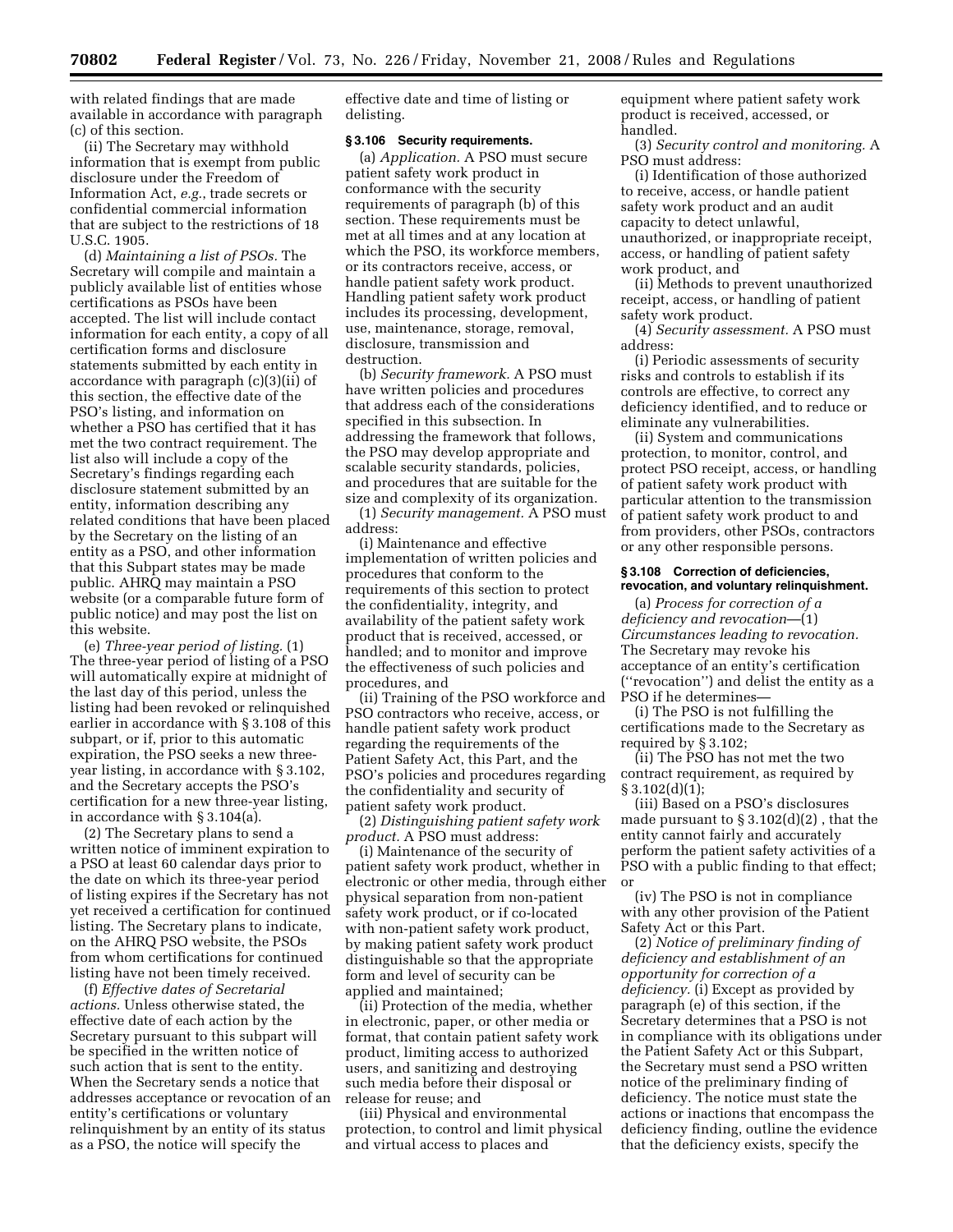with related findings that are made available in accordance with paragraph (c) of this section.

(ii) The Secretary may withhold information that is exempt from public disclosure under the Freedom of Information Act, *e.g.*, trade secrets or confidential commercial information that are subject to the restrictions of 18 U.S.C. 1905.

(d) *Maintaining a list of PSOs.* The Secretary will compile and maintain a publicly available list of entities whose certifications as PSOs have been accepted. The list will include contact information for each entity, a copy of all certification forms and disclosure statements submitted by each entity in accordance with paragraph (c)(3)(ii) of this section, the effective date of the PSO's listing, and information on whether a PSO has certified that it has met the two contract requirement. The list also will include a copy of the Secretary's findings regarding each disclosure statement submitted by an entity, information describing any related conditions that have been placed by the Secretary on the listing of an entity as a PSO, and other information that this Subpart states may be made public. AHRQ may maintain a PSO website (or a comparable future form of public notice) and may post the list on this website.

(e) *Three-year period of listing.* (1) The three-year period of listing of a PSO will automatically expire at midnight of the last day of this period, unless the listing had been revoked or relinquished earlier in accordance with § 3.108 of this subpart, or if, prior to this automatic expiration, the PSO seeks a new threeyear listing, in accordance with § 3.102, and the Secretary accepts the PSO's certification for a new three-year listing, in accordance with § 3.104(a).

(2) The Secretary plans to send a written notice of imminent expiration to a PSO at least 60 calendar days prior to the date on which its three-year period of listing expires if the Secretary has not yet received a certification for continued listing. The Secretary plans to indicate, on the AHRQ PSO website, the PSOs from whom certifications for continued listing have not been timely received.

(f) *Effective dates of Secretarial actions.* Unless otherwise stated, the effective date of each action by the Secretary pursuant to this subpart will be specified in the written notice of such action that is sent to the entity. When the Secretary sends a notice that addresses acceptance or revocation of an entity's certifications or voluntary relinquishment by an entity of its status as a PSO, the notice will specify the

effective date and time of listing or delisting.

### **§ 3.106 Security requirements.**

(a) *Application.* A PSO must secure patient safety work product in conformance with the security requirements of paragraph (b) of this section. These requirements must be met at all times and at any location at which the PSO, its workforce members, or its contractors receive, access, or handle patient safety work product. Handling patient safety work product includes its processing, development, use, maintenance, storage, removal, disclosure, transmission and destruction.

(b) *Security framework.* A PSO must have written policies and procedures that address each of the considerations specified in this subsection. In addressing the framework that follows, the PSO may develop appropriate and scalable security standards, policies, and procedures that are suitable for the size and complexity of its organization.

(1) *Security management.* A PSO must address:

(i) Maintenance and effective implementation of written policies and procedures that conform to the requirements of this section to protect the confidentiality, integrity, and availability of the patient safety work product that is received, accessed, or handled; and to monitor and improve the effectiveness of such policies and procedures, and

(ii) Training of the PSO workforce and PSO contractors who receive, access, or handle patient safety work product regarding the requirements of the Patient Safety Act, this Part, and the PSO's policies and procedures regarding the confidentiality and security of patient safety work product.

(2) *Distinguishing patient safety work product.* A PSO must address:

(i) Maintenance of the security of patient safety work product, whether in electronic or other media, through either physical separation from non-patient safety work product, or if co-located with non-patient safety work product, by making patient safety work product distinguishable so that the appropriate form and level of security can be applied and maintained;

(ii) Protection of the media, whether in electronic, paper, or other media or format, that contain patient safety work product, limiting access to authorized users, and sanitizing and destroying such media before their disposal or release for reuse; and

(iii) Physical and environmental protection, to control and limit physical and virtual access to places and

equipment where patient safety work product is received, accessed, or handled.

(3) *Security control and monitoring.* A PSO must address:

(i) Identification of those authorized to receive, access, or handle patient safety work product and an audit capacity to detect unlawful, unauthorized, or inappropriate receipt, access, or handling of patient safety work product, and

(ii) Methods to prevent unauthorized receipt, access, or handling of patient safety work product.

(4) *Security assessment.* A PSO must address:

(i) Periodic assessments of security risks and controls to establish if its controls are effective, to correct any deficiency identified, and to reduce or eliminate any vulnerabilities.

(ii) System and communications protection, to monitor, control, and protect PSO receipt, access, or handling of patient safety work product with particular attention to the transmission of patient safety work product to and from providers, other PSOs, contractors or any other responsible persons.

### **§ 3.108 Correction of deficiencies, revocation, and voluntary relinquishment.**

(a) *Process for correction of a deficiency and revocation*—(1) *Circumstances leading to revocation.*  The Secretary may revoke his acceptance of an entity's certification (''revocation'') and delist the entity as a PSO if he determines—

(i) The PSO is not fulfilling the certifications made to the Secretary as required by § 3.102;

(ii) The PSO has not met the two contract requirement, as required by  $§ 3.102(d)(1);$ 

(iii) Based on a PSO's disclosures made pursuant to § 3.102(d)(2) , that the entity cannot fairly and accurately perform the patient safety activities of a PSO with a public finding to that effect; or

(iv) The PSO is not in compliance with any other provision of the Patient Safety Act or this Part.

(2) *Notice of preliminary finding of deficiency and establishment of an opportunity for correction of a deficiency.* (i) Except as provided by paragraph (e) of this section, if the Secretary determines that a PSO is not in compliance with its obligations under the Patient Safety Act or this Subpart, the Secretary must send a PSO written notice of the preliminary finding of deficiency. The notice must state the actions or inactions that encompass the deficiency finding, outline the evidence that the deficiency exists, specify the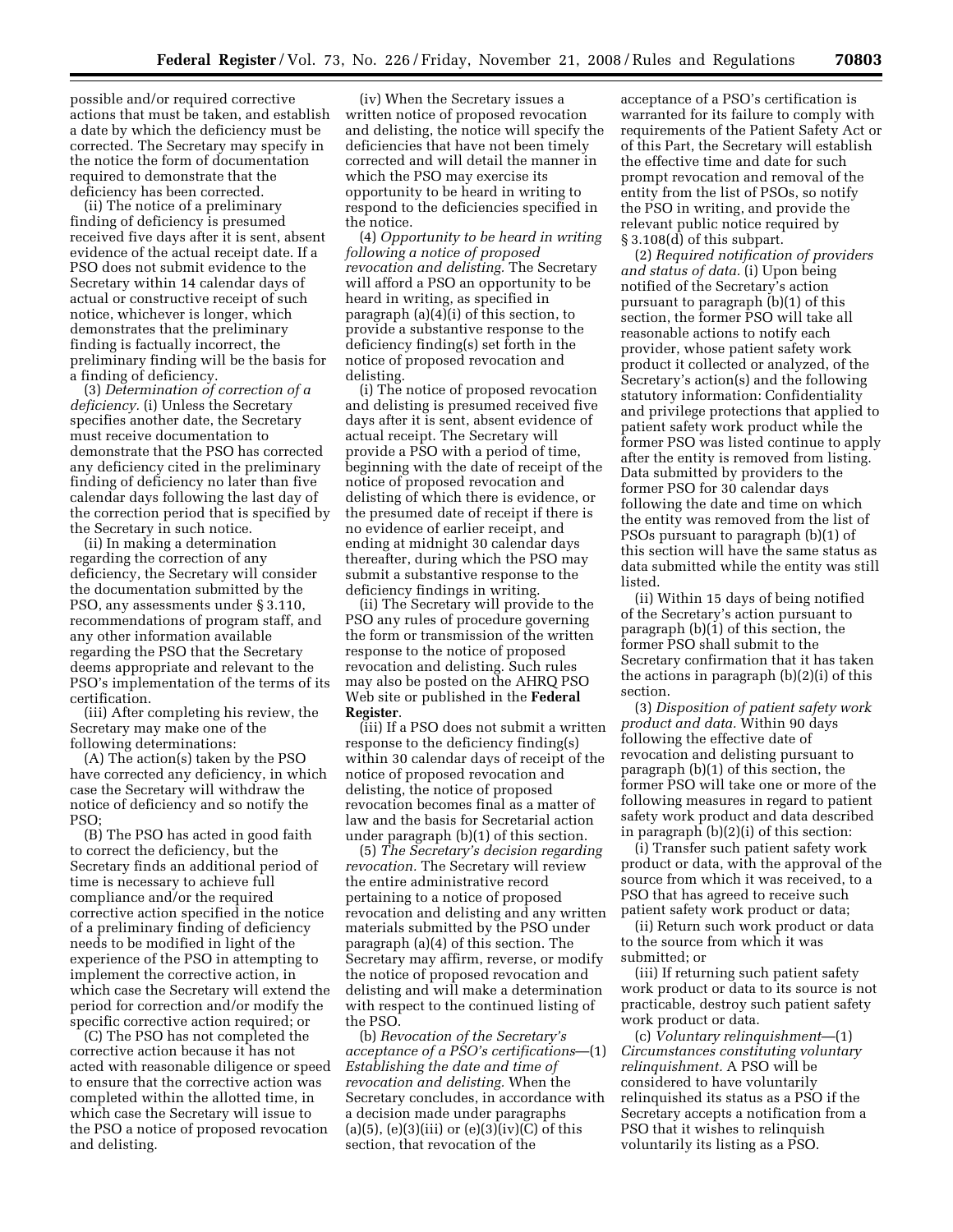possible and/or required corrective actions that must be taken, and establish a date by which the deficiency must be corrected. The Secretary may specify in the notice the form of documentation required to demonstrate that the deficiency has been corrected.

(ii) The notice of a preliminary finding of deficiency is presumed received five days after it is sent, absent evidence of the actual receipt date. If a PSO does not submit evidence to the Secretary within 14 calendar days of actual or constructive receipt of such notice, whichever is longer, which demonstrates that the preliminary finding is factually incorrect, the preliminary finding will be the basis for a finding of deficiency.

(3) *Determination of correction of a deficiency.* (i) Unless the Secretary specifies another date, the Secretary must receive documentation to demonstrate that the PSO has corrected any deficiency cited in the preliminary finding of deficiency no later than five calendar days following the last day of the correction period that is specified by the Secretary in such notice.

(ii) In making a determination regarding the correction of any deficiency, the Secretary will consider the documentation submitted by the PSO, any assessments under § 3.110, recommendations of program staff, and any other information available regarding the PSO that the Secretary deems appropriate and relevant to the PSO's implementation of the terms of its certification.

(iii) After completing his review, the Secretary may make one of the following determinations:

(A) The action(s) taken by the PSO have corrected any deficiency, in which case the Secretary will withdraw the notice of deficiency and so notify the PSO;

(B) The PSO has acted in good faith to correct the deficiency, but the Secretary finds an additional period of time is necessary to achieve full compliance and/or the required corrective action specified in the notice of a preliminary finding of deficiency needs to be modified in light of the experience of the PSO in attempting to implement the corrective action, in which case the Secretary will extend the period for correction and/or modify the specific corrective action required; or

(C) The PSO has not completed the corrective action because it has not acted with reasonable diligence or speed to ensure that the corrective action was completed within the allotted time, in which case the Secretary will issue to the PSO a notice of proposed revocation and delisting.

(iv) When the Secretary issues a written notice of proposed revocation and delisting, the notice will specify the deficiencies that have not been timely corrected and will detail the manner in which the PSO may exercise its opportunity to be heard in writing to respond to the deficiencies specified in the notice.

(4) *Opportunity to be heard in writing following a notice of proposed revocation and delisting.* The Secretary will afford a PSO an opportunity to be heard in writing, as specified in paragraph (a)(4)(i) of this section, to provide a substantive response to the deficiency finding(s) set forth in the notice of proposed revocation and delisting.

(i) The notice of proposed revocation and delisting is presumed received five days after it is sent, absent evidence of actual receipt. The Secretary will provide a PSO with a period of time, beginning with the date of receipt of the notice of proposed revocation and delisting of which there is evidence, or the presumed date of receipt if there is no evidence of earlier receipt, and ending at midnight 30 calendar days thereafter, during which the PSO may submit a substantive response to the deficiency findings in writing.

(ii) The Secretary will provide to the PSO any rules of procedure governing the form or transmission of the written response to the notice of proposed revocation and delisting. Such rules may also be posted on the AHRQ PSO Web site or published in the **Federal Register**.

(iii) If a PSO does not submit a written response to the deficiency finding(s) within 30 calendar days of receipt of the notice of proposed revocation and delisting, the notice of proposed revocation becomes final as a matter of law and the basis for Secretarial action under paragraph (b)(1) of this section.

(5) *The Secretary's decision regarding revocation.* The Secretary will review the entire administrative record pertaining to a notice of proposed revocation and delisting and any written materials submitted by the PSO under paragraph (a)(4) of this section. The Secretary may affirm, reverse, or modify the notice of proposed revocation and delisting and will make a determination with respect to the continued listing of the PSO.

(b) *Revocation of the Secretary's acceptance of a PSO's certifications*—(1) *Establishing the date and time of revocation and delisting.* When the Secretary concludes, in accordance with a decision made under paragraphs  $(a)(5)$ ,  $(e)(3)(iii)$  or  $(e)(3)(iv)(C)$  of this section, that revocation of the

acceptance of a PSO's certification is warranted for its failure to comply with requirements of the Patient Safety Act or of this Part, the Secretary will establish the effective time and date for such prompt revocation and removal of the entity from the list of PSOs, so notify the PSO in writing, and provide the relevant public notice required by § 3.108(d) of this subpart.

(2) *Required notification of providers and status of data.* (i) Upon being notified of the Secretary's action pursuant to paragraph (b)(1) of this section, the former PSO will take all reasonable actions to notify each provider, whose patient safety work product it collected or analyzed, of the Secretary's action(s) and the following statutory information: Confidentiality and privilege protections that applied to patient safety work product while the former PSO was listed continue to apply after the entity is removed from listing. Data submitted by providers to the former PSO for 30 calendar days following the date and time on which the entity was removed from the list of PSOs pursuant to paragraph (b)(1) of this section will have the same status as data submitted while the entity was still listed.

(ii) Within 15 days of being notified of the Secretary's action pursuant to paragraph (b)(1) of this section, the former PSO shall submit to the Secretary confirmation that it has taken the actions in paragraph (b)(2)(i) of this section.

(3) *Disposition of patient safety work product and data.* Within 90 days following the effective date of revocation and delisting pursuant to paragraph (b)(1) of this section, the former PSO will take one or more of the following measures in regard to patient safety work product and data described in paragraph (b)(2)(i) of this section:

(i) Transfer such patient safety work product or data, with the approval of the source from which it was received, to a PSO that has agreed to receive such patient safety work product or data;

(ii) Return such work product or data to the source from which it was submitted; or

(iii) If returning such patient safety work product or data to its source is not practicable, destroy such patient safety work product or data.

(c) *Voluntary relinquishment*—(1) *Circumstances constituting voluntary relinquishment.* A PSO will be considered to have voluntarily relinquished its status as a PSO if the Secretary accepts a notification from a PSO that it wishes to relinquish voluntarily its listing as a PSO.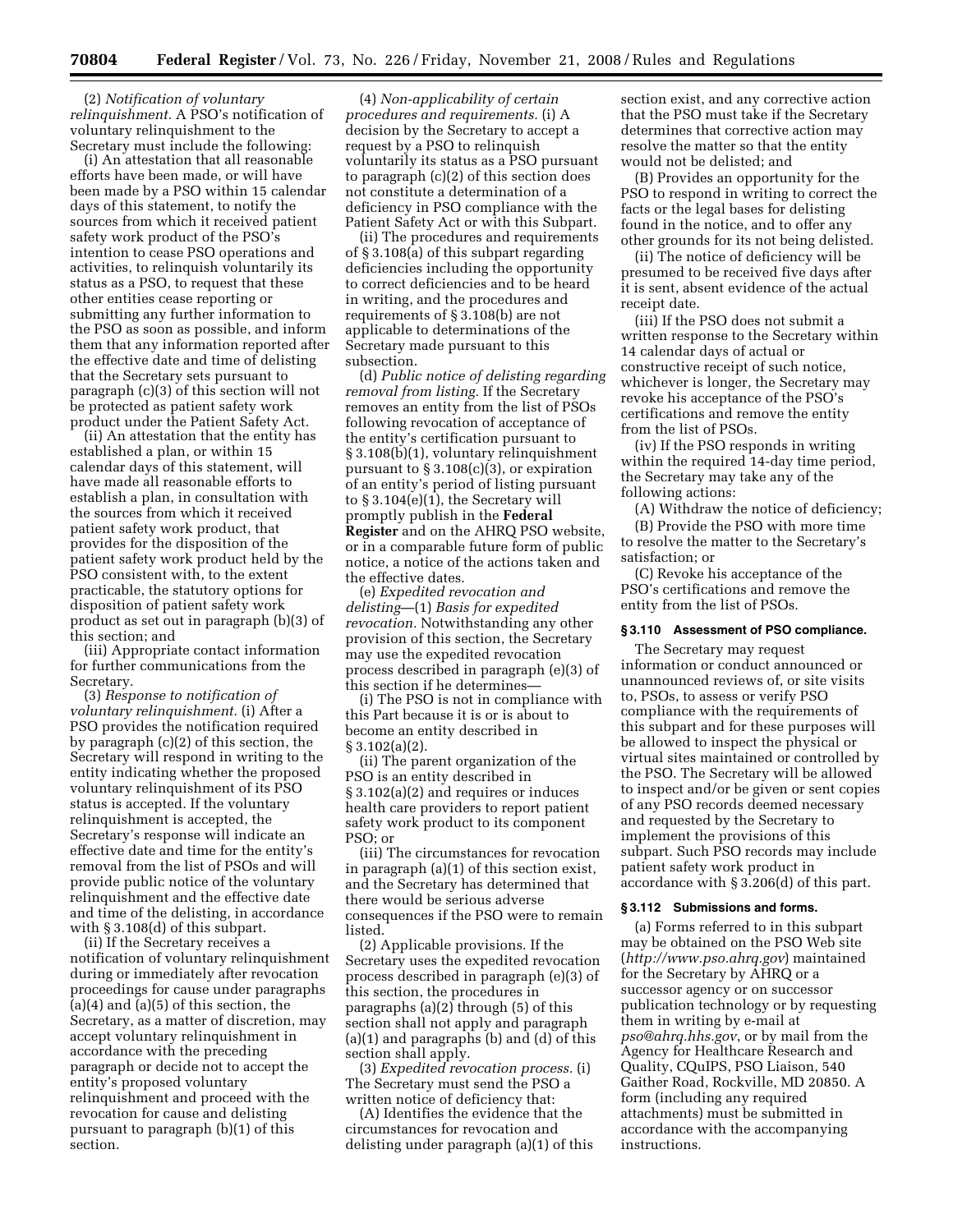(2) *Notification of voluntary relinquishment.* A PSO's notification of voluntary relinquishment to the Secretary must include the following:

(i) An attestation that all reasonable efforts have been made, or will have been made by a PSO within 15 calendar days of this statement, to notify the sources from which it received patient safety work product of the PSO's intention to cease PSO operations and activities, to relinquish voluntarily its status as a PSO, to request that these other entities cease reporting or submitting any further information to the PSO as soon as possible, and inform them that any information reported after the effective date and time of delisting that the Secretary sets pursuant to paragraph (c)(3) of this section will not be protected as patient safety work product under the Patient Safety Act.

(ii) An attestation that the entity has established a plan, or within 15 calendar days of this statement, will have made all reasonable efforts to establish a plan, in consultation with the sources from which it received patient safety work product, that provides for the disposition of the patient safety work product held by the PSO consistent with, to the extent practicable, the statutory options for disposition of patient safety work product as set out in paragraph (b)(3) of this section; and

(iii) Appropriate contact information for further communications from the Secretary.

(3) *Response to notification of voluntary relinquishment.* (i) After a PSO provides the notification required by paragraph (c)(2) of this section, the Secretary will respond in writing to the entity indicating whether the proposed voluntary relinquishment of its PSO status is accepted. If the voluntary relinquishment is accepted, the Secretary's response will indicate an effective date and time for the entity's removal from the list of PSOs and will provide public notice of the voluntary relinquishment and the effective date and time of the delisting, in accordance with § 3.108(d) of this subpart.

(ii) If the Secretary receives a notification of voluntary relinquishment during or immediately after revocation proceedings for cause under paragraphs  $(a)(4)$  and  $(a)(5)$  of this section, the Secretary, as a matter of discretion, may accept voluntary relinquishment in accordance with the preceding paragraph or decide not to accept the entity's proposed voluntary relinquishment and proceed with the revocation for cause and delisting pursuant to paragraph (b)(1) of this section.

(4) *Non-applicability of certain procedures and requirements.* (i) A decision by the Secretary to accept a request by a PSO to relinquish voluntarily its status as a PSO pursuant to paragraph (c)(2) of this section does not constitute a determination of a deficiency in PSO compliance with the Patient Safety Act or with this Subpart.

(ii) The procedures and requirements of § 3.108(a) of this subpart regarding deficiencies including the opportunity to correct deficiencies and to be heard in writing, and the procedures and requirements of § 3.108(b) are not applicable to determinations of the Secretary made pursuant to this subsection.

(d) *Public notice of delisting regarding removal from listing.* If the Secretary removes an entity from the list of PSOs following revocation of acceptance of the entity's certification pursuant to § 3.108(b)(1), voluntary relinquishment pursuant to  $\S 3.108(c)(3)$ , or expiration of an entity's period of listing pursuant to § 3.104(e)(1), the Secretary will promptly publish in the **Federal Register** and on the AHRQ PSO website, or in a comparable future form of public notice, a notice of the actions taken and the effective dates.

(e) *Expedited revocation and delisting*—(1) *Basis for expedited revocation.* Notwithstanding any other provision of this section, the Secretary may use the expedited revocation process described in paragraph (e)(3) of this section if he determines—

(i) The PSO is not in compliance with this Part because it is or is about to become an entity described in § 3.102(a)(2).

(ii) The parent organization of the PSO is an entity described in § 3.102(a)(2) and requires or induces health care providers to report patient safety work product to its component PSO; or

(iii) The circumstances for revocation in paragraph (a)(1) of this section exist, and the Secretary has determined that there would be serious adverse consequences if the PSO were to remain listed.

(2) Applicable provisions. If the Secretary uses the expedited revocation process described in paragraph (e)(3) of this section, the procedures in paragraphs  $(a)(2)$  through  $(5)$  of this section shall not apply and paragraph (a)(1) and paragraphs (b) and (d) of this section shall apply.

(3) *Expedited revocation process.* (i) The Secretary must send the PSO a written notice of deficiency that:

(A) Identifies the evidence that the circumstances for revocation and delisting under paragraph (a)(1) of this section exist, and any corrective action that the PSO must take if the Secretary determines that corrective action may resolve the matter so that the entity would not be delisted; and

(B) Provides an opportunity for the PSO to respond in writing to correct the facts or the legal bases for delisting found in the notice, and to offer any other grounds for its not being delisted.

(ii) The notice of deficiency will be presumed to be received five days after it is sent, absent evidence of the actual receipt date.

(iii) If the PSO does not submit a written response to the Secretary within 14 calendar days of actual or constructive receipt of such notice, whichever is longer, the Secretary may revoke his acceptance of the PSO's certifications and remove the entity from the list of PSOs.

(iv) If the PSO responds in writing within the required 14-day time period, the Secretary may take any of the following actions:

(A) Withdraw the notice of deficiency; (B) Provide the PSO with more time to resolve the matter to the Secretary's satisfaction; or

(C) Revoke his acceptance of the PSO's certifications and remove the entity from the list of PSOs.

# **§ 3.110 Assessment of PSO compliance.**

The Secretary may request information or conduct announced or unannounced reviews of, or site visits to, PSOs, to assess or verify PSO compliance with the requirements of this subpart and for these purposes will be allowed to inspect the physical or virtual sites maintained or controlled by the PSO. The Secretary will be allowed to inspect and/or be given or sent copies of any PSO records deemed necessary and requested by the Secretary to implement the provisions of this subpart. Such PSO records may include patient safety work product in accordance with § 3.206(d) of this part.

### **§ 3.112 Submissions and forms.**

(a) Forms referred to in this subpart may be obtained on the PSO Web site (*<http://www.pso.ahrq.gov>*) maintained for the Secretary by AHRQ or a successor agency or on successor publication technology or by requesting them in writing by e-mail at *[pso@ahrq.hhs.gov](mailto:pso@ahrq.hhs.gov)*, or by mail from the Agency for Healthcare Research and Quality, CQuIPS, PSO Liaison, 540 Gaither Road, Rockville, MD 20850. A form (including any required attachments) must be submitted in accordance with the accompanying instructions.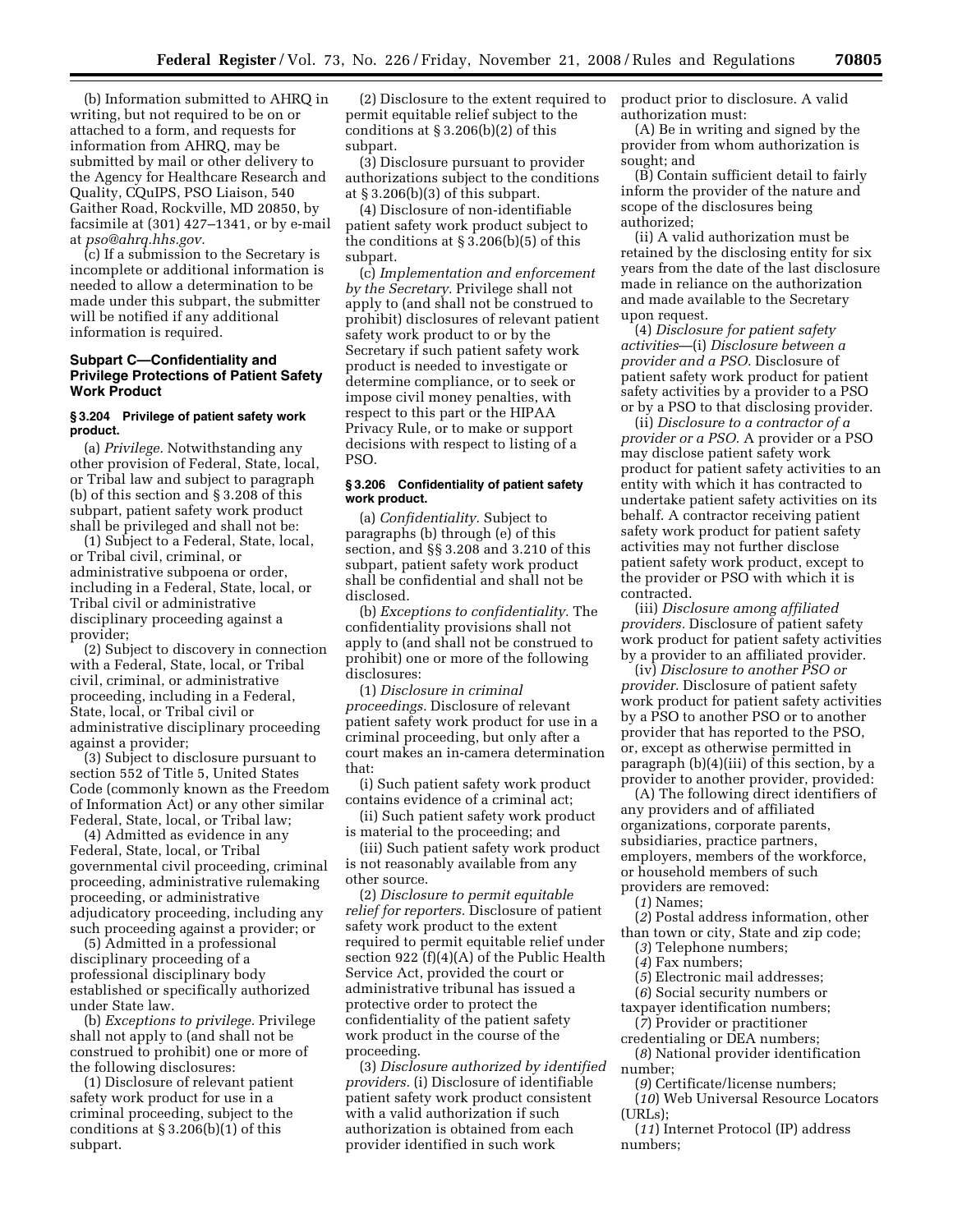(b) Information submitted to AHRQ in writing, but not required to be on or attached to a form, and requests for information from AHRQ, may be submitted by mail or other delivery to the Agency for Healthcare Research and Quality, CQuIPS, PSO Liaison, 540 Gaither Road, Rockville, MD 20850, by facsimile at (301) 427–1341, or by e-mail at *[pso@ahrq.hhs.gov.](mailto:pso@ahrq.hhs.gov)* 

(c) If a submission to the Secretary is incomplete or additional information is needed to allow a determination to be made under this subpart, the submitter will be notified if any additional information is required.

# **Subpart C—Confidentiality and Privilege Protections of Patient Safety Work Product**

### **§ 3.204 Privilege of patient safety work product.**

(a) *Privilege.* Notwithstanding any other provision of Federal, State, local, or Tribal law and subject to paragraph (b) of this section and § 3.208 of this subpart, patient safety work product shall be privileged and shall not be:

(1) Subject to a Federal, State, local, or Tribal civil, criminal, or administrative subpoena or order, including in a Federal, State, local, or Tribal civil or administrative disciplinary proceeding against a provider;

(2) Subject to discovery in connection with a Federal, State, local, or Tribal civil, criminal, or administrative proceeding, including in a Federal, State, local, or Tribal civil or administrative disciplinary proceeding against a provider;

(3) Subject to disclosure pursuant to section 552 of Title 5, United States Code (commonly known as the Freedom of Information Act) or any other similar Federal, State, local, or Tribal law;

(4) Admitted as evidence in any Federal, State, local, or Tribal governmental civil proceeding, criminal proceeding, administrative rulemaking proceeding, or administrative adjudicatory proceeding, including any such proceeding against a provider; or

(5) Admitted in a professional disciplinary proceeding of a professional disciplinary body established or specifically authorized under State law.

(b) *Exceptions to privilege.* Privilege shall not apply to (and shall not be construed to prohibit) one or more of the following disclosures:

(1) Disclosure of relevant patient safety work product for use in a criminal proceeding, subject to the conditions at  $\S 3.206(b)(1)$  of this subpart.

(2) Disclosure to the extent required to permit equitable relief subject to the conditions at  $\S 3.206(b)(2)$  of this subpart.

(3) Disclosure pursuant to provider authorizations subject to the conditions at § 3.206(b)(3) of this subpart.

(4) Disclosure of non-identifiable patient safety work product subject to the conditions at § 3.206(b)(5) of this subpart.

(c) *Implementation and enforcement by the Secretary.* Privilege shall not apply to (and shall not be construed to prohibit) disclosures of relevant patient safety work product to or by the Secretary if such patient safety work product is needed to investigate or determine compliance, or to seek or impose civil money penalties, with respect to this part or the HIPAA Privacy Rule, or to make or support decisions with respect to listing of a PSO.

# **§ 3.206 Confidentiality of patient safety work product.**

(a) *Confidentiality.* Subject to paragraphs (b) through (e) of this section, and §§ 3.208 and 3.210 of this subpart, patient safety work product shall be confidential and shall not be disclosed.

(b) *Exceptions to confidentiality.* The confidentiality provisions shall not apply to (and shall not be construed to prohibit) one or more of the following disclosures:

(1) *Disclosure in criminal proceedings.* Disclosure of relevant patient safety work product for use in a criminal proceeding, but only after a court makes an in-camera determination that:

(i) Such patient safety work product contains evidence of a criminal act;

(ii) Such patient safety work product is material to the proceeding; and

(iii) Such patient safety work product is not reasonably available from any other source.

(2) *Disclosure to permit equitable relief for reporters.* Disclosure of patient safety work product to the extent required to permit equitable relief under section 922 (f)(4)(A) of the Public Health Service Act, provided the court or administrative tribunal has issued a protective order to protect the confidentiality of the patient safety work product in the course of the proceeding.

(3) *Disclosure authorized by identified providers.* (i) Disclosure of identifiable patient safety work product consistent with a valid authorization if such authorization is obtained from each provider identified in such work

product prior to disclosure. A valid authorization must:

(A) Be in writing and signed by the provider from whom authorization is sought; and

(B) Contain sufficient detail to fairly inform the provider of the nature and scope of the disclosures being authorized;

(ii) A valid authorization must be retained by the disclosing entity for six years from the date of the last disclosure made in reliance on the authorization and made available to the Secretary upon request.

(4) *Disclosure for patient safety activities*—(i) *Disclosure between a provider and a PSO.* Disclosure of patient safety work product for patient safety activities by a provider to a PSO or by a PSO to that disclosing provider.

(ii) *Disclosure to a contractor of a provider or a PSO.* A provider or a PSO may disclose patient safety work product for patient safety activities to an entity with which it has contracted to undertake patient safety activities on its behalf. A contractor receiving patient safety work product for patient safety activities may not further disclose patient safety work product, except to the provider or PSO with which it is contracted.

(iii) *Disclosure among affiliated providers.* Disclosure of patient safety work product for patient safety activities by a provider to an affiliated provider.

(iv) *Disclosure to another PSO or provider.* Disclosure of patient safety work product for patient safety activities by a PSO to another PSO or to another provider that has reported to the PSO, or, except as otherwise permitted in paragraph (b)(4)(iii) of this section, by a provider to another provider, provided:

(A) The following direct identifiers of any providers and of affiliated organizations, corporate parents, subsidiaries, practice partners, employers, members of the workforce, or household members of such providers are removed:

(*1*) Names;

(*2*) Postal address information, other than town or city, State and zip code;

(*3*) Telephone numbers;

- (*4*) Fax numbers;
- (*5*) Electronic mail addresses;

(*6*) Social security numbers or taxpayer identification numbers;

- (*7*) Provider or practitioner credentialing or DEA numbers;
- (*8*) National provider identification number;

(*9*) Certificate/license numbers;

(*10*) Web Universal Resource Locators (URLs);

(*11*) Internet Protocol (IP) address numbers;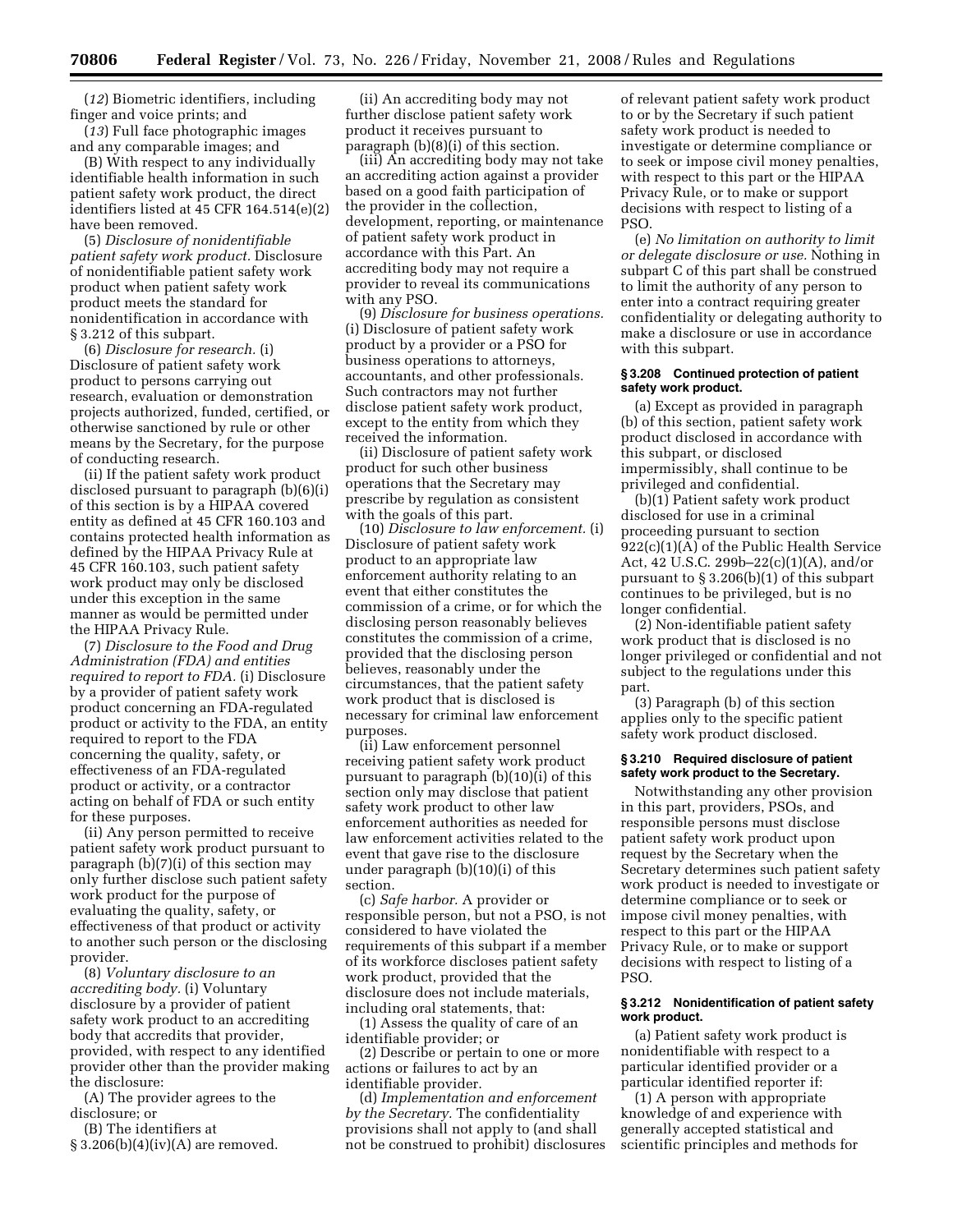(*12*) Biometric identifiers, including finger and voice prints; and

(*13*) Full face photographic images and any comparable images; and

(B) With respect to any individually identifiable health information in such patient safety work product, the direct identifiers listed at 45 CFR 164.514(e)(2) have been removed.

(5) *Disclosure of nonidentifiable patient safety work product.* Disclosure of nonidentifiable patient safety work product when patient safety work product meets the standard for nonidentification in accordance with § 3.212 of this subpart.

(6) *Disclosure for research.* (i) Disclosure of patient safety work product to persons carrying out research, evaluation or demonstration projects authorized, funded, certified, or otherwise sanctioned by rule or other means by the Secretary, for the purpose of conducting research.

(ii) If the patient safety work product disclosed pursuant to paragraph (b)(6)(i) of this section is by a HIPAA covered entity as defined at 45 CFR 160.103 and contains protected health information as defined by the HIPAA Privacy Rule at 45 CFR 160.103, such patient safety work product may only be disclosed under this exception in the same manner as would be permitted under the HIPAA Privacy Rule.

(7) *Disclosure to the Food and Drug Administration (FDA) and entities required to report to FDA.* (i) Disclosure by a provider of patient safety work product concerning an FDA-regulated product or activity to the FDA, an entity required to report to the FDA concerning the quality, safety, or effectiveness of an FDA-regulated product or activity, or a contractor acting on behalf of FDA or such entity for these purposes.

(ii) Any person permitted to receive patient safety work product pursuant to paragraph (b)(7)(i) of this section may only further disclose such patient safety work product for the purpose of evaluating the quality, safety, or effectiveness of that product or activity to another such person or the disclosing provider.

(8) *Voluntary disclosure to an accrediting body.* (i) Voluntary disclosure by a provider of patient safety work product to an accrediting body that accredits that provider, provided, with respect to any identified provider other than the provider making the disclosure:

(A) The provider agrees to the disclosure; or

(B) The identifiers at

 $§ 3.206(b)(4)(iv)(A)$  are removed.

(ii) An accrediting body may not further disclose patient safety work product it receives pursuant to paragraph (b)(8)(i) of this section.

(iii) An accrediting body may not take an accrediting action against a provider based on a good faith participation of the provider in the collection, development, reporting, or maintenance of patient safety work product in accordance with this Part. An accrediting body may not require a provider to reveal its communications with any PSO.

(9) *Disclosure for business operations.*  (i) Disclosure of patient safety work product by a provider or a PSO for business operations to attorneys, accountants, and other professionals. Such contractors may not further disclose patient safety work product, except to the entity from which they received the information.

(ii) Disclosure of patient safety work product for such other business operations that the Secretary may prescribe by regulation as consistent with the goals of this part.

(10) *Disclosure to law enforcement.* (i) Disclosure of patient safety work product to an appropriate law enforcement authority relating to an event that either constitutes the commission of a crime, or for which the disclosing person reasonably believes constitutes the commission of a crime, provided that the disclosing person believes, reasonably under the circumstances, that the patient safety work product that is disclosed is necessary for criminal law enforcement purposes.

(ii) Law enforcement personnel receiving patient safety work product pursuant to paragraph (b)(10)(i) of this section only may disclose that patient safety work product to other law enforcement authorities as needed for law enforcement activities related to the event that gave rise to the disclosure under paragraph (b)(10)(i) of this section.

(c) *Safe harbor.* A provider or responsible person, but not a PSO, is not considered to have violated the requirements of this subpart if a member of its workforce discloses patient safety work product, provided that the disclosure does not include materials, including oral statements, that:

(1) Assess the quality of care of an identifiable provider; or

(2) Describe or pertain to one or more actions or failures to act by an identifiable provider.

(d) *Implementation and enforcement by the Secretary.* The confidentiality provisions shall not apply to (and shall not be construed to prohibit) disclosures of relevant patient safety work product to or by the Secretary if such patient safety work product is needed to investigate or determine compliance or to seek or impose civil money penalties, with respect to this part or the HIPAA Privacy Rule, or to make or support decisions with respect to listing of a PSO.

(e) *No limitation on authority to limit or delegate disclosure or use.* Nothing in subpart C of this part shall be construed to limit the authority of any person to enter into a contract requiring greater confidentiality or delegating authority to make a disclosure or use in accordance with this subpart.

### **§ 3.208 Continued protection of patient safety work product.**

(a) Except as provided in paragraph (b) of this section, patient safety work product disclosed in accordance with this subpart, or disclosed impermissibly, shall continue to be privileged and confidential.

(b)(1) Patient safety work product disclosed for use in a criminal proceeding pursuant to section  $922(c)(1)(\overline{A})$  of the Public Health Service Act, 42 U.S.C. 299b–22(c)(1)(A), and/or pursuant to § 3.206(b)(1) of this subpart continues to be privileged, but is no longer confidential.

(2) Non-identifiable patient safety work product that is disclosed is no longer privileged or confidential and not subject to the regulations under this part.

(3) Paragraph (b) of this section applies only to the specific patient safety work product disclosed.

# **§ 3.210 Required disclosure of patient safety work product to the Secretary.**

Notwithstanding any other provision in this part, providers, PSOs, and responsible persons must disclose patient safety work product upon request by the Secretary when the Secretary determines such patient safety work product is needed to investigate or determine compliance or to seek or impose civil money penalties, with respect to this part or the HIPAA Privacy Rule, or to make or support decisions with respect to listing of a PSO.

## **§ 3.212 Nonidentification of patient safety work product.**

(a) Patient safety work product is nonidentifiable with respect to a particular identified provider or a particular identified reporter if:

(1) A person with appropriate knowledge of and experience with generally accepted statistical and scientific principles and methods for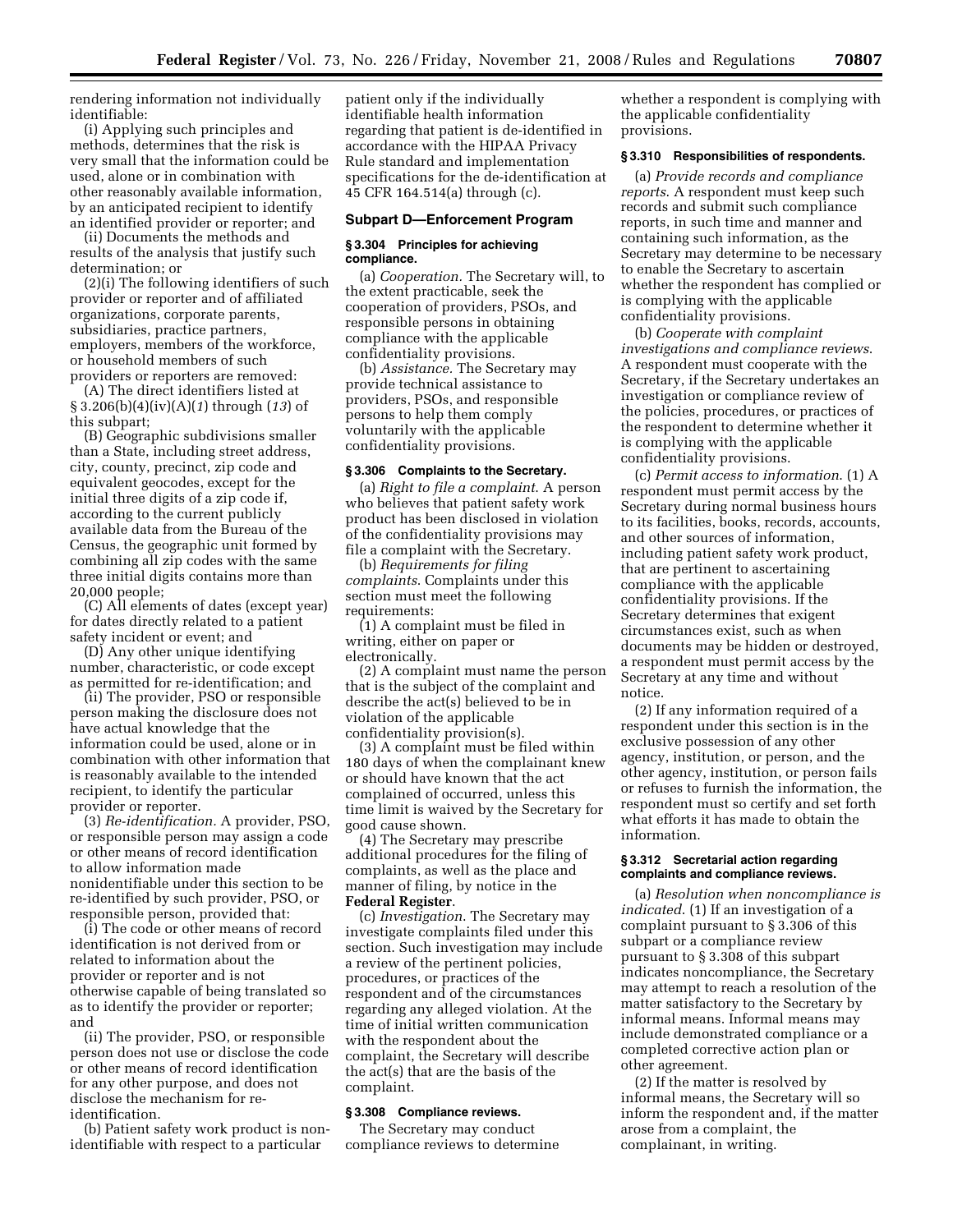rendering information not individually identifiable:

(i) Applying such principles and methods, determines that the risk is very small that the information could be used, alone or in combination with other reasonably available information, by an anticipated recipient to identify an identified provider or reporter; and

(ii) Documents the methods and results of the analysis that justify such determination; or

(2)(i) The following identifiers of such provider or reporter and of affiliated organizations, corporate parents, subsidiaries, practice partners, employers, members of the workforce, or household members of such providers or reporters are removed:

(A) The direct identifiers listed at § 3.206(b)(4)(iv)(A)(*1*) through (*13*) of this subpart;

(B) Geographic subdivisions smaller than a State, including street address, city, county, precinct, zip code and equivalent geocodes, except for the initial three digits of a zip code if, according to the current publicly available data from the Bureau of the Census, the geographic unit formed by combining all zip codes with the same three initial digits contains more than 20,000 people;

(C) All elements of dates (except year) for dates directly related to a patient safety incident or event; and

(D) Any other unique identifying number, characteristic, or code except as permitted for re-identification; and

(ii) The provider, PSO or responsible person making the disclosure does not have actual knowledge that the information could be used, alone or in combination with other information that is reasonably available to the intended recipient, to identify the particular provider or reporter.

(3) *Re-identification.* A provider, PSO, or responsible person may assign a code or other means of record identification to allow information made nonidentifiable under this section to be re-identified by such provider, PSO, or responsible person, provided that:

(i) The code or other means of record identification is not derived from or related to information about the provider or reporter and is not otherwise capable of being translated so as to identify the provider or reporter; and

(ii) The provider, PSO, or responsible person does not use or disclose the code or other means of record identification for any other purpose, and does not disclose the mechanism for reidentification.

(b) Patient safety work product is nonidentifiable with respect to a particular

patient only if the individually identifiable health information regarding that patient is de-identified in accordance with the HIPAA Privacy Rule standard and implementation specifications for the de-identification at 45 CFR 164.514(a) through (c).

# **Subpart D—Enforcement Program**

### **§ 3.304 Principles for achieving compliance.**

(a) *Cooperation.* The Secretary will, to the extent practicable, seek the cooperation of providers, PSOs, and responsible persons in obtaining compliance with the applicable confidentiality provisions.

(b) *Assistance.* The Secretary may provide technical assistance to providers, PSOs, and responsible persons to help them comply voluntarily with the applicable confidentiality provisions.

#### **§ 3.306 Complaints to the Secretary.**

(a) *Right to file a complaint*. A person who believes that patient safety work product has been disclosed in violation of the confidentiality provisions may file a complaint with the Secretary.

(b) *Requirements for filing complaints*. Complaints under this section must meet the following requirements:

(1) A complaint must be filed in writing, either on paper or electronically.

(2) A complaint must name the person that is the subject of the complaint and describe the act(s) believed to be in violation of the applicable confidentiality provision(s).

(3) A complaint must be filed within 180 days of when the complainant knew or should have known that the act complained of occurred, unless this time limit is waived by the Secretary for good cause shown.

(4) The Secretary may prescribe additional procedures for the filing of complaints, as well as the place and manner of filing, by notice in the **Federal Register**.

(c) *Investigation*. The Secretary may investigate complaints filed under this section. Such investigation may include a review of the pertinent policies, procedures, or practices of the respondent and of the circumstances regarding any alleged violation. At the time of initial written communication with the respondent about the complaint, the Secretary will describe the act(s) that are the basis of the complaint.

### **§ 3.308 Compliance reviews.**

The Secretary may conduct compliance reviews to determine

whether a respondent is complying with the applicable confidentiality provisions.

# **§ 3.310 Responsibilities of respondents.**

(a) *Provide records and compliance reports*. A respondent must keep such records and submit such compliance reports, in such time and manner and containing such information, as the Secretary may determine to be necessary to enable the Secretary to ascertain whether the respondent has complied or is complying with the applicable confidentiality provisions.

(b) *Cooperate with complaint investigations and compliance reviews*. A respondent must cooperate with the Secretary, if the Secretary undertakes an investigation or compliance review of the policies, procedures, or practices of the respondent to determine whether it is complying with the applicable confidentiality provisions.

(c) *Permit access to information*. (1) A respondent must permit access by the Secretary during normal business hours to its facilities, books, records, accounts, and other sources of information, including patient safety work product, that are pertinent to ascertaining compliance with the applicable confidentiality provisions. If the Secretary determines that exigent circumstances exist, such as when documents may be hidden or destroyed, a respondent must permit access by the Secretary at any time and without notice.

(2) If any information required of a respondent under this section is in the exclusive possession of any other agency, institution, or person, and the other agency, institution, or person fails or refuses to furnish the information, the respondent must so certify and set forth what efforts it has made to obtain the information.

### **§ 3.312 Secretarial action regarding complaints and compliance reviews.**

(a) *Resolution when noncompliance is indicated*. (1) If an investigation of a complaint pursuant to § 3.306 of this subpart or a compliance review pursuant to § 3.308 of this subpart indicates noncompliance, the Secretary may attempt to reach a resolution of the matter satisfactory to the Secretary by informal means. Informal means may include demonstrated compliance or a completed corrective action plan or other agreement.

(2) If the matter is resolved by informal means, the Secretary will so inform the respondent and, if the matter arose from a complaint, the complainant, in writing.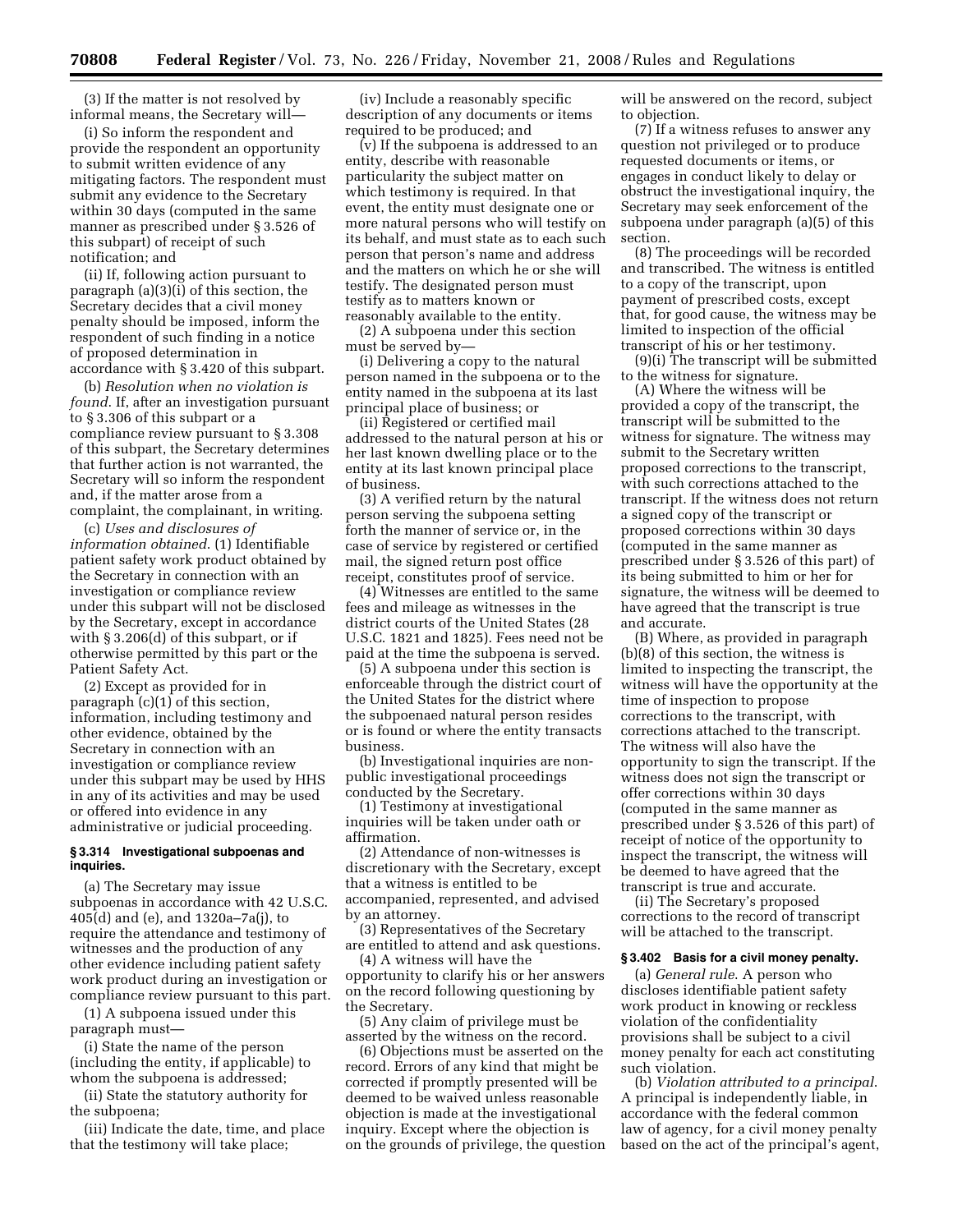(3) If the matter is not resolved by informal means, the Secretary will—

(i) So inform the respondent and provide the respondent an opportunity to submit written evidence of any mitigating factors. The respondent must submit any evidence to the Secretary within 30 days (computed in the same manner as prescribed under § 3.526 of this subpart) of receipt of such notification; and

(ii) If, following action pursuant to paragraph (a)(3)(i) of this section, the Secretary decides that a civil money penalty should be imposed, inform the respondent of such finding in a notice of proposed determination in accordance with § 3.420 of this subpart.

(b) *Resolution when no violation is found*. If, after an investigation pursuant to § 3.306 of this subpart or a compliance review pursuant to § 3.308 of this subpart, the Secretary determines that further action is not warranted, the Secretary will so inform the respondent and, if the matter arose from a complaint, the complainant, in writing.

(c) *Uses and disclosures of information obtained*. (1) Identifiable patient safety work product obtained by the Secretary in connection with an investigation or compliance review under this subpart will not be disclosed by the Secretary, except in accordance with § 3.206(d) of this subpart, or if otherwise permitted by this part or the Patient Safety Act.

(2) Except as provided for in paragraph (c)(1) of this section, information, including testimony and other evidence, obtained by the Secretary in connection with an investigation or compliance review under this subpart may be used by HHS in any of its activities and may be used or offered into evidence in any administrative or judicial proceeding.

# **§ 3.314 Investigational subpoenas and inquiries.**

(a) The Secretary may issue subpoenas in accordance with 42 U.S.C. 405(d) and (e), and 1320a–7a(j), to require the attendance and testimony of witnesses and the production of any other evidence including patient safety work product during an investigation or compliance review pursuant to this part.

(1) A subpoena issued under this paragraph must—

(i) State the name of the person (including the entity, if applicable) to whom the subpoena is addressed;

(ii) State the statutory authority for the subpoena;

(iii) Indicate the date, time, and place that the testimony will take place;

(iv) Include a reasonably specific description of any documents or items required to be produced; and

(v) If the subpoena is addressed to an entity, describe with reasonable particularity the subject matter on which testimony is required. In that event, the entity must designate one or more natural persons who will testify on its behalf, and must state as to each such person that person's name and address and the matters on which he or she will testify. The designated person must testify as to matters known or reasonably available to the entity.

(2) A subpoena under this section must be served by—

(i) Delivering a copy to the natural person named in the subpoena or to the entity named in the subpoena at its last principal place of business; or

(ii) Registered or certified mail addressed to the natural person at his or her last known dwelling place or to the entity at its last known principal place of business.

(3) A verified return by the natural person serving the subpoena setting forth the manner of service or, in the case of service by registered or certified mail, the signed return post office receipt, constitutes proof of service.

(4) Witnesses are entitled to the same fees and mileage as witnesses in the district courts of the United States (28 U.S.C. 1821 and 1825). Fees need not be paid at the time the subpoena is served.

(5) A subpoena under this section is enforceable through the district court of the United States for the district where the subpoenaed natural person resides or is found or where the entity transacts business.

(b) Investigational inquiries are nonpublic investigational proceedings conducted by the Secretary.

(1) Testimony at investigational inquiries will be taken under oath or affirmation.

(2) Attendance of non-witnesses is discretionary with the Secretary, except that a witness is entitled to be accompanied, represented, and advised by an attorney.

(3) Representatives of the Secretary are entitled to attend and ask questions.

(4) A witness will have the opportunity to clarify his or her answers on the record following questioning by the Secretary.

(5) Any claim of privilege must be asserted by the witness on the record.

(6) Objections must be asserted on the record. Errors of any kind that might be corrected if promptly presented will be deemed to be waived unless reasonable objection is made at the investigational inquiry. Except where the objection is on the grounds of privilege, the question will be answered on the record, subject to objection.

(7) If a witness refuses to answer any question not privileged or to produce requested documents or items, or engages in conduct likely to delay or obstruct the investigational inquiry, the Secretary may seek enforcement of the subpoena under paragraph (a)(5) of this section.

(8) The proceedings will be recorded and transcribed. The witness is entitled to a copy of the transcript, upon payment of prescribed costs, except that, for good cause, the witness may be limited to inspection of the official transcript of his or her testimony.

(9)(i) The transcript will be submitted to the witness for signature.

(A) Where the witness will be provided a copy of the transcript, the transcript will be submitted to the witness for signature. The witness may submit to the Secretary written proposed corrections to the transcript, with such corrections attached to the transcript. If the witness does not return a signed copy of the transcript or proposed corrections within 30 days (computed in the same manner as prescribed under § 3.526 of this part) of its being submitted to him or her for signature, the witness will be deemed to have agreed that the transcript is true and accurate.

(B) Where, as provided in paragraph (b)(8) of this section, the witness is limited to inspecting the transcript, the witness will have the opportunity at the time of inspection to propose corrections to the transcript, with corrections attached to the transcript. The witness will also have the opportunity to sign the transcript. If the witness does not sign the transcript or offer corrections within 30 days (computed in the same manner as prescribed under § 3.526 of this part) of receipt of notice of the opportunity to inspect the transcript, the witness will be deemed to have agreed that the transcript is true and accurate.

(ii) The Secretary's proposed corrections to the record of transcript will be attached to the transcript.

### **§ 3.402 Basis for a civil money penalty.**

(a) *General rule*. A person who discloses identifiable patient safety work product in knowing or reckless violation of the confidentiality provisions shall be subject to a civil money penalty for each act constituting such violation.

(b) *Violation attributed to a principal*. A principal is independently liable, in accordance with the federal common law of agency, for a civil money penalty based on the act of the principal's agent,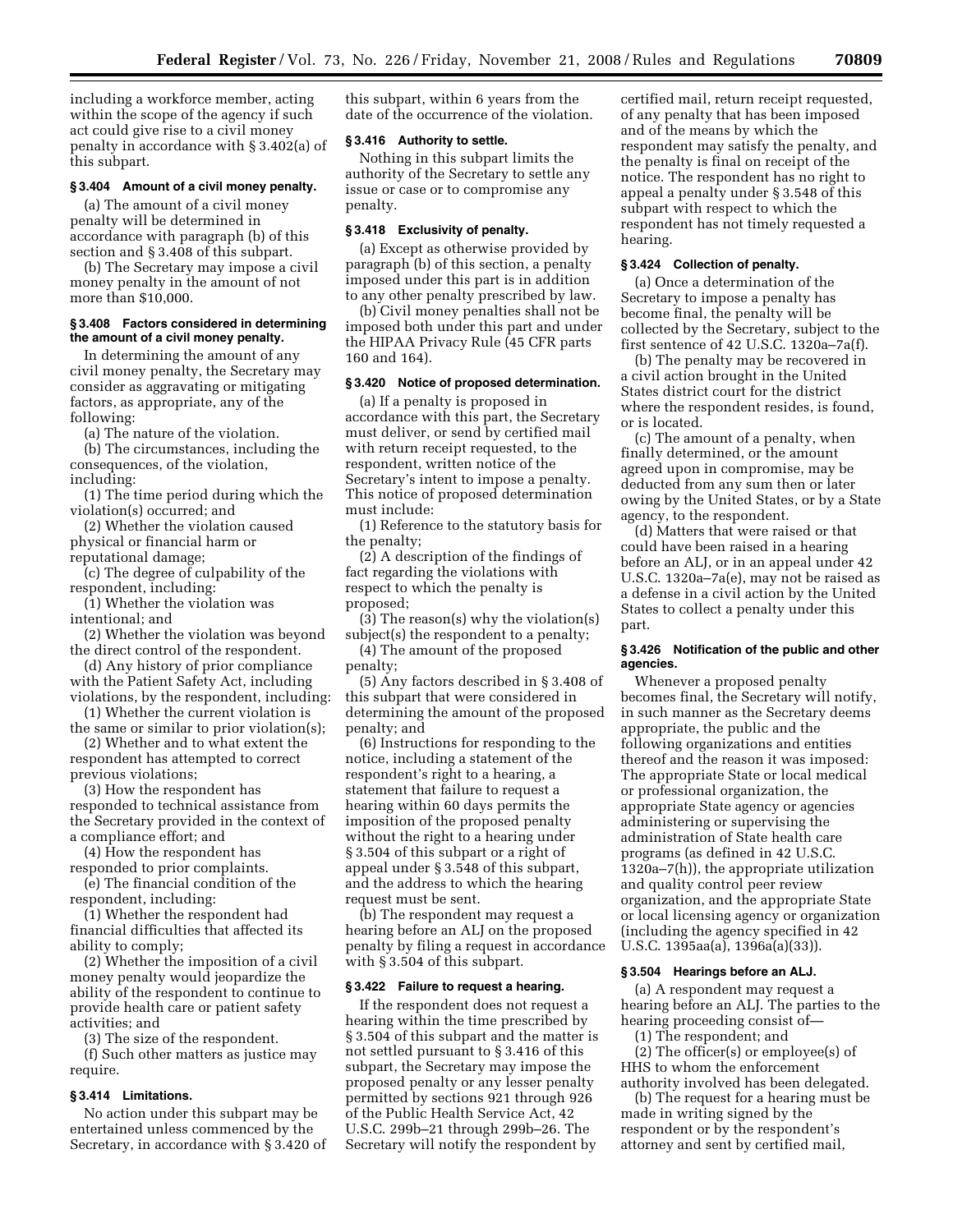including a workforce member, acting within the scope of the agency if such act could give rise to a civil money penalty in accordance with § 3.402(a) of this subpart.

## **§ 3.404 Amount of a civil money penalty.**

(a) The amount of a civil money penalty will be determined in accordance with paragraph (b) of this section and § 3.408 of this subpart.

(b) The Secretary may impose a civil money penalty in the amount of not more than \$10,000.

### **§ 3.408 Factors considered in determining the amount of a civil money penalty.**

In determining the amount of any civil money penalty, the Secretary may consider as aggravating or mitigating factors, as appropriate, any of the following:

(a) The nature of the violation.

(b) The circumstances, including the consequences, of the violation, including:

(1) The time period during which the violation(s) occurred; and

(2) Whether the violation caused physical or financial harm or reputational damage;

(c) The degree of culpability of the respondent, including:

(1) Whether the violation was intentional; and

(2) Whether the violation was beyond the direct control of the respondent.

(d) Any history of prior compliance with the Patient Safety Act, including violations, by the respondent, including:

(1) Whether the current violation is

the same or similar to prior violation(s); (2) Whether and to what extent the

respondent has attempted to correct previous violations;

(3) How the respondent has responded to technical assistance from the Secretary provided in the context of a compliance effort; and

(4) How the respondent has

responded to prior complaints. (e) The financial condition of the respondent, including:

(1) Whether the respondent had financial difficulties that affected its ability to comply;

(2) Whether the imposition of a civil money penalty would jeopardize the ability of the respondent to continue to provide health care or patient safety activities; and

(3) The size of the respondent.

(f) Such other matters as justice may require.

# **§ 3.414 Limitations.**

No action under this subpart may be entertained unless commenced by the Secretary, in accordance with § 3.420 of this subpart, within 6 years from the date of the occurrence of the violation.

# **§ 3.416 Authority to settle.**

Nothing in this subpart limits the authority of the Secretary to settle any issue or case or to compromise any penalty.

# **§ 3.418 Exclusivity of penalty.**

(a) Except as otherwise provided by paragraph (b) of this section, a penalty imposed under this part is in addition to any other penalty prescribed by law.

(b) Civil money penalties shall not be imposed both under this part and under the HIPAA Privacy Rule (45 CFR parts 160 and 164).

# **§ 3.420 Notice of proposed determination.**

(a) If a penalty is proposed in accordance with this part, the Secretary must deliver, or send by certified mail with return receipt requested, to the respondent, written notice of the Secretary's intent to impose a penalty. This notice of proposed determination must include:

(1) Reference to the statutory basis for the penalty;

(2) A description of the findings of fact regarding the violations with respect to which the penalty is proposed;

(3) The reason(s) why the violation(s) subject(s) the respondent to a penalty;

(4) The amount of the proposed penalty;

(5) Any factors described in § 3.408 of this subpart that were considered in determining the amount of the proposed penalty; and

(6) Instructions for responding to the notice, including a statement of the respondent's right to a hearing, a statement that failure to request a hearing within 60 days permits the imposition of the proposed penalty without the right to a hearing under § 3.504 of this subpart or a right of appeal under § 3.548 of this subpart, and the address to which the hearing request must be sent.

(b) The respondent may request a hearing before an ALJ on the proposed penalty by filing a request in accordance with § 3.504 of this subpart.

# **§ 3.422 Failure to request a hearing.**

If the respondent does not request a hearing within the time prescribed by § 3.504 of this subpart and the matter is not settled pursuant to § 3.416 of this subpart, the Secretary may impose the proposed penalty or any lesser penalty permitted by sections 921 through 926 of the Public Health Service Act, 42 U.S.C. 299b–21 through 299b–26. The Secretary will notify the respondent by

certified mail, return receipt requested, of any penalty that has been imposed and of the means by which the respondent may satisfy the penalty, and the penalty is final on receipt of the notice. The respondent has no right to appeal a penalty under § 3.548 of this subpart with respect to which the respondent has not timely requested a hearing.

### **§ 3.424 Collection of penalty.**

(a) Once a determination of the Secretary to impose a penalty has become final, the penalty will be collected by the Secretary, subject to the first sentence of 42 U.S.C. 1320a–7a(f).

(b) The penalty may be recovered in a civil action brought in the United States district court for the district where the respondent resides, is found, or is located.

(c) The amount of a penalty, when finally determined, or the amount agreed upon in compromise, may be deducted from any sum then or later owing by the United States, or by a State agency, to the respondent.

(d) Matters that were raised or that could have been raised in a hearing before an ALJ, or in an appeal under 42 U.S.C. 1320a–7a(e), may not be raised as a defense in a civil action by the United States to collect a penalty under this part.

### **§ 3.426 Notification of the public and other agencies.**

Whenever a proposed penalty becomes final, the Secretary will notify, in such manner as the Secretary deems appropriate, the public and the following organizations and entities thereof and the reason it was imposed: The appropriate State or local medical or professional organization, the appropriate State agency or agencies administering or supervising the administration of State health care programs (as defined in 42 U.S.C. 1320a–7(h)), the appropriate utilization and quality control peer review organization, and the appropriate State or local licensing agency or organization (including the agency specified in 42 U.S.C. 1395aa(a), 1396a(a)(33)).

# **§ 3.504 Hearings before an ALJ.**

(a) A respondent may request a hearing before an ALJ. The parties to the hearing proceeding consist of—

(1) The respondent; and

(2) The officer(s) or employee(s) of HHS to whom the enforcement authority involved has been delegated.

(b) The request for a hearing must be made in writing signed by the respondent or by the respondent's attorney and sent by certified mail,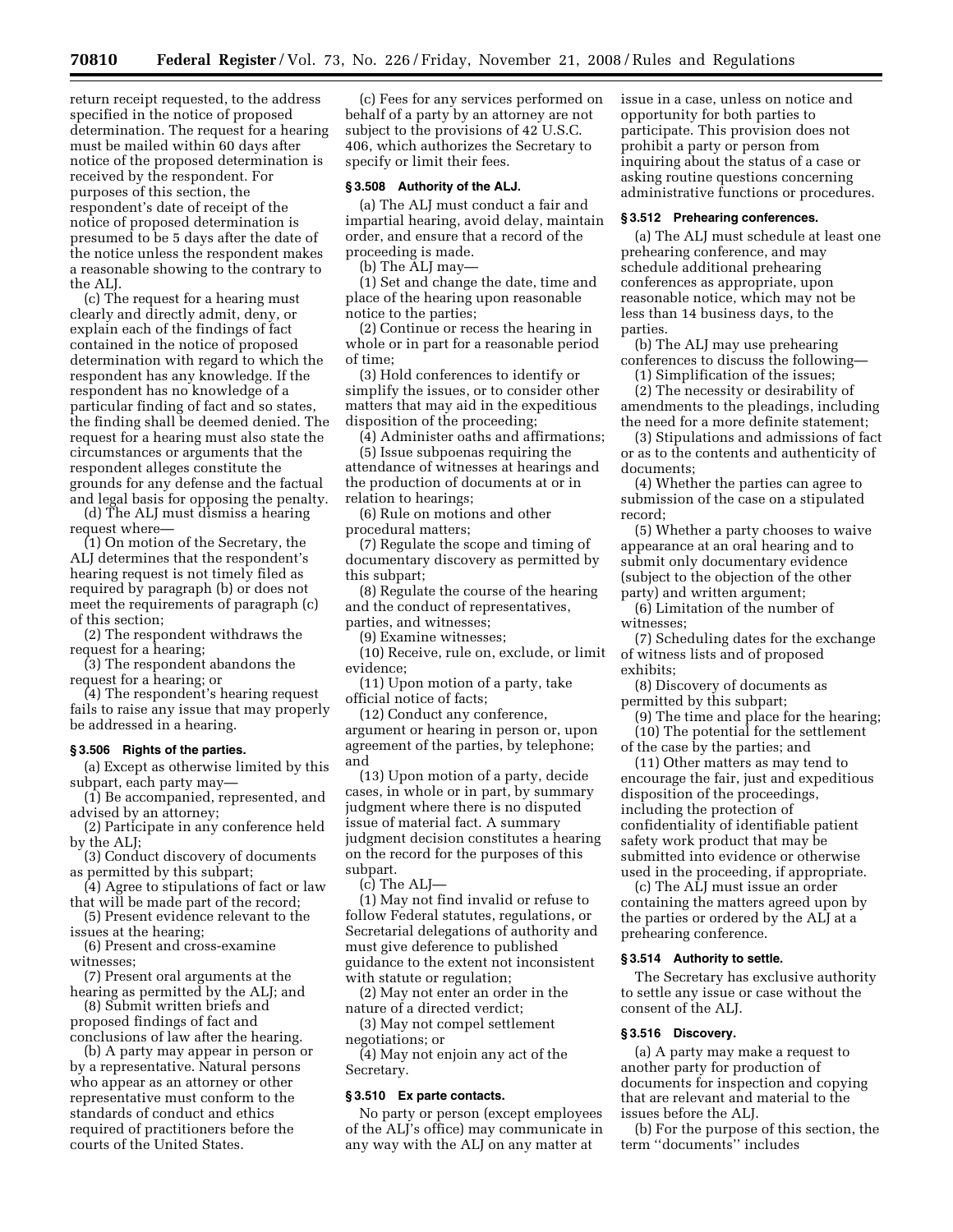return receipt requested, to the address specified in the notice of proposed determination. The request for a hearing must be mailed within 60 days after notice of the proposed determination is received by the respondent. For purposes of this section, the respondent's date of receipt of the notice of proposed determination is presumed to be 5 days after the date of the notice unless the respondent makes a reasonable showing to the contrary to the ALJ.

(c) The request for a hearing must clearly and directly admit, deny, or explain each of the findings of fact contained in the notice of proposed determination with regard to which the respondent has any knowledge. If the respondent has no knowledge of a particular finding of fact and so states, the finding shall be deemed denied. The request for a hearing must also state the circumstances or arguments that the respondent alleges constitute the grounds for any defense and the factual and legal basis for opposing the penalty.

(d) The ALJ must dismiss a hearing request where—

(1) On motion of the Secretary, the ALJ determines that the respondent's hearing request is not timely filed as required by paragraph (b) or does not meet the requirements of paragraph (c) of this section;

(2) The respondent withdraws the request for a hearing;

(3) The respondent abandons the request for a hearing; or

(4) The respondent's hearing request fails to raise any issue that may properly be addressed in a hearing.

### **§ 3.506 Rights of the parties.**

(a) Except as otherwise limited by this subpart, each party may—

(1) Be accompanied, represented, and advised by an attorney;

(2) Participate in any conference held by the ALJ;

(3) Conduct discovery of documents as permitted by this subpart;

(4) Agree to stipulations of fact or law that will be made part of the record;

(5) Present evidence relevant to the issues at the hearing;

(6) Present and cross-examine witnesses;

(7) Present oral arguments at the hearing as permitted by the ALJ; and

(8) Submit written briefs and proposed findings of fact and conclusions of law after the hearing.

(b) A party may appear in person or by a representative. Natural persons who appear as an attorney or other representative must conform to the standards of conduct and ethics required of practitioners before the courts of the United States.

(c) Fees for any services performed on behalf of a party by an attorney are not subject to the provisions of 42 U.S.C. 406, which authorizes the Secretary to specify or limit their fees.

#### **§ 3.508 Authority of the ALJ.**

(a) The ALJ must conduct a fair and impartial hearing, avoid delay, maintain order, and ensure that a record of the proceeding is made.

(b) The ALJ may—

(1) Set and change the date, time and place of the hearing upon reasonable notice to the parties;

(2) Continue or recess the hearing in whole or in part for a reasonable period of time;

(3) Hold conferences to identify or simplify the issues, or to consider other matters that may aid in the expeditious disposition of the proceeding;

(4) Administer oaths and affirmations;

(5) Issue subpoenas requiring the attendance of witnesses at hearings and the production of documents at or in relation to hearings;

(6) Rule on motions and other procedural matters;

(7) Regulate the scope and timing of documentary discovery as permitted by this subpart;

(8) Regulate the course of the hearing and the conduct of representatives, parties, and witnesses;

(9) Examine witnesses;

(10) Receive, rule on, exclude, or limit evidence;

(11) Upon motion of a party, take official notice of facts;

(12) Conduct any conference, argument or hearing in person or, upon agreement of the parties, by telephone; and

(13) Upon motion of a party, decide cases, in whole or in part, by summary judgment where there is no disputed issue of material fact. A summary judgment decision constitutes a hearing on the record for the purposes of this subpart.

(c) The ALJ—

(1) May not find invalid or refuse to follow Federal statutes, regulations, or Secretarial delegations of authority and must give deference to published guidance to the extent not inconsistent with statute or regulation;

(2) May not enter an order in the nature of a directed verdict;

(3) May not compel settlement negotiations; or

(4) May not enjoin any act of the Secretary.

# **§ 3.510 Ex parte contacts.**

No party or person (except employees of the ALJ's office) may communicate in any way with the ALJ on any matter at

issue in a case, unless on notice and opportunity for both parties to participate. This provision does not prohibit a party or person from inquiring about the status of a case or asking routine questions concerning administrative functions or procedures.

# **§ 3.512 Prehearing conferences.**

(a) The ALJ must schedule at least one prehearing conference, and may schedule additional prehearing conferences as appropriate, upon reasonable notice, which may not be less than 14 business days, to the parties.

(b) The ALJ may use prehearing conferences to discuss the following—

(1) Simplification of the issues; (2) The necessity or desirability of

amendments to the pleadings, including the need for a more definite statement;

(3) Stipulations and admissions of fact or as to the contents and authenticity of documents;

(4) Whether the parties can agree to submission of the case on a stipulated record;

(5) Whether a party chooses to waive appearance at an oral hearing and to submit only documentary evidence (subject to the objection of the other party) and written argument;

(6) Limitation of the number of witnesses;

(7) Scheduling dates for the exchange of witness lists and of proposed exhibits;

(8) Discovery of documents as permitted by this subpart;

(9) The time and place for the hearing; (10) The potential for the settlement

of the case by the parties; and (11) Other matters as may tend to encourage the fair, just and expeditious disposition of the proceedings, including the protection of confidentiality of identifiable patient safety work product that may be submitted into evidence or otherwise used in the proceeding, if appropriate.

(c) The ALJ must issue an order containing the matters agreed upon by the parties or ordered by the ALJ at a prehearing conference.

#### **§ 3.514 Authority to settle.**

The Secretary has exclusive authority to settle any issue or case without the consent of the ALJ.

### **§ 3.516 Discovery.**

(a) A party may make a request to another party for production of documents for inspection and copying that are relevant and material to the issues before the ALJ.

(b) For the purpose of this section, the term ''documents'' includes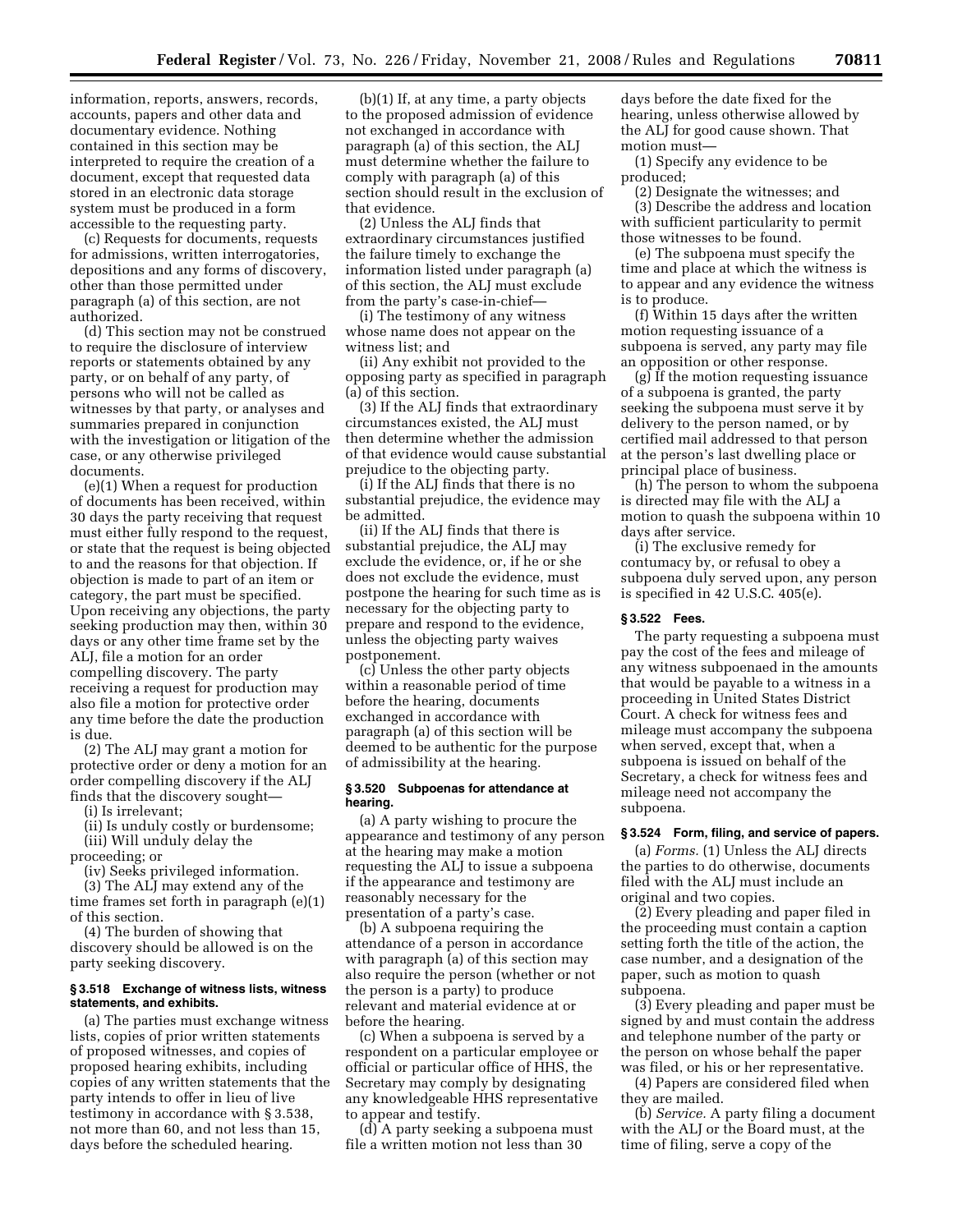information, reports, answers, records, accounts, papers and other data and documentary evidence. Nothing contained in this section may be interpreted to require the creation of a document, except that requested data stored in an electronic data storage system must be produced in a form accessible to the requesting party.

(c) Requests for documents, requests for admissions, written interrogatories, depositions and any forms of discovery, other than those permitted under paragraph (a) of this section, are not authorized.

(d) This section may not be construed to require the disclosure of interview reports or statements obtained by any party, or on behalf of any party, of persons who will not be called as witnesses by that party, or analyses and summaries prepared in conjunction with the investigation or litigation of the case, or any otherwise privileged documents.

(e)(1) When a request for production of documents has been received, within 30 days the party receiving that request must either fully respond to the request, or state that the request is being objected to and the reasons for that objection. If objection is made to part of an item or category, the part must be specified. Upon receiving any objections, the party seeking production may then, within 30 days or any other time frame set by the ALJ, file a motion for an order compelling discovery. The party receiving a request for production may also file a motion for protective order any time before the date the production is due.

(2) The ALJ may grant a motion for protective order or deny a motion for an order compelling discovery if the ALJ finds that the discovery sought—

(i) Is irrelevant;

(ii) Is unduly costly or burdensome; (iii) Will unduly delay the

proceeding; or

(iv) Seeks privileged information.

(3) The ALJ may extend any of the time frames set forth in paragraph (e)(1) of this section.

(4) The burden of showing that discovery should be allowed is on the party seeking discovery.

### **§ 3.518 Exchange of witness lists, witness statements, and exhibits.**

(a) The parties must exchange witness lists, copies of prior written statements of proposed witnesses, and copies of proposed hearing exhibits, including copies of any written statements that the party intends to offer in lieu of live testimony in accordance with § 3.538, not more than 60, and not less than 15, days before the scheduled hearing.

(b)(1) If, at any time, a party objects to the proposed admission of evidence not exchanged in accordance with paragraph (a) of this section, the ALJ must determine whether the failure to comply with paragraph (a) of this section should result in the exclusion of that evidence.

(2) Unless the ALJ finds that extraordinary circumstances justified the failure timely to exchange the information listed under paragraph (a) of this section, the ALJ must exclude from the party's case-in-chief—

(i) The testimony of any witness whose name does not appear on the witness list; and

(ii) Any exhibit not provided to the opposing party as specified in paragraph (a) of this section.

(3) If the ALJ finds that extraordinary circumstances existed, the ALJ must then determine whether the admission of that evidence would cause substantial prejudice to the objecting party.

(i) If the ALJ finds that there is no substantial prejudice, the evidence may be admitted.

(ii) If the ALJ finds that there is substantial prejudice, the ALJ may exclude the evidence, or, if he or she does not exclude the evidence, must postpone the hearing for such time as is necessary for the objecting party to prepare and respond to the evidence, unless the objecting party waives postponement.

(c) Unless the other party objects within a reasonable period of time before the hearing, documents exchanged in accordance with paragraph (a) of this section will be deemed to be authentic for the purpose of admissibility at the hearing.

### **§ 3.520 Subpoenas for attendance at hearing.**

(a) A party wishing to procure the appearance and testimony of any person at the hearing may make a motion requesting the ALJ to issue a subpoena if the appearance and testimony are reasonably necessary for the presentation of a party's case.

(b) A subpoena requiring the attendance of a person in accordance with paragraph (a) of this section may also require the person (whether or not the person is a party) to produce relevant and material evidence at or before the hearing.

(c) When a subpoena is served by a respondent on a particular employee or official or particular office of HHS, the Secretary may comply by designating any knowledgeable HHS representative to appear and testify.

(d) A party seeking a subpoena must file a written motion not less than 30

days before the date fixed for the hearing, unless otherwise allowed by the ALJ for good cause shown. That motion must—

(1) Specify any evidence to be produced;

(2) Designate the witnesses; and (3) Describe the address and location with sufficient particularity to permit those witnesses to be found.

(e) The subpoena must specify the time and place at which the witness is to appear and any evidence the witness is to produce.

(f) Within 15 days after the written motion requesting issuance of a subpoena is served, any party may file an opposition or other response.

(g) If the motion requesting issuance of a subpoena is granted, the party seeking the subpoena must serve it by delivery to the person named, or by certified mail addressed to that person at the person's last dwelling place or principal place of business.

(h) The person to whom the subpoena is directed may file with the ALJ a motion to quash the subpoena within 10 days after service.

(i) The exclusive remedy for contumacy by, or refusal to obey a subpoena duly served upon, any person is specified in 42 U.S.C. 405(e).

## **§ 3.522 Fees.**

The party requesting a subpoena must pay the cost of the fees and mileage of any witness subpoenaed in the amounts that would be payable to a witness in a proceeding in United States District Court. A check for witness fees and mileage must accompany the subpoena when served, except that, when a subpoena is issued on behalf of the Secretary, a check for witness fees and mileage need not accompany the subpoena.

# **§ 3.524 Form, filing, and service of papers.**

(a) *Forms.* (1) Unless the ALJ directs the parties to do otherwise, documents filed with the ALJ must include an original and two copies.

(2) Every pleading and paper filed in the proceeding must contain a caption setting forth the title of the action, the case number, and a designation of the paper, such as motion to quash subpoena.

(3) Every pleading and paper must be signed by and must contain the address and telephone number of the party or the person on whose behalf the paper was filed, or his or her representative.

(4) Papers are considered filed when they are mailed.

(b) *Service.* A party filing a document with the ALJ or the Board must, at the time of filing, serve a copy of the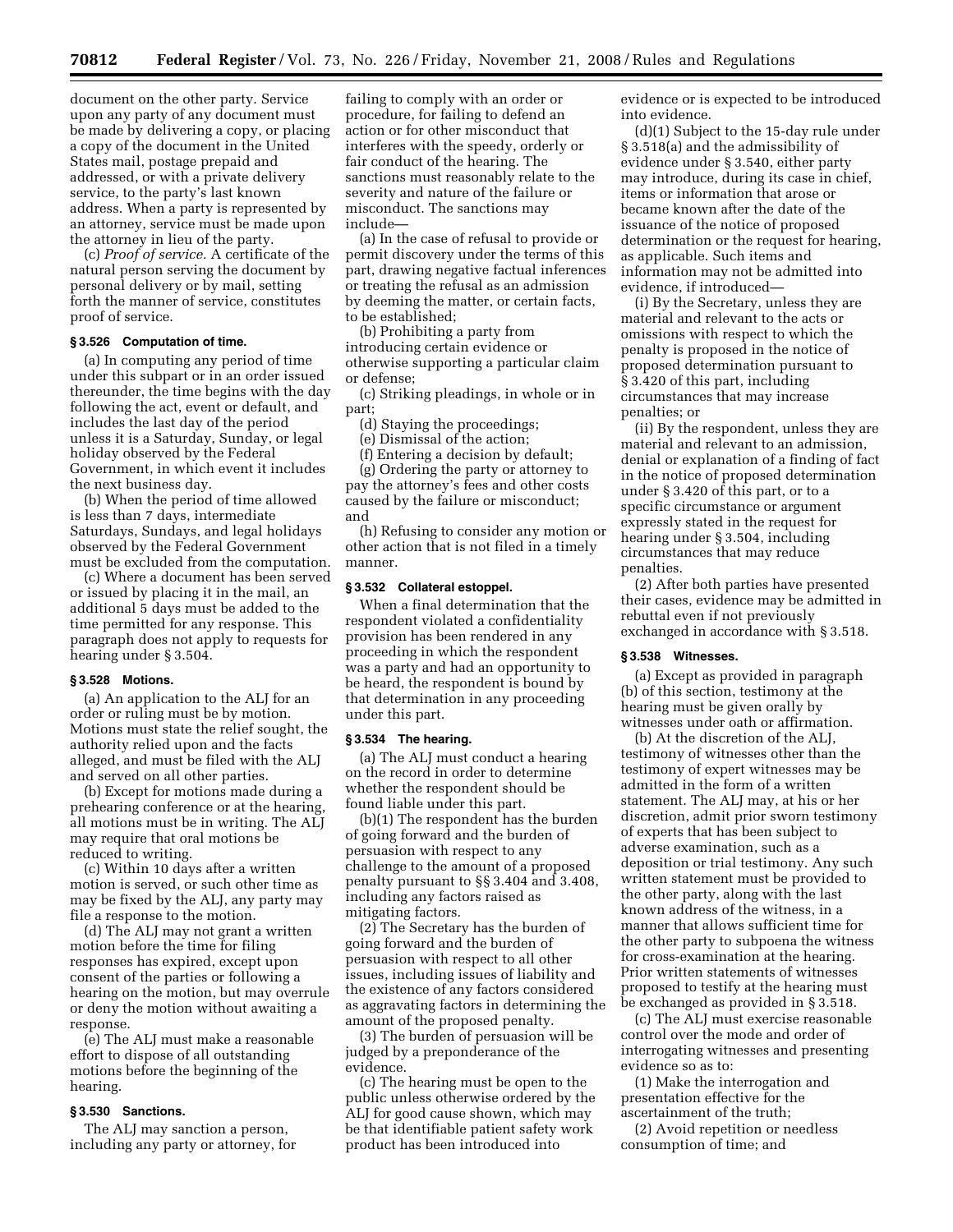document on the other party. Service upon any party of any document must be made by delivering a copy, or placing a copy of the document in the United States mail, postage prepaid and addressed, or with a private delivery service, to the party's last known address. When a party is represented by an attorney, service must be made upon the attorney in lieu of the party.

(c) *Proof of service.* A certificate of the natural person serving the document by personal delivery or by mail, setting forth the manner of service, constitutes proof of service.

## **§ 3.526 Computation of time.**

(a) In computing any period of time under this subpart or in an order issued thereunder, the time begins with the day following the act, event or default, and includes the last day of the period unless it is a Saturday, Sunday, or legal holiday observed by the Federal Government, in which event it includes the next business day.

(b) When the period of time allowed is less than 7 days, intermediate Saturdays, Sundays, and legal holidays observed by the Federal Government must be excluded from the computation.

(c) Where a document has been served or issued by placing it in the mail, an additional 5 days must be added to the time permitted for any response. This paragraph does not apply to requests for hearing under § 3.504.

### **§ 3.528 Motions.**

(a) An application to the ALJ for an order or ruling must be by motion. Motions must state the relief sought, the authority relied upon and the facts alleged, and must be filed with the ALJ and served on all other parties.

(b) Except for motions made during a prehearing conference or at the hearing, all motions must be in writing. The ALJ may require that oral motions be reduced to writing.

(c) Within 10 days after a written motion is served, or such other time as may be fixed by the ALJ, any party may file a response to the motion.

(d) The ALJ may not grant a written motion before the time for filing responses has expired, except upon consent of the parties or following a hearing on the motion, but may overrule or deny the motion without awaiting a response.

(e) The ALJ must make a reasonable effort to dispose of all outstanding motions before the beginning of the hearing.

# **§ 3.530 Sanctions.**

The ALJ may sanction a person, including any party or attorney, for

failing to comply with an order or procedure, for failing to defend an action or for other misconduct that interferes with the speedy, orderly or fair conduct of the hearing. The sanctions must reasonably relate to the severity and nature of the failure or misconduct. The sanctions may include—

(a) In the case of refusal to provide or permit discovery under the terms of this part, drawing negative factual inferences or treating the refusal as an admission by deeming the matter, or certain facts, to be established;

(b) Prohibiting a party from introducing certain evidence or otherwise supporting a particular claim or defense;

(c) Striking pleadings, in whole or in part;

(d) Staying the proceedings;

(e) Dismissal of the action;

(f) Entering a decision by default;

(g) Ordering the party or attorney to pay the attorney's fees and other costs caused by the failure or misconduct; and

(h) Refusing to consider any motion or other action that is not filed in a timely manner.

# **§ 3.532 Collateral estoppel.**

When a final determination that the respondent violated a confidentiality provision has been rendered in any proceeding in which the respondent was a party and had an opportunity to be heard, the respondent is bound by that determination in any proceeding under this part.

#### **§ 3.534 The hearing.**

(a) The ALJ must conduct a hearing on the record in order to determine whether the respondent should be found liable under this part.

(b)(1) The respondent has the burden of going forward and the burden of persuasion with respect to any challenge to the amount of a proposed penalty pursuant to §§ 3.404 and 3.408, including any factors raised as mitigating factors.

(2) The Secretary has the burden of going forward and the burden of persuasion with respect to all other issues, including issues of liability and the existence of any factors considered as aggravating factors in determining the amount of the proposed penalty.

(3) The burden of persuasion will be judged by a preponderance of the evidence.

(c) The hearing must be open to the public unless otherwise ordered by the ALJ for good cause shown, which may be that identifiable patient safety work product has been introduced into

evidence or is expected to be introduced into evidence.

(d)(1) Subject to the 15-day rule under § 3.518(a) and the admissibility of evidence under § 3.540, either party may introduce, during its case in chief, items or information that arose or became known after the date of the issuance of the notice of proposed determination or the request for hearing, as applicable. Such items and information may not be admitted into evidence, if introduced—

(i) By the Secretary, unless they are material and relevant to the acts or omissions with respect to which the penalty is proposed in the notice of proposed determination pursuant to § 3.420 of this part, including circumstances that may increase penalties; or

(ii) By the respondent, unless they are material and relevant to an admission, denial or explanation of a finding of fact in the notice of proposed determination under § 3.420 of this part, or to a specific circumstance or argument expressly stated in the request for hearing under § 3.504, including circumstances that may reduce penalties.

(2) After both parties have presented their cases, evidence may be admitted in rebuttal even if not previously exchanged in accordance with § 3.518.

# **§ 3.538 Witnesses.**

(a) Except as provided in paragraph (b) of this section, testimony at the hearing must be given orally by witnesses under oath or affirmation.

(b) At the discretion of the ALJ, testimony of witnesses other than the testimony of expert witnesses may be admitted in the form of a written statement. The ALJ may, at his or her discretion, admit prior sworn testimony of experts that has been subject to adverse examination, such as a deposition or trial testimony. Any such written statement must be provided to the other party, along with the last known address of the witness, in a manner that allows sufficient time for the other party to subpoena the witness for cross-examination at the hearing. Prior written statements of witnesses proposed to testify at the hearing must be exchanged as provided in § 3.518.

(c) The ALJ must exercise reasonable control over the mode and order of interrogating witnesses and presenting evidence so as to:

(1) Make the interrogation and presentation effective for the ascertainment of the truth;

(2) Avoid repetition or needless consumption of time; and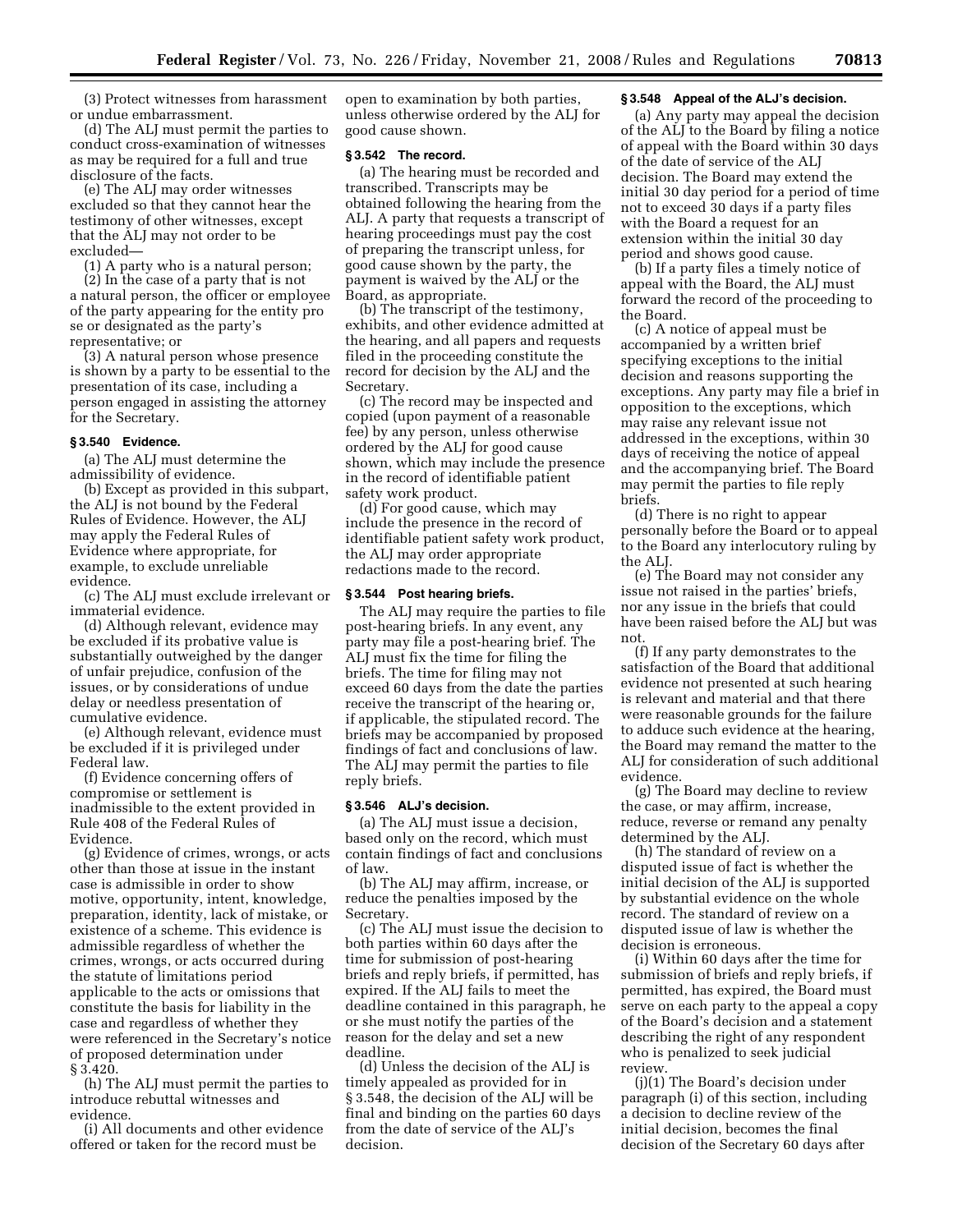(3) Protect witnesses from harassment or undue embarrassment.

(d) The ALJ must permit the parties to conduct cross-examination of witnesses as may be required for a full and true disclosure of the facts.

(e) The ALJ may order witnesses excluded so that they cannot hear the testimony of other witnesses, except that the ALJ may not order to be excluded—

(1) A party who is a natural person;

(2) In the case of a party that is not a natural person, the officer or employee of the party appearing for the entity pro se or designated as the party's representative; or

(3) A natural person whose presence is shown by a party to be essential to the presentation of its case, including a person engaged in assisting the attorney for the Secretary.

### **§ 3.540 Evidence.**

(a) The ALJ must determine the admissibility of evidence.

(b) Except as provided in this subpart, the ALJ is not bound by the Federal Rules of Evidence. However, the ALJ may apply the Federal Rules of Evidence where appropriate, for example, to exclude unreliable evidence.

(c) The ALJ must exclude irrelevant or immaterial evidence.

(d) Although relevant, evidence may be excluded if its probative value is substantially outweighed by the danger of unfair prejudice, confusion of the issues, or by considerations of undue delay or needless presentation of cumulative evidence.

(e) Although relevant, evidence must be excluded if it is privileged under Federal law.

(f) Evidence concerning offers of compromise or settlement is inadmissible to the extent provided in Rule 408 of the Federal Rules of Evidence.

(g) Evidence of crimes, wrongs, or acts other than those at issue in the instant case is admissible in order to show motive, opportunity, intent, knowledge, preparation, identity, lack of mistake, or existence of a scheme. This evidence is admissible regardless of whether the crimes, wrongs, or acts occurred during the statute of limitations period applicable to the acts or omissions that constitute the basis for liability in the case and regardless of whether they were referenced in the Secretary's notice of proposed determination under § 3.420.

(h) The ALJ must permit the parties to introduce rebuttal witnesses and evidence.

(i) All documents and other evidence offered or taken for the record must be

open to examination by both parties, unless otherwise ordered by the ALJ for good cause shown.

# **§ 3.542 The record.**

(a) The hearing must be recorded and transcribed. Transcripts may be obtained following the hearing from the ALJ. A party that requests a transcript of hearing proceedings must pay the cost of preparing the transcript unless, for good cause shown by the party, the payment is waived by the ALJ or the Board, as appropriate.

(b) The transcript of the testimony, exhibits, and other evidence admitted at the hearing, and all papers and requests filed in the proceeding constitute the record for decision by the ALJ and the Secretary.

(c) The record may be inspected and copied (upon payment of a reasonable fee) by any person, unless otherwise ordered by the ALJ for good cause shown, which may include the presence in the record of identifiable patient safety work product.

(d) For good cause, which may include the presence in the record of identifiable patient safety work product, the ALJ may order appropriate redactions made to the record.

### **§ 3.544 Post hearing briefs.**

The ALJ may require the parties to file post-hearing briefs. In any event, any party may file a post-hearing brief. The ALJ must fix the time for filing the briefs. The time for filing may not exceed 60 days from the date the parties receive the transcript of the hearing or, if applicable, the stipulated record. The briefs may be accompanied by proposed findings of fact and conclusions of law. The ALJ may permit the parties to file reply briefs.

# **§ 3.546 ALJ's decision.**

(a) The ALJ must issue a decision, based only on the record, which must contain findings of fact and conclusions of law.

(b) The ALJ may affirm, increase, or reduce the penalties imposed by the Secretary.

(c) The ALJ must issue the decision to both parties within 60 days after the time for submission of post-hearing briefs and reply briefs, if permitted, has expired. If the ALJ fails to meet the deadline contained in this paragraph, he or she must notify the parties of the reason for the delay and set a new deadline.

(d) Unless the decision of the ALJ is timely appealed as provided for in § 3.548, the decision of the ALJ will be final and binding on the parties 60 days from the date of service of the ALJ's decision.

### **§ 3.548 Appeal of the ALJ's decision.**

(a) Any party may appeal the decision of the ALJ to the Board by filing a notice of appeal with the Board within 30 days of the date of service of the ALJ decision. The Board may extend the initial 30 day period for a period of time not to exceed 30 days if a party files with the Board a request for an extension within the initial 30 day period and shows good cause.

(b) If a party files a timely notice of appeal with the Board, the ALJ must forward the record of the proceeding to the Board.

(c) A notice of appeal must be accompanied by a written brief specifying exceptions to the initial decision and reasons supporting the exceptions. Any party may file a brief in opposition to the exceptions, which may raise any relevant issue not addressed in the exceptions, within 30 days of receiving the notice of appeal and the accompanying brief. The Board may permit the parties to file reply briefs.

(d) There is no right to appear personally before the Board or to appeal to the Board any interlocutory ruling by the ALJ.

(e) The Board may not consider any issue not raised in the parties' briefs, nor any issue in the briefs that could have been raised before the ALJ but was not.

(f) If any party demonstrates to the satisfaction of the Board that additional evidence not presented at such hearing is relevant and material and that there were reasonable grounds for the failure to adduce such evidence at the hearing, the Board may remand the matter to the ALJ for consideration of such additional evidence.

(g) The Board may decline to review the case, or may affirm, increase, reduce, reverse or remand any penalty determined by the ALJ.

(h) The standard of review on a disputed issue of fact is whether the initial decision of the ALJ is supported by substantial evidence on the whole record. The standard of review on a disputed issue of law is whether the decision is erroneous.

(i) Within 60 days after the time for submission of briefs and reply briefs, if permitted, has expired, the Board must serve on each party to the appeal a copy of the Board's decision and a statement describing the right of any respondent who is penalized to seek judicial review.

(j)(1) The Board's decision under paragraph (i) of this section, including a decision to decline review of the initial decision, becomes the final decision of the Secretary 60 days after